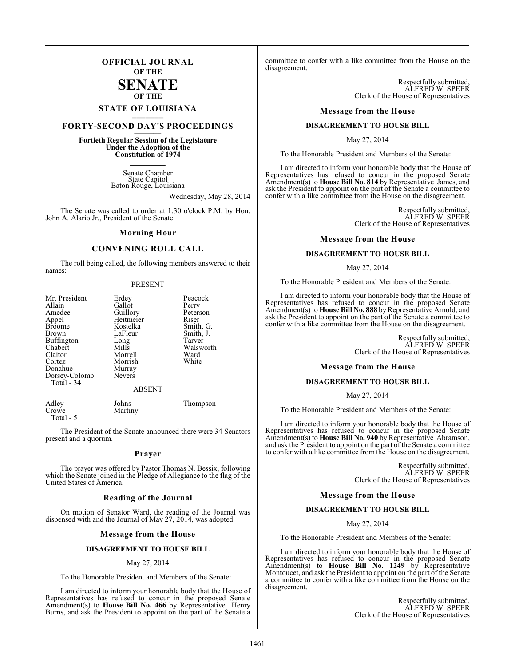## **OFFICIAL JOURNAL OF THE**

## **SENATE OF THE**

# **STATE OF LOUISIANA \_\_\_\_\_\_\_**

## **FORTY-SECOND DAY'S PROCEEDINGS \_\_\_\_\_\_\_**

**Fortieth Regular Session of the Legislature Under the Adoption of the Constitution of 1974 \_\_\_\_\_\_\_**

> Senate Chamber State Capitol Baton Rouge, Louisiana

> > Wednesday, May 28, 2014

The Senate was called to order at 1:30 o'clock P.M. by Hon. John A. Alario Jr., President of the Senate.

#### **Morning Hour**

#### **CONVENING ROLL CALL**

The roll being called, the following members answered to their names:

#### PRESENT

| Mr. President<br>Allain<br>Amedee<br>Appel<br><b>Broome</b><br>Brown<br>Buffington<br>Chabert<br>Claitor<br>Cortez<br>Donahue<br>Dorsey-Colomb<br>Total - 34 | Erdey<br>Gallot<br>Guillory<br>Heitmeier<br>Kostelka<br>LaFleur<br>Long<br>Mills<br>Morrell<br>Morrish<br>Murray<br><b>Nevers</b><br><b>ABSENT</b> | Peacock<br>Perry<br>Peterson<br>Riser<br>Smith, G.<br>Smith, J.<br>Tarver<br>Walsworth<br>Ward<br>White |
|--------------------------------------------------------------------------------------------------------------------------------------------------------------|----------------------------------------------------------------------------------------------------------------------------------------------------|---------------------------------------------------------------------------------------------------------|
| Adley<br>Crowe                                                                                                                                               | Johns<br>Martiny                                                                                                                                   | Thompson                                                                                                |

Total - 5

The President of the Senate announced there were 34 Senators present and a quorum.

#### **Prayer**

The prayer was offered by Pastor Thomas N. Bessix, following which the Senate joined in the Pledge of Allegiance to the flag of the United States of America.

#### **Reading of the Journal**

On motion of Senator Ward, the reading of the Journal was dispensed with and the Journal of May 27, 2014, was adopted.

#### **Message from the House**

#### **DISAGREEMENT TO HOUSE BILL**

#### May 27, 2014

To the Honorable President and Members of the Senate:

I am directed to inform your honorable body that the House of Representatives has refused to concur in the proposed Senate Amendment(s) to **House Bill No. 466** by Representative Henry Burns, and ask the President to appoint on the part of the Senate a committee to confer with a like committee from the House on the disagreement.

> Respectfully submitted, ALFRED W. SPEER Clerk of the House of Representatives

#### **Message from the House**

#### **DISAGREEMENT TO HOUSE BILL**

May 27, 2014

To the Honorable President and Members of the Senate:

I am directed to inform your honorable body that the House of Representatives has refused to concur in the proposed Senate Amendment(s) to **House Bill No. 814** by Representative James, and ask the President to appoint on the part of the Senate a committee to confer with a like committee from the House on the disagreement.

> Respectfully submitted, ALFRED W. SPEER Clerk of the House of Representatives

#### **Message from the House**

#### **DISAGREEMENT TO HOUSE BILL**

#### May 27, 2014

To the Honorable President and Members of the Senate:

I am directed to inform your honorable body that the House of Representatives has refused to concur in the proposed Senate Amendment(s) to **House Bill No. 888** by Representative Arnold, and ask the President to appoint on the part of the Senate a committee to confer with a like committee from the House on the disagreement.

> Respectfully submitted, ALFRED W. SPEER Clerk of the House of Representatives

#### **Message from the House**

#### **DISAGREEMENT TO HOUSE BILL**

May 27, 2014

To the Honorable President and Members of the Senate:

I am directed to inform your honorable body that the House of Representatives has refused to concur in the proposed Senate Amendment(s) to **House Bill No. 940** by Representative Abramson, and ask the President to appoint on the part of the Senate a committee to confer with a like committee from the House on the disagreement.

> Respectfully submitted, ALFRED W. SPEER Clerk of the House of Representatives

#### **Message from the House**

#### **DISAGREEMENT TO HOUSE BILL**

May 27, 2014

To the Honorable President and Members of the Senate:

I am directed to inform your honorable body that the House of Representatives has refused to concur in the proposed Senate Amendment(s) to **House Bill No. 1249** by Representative Montoucet, and ask the President to appoint on the part of the Senate a committee to confer with a like committee from the House on the disagreement.

> Respectfully submitted, ALFRED W. SPEER Clerk of the House of Representatives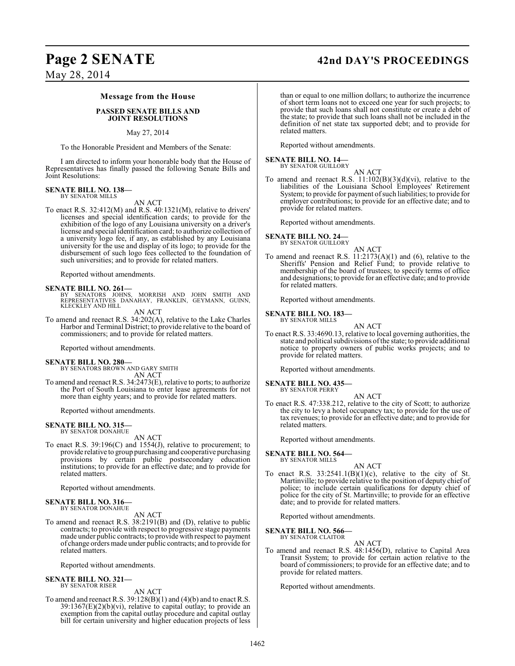## **Page 2 SENATE 42nd DAY'S PROCEEDINGS**

## May 28, 2014

#### **Message from the House**

#### **PASSED SENATE BILLS AND JOINT RESOLUTIONS**

#### May 27, 2014

To the Honorable President and Members of the Senate:

I am directed to inform your honorable body that the House of Representatives has finally passed the following Senate Bills and Joint Resolutions:

#### **SENATE BILL NO. 138—**

BY SENATOR MILLS

AN ACT To enact R.S. 32:412(M) and R.S. 40:1321(M), relative to drivers' licenses and special identification cards; to provide for the exhibition of the logo of any Louisiana university on a driver's license and special identification card; to authorize collection of a university logo fee, if any, as established by any Louisiana university for the use and display of its logo; to provide for the disbursement of such logo fees collected to the foundation of such universities; and to provide for related matters.

Reported without amendments.

**SENATE BILL NO. 261—**<br>BY SENATORS JOHNS, MORRISH AND JOHN SMITH AND<br>REPRESENTATIVES DANAHAY, FRANKLIN, GEYMANN, GUINN,<br>KLECKLEY AND HILL

AN ACT

To amend and reenact R.S. 34:202(A), relative to the Lake Charles Harbor and Terminal District; to provide relative to the board of commissioners; and to provide for related matters.

Reported without amendments.

- **SENATE BILL NO. 280—** BY SENATORS BROWN AND GARY SMITH AN ACT
- To amend and reenact R.S. 34:2473(E), relative to ports; to authorize the Port of South Louisiana to enter lease agreements for not more than eighty years; and to provide for related matters.

Reported without amendments.

#### **SENATE BILL NO. 315—** BY SENATOR DONAHUE

AN ACT

To enact R.S. 39:196(C) and 1554(J), relative to procurement; to provide relative to group purchasing and cooperative purchasing provisions by certain public postsecondary education institutions; to provide for an effective date; and to provide for related matters.

Reported without amendments.

#### **SENATE BILL NO. 316—** BY SENATOR DONAHUE

AN ACT

To amend and reenact R.S. 38:2191(B) and (D), relative to public contracts; to provide with respect to progressive stage payments made under public contracts; to provide with respect to payment of change orders made under public contracts; and to provide for related matters.

Reported without amendments.

#### **SENATE BILL NO. 321—** BY SENATOR RISER

AN ACT

To amend and reenact R.S. 39:128(B)(1) and (4)(b) and to enact R.S.  $39:1367(E)(2)(b)(vi)$ , relative to capital outlay; to provide an exemption from the capital outlay procedure and capital outlay bill for certain university and higher education projects of less

than or equal to one million dollars; to authorize the incurrence of short term loans not to exceed one year for such projects; to provide that such loans shall not constitute or create a debt of the state; to provide that such loans shall not be included in the definition of net state tax supported debt; and to provide for related matters.

Reported without amendments.

#### **SENATE BILL NO. 14—** BY SENATOR GUILLORY

AN ACT

To amend and reenact R.S.  $11:102(B)(3)(d)(vi)$ , relative to the liabilities of the Louisiana School Employees' Retirement System; to provide for payment of such liabilities; to provide for employer contributions; to provide for an effective date; and to provide for related matters.

Reported without amendments.

## **SENATE BILL NO. 24—**<br>BY SENATOR GUILLORY

AN ACT

To amend and reenact R.S. 11:2173(A)(1) and (6), relative to the Sheriffs' Pension and Relief Fund; to provide relative to membership of the board of trustees; to specify terms of office and designations; to provide for an effective date; and to provide for related matters.

Reported without amendments.

#### **SENATE BILL NO. 183—** BY SENATOR MILLS

AN ACT To enact R.S. 33:4690.13, relative to local governing authorities, the state and political subdivisions of the state; to provide additional notice to property owners of public works projects; and to provide for related matters.

Reported without amendments.

#### **SENATE BILL NO. 435—**

BY SENATOR PERRY AN ACT

To enact R.S. 47:338.212, relative to the city of Scott; to authorize the city to levy a hotel occupancy tax; to provide for the use of tax revenues; to provide for an effective date; and to provide for related matters.

Reported without amendments.

## **SENATE BILL NO. 564—** BY SENATOR MILLS

To enact R.S.  $33:2541.1(B)(1)(c)$ , relative to the city of St. Martinville; to provide relative to the position of deputy chief of police; to include certain qualifications for deputy chief of police for the city of St. Martinville; to provide for an effective date; and to provide for related matters.

AN ACT

Reported without amendments.

**SENATE BILL NO. 566—** BY SENATOR CLAITOR

AN ACT

To amend and reenact R.S. 48:1456(D), relative to Capital Area Transit System; to provide for certain action relative to the board of commissioners; to provide for an effective date; and to provide for related matters.

Reported without amendments.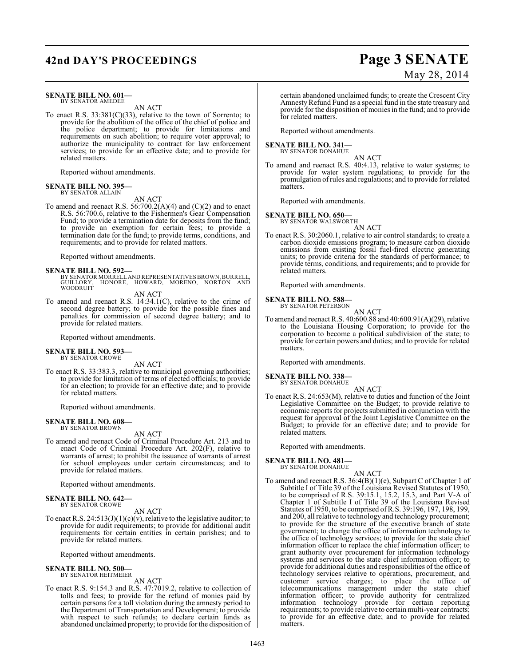## **42nd DAY'S PROCEEDINGS Page 3 SENATE**

#### **SENATE BILL NO. 601—** BY SENATOR AMEDEE

AN ACT

To enact R.S. 33:381(C)(33), relative to the town of Sorrento; to provide for the abolition of the office of the chief of police and the police department; to provide for limitations and requirements on such abolition; to require voter approval; to authorize the municipality to contract for law enforcement services; to provide for an effective date; and to provide for related matters.

Reported without amendments.

#### **SENATE BILL NO. 395—** BY SENATOR ALLAIN

AN ACT

To amend and reenact R.S.  $56:700.2(A)(4)$  and  $(C)(2)$  and to enact R.S. 56:700.6, relative to the Fishermen's Gear Compensation Fund; to provide a termination date for deposits from the fund; to provide an exemption for certain fees; to provide a termination date for the fund; to provide terms, conditions, and requirements; and to provide for related matters.

Reported without amendments.

#### **SENATE BILL NO. 592—**

BY SENATOR MORRELL AND REPRESENTATIVES BROWN, BURRELL,<br>GUILLORY, HONORE, HOWARD, MORENO, NORTON AND<br>WOODRUFF

AN ACT

To amend and reenact R.S. 14:34.1(C), relative to the crime of second degree battery; to provide for the possible fines and penalties for commission of second degree battery; and to provide for related matters.

Reported without amendments.

#### **SENATE BILL NO. 593—** BY SENATOR CROWE

AN ACT

To enact R.S. 33:383.3, relative to municipal governing authorities; to provide for limitation of terms of elected officials; to provide for an election; to provide for an effective date; and to provide for related matters.

Reported without amendments.

#### **SENATE BILL NO. 608—** BY SENATOR BROWN

AN ACT

To amend and reenact Code of Criminal Procedure Art. 213 and to enact Code of Criminal Procedure Art. 202(F), relative to warrants of arrest; to prohibit the issuance of warrants of arrest for school employees under certain circumstances; and to provide for related matters.

Reported without amendments.

#### **SENATE BILL NO. 642—** BY SENATOR CROWE

AN ACT

To enact R.S.  $24:513(J)(1)(c)(v)$ , relative to the legislative auditor; to provide for audit requirements; to provide for additional audit requirements for certain entities in certain parishes; and to provide for related matters.

Reported without amendments.

#### **SENATE BILL NO. 500—** BY SENATOR HEITMEIER

AN ACT

To enact R.S. 9:154.3 and R.S. 47:7019.2, relative to collection of tolls and fees; to provide for the refund of monies paid by certain persons for a toll violation during the amnesty period to the Department of Transportation and Development; to provide with respect to such refunds; to declare certain funds as abandoned unclaimed property; to provide for the disposition of

May 28, 2014 certain abandoned unclaimed funds; to create the Crescent City

Amnesty Refund Fund as a special fund in the state treasury and provide for the disposition of monies in the fund; and to provide for related matters.

Reported without amendments.

#### **SENATE BILL NO. 341—**

BY SENATOR DONAHUE AN ACT

To amend and reenact R.S. 40:4.13, relative to water systems; to provide for water system regulations; to provide for the promulgation of rules and regulations; and to provide for related matters.

Reported with amendments.

#### **SENATE BILL NO. 650—**

BY SENATOR WALSWORTH AN ACT

To enact R.S. 30:2060.1, relative to air control standards; to create a carbon dioxide emissions program; to measure carbon dioxide emissions from existing fossil fuel-fired electric generating units; to provide criteria for the standards of performance; to provide terms, conditions, and requirements; and to provide for related matters.

Reported with amendments.

#### **SENATE BILL NO. 588—** BY SENATOR PETERSON

AN ACT

To amend and reenact R.S. 40:600.88 and 40:600.91(A)(29), relative to the Louisiana Housing Corporation; to provide for the corporation to become a political subdivision of the state; to provide for certain powers and duties; and to provide for related matters.

Reported with amendments.

**SENATE BILL NO. 338—**

BY SENATOR DONAHUE AN ACT

To enact R.S. 24:653(M), relative to duties and function of the Joint Legislative Committee on the Budget; to provide relative to economic reports for projects submitted in conjunction with the request for approval of the Joint Legislative Committee on the Budget; to provide for an effective date; and to provide for related matters.

Reported with amendments.

**SENATE BILL NO. 481—**

BY SENATOR DONAHUE

AN ACT

To amend and reenact R.S. 36:4(B)(1)(e), Subpart C of Chapter 1 of Subtitle I of Title 39 of the Louisiana Revised Statutes of 1950, to be comprised of R.S. 39:15.1, 15.2, 15.3, and Part V-A of Chapter 1 of Subtitle I of Title 39 of the Louisiana Revised Statutes of 1950, to be comprised of R.S. 39:196, 197, 198, 199, and 200, all relative to technology and technology procurement; to provide for the structure of the executive branch of state government; to change the office of information technology to the office of technology services; to provide for the state chief information officer to replace the chief information officer; to grant authority over procurement for information technology systems and services to the state chief information officer; to provide for additional duties and responsibilities of the office of technology services relative to operations, procurement, and customer service charges; to place the office of telecommunications management under the state chief information officer; to provide authority for centralized information technology provide for certain reporting requirements; to provide relative to certain multi-year contracts; to provide for an effective date; and to provide for related matters.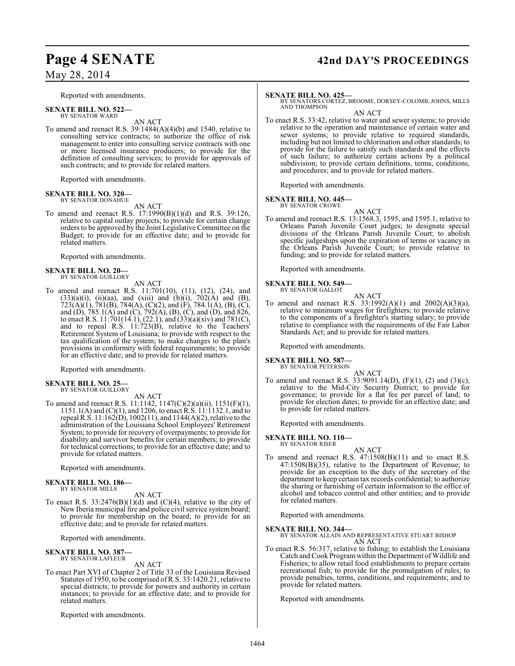Reported with amendments.

# **SENATE BILL NO. 522—** BY SENATOR WARD

AN ACT

To amend and reenact R.S. 39:1484(A)(4)(b) and 1540, relative to consulting service contracts; to authorize the office of risk management to enter into consulting service contracts with one or more licensed insurance producers; to provide for the definition of consulting services; to provide for approvals of such contracts; and to provide for related matters.

Reported with amendments.

#### **SENATE BILL NO. 320—** BY SENATOR DONAHUE

AN ACT

To amend and reenact R.S. 17:1990(B)(1)(d) and R.S. 39:126, relative to capital outlay projects; to provide for certain change orders to be approved by the Joint Legislative Committee on the Budget; to provide for an effective date; and to provide for related matters.

Reported with amendments.

#### **SENATE BILL NO. 20—** BY SENATOR GUILLORY

AN ACT

To amend and reenact R.S. 11:701(10), (11), (12), (24), and  $(33)(a)(i)$ ,  $(ii)(aa)$ , and  $(xiii)$  and  $(b)(i)$ ,  $702(A)$  and  $(B)$ ,  $723(A)(1), 781(B), 784(A), (C)(2),$  and  $(F), 784.1(A), (B), (C),$ and (D), 785.1(A) and (C), 792(A), (B), (C), and (D), and 826, to enact R.S. 11:701(14.1), (22.1), and (33)(a)(xiv) and 781(C), and to repeal R.S. 11:723(B), relative to the Teachers' Retirement System of Louisiana; to provide with respect to the tax qualification of the system; to make changes to the plan's provisions in conformity with federal requirements; to provide for an effective date; and to provide for related matters.

Reported with amendments.

## **SENATE BILL NO. 25—**

BY SENATOR GUILLORY AN ACT

To amend and reenact R.S. 11:1142, 1147(C)(2)(a)(ii), 1151(F)(1), 1151.1(A) and (C)(1), and 1206, to enact R.S. 11:1132.1, and to repeal R.S. 11:162(D), 1002(11), and 1144(A)(2), relative to the administration of the Louisiana School Employees' Retirement System; to provide for recovery of overpayments; to provide for disability and survivor benefits for certain members; to provide for technical corrections; to provide for an effective date; and to provide for related matters.

Reported with amendments.

#### **SENATE BILL NO. 186—** BY SENATOR MILLS

AN ACT

To enact R.S.  $33:2476(B)(1)(d)$  and (C)(4), relative to the city of New Iberia municipal fire and police civil service system board; to provide for membership on the board; to provide for an effective date; and to provide for related matters.

Reported with amendments.

#### **SENATE BILL NO. 387—** BY SENATOR LAFLEUR

AN ACT

To enact Part XVI of Chapter 2 of Title 33 of the Louisiana Revised Statutes of 1950, to be comprised of R.S. 33:1420.21, relative to special districts; to provide for powers and authority in certain instances; to provide for an effective date; and to provide for related matters.

Reported with amendments.

# **Page 4 SENATE 42nd DAY'S PROCEEDINGS**

#### **SENATE BILL NO. 425—**

BY SENATORS CORTEZ, BROOME, DORSEY-COLOMB, JOHNS, MILLS AND THOMPSON

AN ACT

To enact R.S. 33:42, relative to water and sewer systems; to provide relative to the operation and maintenance of certain water and sewer systems; to provide relative to required standards, including but not limited to chlorination and other standards; to provide for the failure to satisfy such standards and the effects of such failure; to authorize certain actions by a political subdivision; to provide certain definitions, terms, conditions, and procedures; and to provide for related matters.

Reported with amendments.

**SENATE BILL NO. 445—** BY SENATOR CROWE

AN ACT

To amend and reenact R.S. 13:1568.3, 1595, and 1595.1, relative to Orleans Parish Juvenile Court judges; to designate special divisions of the Orleans Parish Juvenile Court; to abolish specific judgeships upon the expiration of terms or vacancy in the Orleans Parish Juvenile Court; to provide relative to funding; and to provide for related matters.

Reported with amendments.

#### **SENATE BILL NO. 549—**

- BY SENATOR GALLOT
- AN ACT To amend and reenact R.S. 33:1992(A)(1) and 2002(A)(3)(a), relative to minimum wages for firefighters; to provide relative to the components of a firefighter's starting salary; to provide relative to compliance with the requirements of the Fair Labor Standards Act; and to provide for related matters.

Reported with amendments.

## **SENATE BILL NO. 587—**

BY SENATOR PETERSON

AN ACT To amend and reenact R.S. 33:9091.14(D), (F)(1), (2) and (3)(c), relative to the Mid-City Security District; to provide for governance; to provide for a flat fee per parcel of land; to provide for election dates; to provide for an effective date; and to provide for related matters.

Reported with amendments.

#### **SENATE BILL NO. 110—** BY SENATOR RISER

- AN ACT
- To amend and reenact R.S. 47:1508(B)(11) and to enact R.S. 47:1508(B)(35), relative to the Department of Revenue; to provide for an exception to the duty of the secretary of the department to keep certain tax records confidential; to authorize the sharing or furnishing of certain information to the office of alcohol and tobacco control and other entities; and to provide for related matters.

Reported with amendments.

**SENATE BILL NO. 344—** BY SENATOR ALLAIN AND REPRESENTATIVE STUART BISHOP AN ACT

To enact R.S. 56:317, relative to fishing; to establish the Louisiana Catch and Cook Program within the Department of Wildlife and Fisheries; to allow retail food establishments to prepare certain recreational fish; to provide for the promulgation of rules; to provide penalties, terms, conditions, and requirements; and to provide for related matters.

Reported with amendments.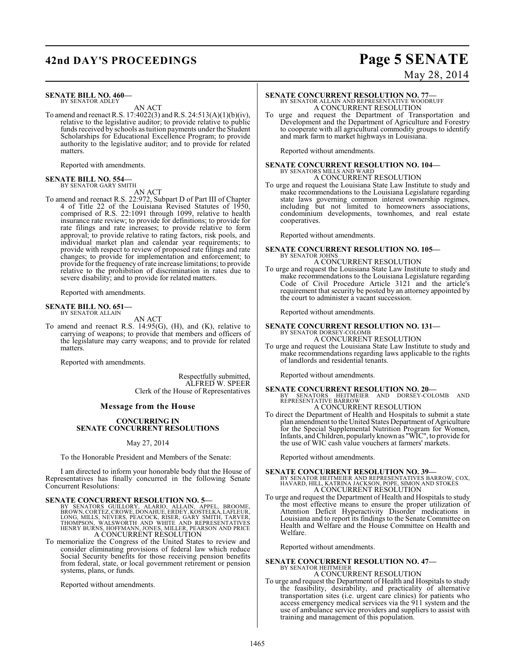## **42nd DAY'S PROCEEDINGS Page 5 SENATE**

#### **SENATE BILL NO. 460—** BY SENATOR ADLEY

AN ACT

To amend and reenact R.S. 17:4022(3) and R.S. 24:513(A)(1)(b)(iv), relative to the legislative auditor; to provide relative to public funds received by schools as tuition payments under the Student Scholarships for Educational Excellence Program; to provide authority to the legislative auditor; and to provide for related matters.

Reported with amendments.

#### **SENATE BILL NO. 554—** BY SENATOR GARY SMITH

AN ACT

To amend and reenact R.S. 22:972, Subpart D of Part III of Chapter 4 of Title 22 of the Louisiana Revised Statutes of 1950, comprised of R.S. 22:1091 through 1099, relative to health insurance rate review; to provide for definitions; to provide for rate filings and rate increases; to provide relative to form approval; to provide relative to rating factors, risk pools, and individual market plan and calendar year requirements; to provide with respect to review of proposed rate filings and rate changes; to provide for implementation and enforcement; to provide for the frequency of rate increase limitations; to provide relative to the prohibition of discrimination in rates due to severe disability; and to provide for related matters.

Reported with amendments.

#### **SENATE BILL NO. 651—** BY SENATOR ALLAIN

AN ACT

To amend and reenact R.S. 14:95(G), (H), and (K), relative to carrying of weapons; to provide that members and officers of the legislature may carry weapons; and to provide for related matters.

Reported with amendments.

Respectfully submitted, ALFRED W. SPEER Clerk of the House of Representatives

#### **Message from the House**

#### **CONCURRING IN SENATE CONCURRENT RESOLUTIONS**

#### May 27, 2014

To the Honorable President and Members of the Senate:

I am directed to inform your honorable body that the House of Representatives has finally concurred in the following Senate Concurrent Resolutions:

SENATE CONCURRENT RESOLUTION NO. 5<br>BY SENATORS GUILLORY, ALARIO, ALLAIN, APPEL, BROOME, BROOM, ORTEZ, CROWE, DONAHUE, ERDEY, KOSTELKA, LAFLEUR,<br>LONG, MILLS, NEVERS, PEACOCK, RISER, GARY SMITH, TARVER,<br>THOMPSON, WALSWORTH A

To memorialize the Congress of the United States to review and consider eliminating provisions of federal law which reduce Social Security benefits for those receiving pension benefits from federal, state, or local government retirement or pension systems, plans, or funds.

Reported without amendments.

# May 28, 2014

# **SENATE CONCURRENT RESOLUTION NO. 77—**<br>BY SENATOR ALLAIN AND REPRESENTATIVE WOODRUFF A CONCURRENT RESOLUTION

To urge and request the Department of Transportation and Development and the Department of Agriculture and Forestry to cooperate with all agricultural commodity groups to identify and mark farm to market highways in Louisiana.

Reported without amendments.

### **SENATE CONCURRENT RESOLUTION NO. 104—** BY SENATORS MILLS AND WARD A CONCURRENT RESOLUTION

#### To urge and request the Louisiana State Law Institute to study and make recommendations to the Louisiana Legislature regarding state laws governing common interest ownership regimes, including but not limited to homeowners associations, condominium developments, townhomes, and real estate

Reported without amendments.

cooperatives.

#### **SENATE CONCURRENT RESOLUTION NO. 105—** BY SENATOR JOHNS

#### A CONCURRENT RESOLUTION

To urge and request the Louisiana State Law Institute to study and make recommendations to the Louisiana Legislature regarding Code of Civil Procedure Article 3121 and the article's requirement that security be posted by an attorney appointed by the court to administer a vacant succession.

Reported without amendments.

# **SENATE CONCURRENT RESOLUTION NO. 131—**<br>BY SENATOR DORSEY-COLOMB<br>A CONCURRENT RESOLUTION

To urge and request the Louisiana State Law Institute to study and

make recommendations regarding laws applicable to the rights of landlords and residential tenants.

Reported without amendments.

**SENATE CONCURRENT RESOLUTION NO. 20—**<br>BY SENATORS HEITMEIER AND DORSEY-COLOMB AND<br>REPRESENTATIVE BARROW A CONCURRENT RESOLUTION

To direct the Department of Health and Hospitals to submit a state plan amendment to the United States Department of Agriculture for the Special Supplemental Nutrition Program for Women, Infants, and Children, popularly known as "WIC", to provide for the use of WIC cash value vouchers at farmers' markets.

Reported without amendments.

**SENATE CONCURRENT RESOLUTION NO. 39—**<br>BY SENATOR HEITMEIER AND REPRESENTATIVES BARROW, COX,<br>HAVARD, HILL, KATRINA JACKSON, POPE, SIMON AND STOKES A CONCURRENT RESOLUTION

To urge and request the Department of Health and Hospitals to study the most effective means to ensure the proper utilization of Attention Deficit Hyperactivity Disorder medications in Louisiana and to report its findings to the Senate Committee on Health and Welfare and the House Committee on Health and Welfare.

Reported without amendments.

#### **SENATE CONCURRENT RESOLUTION NO. 47—** BY SENATOR HEITMEIER A CONCURRENT RESOLUTION

To urge and request the Department of Health and Hospitals to study the feasibility, desirability, and practicality of alternative transportation sites (i.e. urgent care clinics) for patients who access emergency medical services via the 911 system and the use of ambulance service providers and suppliers to assist with training and management of this population.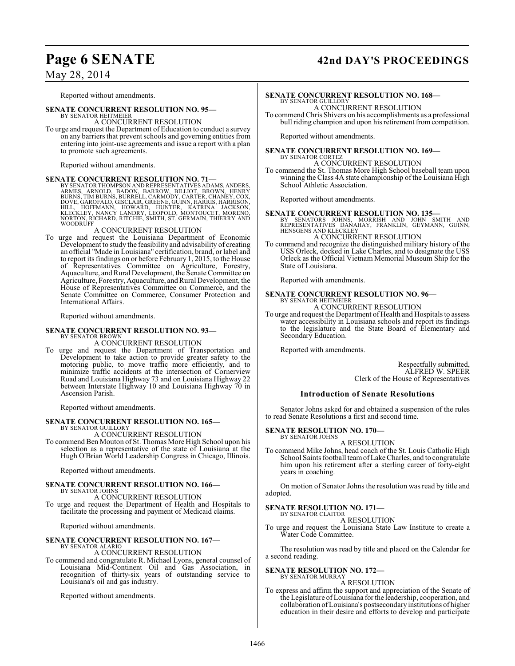## **Page 6 SENATE 42nd DAY'S PROCEEDINGS**

## May 28, 2014

Reported without amendments.

#### **SENATE CONCURRENT RESOLUTION NO. 95—** BY SENATOR HEITMEIER

#### A CONCURRENT RESOLUTION

To urge and request the Department of Education to conduct a survey on any barriers that prevent schools and governing entities from entering into joint-use agreements and issue a report with a plan to promote such agreements.

Reported without amendments.

#### **SENATE CONCURRENT RESOLUTION NO. 71—**

BY SENATOR THOMPSON AND REPRESENTATIVES ADAMS, ANDERS, ARNOLD, BADON, BARROW, BILLIOT, BROWN, HENRY<br>ARMES, ARNOLD, BADON, BARROW, BILLIOT, BROWN, HENRY<br>BURNS, TIM BURNS, BURRELL, CARMODY, CARTER, CHANEY, COX,<br>DOVE, GAROFAL WOODRUFF

#### A CONCURRENT RESOLUTION

To urge and request the Louisiana Department of Economic Development to study the feasibility and advisability of creating an official "Made in Louisiana" certification, brand, or label and to report its findings on or before February 1, 2015, to the House of Representatives Committee on Agriculture, Forestry, Aquaculture, and Rural Development, the Senate Committee on Agriculture, Forestry, Aquaculture, and Rural Development, the House of Representatives Committee on Commerce, and the Senate Committee on Commerce, Consumer Protection and International Affairs.

Reported without amendments.

#### **SENATE CONCURRENT RESOLUTION NO. 93—** BY SENATOR BROWN

A CONCURRENT RESOLUTION

To urge and request the Department of Transportation and Development to take action to provide greater safety to the motoring public, to move traffic more efficiently, and to minimize traffic accidents at the intersection of Cornerview Road and Louisiana Highway 73 and on Louisiana Highway 22 between Interstate Highway 10 and Louisiana Highway 70 in Ascension Parish.

Reported without amendments.

#### **SENATE CONCURRENT RESOLUTION NO. 165—** BY SENATOR GUILLORY

A CONCURRENT RESOLUTION To commend Ben Mouton of St. Thomas More High School upon his selection as a representative of the state of Louisiana at the

Hugh O'Brian World Leadership Congress in Chicago, Illinois.

Reported without amendments.

### **SENATE CONCURRENT RESOLUTION NO. 166—**

BY SENATOR JOHNS A CONCURRENT RESOLUTION

To urge and request the Department of Health and Hospitals to facilitate the processing and payment of Medicaid claims.

Reported without amendments.

#### **SENATE CONCURRENT RESOLUTION NO. 167—** BY SENATOR ALARIO

### A CONCURRENT RESOLUTION

To commend and congratulate R. Michael Lyons, general counsel of Louisiana Mid-Continent Oil and Gas Association, in recognition of thirty-six years of outstanding service to Louisiana's oil and gas industry.

Reported without amendments.

#### **SENATE CONCURRENT RESOLUTION NO. 168—** BY SENATOR GUILLORY

A CONCURRENT RESOLUTION To commend Chris Shivers on his accomplishments as a professional bull riding champion and upon his retirement from competition.

Reported without amendments.

#### **SENATE CONCURRENT RESOLUTION NO. 169—** BY SENATOR CORTEZ

A CONCURRENT RESOLUTION

To commend the St. Thomas More High School baseball team upon winning the Class 4A state championship of the Louisiana High School Athletic Association.

Reported without amendments.

**SENATE CONCURRENT RESOLUTION NO. 135—**<br>BY SENATORS JOHNS, MORRISH AND JOHN SMITH AND<br>REPRESENTATIVES DANAHAY, FRANKLIN, GEYMANN, GUINN, HENSGENS AND KLECKLEY A CONCURRENT RESOLUTION

To commend and recognize the distinguished military history of the USS Orleck, docked in Lake Charles, and to designate the USS Orleck as the Official Vietnam Memorial Museum Ship for the State of Louisiana.

Reported with amendments.

### **SENATE CONCURRENT RESOLUTION NO. 96—** BY SENATOR HEITMEIER A CONCURRENT RESOLUTION

- To urge and request the Department of Health and Hospitals to assess water accessibility in Louisiana schools and report its findings
- to the legislature and the State Board of Elementary and Secondary Education.

Reported with amendments.

Respectfully submitted, ALFRED W. SPEER Clerk of the House of Representatives

#### **Introduction of Senate Resolutions**

Senator Johns asked for and obtained a suspension of the rules to read Senate Resolutions a first and second time.

#### **SENATE RESOLUTION NO. 170—** BY SENATOR JOHNS

A RESOLUTION

To commend Mike Johns, head coach of the St. Louis Catholic High School Saints football team of Lake Charles, and to congratulate him upon his retirement after a sterling career of forty-eight years in coaching.

On motion of Senator Johns the resolution wasread by title and adopted.

#### **SENATE RESOLUTION NO. 171—**

BY SENATOR CLAITOR A RESOLUTION

To urge and request the Louisiana State Law Institute to create a Water Code Committee.

The resolution was read by title and placed on the Calendar for a second reading.

#### **SENATE RESOLUTION NO. 172—** BY SENATOR MURRAY

## A RESOLUTION

To express and affirm the support and appreciation of the Senate of the Legislature of Louisiana for the leadership, cooperation, and collaboration of Louisiana's postsecondary institutions of higher education in their desire and efforts to develop and participate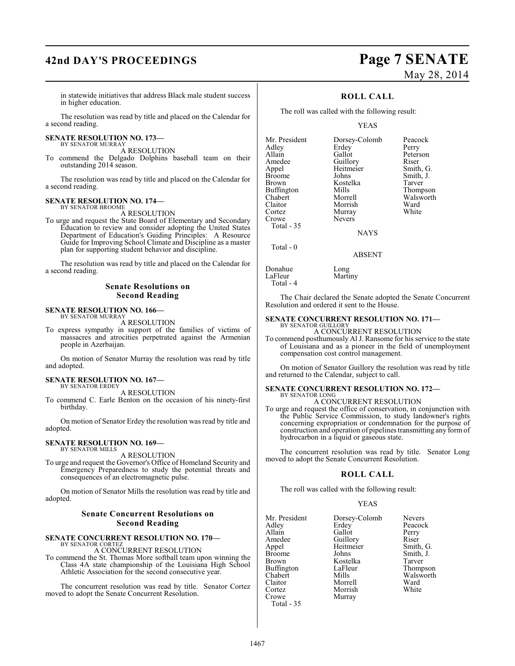## **42nd DAY'S PROCEEDINGS Page 7 SENATE**

# May 28, 2014

in statewide initiatives that address Black male student success in higher education.

The resolution was read by title and placed on the Calendar for a second reading.

#### **SENATE RESOLUTION NO. 173—** BY SENATOR MURRAY

A RESOLUTION

To commend the Delgado Dolphins baseball team on their outstanding 2014 season.

The resolution was read by title and placed on the Calendar for a second reading.

#### **SENATE RESOLUTION NO. 174—** BY SENATOR BROOME

A RESOLUTION

To urge and request the State Board of Elementary and Secondary Education to review and consider adopting the United States Department of Education's Guiding Principles: A Resource Guide for Improving School Climate and Discipline as a master plan for supporting student behavior and discipline.

The resolution was read by title and placed on the Calendar for a second reading.

#### **Senate Resolutions on Second Reading**

#### **SENATE RESOLUTION NO. 166—** BY SENATOR MURRAY

A RESOLUTION

To express sympathy in support of the families of victims of massacres and atrocities perpetrated against the Armenian people in Azerbaijan.

On motion of Senator Murray the resolution was read by title and adopted.

# **SENATE RESOLUTION NO. 167—** BY SENATOR ERDEY

A RESOLUTION

To commend C. Earle Benton on the occasion of his ninety-first birthday.

On motion of Senator Erdey the resolution was read by title and adopted.

#### **SENATE RESOLUTION NO. 169—** BY SENATOR MILLS

A RESOLUTION

To urge and request the Governor's Office of Homeland Security and Emergency Preparedness to study the potential threats and consequences of an electromagnetic pulse.

On motion of Senator Mills the resolution was read by title and adopted.

### **Senate Concurrent Resolutions on Second Reading**

#### **SENATE CONCURRENT RESOLUTION NO. 170—** BY SENATOR CORTEZ

A CONCURRENT RESOLUTION

To commend the St. Thomas More softball team upon winning the Class 4A state championship of the Louisiana High School Athletic Association for the second consecutive year.

The concurrent resolution was read by title. Senator Cortez moved to adopt the Senate Concurrent Resolution.

### **ROLL CALL**

The roll was called with the following result:

#### YEAS

Mr. President Dorsey-Colomb Peacock<br>Adley Erdey Perry Adley Erdey<br>Allain Gallot Allain Gallot Peterson<br>Amedee Guillory Riser Amedee Guillory Riser<br>
Appel Heitmeier Smith, G. Appel Heitmeier<br>Broome Johns Broome Johns Smith, J.<br>Brown Kostelka Tarver Buffington Mills<br>
Chabert Morrell Chabert Morrell Walsworth Claitor Morrish Ward<br>Cortez Murray White Cortez Murray<br>Crowe Nevers Total - 35

**Nevers** 

Kostelka Tarver<br>Mills Thompson

NAYS

## ABSENT

Donahue Long<br>LaFleur Martiny LaFleur Total - 4

Total - 0

The Chair declared the Senate adopted the Senate Concurrent Resolution and ordered it sent to the House.

#### **SENATE CONCURRENT RESOLUTION NO. 171—**

BY SENATOR GUILLORY A CONCURRENT RESOLUTION

To commend posthumously Al J. Ransome for his service to the state of Louisiana and as a pioneer in the field of unemployment compensation cost control management.

On motion of Senator Guillory the resolution was read by title and returned to the Calendar, subject to call.

#### **SENATE CONCURRENT RESOLUTION NO. 172—** BY SENATOR LONG

A CONCURRENT RESOLUTION

To urge and request the office of conservation, in conjunction with the Public Service Commission, to study landowner's rights concerning expropriation or condemnation for the purpose of construction and operation of pipelines transmitting any form of hydrocarbon in a liquid or gaseous state.

The concurrent resolution was read by title. Senator Long moved to adopt the Senate Concurrent Resolution.

#### **ROLL CALL**

The roll was called with the following result:

#### YEAS

| Mr. President | Dorsey-Colomb | <b>Nevers</b> |
|---------------|---------------|---------------|
| Adlev         | Erdey         | Peacock       |
| Allain        | Gallot        | Perry         |
| Amedee        | Guillory      | Riser         |
| Appel         | Heitmeier     | Smith, G.     |
| Broome        | Johns         | Smith, J.     |
| Brown         | Kostelka      | Tarver        |
| Buffington    | LaFleur       | Thompson      |
| Chabert       | Mills         | Walsworth     |
| Claitor       | Morrell       | Ward          |
| Cortez        | Morrish       | White         |
| Crowe         | Murray        |               |
| Total - 35    |               |               |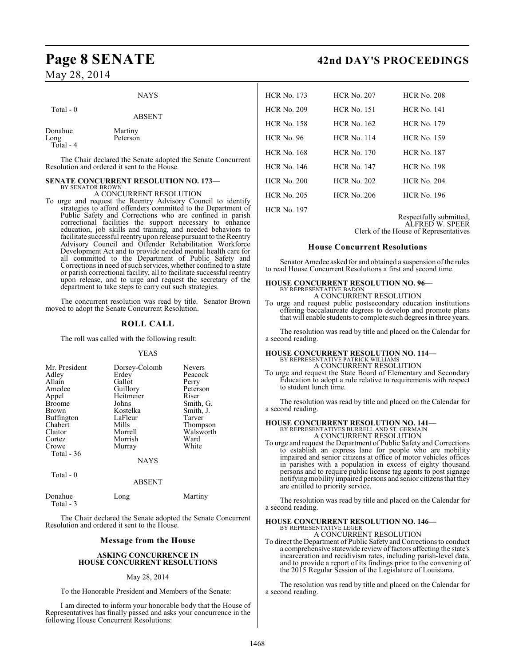#### NAYS

#### Total - 0

ABSENT Donahue Martiny Long Peterson Total - 4

The Chair declared the Senate adopted the Senate Concurrent Resolution and ordered it sent to the House.

#### **SENATE CONCURRENT RESOLUTION NO. 173—** BY SENATOR BROWN

A CONCURRENT RESOLUTION

To urge and request the Reentry Advisory Council to identify strategies to afford offenders committed to the Department of Public Safety and Corrections who are confined in parish correctional facilities the support necessary to enhance education, job skills and training, and needed behaviors to facilitate successful reentry upon release pursuant to the Reentry Advisory Council and Offender Rehabilitation Workforce Development Act and to provide needed mental health care for all committed to the Department of Public Safety and Corrections in need of such services, whether confined to a state or parish correctional facility, all to facilitate successful reentry upon release, and to urge and request the secretary of the department to take steps to carry out such strategies.

The concurrent resolution was read by title. Senator Brown moved to adopt the Senate Concurrent Resolution.

#### **ROLL CALL**

The roll was called with the following result:

#### YEAS

| Mr. President<br>Adley<br>Allain<br>Amedee<br>Appel<br><b>Broome</b><br><b>Brown</b><br><b>Buffington</b><br>Chabert<br>Claitor | Dorsey-Colomb<br>Erdey<br>Gallot<br>Guillory<br>Heitmeier<br>Johns<br>Kostelka<br>LaFleur<br>Mills<br>Morrell | <b>Nevers</b><br>Peacock<br>Perry<br>Peterson<br>Riser<br>Smith, G.<br>Smith, J.<br>Tarver<br>Thompson<br>Walsworth |
|---------------------------------------------------------------------------------------------------------------------------------|---------------------------------------------------------------------------------------------------------------|---------------------------------------------------------------------------------------------------------------------|
| Cortez                                                                                                                          | Morrish                                                                                                       | Ward                                                                                                                |
| Crowe<br>Total $-36$                                                                                                            | Murray                                                                                                        | White                                                                                                               |
|                                                                                                                                 | <b>NAYS</b>                                                                                                   |                                                                                                                     |
| Total - 0                                                                                                                       | ABSENT                                                                                                        |                                                                                                                     |

Donahue Long Martiny

Total - 3

The Chair declared the Senate adopted the Senate Concurrent Resolution and ordered it sent to the House.

#### **Message from the House**

#### **ASKING CONCURRENCE IN HOUSE CONCURRENT RESOLUTIONS**

#### May 28, 2014

To the Honorable President and Members of the Senate:

I am directed to inform your honorable body that the House of Representatives has finally passed and asks your concurrence in the following House Concurrent Resolutions:

## **Page 8 SENATE 42nd DAY'S PROCEEDINGS**

| <b>HCR No. 173</b> | $HCR$ No. 207      | <b>HCR No. 208</b> |
|--------------------|--------------------|--------------------|
| <b>HCR No. 209</b> | $HCR$ No. 151      | $HCR$ No. 141      |
| <b>HCR No. 158</b> | $HCR$ No. 162.     | <b>HCR No. 179</b> |
| <b>HCR No. 96</b>  | <b>HCR No. 114</b> | <b>HCR No. 159</b> |
| <b>HCR No. 168</b> | $HCR$ No. 170      | <b>HCR No. 187</b> |
| <b>HCR</b> No. 146 | <b>HCR No. 147</b> | <b>HCR No. 198</b> |
| $HCR$ No. 200      | $HCR$ No. 202.     | $HCR$ No. 204      |
| <b>HCR No. 205</b> | $HCR$ No. 206      | <b>HCR No. 196</b> |
| <b>HCR No. 197</b> |                    |                    |

Respectfully submitted, ALFRED W. SPEER Clerk of the House of Representatives

#### **House Concurrent Resolutions**

Senator Amedee asked for and obtained a suspension of the rules to read House Concurrent Resolutions a first and second time.

#### **HOUSE CONCURRENT RESOLUTION NO. 96—** BY REPRESENTATIVE BADON

A CONCURRENT RESOLUTION

To urge and request public postsecondary education institutions offering baccalaureate degrees to develop and promote plans that will enable students to complete such degrees in three years.

The resolution was read by title and placed on the Calendar for a second reading.

#### **HOUSE CONCURRENT RESOLUTION NO. 114—** BY REPRESENTATIVE PATRICK WILLIAMS

A CONCURRENT RESOLUTION

To urge and request the State Board of Elementary and Secondary Education to adopt a rule relative to requirements with respect to student lunch time.

The resolution was read by title and placed on the Calendar for a second reading.

## **HOUSE CONCURRENT RESOLUTION NO. 141—**

BY REPRESENTATIVES BURRELL AND ST. GERMAIN A CONCURRENT RESOLUTION

To urge and request the Department of Public Safety and Corrections to establish an express lane for people who are mobility impaired and senior citizens at office of motor vehicles offices in parishes with a population in excess of eighty thousand persons and to require public license tag agents to post signage notifying mobility impaired persons and senior citizens that they are entitled to priority service.

The resolution was read by title and placed on the Calendar for a second reading.

# **HOUSE CONCURRENT RESOLUTION NO. 146—** BY REPRESENTATIVE LEGER

A CONCURRENT RESOLUTION

To direct the Department of Public Safety and Corrections to conduct a comprehensive statewide review of factors affecting the state's incarceration and recidivism rates, including parish-level data, and to provide a report of its findings prior to the convening of the 2015 Regular Session of the Legislature of Louisiana.

The resolution was read by title and placed on the Calendar for a second reading.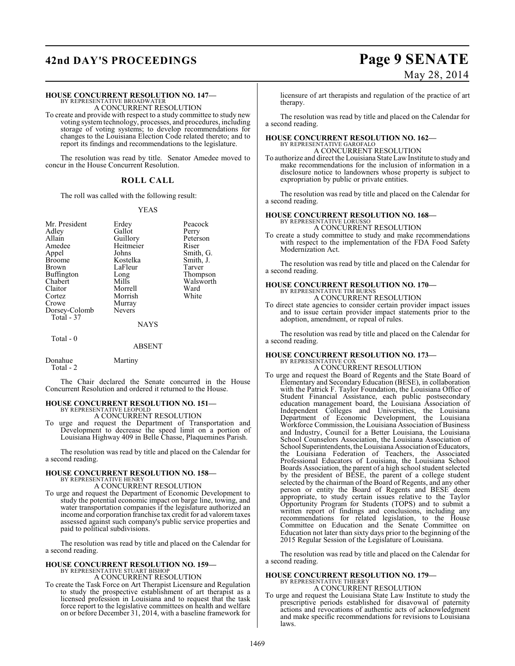# **42nd DAY'S PROCEEDINGS Page 9 SENATE**

# May 28, 2014

#### **HOUSE CONCURRENT RESOLUTION NO. 147—**

BY REPRESENTATIVE BROADWATER A CONCURRENT RESOLUTION

To create and provide with respect to a study committee to study new voting system technology, processes, and procedures, including storage of voting systems; to develop recommendations for changes to the Louisiana Election Code related thereto; and to report its findings and recommendations to the legislature.

The resolution was read by title. Senator Amedee moved to concur in the House Concurrent Resolution.

#### **ROLL CALL**

The roll was called with the following result:

#### YEAS

| Mr. President | Erdey         | Peacock   |
|---------------|---------------|-----------|
| Adley         | Gallot        | Perry     |
| Allain        | Guillory      | Peterson  |
| Amedee        | Heitmeier     | Riser     |
| Appel         | Johns         | Smith, G. |
| <b>Broome</b> | Kostelka      | Smith, J. |
| Brown         | LaFleur       | Tarver    |
| Buffington    | Long          | Thompson  |
| Chabert       | Mills         | Walsworth |
| Claitor       | Morrell       | Ward      |
| Cortez        | Morrish       | White     |
| Crowe         | Murray        |           |
| Dorsey-Colomb | <b>Nevers</b> |           |
| Total - 37    |               |           |
|               | <b>NAYS</b>   |           |
|               |               |           |

### ABSENT

Donahue Martiny Total - 2

Total - 0

The Chair declared the Senate concurred in the House Concurrent Resolution and ordered it returned to the House.

#### **HOUSE CONCURRENT RESOLUTION NO. 151—** BY REPRESENTATIVE LEOPOLD

A CONCURRENT RESOLUTION

To urge and request the Department of Transportation and Development to decrease the speed limit on a portion of Louisiana Highway 409 in Belle Chasse, Plaquemines Parish.

The resolution was read by title and placed on the Calendar for a second reading.

#### **HOUSE CONCURRENT RESOLUTION NO. 158—**

BY REPRESENTATIVE HENRY A CONCURRENT RESOLUTION

To urge and request the Department of Economic Development to study the potential economic impact on barge line, towing, and water transportation companies if the legislature authorized an income and corporation franchise tax credit for ad valorem taxes assessed against such company's public service properties and paid to political subdivisions.

The resolution was read by title and placed on the Calendar for a second reading.

# **HOUSE CONCURRENT RESOLUTION NO. 159—** BY REPRESENTATIVE STUART BISHOP

A CONCURRENT RESOLUTION

To create the Task Force on Art Therapist Licensure and Regulation to study the prospective establishment of art therapist as a licensed profession in Louisiana and to request that the task force report to the legislative committees on health and welfare on or before December 31, 2014, with a baseline framework for

licensure of art therapists and regulation of the practice of art therapy.

The resolution was read by title and placed on the Calendar for a second reading.

# **HOUSE CONCURRENT RESOLUTION NO. 162—** BY REPRESENTATIVE GAROFALO

A CONCURRENT RESOLUTION

To authorize and direct the Louisiana State Law Institute to study and make recommendations for the inclusion of information in a disclosure notice to landowners whose property is subject to expropriation by public or private entities.

The resolution was read by title and placed on the Calendar for a second reading.

#### **HOUSE CONCURRENT RESOLUTION NO. 168—**

BY REPRESENTATIVE LORUSSO A CONCURRENT RESOLUTION

To create a study committee to study and make recommendations with respect to the implementation of the FDA Food Safety Modernization Act.

The resolution was read by title and placed on the Calendar for a second reading.

## **HOUSE CONCURRENT RESOLUTION NO. 170—** BY REPRESENTATIVE TIM BURNS A CONCURRENT RESOLUTION

To direct state agencies to consider certain provider impact issues and to issue certain provider impact statements prior to the adoption, amendment, or repeal of rules.

The resolution was read by title and placed on the Calendar for a second reading.

#### **HOUSE CONCURRENT RESOLUTION NO. 173—** BY REPRESENTATIVE COX

A CONCURRENT RESOLUTION

To urge and request the Board of Regents and the State Board of Elementary and Secondary Education (BESE), in collaboration with the Patrick F. Taylor Foundation, the Louisiana Office of Student Financial Assistance, each public postsecondary education management board, the Louisiana Association of Independent Colleges and Universities, the Louisiana Department of Economic Development, the Louisiana Workforce Commission, the Louisiana Association of Business and Industry, Council for a Better Louisiana, the Louisiana School Counselors Association, the Louisiana Association of School Superintendents, the Louisiana Association of Educators, the Louisiana Federation of Teachers, the Associated Professional Educators of Louisiana, the Louisiana School Boards Association, the parent of a high school student selected by the president of BESE, the parent of a college student selected by the chairman of the Board of Regents, and any other person or entity the Board of Regents and BESE deem appropriate, to study certain issues relative to the Taylor Opportunity Program for Students (TOPS) and to submit a written report of findings and conclusions, including any recommendations for related legislation, to the House Committee on Education and the Senate Committee on Education not later than sixty days prior to the beginning of the 2015 Regular Session of the Legislature of Louisiana.

The resolution was read by title and placed on the Calendar for a second reading.

# **HOUSE CONCURRENT RESOLUTION NO. 179—**<br>BY REPRESENTATIVE THIERRY<br>A CONCURRENT RESOLUTION

To urge and request the Louisiana State Law Institute to study the prescriptive periods established for disavowal of paternity actions and revocations of authentic acts of acknowledgment and make specific recommendations for revisions to Louisiana laws.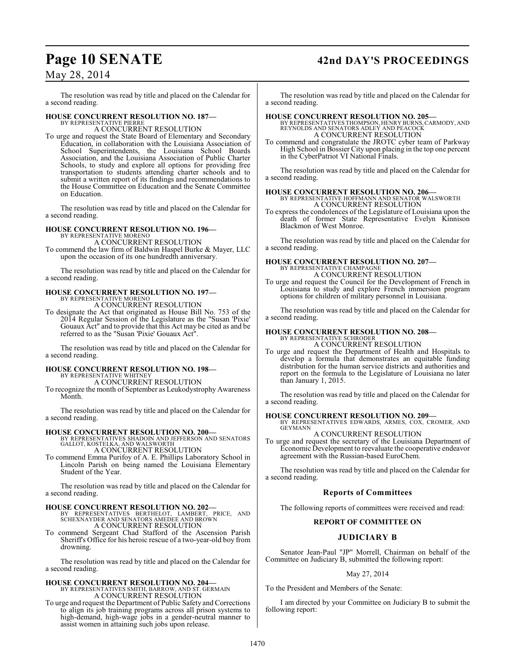## **Page 10 SENATE 42nd DAY'S PROCEEDINGS**

## May 28, 2014

The resolution was read by title and placed on the Calendar for a second reading.

# **HOUSE CONCURRENT RESOLUTION NO. 187—** BY REPRESENTATIVE PIERRE

A CONCURRENT RESOLUTION

To urge and request the State Board of Elementary and Secondary Education, in collaboration with the Louisiana Association of School Superintendents, the Louisiana School Boards Association, and the Louisiana Association of Public Charter Schools, to study and explore all options for providing free transportation to students attending charter schools and to submit a written report of its findings and recommendations to the House Committee on Education and the Senate Committee on Education.

The resolution was read by title and placed on the Calendar for a second reading.

# **HOUSE CONCURRENT RESOLUTION NO. 196—** BY REPRESENTATIVE MORENO

A CONCURRENT RESOLUTION

To commend the law firm of Baldwin Haspel Burke & Mayer, LLC upon the occasion of its one hundredth anniversary.

The resolution was read by title and placed on the Calendar for a second reading.

## **HOUSE CONCURRENT RESOLUTION NO. 197—**

BY REPRESENTATIVE MORENO A CONCURRENT RESOLUTION

To designate the Act that originated as House Bill No. 753 of the 2014 Regular Session of the Legislature as the "Susan 'Pixie' Gouaux Act" and to provide that this Act may be cited as and be referred to as the "Susan 'Pixie' Gouaux Act".

The resolution was read by title and placed on the Calendar for a second reading.

# **HOUSE CONCURRENT RESOLUTION NO. 198—** BY REPRESENTATIVE WHITNEY

A CONCURRENT RESOLUTION

To recognize the month of September as Leukodystrophy Awareness Month.

The resolution was read by title and placed on the Calendar for a second reading.

- **HOUSE CONCURRENT RESOLUTION NO. 200—** BY REPRESENTATIVES SHADOIN AND JEFFERSON AND SENATORS GALLOT, KOSTELKA, AND WALSWORTH A CONCURRENT RESOLUTION
- To commend Emma Purifoy of A. E. Phillips Laboratory School in Lincoln Parish on being named the Louisiana Elementary Student of the Year.

The resolution was read by title and placed on the Calendar for a second reading.

- **HOUSE CONCURRENT RESOLUTION NO. 202—** BY REPRESENTATIVES BERTHELOT, LAMBERT, PRICE, AND SCHEXNAYDER AND SENATORS AMEDEE AND BROWN A CONCURRENT RESOLUTION
- To commend Sergeant Chad Stafford of the Ascension Parish Sheriff's Office for his heroic rescue of a two-year-old boy from drowning.

The resolution was read by title and placed on the Calendar for a second reading.

## **HOUSE CONCURRENT RESOLUTION NO. 204—** BY REPRESENTATIVES SMITH, BARROW, AND ST. GERMAIN A CONCURRENT RESOLUTION

To urge and request the Department of Public Safety and Corrections to align its job training programs across all prison systems to high-demand, high-wage jobs in a gender-neutral manner to assist women in attaining such jobs upon release.

The resolution was read by title and placed on the Calendar for a second reading.

## **HOUSE CONCURRENT RESOLUTION NO. 205—**

BY REPRESENTATIVES THOMPSON, HENRY BURNS, CARMODY, AND REYNOLDS AND SENATORS ADLEY AND PEACOCK A CONCURRENT RESOLUTION

To commend and congratulate the JROTC cyber team of Parkway High School in Bossier City upon placing in the top one percent in the CyberPatriot VI National Finals.

The resolution was read by title and placed on the Calendar for a second reading.

### **HOUSE CONCURRENT RESOLUTION NO. 206—**

BY REPRESENTATIVE HOFFMANN AND SENATOR WALSWORTH A CONCURRENT RESOLUTION

To express the condolences of the Legislature of Louisiana upon the death of former State Representative Evelyn Kinnison Blackmon of West Monroe.

The resolution was read by title and placed on the Calendar for a second reading.

#### **HOUSE CONCURRENT RESOLUTION NO. 207—** BY REPRESENTATIVE CHAMPAGNE A CONCURRENT RESOLUTION

To urge and request the Council for the Development of French in Louisiana to study and explore French immersion program options for children of military personnel in Louisiana.

The resolution was read by title and placed on the Calendar for a second reading.

# **HOUSE CONCURRENT RESOLUTION NO. 208—** BY REPRESENTATIVE SCHRODER

A CONCURRENT RESOLUTION

To urge and request the Department of Health and Hospitals to develop a formula that demonstrates an equitable funding distribution for the human service districts and authorities and report on the formula to the Legislature of Louisiana no later than January 1, 2015.

The resolution was read by title and placed on the Calendar for a second reading.

**HOUSE CONCURRENT RESOLUTION NO. 209—** BY REPRESENTATIVES EDWARDS, ARMES, COX, CROMER, AND GEYMANN

## A CONCURRENT RESOLUTION

To urge and request the secretary of the Louisiana Department of Economic Development to reevaluate the cooperative endeavor agreement with the Russian-based EuroChem.

The resolution was read by title and placed on the Calendar for a second reading.

### **Reports of Committees**

The following reports of committees were received and read:

#### **REPORT OF COMMITTEE ON**

### **JUDICIARY B**

Senator Jean-Paul "JP" Morrell, Chairman on behalf of the Committee on Judiciary B, submitted the following report:

#### May 27, 2014

To the President and Members of the Senate:

I am directed by your Committee on Judiciary B to submit the following report: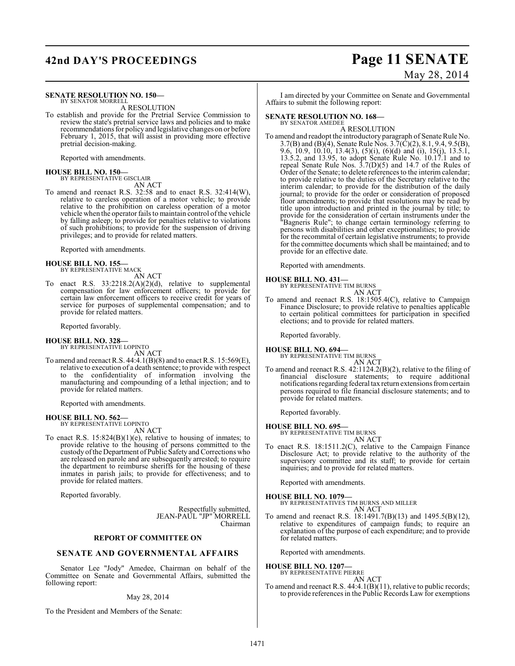## **42nd DAY'S PROCEEDINGS Page 11 SENATE**

#### **SENATE RESOLUTION NO. 150—**

BY SENATOR MORRELL A RESOLUTION

To establish and provide for the Pretrial Service Commission to review the state's pretrial service laws and policies and to make recommendations for policy and legislative changes on or before February 1, 2015, that will assist in providing more effective pretrial decision-making.

Reported with amendments.

#### **HOUSE BILL NO. 150—** BY REPRESENTATIVE GISCLAIR

AN ACT

To amend and reenact R.S. 32:58 and to enact R.S. 32:414(W), relative to careless operation of a motor vehicle; to provide relative to the prohibition on careless operation of a motor vehicle when the operator fails to maintain control of the vehicle by falling asleep; to provide for penalties relative to violations of such prohibitions; to provide for the suspension of driving privileges; and to provide for related matters.

Reported with amendments.

#### **HOUSE BILL NO. 155—** BY REPRESENTATIVE MACK

AN ACT

To enact R.S. 33:2218.2(A)(2)(d), relative to supplemental compensation for law enforcement officers; to provide for certain law enforcement officers to receive credit for years of service for purposes of supplemental compensation; and to provide for related matters.

Reported favorably.

# **HOUSE BILL NO. 328—** BY REPRESENTATIVE LOPINTO

AN ACT

To amend and reenact R.S. 44:4.1(B)(8) and to enact R.S. 15:569(E), relative to execution of a death sentence; to provide with respect to the confidentiality of information involving the manufacturing and compounding of a lethal injection; and to provide for related matters.

Reported with amendments.

## **HOUSE BILL NO. 562—** BY REPRESENTATIVE LOPINTO

AN ACT

To enact R.S. 15:824(B)(1)(e), relative to housing of inmates; to provide relative to the housing of persons committed to the custody ofthe Department of Public Safety and Corrections who are released on parole and are subsequently arrested; to require the department to reimburse sheriffs for the housing of these inmates in parish jails; to provide for effectiveness; and to provide for related matters.

Reported favorably.

Respectfully submitted, JEAN-PAUL "JP" MORRELL Chairman

#### **REPORT OF COMMITTEE ON**

#### **SENATE AND GOVERNMENTAL AFFAIRS**

Senator Lee "Jody" Amedee, Chairman on behalf of the Committee on Senate and Governmental Affairs, submitted the following report:

#### May 28, 2014

To the President and Members of the Senate:

# May 28, 2014

I am directed by your Committee on Senate and Governmental Affairs to submit the following report:

## **SENATE RESOLUTION NO. 168—** BY SENATOR AMEDEE

A RESOLUTION

To amend and readopt the introductory paragraph of Senate Rule No. 3.7(B) and (B)(4), Senate Rule Nos. 3.7(C)(2), 8.1, 9.4, 9.5(B), 9.6, 10.9, 10.10, 13.4(3), (5)(i), (6)(d) and (i), 15(j), 13.5.1, 13.5.2, and 13.95, to adopt Senate Rule No. 10.17.1 and to repeal Senate Rule Nos. 3.7(D)(5) and 14.7 of the Rules of Order of the Senate; to delete references to the interim calendar; to provide relative to the duties of the Secretary relative to the interim calendar; to provide for the distribution of the daily journal; to provide for the order or consideration of proposed floor amendments; to provide that resolutions may be read by title upon introduction and printed in the journal by title; to provide for the consideration of certain instruments under the "Bagneris Rule"; to change certain terminology referring to persons with disabilities and other exceptionalities; to provide for the recommital of certain legislative instruments; to provide for the committee documents which shall be maintained; and to provide for an effective date.

Reported with amendments.

#### **HOUSE BILL NO. 431—**

BY REPRESENTATIVE TIM BURNS AN ACT

To amend and reenact R.S. 18:1505.4(C), relative to Campaign Finance Disclosure; to provide relative to penalties applicable to certain political committees for participation in specified elections; and to provide for related matters.

Reported favorably.

- **HOUSE BILL NO. 694—**
	- BY REPRESENTATIVE TIM BURNS AN ACT
- To amend and reenact R.S. 42:1124.2(B)(2), relative to the filing of financial disclosure statements; to require additional notifications regarding federal tax return extensions from certain persons required to file financial disclosure statements; and to provide for related matters.

Reported favorably.

#### **HOUSE BILL NO. 695—**

BY REPRESENTATIVE TIM BURNS AN ACT

To enact R.S. 18:1511.2(C), relative to the Campaign Finance Disclosure Act; to provide relative to the authority of the supervisory committee and its staff; to provide for certain inquiries; and to provide for related matters.

Reported with amendments.

#### **HOUSE BILL NO. 1079—** BY REPRESENTATIVES TIM BURNS AND MILLER AN ACT

To amend and reenact R.S. 18:1491.7(B)(13) and 1495.5(B)(12), relative to expenditures of campaign funds; to require an explanation of the purpose of each expenditure; and to provide for related matters.

Reported with amendments.

#### **HOUSE BILL NO. 1207—**

BY REPRESENTATIVE PIERRE AN ACT

To amend and reenact R.S. 44:4.1(B)(11), relative to public records; to provide referencesin the Public Records Law for exemptions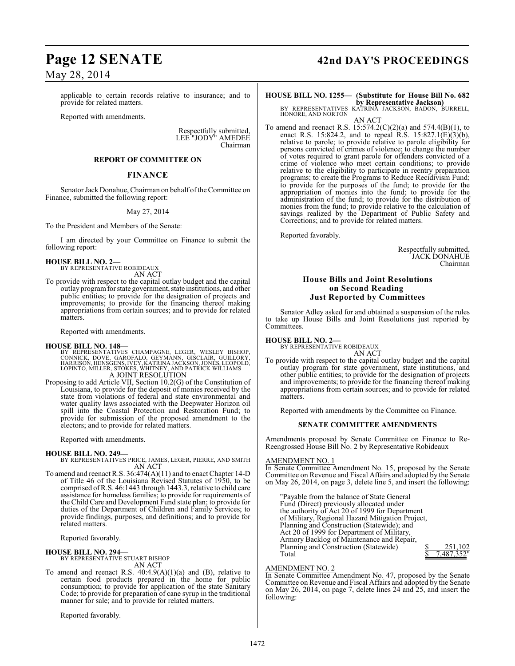applicable to certain records relative to insurance; and to provide for related matters.

Reported with amendments.

Respectfully submitted, LEE "JODY" AMEDEE Chairman

#### **REPORT OF COMMITTEE ON**

#### **FINANCE**

Senator Jack Donahue, Chairman on behalf of the Committee on Finance, submitted the following report:

#### May 27, 2014

To the President and Members of the Senate:

I am directed by your Committee on Finance to submit the following report:

## **HOUSE BILL NO. 2—** BY REPRESENTATIVE ROBIDEAUX

AN ACT

To provide with respect to the capital outlay budget and the capital outlay program for state government, state institutions, and other public entities; to provide for the designation of projects and improvements; to provide for the financing thereof making appropriations from certain sources; and to provide for related matters.

Reported with amendments.

#### **HOUSE BILL NO. 148—**

- BY REPRESENTATIVES CHAMPAGNE, LEGER, WESLEY BISHOP,<br>CONNICK, DOVE, GAROFALO, GEYMANN, GISCLAIR, GUILLORY,<br>HARRISON,HENSGENS,IVEY,KATRINAJACKSON,JONÉS,LEOPOLD,<br>LOPINTO,MILLER,STOKES,WHITNEY,AND PATRICK WILLIAMS<br>A JOINT RESO
- Proposing to add Article VII, Section 10.2(G) of the Constitution of Louisiana, to provide for the deposit of monies received by the state from violations of federal and state environmental and water quality laws associated with the Deepwater Horizon oil spill into the Coastal Protection and Restoration Fund; to provide for submission of the proposed amendment to the electors; and to provide for related matters.

Reported with amendments.

**HOUSE BILL NO. 249—** BY REPRESENTATIVES PRICE, JAMES, LEGER, PIERRE, AND SMITH AN ACT

To amend and reenact R.S. 36:474(A)(11) and to enact Chapter 14-D of Title 46 of the Louisiana Revised Statutes of 1950, to be comprised of R.S. 46:1443 through 1443.3, relative to child care assistance for homeless families; to provide for requirements of the Child Care and Development Fund state plan; to provide for duties of the Department of Children and Family Services; to provide findings, purposes, and definitions; and to provide for related matters.

Reported favorably.

**HOUSE BILL NO. 294—** BY REPRESENTATIVE STUART BISHOP

AN ACT

To amend and reenact R.S. 40:4.9(A)(1)(a) and (B), relative to certain food products prepared in the home for public consumption; to provide for application of the state Sanitary Code; to provide for preparation of cane syrup in the traditional manner for sale; and to provide for related matters.

Reported favorably.

## **Page 12 SENATE 42nd DAY'S PROCEEDINGS**

## **HOUSE BILL NO. 1255— (Substitute for House Bill No. 682**

**by Representative Jackson)**<br>BY REPRESENTATIVES KATRINA JACKSON, BADON, BURRELL, HONORE, AND NORTON AN ACT

To amend and reenact R.S. 15:574.2(C)(2)(a) and 574.4(B)(1), to enact R.S. 15:824.2, and to repeal R.S. 15:827.1(E)(3)(b), relative to parole; to provide relative to parole eligibility for persons convicted of crimes of violence; to change the number of votes required to grant parole for offenders convicted of a crime of violence who meet certain conditions; to provide relative to the eligibility to participate in reentry preparation programs; to create the Programs to Reduce Recidivism Fund; to provide for the purposes of the fund; to provide for the appropriation of monies into the fund; to provide for the administration of the fund; to provide for the distribution of monies from the fund; to provide relative to the calculation of savings realized by the Department of Public Safety and Corrections; and to provide for related matters.

Reported favorably.

Respectfully submitted, JACK DONAHUE Chairman

#### **House Bills and Joint Resolutions on Second Reading Just Reported by Committees**

Senator Adley asked for and obtained a suspension of the rules to take up House Bills and Joint Resolutions just reported by Committees.

**HOUSE BILL NO. 2—** BY REPRESENTATIVE ROBIDEAUX

AN ACT

To provide with respect to the capital outlay budget and the capital outlay program for state government, state institutions, and other public entities; to provide for the designation of projects and improvements; to provide for the financing thereof making appropriations from certain sources; and to provide for related matters.

Reported with amendments by the Committee on Finance.

#### **SENATE COMMITTEE AMENDMENTS**

Amendments proposed by Senate Committee on Finance to Re-Reengrossed House Bill No. 2 by Representative Robideaux

#### AMENDMENT NO. 1

In Senate Committee Amendment No. 15, proposed by the Senate Committee on Revenue and Fiscal Affairs and adopted by the Senate on May 26, 2014, on page 3, delete line 5, and insert the following:

"Payable from the balance of State General Fund (Direct) previously allocated under the authority of Act 20 of 1999 for Department of Military, Regional Hazard Mitigation Project, Planning and Construction (Statewide); and Act 20 of 1999 for Department of Military, Armory Backlog of Maintenance and Repair, Planning and Construction (Statewide)  $\frac{\$}{\$}$  251,102<br>Total  $\frac{\$}{\$}$  7.487.352  $\frac{1}{487.352}$ 

#### AMENDMENT NO. 2

In Senate Committee Amendment No. 47, proposed by the Senate Committee on Revenue and Fiscal Affairs and adopted by the Senate on May 26, 2014, on page 7, delete lines 24 and 25, and insert the following: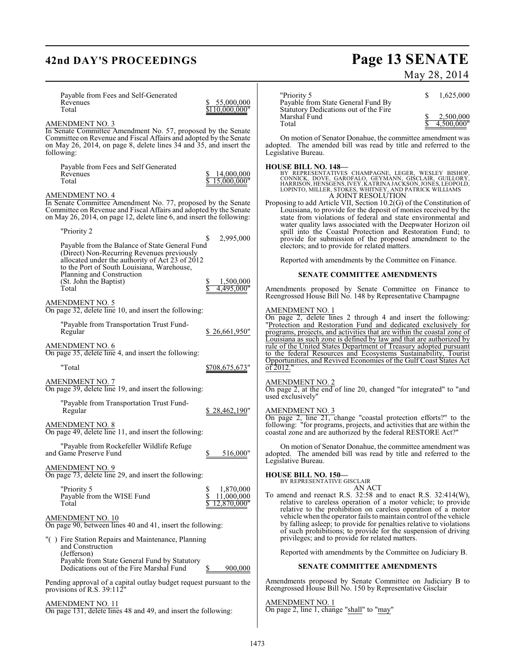## **42nd DAY'S PROCEEDINGS Page 13 SENATE**

| Payable from Fees and Self-Generated<br>Revenues<br>Total<br><b>AMENDMENT NO. 3</b>                                                                                                                                                  | 55,000,000<br>10.000.000"                  | "Priority 5<br>Payable from<br><b>Statutory D</b><br>Marshal Fui<br>Total            |
|--------------------------------------------------------------------------------------------------------------------------------------------------------------------------------------------------------------------------------------|--------------------------------------------|--------------------------------------------------------------------------------------|
| In Senate Committee Amendment No. 57, proposed by the Senate<br>Committee on Revenue and Fiscal Affairs and adopted by the Senate<br>on May 26, 2014, on page 8, delete lines 34 and 35, and insert the<br>following:                |                                            | On motion<br>adopted. The a<br>Legislative Bure                                      |
| Payable from Fees and Self Generated<br>Revenues<br>Total                                                                                                                                                                            | 14,000,000<br>15,000,000"                  | <b>HOUSE BILL N</b><br><b>BY REPRESI</b><br>CONNICK, D<br>HARRISON, F<br>LOPINTO, MI |
| <b>AMENDMENT NO. 4</b><br>In Senate Committee Amendment No. 77, proposed by the Senate<br>Committee on Revenue and Fiscal Affairs and adopted by the Senate<br>on May 26, 2014, on page 12, delete line 6, and insert the following: |                                            | Proposing to add<br>Louisiana, t<br>state from $\overline{ }$                        |
| "Priority 2                                                                                                                                                                                                                          | 2,995,000<br>S                             | water qualit<br>spill into t<br>provide for                                          |
| Payable from the Balance of State General Fund<br>(Direct) Non-Recurring Revenues previously<br>allocated under the authority of Act 23 of 2012                                                                                      |                                            | electors; and<br>Reported w                                                          |
| to the Port of South Louisiana, Warehouse,<br>Planning and Construction                                                                                                                                                              |                                            | SENA                                                                                 |
| (St. John the Baptist)<br>Total                                                                                                                                                                                                      | 1,500,000<br>S<br>4,495,000"               | Amendments pi<br>Reengrossed Ho                                                      |
| <b>AMENDMENT NO. 5</b><br>On page 32, delete line 10, and insert the following:                                                                                                                                                      |                                            | AMENDMENT                                                                            |
| "Payable from Transportation Trust Fund-<br>Regular                                                                                                                                                                                  | \$26,661,950"                              | On page 2, del<br>"Protection and<br>programs, projec<br>Louisiana as suc            |
| <b>AMENDMENT NO. 6</b><br>On page 35, delete line 4, and insert the following:                                                                                                                                                       |                                            | rule of the Unite<br>to the federal R                                                |
| "Total                                                                                                                                                                                                                               | \$708,675,673"                             | Opportunities, an<br>$\overline{$ of 2012."                                          |
| AMENDMENT NO. 7<br>On page 39, delete line 19, and insert the following:                                                                                                                                                             |                                            | <u>AMENDMENT</u><br>On page 2, at the<br>used exclusively                            |
| "Payable from Transportation Trust Fund-<br>Regular                                                                                                                                                                                  | \$28,462,190"                              | AMENDMENT<br>On page 2, line                                                         |
| AMENDMENT NO. 8<br>On page 49, delete line 11, and insert the following:                                                                                                                                                             |                                            | following: "for p<br>coastal zone and                                                |
| "Payable from Rockefeller Wildlife Refuge<br>and Game Preserve Fund                                                                                                                                                                  | 516,000"<br>\$                             | On motion<br>adopted. The a<br>Legislative Bure                                      |
| <b>AMENDMENT NO. 9</b><br>On page 73, delete line 29, and insert the following:                                                                                                                                                      |                                            | <b>HOUSE BILL N</b><br><b>BY REPRESE</b>                                             |
| "Priority 5<br>Payable from the WISE Fund<br>Total                                                                                                                                                                                   | \$<br>1,870,000<br>11.000.000<br>.870.000" | To amend and r<br>relative to<br>relative to                                         |
| <b>AMENDMENT NO. 10</b><br>On page 90, between lines 40 and 41, insert the following:                                                                                                                                                |                                            | vehicle whe<br>by falling as<br>of such pro                                          |
| "() Fire Station Repairs and Maintenance, Planning<br>and Construction                                                                                                                                                               |                                            | privileges; a                                                                        |
| (Jefferson)<br>Payable from State General Fund by Statutory                                                                                                                                                                          |                                            | Reported w                                                                           |
| Dedications out of the Fire Marshal Fund                                                                                                                                                                                             | 900,000                                    | SENA                                                                                 |
| Pending approval of a capital outlay budget request pursuant to the<br>provisions of R.S. $39:112"$                                                                                                                                  |                                            | Amendments pr<br>Reengrossed Ho                                                      |
| <u>AMENDMENT NO. 11</u><br>On page 131, delete lines 48 and 49, and insert the following:                                                                                                                                            |                                            | AMENDMENT<br>On page 2, line 1                                                       |

# May 28, 2014

| "Priority 5                           | 1,625,000  |
|---------------------------------------|------------|
| Payable from State General Fund By    |            |
| Statutory Dedications out of the Fire |            |
| Marshal Fund                          | 2.500,000  |
| Total                                 | 4.500.000" |

of Senator Donahue, the committee amendment was mended bill was read by title and referred to the au.

#### **NO. 148—**

BY REPRESENTATIVES CHAMPAGNE, LEGER, WESLEY BISHOP,<br>CONNICK, DOVE, GAROFALO, GEYMANN, GISCLAIR, GUILLORY,<br>HARRISON,HENSGENS,IVEY,KATRINAJACKSON,JONES,LEOPOLD,<br>LOPINTO,MILLER,STOKES,WHITNEY,AND PATRICK WILLIAMS<br>A JOINT RESO

Article VII, Section 10.2(G) of the Constitution of to provide for the deposit of monies received by the violations of federal and state environmental and ty laws associated with the Deepwater Horizon oil he Coastal Protection and Restoration Fund; to submission of the proposed amendment to the d to provide for related matters.

ith amendments by the Committee on Finance.

#### **STE COMMITTEE AMENDMENTS**

Amendments proposed by Senate Committee on Finance to Reengrossed House Bill No. 148 by Representative Champagne

#### $NO. 1$

lete lines 2 through 4 and insert the following: Restoration Fund and dedicated exclusively for ets, and activities that are within the coastal zone of h zone is defined by law and that are authorized by rule of the United States Department of Treasury adopted pursuant to the federal Resources and Ecosystems Sustainability, Tourist nd Revived Economies of the Gulf Coast States Act

#### $NO. 2$

le end of line 20, changed "for integrated" to "and used exclusively"

#### AMENDMENT NO. 3

On page 2, line 21, change "coastal protection efforts?" to the programs, projects, and activities that are within the are authorized by the federal RESTORE Act?"

of Senator Donahue, the committee amendment was mended bill was read by title and referred to the Legislative Bureau.

#### **NO. 150—**

**ENTATIVE GISCLAIR** AN ACT

reenact R.S.  $32:58$  and to enact R.S.  $32:414(W)$ , careless operation of a motor vehicle; to provide the prohibition on careless operation of a motor en the operator fails to maintain control of the vehicle sleep; to provide for penalties relative to violations hibitions; to provide for the suspension of driving and to provide for related matters.

ith amendments by the Committee on Judiciary B.

#### **STE COMMITTEE AMENDMENTS**

oposed by Senate Committee on Judiciary B to use Bill No. 150 by Representative Gisclair

 $NO.1$ , change "shall" to "may"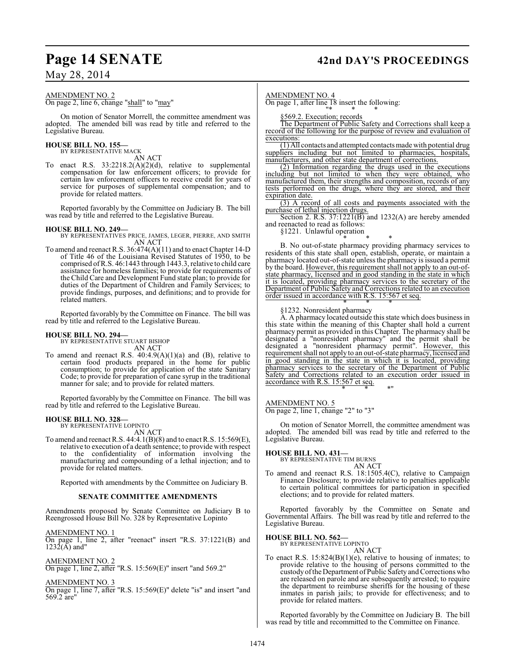## **Page 14 SENATE 42nd DAY'S PROCEEDINGS**

## AMENDMENT NO. 2

On page 2, line 6, change "shall" to "may"

On motion of Senator Morrell, the committee amendment was adopted. The amended bill was read by title and referred to the Legislative Bureau.

#### **HOUSE BILL NO. 155—**

BY REPRESENTATIVE MACK AN ACT

To enact R.S.  $33:2218.2(A)(2)(d)$ , relative to supplemental compensation for law enforcement officers; to provide for certain law enforcement officers to receive credit for years of service for purposes of supplemental compensation; and to provide for related matters.

Reported favorably by the Committee on Judiciary B. The bill was read by title and referred to the Legislative Bureau.

#### **HOUSE BILL NO. 249—**

BY REPRESENTATIVES PRICE, JAMES, LEGER, PIERRE, AND SMITH AN ACT

To amend and reenact R.S. 36:474(A)(11) and to enact Chapter 14-D of Title 46 of the Louisiana Revised Statutes of 1950, to be comprised of R.S. 46:1443 through 1443.3, relative to child care assistance for homeless families; to provide for requirements of the Child Care and Development Fund state plan; to provide for duties of the Department of Children and Family Services; to provide findings, purposes, and definitions; and to provide for related matters.

Reported favorably by the Committee on Finance. The bill was read by title and referred to the Legislative Bureau.

#### **HOUSE BILL NO. 294—**

BY REPRESENTATIVE STUART BISHOP AN ACT

To amend and reenact R.S.  $40:4.9(A)(1)(a)$  and (B), relative to certain food products prepared in the home for public consumption; to provide for application of the state Sanitary Code; to provide for preparation of cane syrup in the traditional manner for sale; and to provide for related matters.

Reported favorably by the Committee on Finance. The bill was read by title and referred to the Legislative Bureau.

#### **HOUSE BILL NO. 328—**

BY REPRESENTATIVE LOPINTO AN ACT

To amend and reenact R.S. 44:4.1(B)(8) and to enact R.S. 15:569(E), relative to execution of a death sentence; to provide with respect to the confidentiality of information involving the manufacturing and compounding of a lethal injection; and to provide for related matters.

Reported with amendments by the Committee on Judiciary B.

#### **SENATE COMMITTEE AMENDMENTS**

Amendments proposed by Senate Committee on Judiciary B to Reengrossed House Bill No. 328 by Representative Lopinto

AMENDMENT NO. 1

On page 1, line 2, after "reenact" insert "R.S. 37:1221(B) and  $1232(A)$  and"

AMENDMENT NO. 2 On page 1, line 2, after "R.S. 15:569(E)" insert "and 569.2"

AMENDMENT NO. 3

On page 1, line 7, after "R.S. 15:569(E)" delete "is" and insert "and 569.2 are"

#### AMENDMENT NO.

On page 1, after line 18 insert the following:

"\* \* \* §569.2. Execution; records

The Department of Public Safety and Corrections shall keep a record of the following for the purpose of review and evaluation of executions:

 $(1)$  All contacts and attempted contacts made with potential drug suppliers including but not limited to pharmacies, hospitals, manufacturers, and other state department of corrections.

(2) Information regarding the drugs used in the executions including but not limited to when they were obtained, who manufactured them, their strengths and composition, records of any tests performed on the drugs, where they are stored, and their expiration date.

(3) A record of all costs and payments associated with the purchase of lethal injection drugs.

Section 2. R.S.  $37:1221(B)$  and  $1232(A)$  are hereby amended and reenacted to read as follows:

§1221. Unlawful operation

\* \* \* B. No out-of-state pharmacy providing pharmacy services to residents of this state shall open, establish, operate, or maintain a pharmacy located out-of-state unless the pharmacy is issued a permit by the board. However, this requirement shall not apply to an out-ofstate pharmacy, licensed and in good standing in the state in which it is located, providing pharmacy services to the secretary of the Department of Public Safety and Corrections related to an execution order issued in accordance with R.S. 15:567 et seq.

\* \* \* §1232. Nonresident pharmacy

A. A pharmacy located outside this state which does business in this state within the meaning of this Chapter shall hold a current pharmacy permit as provided in this Chapter. The pharmacy shall be designated a "nonresident pharmacy" and the permit shall be designated a "nonresident pharmacy permit". However, this requirement shall not apply to an out-of-state pharmacy, licensed and in good standing in the state in which it is located, providing pharmacy services to the secretary of the Department of Public Safety and Corrections related to an execution order issued in accordance with R.S. 15:567 et seq. \* \* \*"

#### AMENDMENT NO. 5

On page 2, line 1, change "2" to "3"

On motion of Senator Morrell, the committee amendment was adopted. The amended bill was read by title and referred to the Legislative Bureau.

**HOUSE BILL NO. 431—** BY REPRESENTATIVE TIM BURNS AN ACT

To amend and reenact R.S. 18:1505.4(C), relative to Campaign Finance Disclosure; to provide relative to penalties applicable to certain political committees for participation in specified elections; and to provide for related matters.

Reported favorably by the Committee on Senate and Governmental Affairs. The bill was read by title and referred to the Legislative Bureau.

#### **HOUSE BILL NO. 562—**

BY REPRESENTATIVE LOPINTO AN ACT

To enact R.S.  $15:824(B)(1)(e)$ , relative to housing of inmates; to provide relative to the housing of persons committed to the custodyoftheDepartment of Public Safety and Corrections who are released on parole and are subsequently arrested; to require the department to reimburse sheriffs for the housing of these inmates in parish jails; to provide for effectiveness; and to provide for related matters.

Reported favorably by the Committee on Judiciary B. The bill was read by title and recommitted to the Committee on Finance.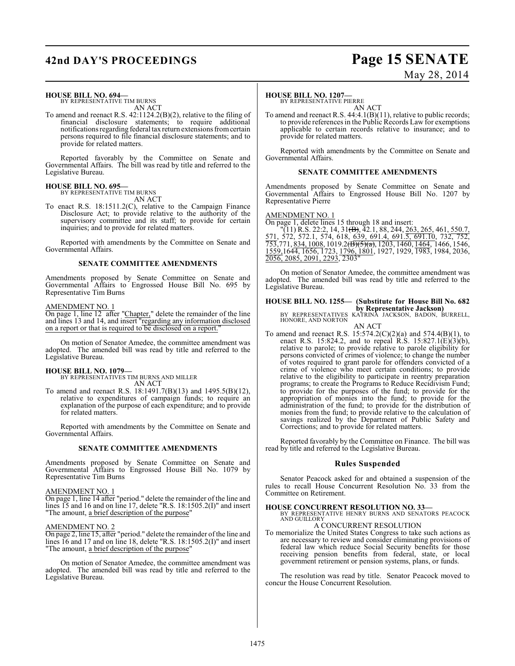## **42nd DAY'S PROCEEDINGS Page 15 SENATE**

# May 28, 2014

#### **HOUSE BILL NO. 694—**

BY REPRESENTATIVE TIM BURNS AN ACT

To amend and reenact R.S. 42:1124.2(B)(2), relative to the filing of financial disclosure statements; to require additional notifications regarding federal tax return extensions from certain persons required to file financial disclosure statements; and to provide for related matters.

Reported favorably by the Committee on Senate and Governmental Affairs. The bill was read by title and referred to the Legislative Bureau.

#### **HOUSE BILL NO. 695—**

BY REPRESENTATIVE TIM BURNS AN ACT

To enact R.S. 18:1511.2(C), relative to the Campaign Finance Disclosure Act; to provide relative to the authority of the supervisory committee and its staff; to provide for certain inquiries; and to provide for related matters.

Reported with amendments by the Committee on Senate and Governmental Affairs.

#### **SENATE COMMITTEE AMENDMENTS**

Amendments proposed by Senate Committee on Senate and Governmental Affairs to Engrossed House Bill No. 695 by Representative Tim Burns

#### AMENDMENT NO. 1

On page 1, line 12 after "Chapter," delete the remainder of the line and lines 13 and 14, and insert "regarding any information disclosed on a report or that is required to be disclosed on a report.

On motion of Senator Amedee, the committee amendment was adopted. The amended bill was read by title and referred to the Legislative Bureau.

#### **HOUSE BILL NO. 1079—**

BY REPRESENTATIVES TIM BURNS AND MILLER AN ACT

To amend and reenact R.S. 18:1491.7(B)(13) and 1495.5(B)(12), relative to expenditures of campaign funds; to require an explanation of the purpose of each expenditure; and to provide for related matters.

Reported with amendments by the Committee on Senate and Governmental Affairs.

#### **SENATE COMMITTEE AMENDMENTS**

Amendments proposed by Senate Committee on Senate and Governmental Affairs to Engrossed House Bill No. 1079 by Representative Tim Burns

#### AMENDMENT NO. 1

On page 1, line 14 after "period." delete the remainder of the line and lines 15 and 16 and on line 17, delete "R.S. 18:1505.2(I)" and insert "The amount, a brief description of the purpose"

#### AMENDMENT NO. 2

On page 2, line 15, after "period." delete the remainder of the line and lines 16 and 17 and on line 18, delete "R.S. 18:1505.2(I)" and insert "The amount, a brief description of the purpose"

On motion of Senator Amedee, the committee amendment was adopted. The amended bill was read by title and referred to the Legislative Bureau.

#### **HOUSE BILL NO. 1207—**

BY REPRESENTATIVE PIERRE

AN ACT To amend and reenact R.S. 44:4.1(B)(11), relative to public records; to provide references in the Public Records Law for exemptions applicable to certain records relative to insurance; and to provide for related matters.

Reported with amendments by the Committee on Senate and Governmental Affairs.

#### **SENATE COMMITTEE AMENDMENTS**

Amendments proposed by Senate Committee on Senate and Governmental Affairs to Engrossed House Bill No. 1207 by Representative Pierre

AMENDMENT NO. 1

On page 1, delete lines 15 through 18 and insert: "(11) R.S. 22:2, 14, 31<del>(B)</del>, 42.1, 88, 244, <u>263, 265</u>, 461, 550.7, 571, 572, 572.1, 574, 618, 639, 691.4, 691.5, 691.10, 732, 752, <del>753</del>,771, <u>834, 1008,</u> 1019.2<del>(B)(5)(a)</del>, 1203, 1460, <u>1464,</u> 1466, 1546,

1559,1644, 1656, 1723, 1796, 1801, 1927, 1929, 1983, 1984, 2036, 2056, 2085, 2091, 2293, 2303"

On motion of Senator Amedee, the committee amendment was adopted. The amended bill was read by title and referred to the Legislative Bureau.

## **HOUSE BILL NO. 1255— (Substitute for House Bill No. 682**

**by Representative Jackson)**<br>BY REPRESENTATIVES KATRINA JACKSON, BADON, BURRELL,<br>HONORE, AND NORTON

AN ACT To amend and reenact R.S.  $15:574.2(C)(2)(a)$  and  $574.4(B)(1)$ , to enact R.S. 15:824.2, and to repeal R.S. 15:827.1(E)(3)(b), relative to parole; to provide relative to parole eligibility for persons convicted of crimes of violence; to change the number of votes required to grant parole for offenders convicted of a crime of violence who meet certain conditions; to provide relative to the eligibility to participate in reentry preparation programs; to create the Programs to Reduce Recidivism Fund; to provide for the purposes of the fund; to provide for the appropriation of monies into the fund; to provide for the administration of the fund; to provide for the distribution of monies from the fund; to provide relative to the calculation of savings realized by the Department of Public Safety and Corrections; and to provide for related matters.

Reported favorably by the Committee on Finance. The bill was read by title and referred to the Legislative Bureau.

#### **Rules Suspended**

Senator Peacock asked for and obtained a suspension of the rules to recall House Concurrent Resolution No. 33 from the Committee on Retirement.

#### **HOUSE CONCURRENT RESOLUTION NO. 33—**

BY REPRESENTATIVE HENRY BURNS AND SENATORS PEACOCK AND GUILLORY

## A CONCURRENT RESOLUTION

To memorialize the United States Congress to take such actions as are necessary to review and consider eliminating provisions of federal law which reduce Social Security benefits for those receiving pension benefits from federal, state, or local government retirement or pension systems, plans, or funds.

The resolution was read by title. Senator Peacock moved to concur the House Concurrent Resolution.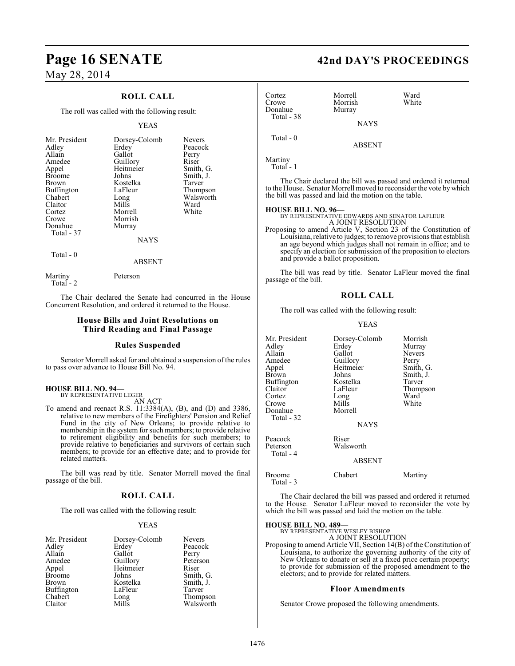# **Page 16 SENATE 42nd DAY'S PROCEEDINGS**

## May 28, 2014

### **ROLL CALL**

The roll was called with the following result:

#### YEAS

| Mr. President<br>Adley<br>Allain<br>Amedee<br>Appel<br><b>Broome</b><br><b>Brown</b><br><b>Buffington</b><br>Chabert<br>Claitor<br>Cortez<br>Crowe<br>Donahue<br>Total - 37 | Dorsey-Colomb<br>Erdey<br>Gallot<br>Guillory<br>Heitmeier<br>Johns<br>Kostelka<br>LaFleur<br>Long<br>Mills<br>Morrell<br>Morrish<br>Murray | <b>Nevers</b><br>Peacock<br>Perry<br>Riser<br>Smith, G.<br>Smith, J.<br>Tarver<br>Thompson<br>Walsworth<br>Ward<br>White |
|-----------------------------------------------------------------------------------------------------------------------------------------------------------------------------|--------------------------------------------------------------------------------------------------------------------------------------------|--------------------------------------------------------------------------------------------------------------------------|
|                                                                                                                                                                             | <b>NAYS</b>                                                                                                                                |                                                                                                                          |

Total - 0

Total - 2

Martiny Peterson

The Chair declared the Senate had concurred in the House Concurrent Resolution, and ordered it returned to the House.

ABSENT

#### **House Bills and Joint Resolutions on Third Reading and Final Passage**

#### **Rules Suspended**

Senator Morrell asked for and obtained a suspension of the rules to pass over advance to House Bill No. 94.

### **HOUSE BILL NO. 94—**

BY REPRESENTATIVE LEGER AN ACT

To amend and reenact R.S. 11:3384(A), (B), and (D) and 3386, relative to new members of the Firefighters' Pension and Relief Fund in the city of New Orleans; to provide relative to membership in the system for such members; to provide relative to retirement eligibility and benefits for such members; to provide relative to beneficiaries and survivors of certain such members; to provide for an effective date; and to provide for related matters.

The bill was read by title. Senator Morrell moved the final passage of the bill.

#### **ROLL CALL**

The roll was called with the following result:

#### YEAS

| Mr. President     | Dorsey-Colomb | <b>Nevers</b> |
|-------------------|---------------|---------------|
| Adley             | Erdey         | Peacock       |
| Allain            | Gallot        | Perry         |
| Amedee            | Guillory      | Peterson      |
| Appel             | Heitmeier     | Riser         |
| <b>Broome</b>     | Johns         | Smith, G.     |
| Brown             | Kostelka      | Smith, J.     |
| <b>Buffington</b> | LaFleur       | Tarver        |
| Chabert           | Long          | Thompson      |
| Claitor           | Mills         | Walsworth     |

| Cortez<br>Crowe                                                                                                                                                                                                                                                                                                                        | Morrell<br>Morrish                                    | Ward<br>White                                                                                                                         |  |
|----------------------------------------------------------------------------------------------------------------------------------------------------------------------------------------------------------------------------------------------------------------------------------------------------------------------------------------|-------------------------------------------------------|---------------------------------------------------------------------------------------------------------------------------------------|--|
| Donahue<br>Total - 38                                                                                                                                                                                                                                                                                                                  | Murray                                                |                                                                                                                                       |  |
|                                                                                                                                                                                                                                                                                                                                        | <b>NAYS</b>                                           |                                                                                                                                       |  |
| Total - 0                                                                                                                                                                                                                                                                                                                              |                                                       |                                                                                                                                       |  |
|                                                                                                                                                                                                                                                                                                                                        | <b>ABSENT</b>                                         |                                                                                                                                       |  |
| Martiny<br>Total - 1                                                                                                                                                                                                                                                                                                                   |                                                       |                                                                                                                                       |  |
|                                                                                                                                                                                                                                                                                                                                        | the bill was passed and laid the motion on the table. | The Chair declared the bill was passed and ordered it returned<br>to the House. Senator Morrell moved to reconsider the vote by which |  |
| <b>HOUSE BILL NO. 96-</b>                                                                                                                                                                                                                                                                                                              |                                                       | BY REPRESENTATIVE EDWARDS AND SENATOR LAFLEUR                                                                                         |  |
| A JOINT RESOLUTION<br>Proposing to amend Article V, Section 23 of the Constitution of<br>Louisiana, relative to judges; to remove provisions that establish<br>an age beyond which judges shall not remain in office; and to<br>specify an election for submission of the proposition to electors<br>and provide a ballot proposition. |                                                       |                                                                                                                                       |  |
| passage of the bill.                                                                                                                                                                                                                                                                                                                   |                                                       | The bill was read by title. Senator LaFleur moved the final                                                                           |  |
|                                                                                                                                                                                                                                                                                                                                        | <b>ROLL CALL</b>                                      |                                                                                                                                       |  |
|                                                                                                                                                                                                                                                                                                                                        | The roll was called with the following result:        |                                                                                                                                       |  |
|                                                                                                                                                                                                                                                                                                                                        | YEAS                                                  |                                                                                                                                       |  |
| Mr. President<br>Adley<br>Allain                                                                                                                                                                                                                                                                                                       | Dorsey-Colomb<br>Erdey<br>Gallot                      | Morrish<br>Murray<br>Nevers                                                                                                           |  |

| Auley      | Ergey         | Murray        |
|------------|---------------|---------------|
| Allain     | Gallot        | <b>Nevers</b> |
| Amedee     | Guillory      | Perry         |
| Appel      | Heitmeier     | Smith, G.     |
| Brown      | Johns         | Smith, J.     |
| Buffington | Kostelka      | Tarver        |
| Claitor    | LaFleur       | Thompson      |
| Cortez     | Long          | Ward          |
| Crowe      | Mills         | White         |
| Donahue    | Morrell       |               |
| Total - 32 |               |               |
|            | <b>NAYS</b>   |               |
| Peacock    | Riser         |               |
| Peterson   | Walsworth     |               |
| Total - 4  |               |               |
|            | <b>ABSENT</b> |               |
| Broome     | Chabert       | Martiny       |
| Total - 3  |               |               |
|            |               |               |

The Chair declared the bill was passed and ordered it returned to the House. Senator LaFleur moved to reconsider the vote by which the bill was passed and laid the motion on the table.

**HOUSE BILL NO. 489—** BY REPRESENTATIVE WESLEY BISHOP

A JOINT RESOLUTION

Proposing to amend Article VII, Section 14(B) of the Constitution of Louisiana, to authorize the governing authority of the city of New Orleans to donate or sell at a fixed price certain property; to provide for submission of the proposed amendment to the electors; and to provide for related matters.

#### **Floor Amendments**

Senator Crowe proposed the following amendments.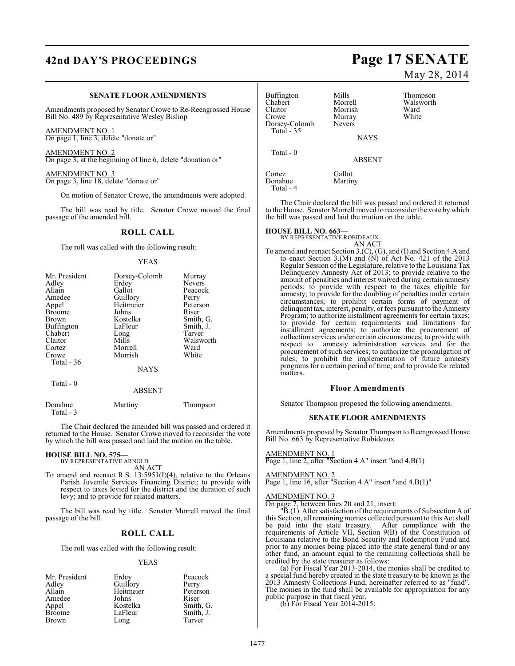# **42nd DAY'S PROCEEDINGS Page 17 SENATE**

#### **SENATE FLOOR AMENDMENTS**

Amendments proposed by Senator Crowe to Re-Reengrossed House Bill No. 489 by Representative Wesley Bishop

AMENDMENT NO. 1 On page 1, line 3, delete "donate or"

AMENDMENT NO. 2 On page 3, at the beginning of line 6, delete "donation or"

AMENDMENT NO. 3 On page 3, line 18, delete "donate or"

On motion of Senator Crowe, the amendments were adopted.

The bill was read by title. Senator Crowe moved the final passage of the amended bill.

#### **ROLL CALL**

The roll was called with the following result:

#### YEAS

| Mr. President | Dorsey-Colomb | Murray        |
|---------------|---------------|---------------|
| Adley         | Erdey         | <b>Nevers</b> |
| Allain        | Gallot        | Peacock       |
| Amedee        | Guillory      | Perry         |
| Appel         | Heitmeier     | Peterson      |
| <b>Broome</b> | Johns         | Riser         |
| Brown         | Kostelka      | Smith, G.     |
| Buffington    | LaFleur       | Smith, J.     |
| Chabert       | Long          | Tarver        |
| Claitor       | Mills         | Walsworth     |
| Cortez        | Morrell       | Ward          |
| Crowe         | Morrish       | White         |
| Total - 36    |               |               |
|               | <b>NAYS</b>   |               |
| Total - 0     |               |               |

#### ABSENT

| Donahue   | Martiny | Thompson |
|-----------|---------|----------|
| Total - 3 |         |          |

The Chair declared the amended bill was passed and ordered it returned to the House. Senator Crowe moved to reconsider the vote by which the bill was passed and laid the motion on the table.

### **HOUSE BILL NO. 575—**

BY REPRESENTATIVE ARNOLD AN ACT

To amend and reenact R.S. 13:5951(I)(4), relative to the Orleans Parish Juvenile Services Financing District; to provide with respect to taxes levied for the district and the duration of such levy; and to provide for related matters.

The bill was read by title. Senator Morrell moved the final passage of the bill.

#### **ROLL CALL**

The roll was called with the following result:

#### YEAS

| Mr. President | Erdey     | Peacock   |
|---------------|-----------|-----------|
| Adley         | Guillory  | Perry     |
| Allain        | Heitmeier | Peterson  |
| Amedee        | Johns     | Riser     |
| Appel         | Kostelka  | Smith, G. |
| <b>Broome</b> | LaFleur   | Smith, J. |
| Brown         | Long      | Tarver    |

May 28, 2014

Buffington Mills Thompson<br>
Chabert Morrell Walsworth Chabert Morrell Walsworth Claitor Morrish Ward Dorsey-Colomb Total - 35 Total - 0 Cortez Gallot<br>Donahue Martin Total - 4

Murray<br>Nevers

**NAYS** 

ABSENT

Martiny

The Chair declared the bill was passed and ordered it returned to the House. Senator Morrell moved to reconsider the vote by which the bill was passed and laid the motion on the table.

**HOUSE BILL NO. 663—** BY REPRESENTATIVE ROBIDEAUX AN ACT

To amend and reenact Section 3.(C), (G), and (I) and Section 4.A and to enact Section 3.(M) and (N) of Act No. 421 of the 2013 Regular Session of the Legislature, relative to the Louisiana Tax Delinquency Amnesty Act of 2013; to provide relative to the amount of penalties and interest waived during certain amnesty periods; to provide with respect to the taxes eligible for amnesty; to provide for the doubling of penalties under certain circumstances; to prohibit certain forms of payment of delinquent tax, interest, penalty, or fees pursuant to the Amnesty Program; to authorize installment agreements for certain taxes; to provide for certain requirements and limitations for installment agreements; to authorize the procurement of collection services under certain circumstances; to provide with respect to amnesty administration services and for the procurement of such services; to authorize the promulgation of rules; to prohibit the implementation of future amnesty programs for a certain period of time; and to provide for related matters.

#### **Floor Amendments**

Senator Thompson proposed the following amendments.

#### **SENATE FLOOR AMENDMENTS**

Amendments proposed by Senator Thompson to Reengrossed House Bill No. 663 by Representative Robideaux

#### AMENDMENT NO. 1

Page 1, line 2, after "Section 4.A" insert "and 4.B(1)

#### AMENDMENT NO. 2

Page 1, line 16, after "Section 4.A" insert "and 4.B(1)"

AMENDMENT NO. 3

On page 7, between lines 20 and 21, insert:

"B.(1) After satisfaction of the requirements of Subsection A of this Section, all remaining monies collected pursuant to this Act shall be paid into the state treasury. After compliance with the requirements of Article VII, Section 9(B) of the Constitution of Louisiana relative to the Bond Security and Redemption Fund and prior to any monies being placed into the state general fund or any other fund, an amount equal to the remaining collections shall be credited by the state treasurer as follows:

(a) For Fiscal Year 2013-2014, the monies shall be credited to a special fund hereby created in the state treasury to be known as the 2013 Amnesty Collections Fund, hereinafter referred to as "fund". The monies in the fund shall be available for appropriation for any public purpose in that fiscal year.

(b) For Fiscal Year 2014-2015: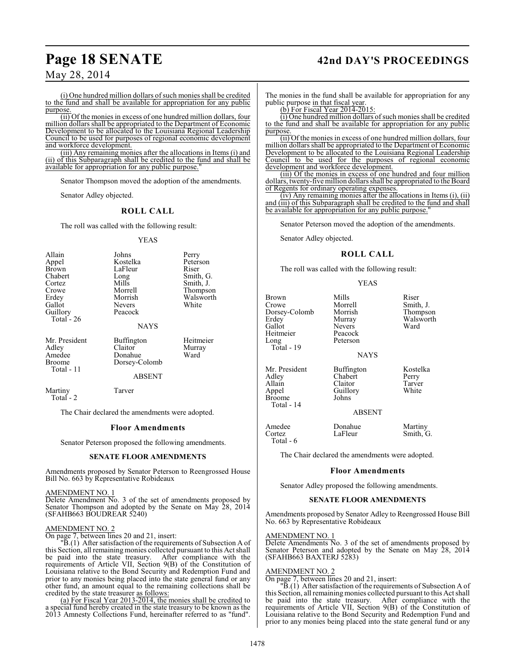## **Page 18 SENATE 42nd DAY'S PROCEEDINGS**

May 28, 2014

(i) One hundred million dollars of such monies shall be credited to the fund and shall be available for appropriation for any public purpose

(ii) Of the monies in excess of one hundred million dollars, four million dollars shall be appropriated to the Department of Economic Development to be allocated to the Louisiana Regional Leadership Council to be used for purposes of regional economic development and workforce development.

(iii) Any remaining monies after the allocations in Items (i) and (ii) of this Subparagraph shall be credited to the fund and shall be available for appropriation for any public purpose.

Senator Thompson moved the adoption of the amendments.

Senator Adley objected.

#### **ROLL CALL**

The roll was called with the following result:

#### YEAS

| Allain<br>Appel<br><b>Brown</b><br>Chabert<br>Cortez<br>Crowe<br>Erdey<br>Gallot<br>Guillory<br>Total $-26$ | Johns<br>Kostelka<br>LaFleur<br>Long<br>Mills<br>Morrell<br>Morrish<br>Nevers<br>Peacock<br><b>NAYS</b> | Perry<br>Peterson<br>Riser<br>Smith, G.<br>Smith, J.<br>Thompson<br>Walsworth<br>White |
|-------------------------------------------------------------------------------------------------------------|---------------------------------------------------------------------------------------------------------|----------------------------------------------------------------------------------------|
| Mr. President<br>Adley<br>Amedee<br>Broome<br>Total - 11                                                    | <b>Buffington</b><br>Claitor<br>Donahue<br>Dorsey-Colomb<br>ABSENT                                      | Heitmeier<br>Murray<br>Ward                                                            |
| Martiny<br>Total - 2                                                                                        | Tarver                                                                                                  |                                                                                        |

The Chair declared the amendments were adopted.

#### **Floor Amendments**

Senator Peterson proposed the following amendments.

#### **SENATE FLOOR AMENDMENTS**

Amendments proposed by Senator Peterson to Reengrossed House Bill No. 663 by Representative Robideaux

#### AMENDMENT NO. 1

Delete Amendment No. 3 of the set of amendments proposed by Senator Thompson and adopted by the Senate on May 28, 2014 (SFAHB663 BOUDREAR 5240)

#### AMENDMENT NO. 2

On page 7, between lines 20 and 21, insert:

"B.(1) After satisfaction of the requirements of Subsection A of this Section, all remaining monies collected pursuant to this Act shall be paid into the state treasury. After compliance with the requirements of Article VII, Section 9(B) of the Constitution of Louisiana relative to the Bond Security and Redemption Fund and prior to any monies being placed into the state general fund or any other fund, an amount equal to the remaining collections shall be credited by the state treasurer as follows:

(a) For Fiscal Year 2013-2014, the monies shall be credited to a special fund hereby created in the state treasury to be known as the 2013 Amnesty Collections Fund, hereinafter referred to as "fund".

The monies in the fund shall be available for appropriation for any public purpose in that fiscal year.

(b) For Fiscal Year 2014-2015:

(i) One hundred million dollars of such monies shall be credited to the fund and shall be available for appropriation for any public purpose.

(ii) Of the monies in excess of one hundred million dollars, four million dollars shall be appropriated to the Department of Economic Development to be allocated to the Louisiana Regional Leadership Council to be used for the purposes of regional economic development and workforce development.

(iii) Of the monies in excess of one hundred and four million dollars, twenty-five million dollars shall be appropriated to the Board of Regents for ordinary operating expenses.

(iv) Any remaining monies after the allocations in Items (i), (ii) and (iii) of this Subparagraph shall be credited to the fund and shall be available for appropriation for any public purpose.

Senator Peterson moved the adoption of the amendments.

Senator Adley objected.

### **ROLL CALL**

The roll was called with the following result:

#### YEAS

| Brown<br>Crowe<br>Dorsey-Colomb<br>Erdey<br>Gallot<br>Heitmeier<br>Long<br>Total - 19 | Mills<br>Morrell<br>Morrish<br>Murray<br>Nevers<br>Peacock<br>Peterson<br><b>NAYS</b> | Riser<br>Smith, J.<br>Thompson<br>Walsworth<br>Ward |
|---------------------------------------------------------------------------------------|---------------------------------------------------------------------------------------|-----------------------------------------------------|
| Mr. President<br>Adley<br>Allain<br>Appel<br><b>Broome</b><br>Total - 14              | <b>Buffington</b><br>Chabert<br>Claitor<br>Guillory<br>Johns<br><b>ABSENT</b>         | Kostelka<br>Perry<br>Tarver<br>White                |
| Amedee<br>Cortez<br>Total - 6                                                         | Donahue<br>LaFleur                                                                    | Martiny<br>Smith, G.                                |

The Chair declared the amendments were adopted.

#### **Floor Amendments**

Senator Adley proposed the following amendments.

#### **SENATE FLOOR AMENDMENTS**

Amendments proposed by Senator Adley to Reengrossed House Bill No. 663 by Representative Robideaux

#### AMENDMENT NO. 1

Delete Amendments No. 3 of the set of amendments proposed by Senator Peterson and adopted by the Senate on May 28, 2014 (SFAHB663 BAXTERJ 5283)

#### AMENDMENT NO. 2

On page 7, between lines 20 and 21, insert:

"B.(1) After satisfaction of the requirements of Subsection A of this Section, all remaining monies collected pursuant to this Act shall be paid into the state treasury. After compliance with the requirements of Article VII, Section 9(B) of the Constitution of Louisiana relative to the Bond Security and Redemption Fund and prior to any monies being placed into the state general fund or any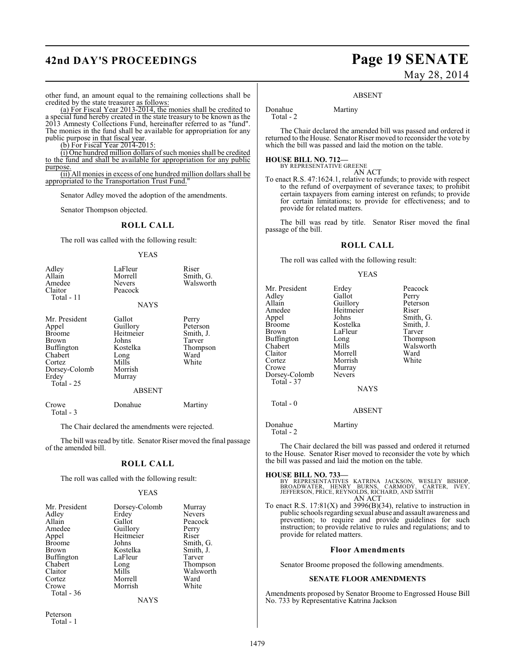# **42nd DAY'S PROCEEDINGS Page 19 SENATE**

# May 28, 2014

other fund, an amount equal to the remaining collections shall be credited by the state treasurer as follows:

(a) For Fiscal Year 2013-2014, the monies shall be credited to a special fund hereby created in the state treasury to be known as the 2013 Amnesty Collections Fund, hereinafter referred to as "fund". The monies in the fund shall be available for appropriation for any public purpose in that fiscal year.

(b) For Fiscal Year 2014-2015:

(i) One hundred million dollars of such monies shall be credited to the fund and shall be available for appropriation for any public purpose.

(ii) All monies in excess of one hundred million dollars shall be appropriated to the Transportation Trust Fund."

Senator Adley moved the adoption of the amendments.

Senator Thompson objected.

#### **ROLL CALL**

The roll was called with the following result:

#### YEAS

| Adley<br>Allain<br>Amedee<br>Claitor<br>Total - 11                                                                                 | LaFleur<br>Morrell<br><b>Nevers</b><br>Peacock<br><b>NAYS</b>                                               | Riser<br>Smith, G.<br>Walsworth                                       |
|------------------------------------------------------------------------------------------------------------------------------------|-------------------------------------------------------------------------------------------------------------|-----------------------------------------------------------------------|
| Mr. President<br>Appel<br><b>Broome</b><br>Brown<br><b>Buffington</b><br>Chabert<br>Cortez<br>Dorsey-Colomb<br>Erdey<br>Total - 25 | Gallot<br>Guillory<br>Heitmeier<br>Johns<br>Kostelka<br>Long<br>Mills<br>Morrish<br>Murray<br><b>ABSENT</b> | Perry<br>Peterson<br>Smith, J.<br>Tarver<br>Thompson<br>Ward<br>White |
| Crowe                                                                                                                              | Donahue                                                                                                     | Martiny                                                               |

Total - 3

The Chair declared the amendments were rejected.

The bill was read by title. Senator Riser moved the final passage of the amended bill.

#### **ROLL CALL**

The roll was called with the following result:

#### YEAS

| Mr. President | Dorsey-Colomb | Murray        |
|---------------|---------------|---------------|
| Adley         | Erdey         | <b>Nevers</b> |
| Allain        | Gallot        | Peacock       |
| Amedee        | Guillory      | Perry         |
| Appel         | Heitmeier     | Riser         |
| <b>Broome</b> | Johns         | Smith, G.     |
| Brown         | Kostelka      | Smith, J.     |
| Buffington    | LaFleur       | Tarver        |
| Chabert       | Long          | Thompson      |
| Claitor       | Mills         | Walsworth     |
| Cortez        | Morrell       | Ward          |
| Crowe         | Morrish       | White         |
| Total - 36    |               |               |
|               | NAYS          |               |

Peterson Total - 1

#### ABSENT

Donahue Martiny Total - 2

The Chair declared the amended bill was passed and ordered it returned to the House. Senator Riser moved to reconsider the vote by which the bill was passed and laid the motion on the table.

#### **HOUSE BILL NO. 712—** BY REPRESENTATIVE GREENE



To enact R.S. 47:1624.1, relative to refunds; to provide with respect to the refund of overpayment of severance taxes; to prohibit certain taxpayers from earning interest on refunds; to provide for certain limitations; to provide for effectiveness; and to provide for related matters.

The bill was read by title. Senator Riser moved the final passage of the bill.

#### **ROLL CALL**

The roll was called with the following result:

#### YEAS

Peacock Perry Peterson Riser Smith, G. Smith, J.<br>Tarver

Thompson Walsworth<br>Ward

| Mr. President | Erdey         | Peacod |
|---------------|---------------|--------|
| Adley         | Gallot        | Perry  |
| Allain        | Guillory      | Peters |
| Amedee        | Heitmeier     | Riser  |
| Appel         | Johns         | Smith, |
| <b>Broome</b> | Kostelka      | Smith. |
| Brown         | LaFleur       | Tarver |
| Buffington    | Long          | Thomp  |
| Chabert       | Mills         | Walsw  |
| Claitor       | Morrell       | Ward   |
| Cortez        | Morrish       | White  |
| Crowe         | Murray        |        |
| Dorsey-Colomb | <b>Nevers</b> |        |
| Total - 37    |               |        |
|               | <b>NAYS</b>   |        |
| Total - 0     | <b>ABSENT</b> |        |
|               |               |        |

Donahue Martiny Total - 2

The Chair declared the bill was passed and ordered it returned to the House. Senator Riser moved to reconsider the vote by which the bill was passed and laid the motion on the table.

#### **HOUSE BILL NO. 733—**

BY REPRESENTATIVES KATRINA JACKSON, WESLEY BISHOP,<br>BROADWATER, HENRY BURNS, CARMODY, CARTER, IVEY,<br>JEFFERSON,PRICE,REYNOLDS,RICHARD,ANDSMITH AN ACT

To enact R.S.  $17:81(X)$  and  $3996(B)(34)$ , relative to instruction in public schools regarding sexual abuse and assault awareness and prevention; to require and provide guidelines for such instruction; to provide relative to rules and regulations; and to provide for related matters.

#### **Floor Amendments**

Senator Broome proposed the following amendments.

#### **SENATE FLOOR AMENDMENTS**

Amendments proposed by Senator Broome to Engrossed House Bill No. 733 by Representative Katrina Jackson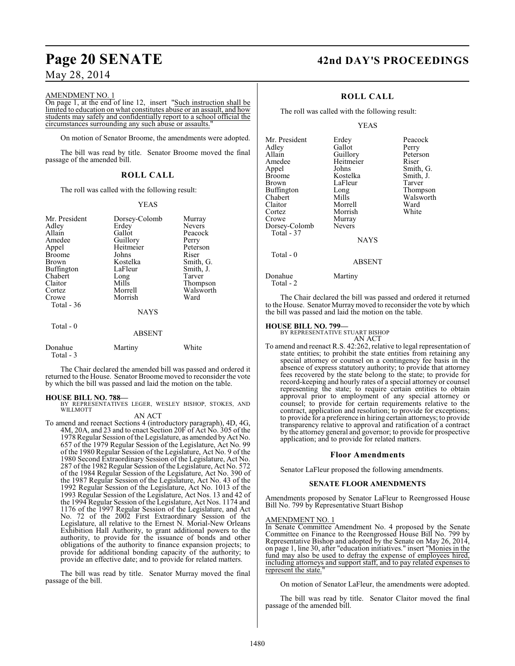#### AMENDMENT NO. 1

On page 1, at the end of line 12, insert "Such instruction shall be limited to education on what constitutes abuse or an assault, and how students may safely and confidentially report to a school official the circumstances surrounding any such abuse or assaults."

On motion of Senator Broome, the amendments were adopted.

The bill was read by title. Senator Broome moved the final passage of the amended bill.

#### **ROLL CALL**

The roll was called with the following result:

#### YEAS

| Mr. President<br>Adley<br>Allain<br>Amedee<br>Appel<br><b>Broome</b><br>Brown<br>Buffington<br>Chabert<br>Claitor<br>Cortez<br>Crowe<br>Total $-36$ | Dorsey-Colomb<br>Erdey<br>Gallot<br>Guillory<br>Heitmeier<br>Johns<br>Kostelka<br>LaFleur<br>Long<br>Mills<br>Morrell<br>Morrish | Murray<br><b>Nevers</b><br>Peacock<br>Perry<br>Peterson<br>Riser<br>Smith, G.<br>Smith, J.<br>Tarver<br>Thompson<br>Walsworth<br>Ward |
|-----------------------------------------------------------------------------------------------------------------------------------------------------|----------------------------------------------------------------------------------------------------------------------------------|---------------------------------------------------------------------------------------------------------------------------------------|
|                                                                                                                                                     | NAYS                                                                                                                             |                                                                                                                                       |
| Total $-0$                                                                                                                                          | <b>ABSENT</b>                                                                                                                    |                                                                                                                                       |
| Donahue<br>Total - 3                                                                                                                                | Martiny                                                                                                                          | White                                                                                                                                 |

The Chair declared the amended bill was passed and ordered it returned to the House. Senator Broome moved to reconsider the vote by which the bill was passed and laid the motion on the table.

#### **HOUSE BILL NO. 788—**

BY REPRESENTATIVES LEGER, WESLEY BISHOP, STOKES, AND WILLMOTT

AN ACT To amend and reenact Sections 4 (introductory paragraph), 4D, 4G, 4M, 20A, and 23 and to enact Section 20F of Act No. 305 of the 1978 Regular Session of the Legislature, as amended by Act No. 657 of the 1979 Regular Session of the Legislature, Act No. 99 of the 1980 Regular Session of the Legislature, Act No. 9 of the 1980 Second Extraordinary Session of the Legislature, Act No. 287 of the 1982 Regular Session of the Legislature, Act No. 572 of the 1984 Regular Session of the Legislature, Act No. 390 of the 1987 Regular Session of the Legislature, Act No. 43 of the 1992 Regular Session of the Legislature, Act No. 1013 of the 1993 Regular Session of the Legislature, Act Nos. 13 and 42 of the 1994 Regular Session of the Legislature, Act Nos. 1174 and 1176 of the 1997 Regular Session of the Legislature, and Act No. 72 of the 2002 First Extraordinary Session of the Legislature, all relative to the Ernest N. Morial-New Orleans Exhibition Hall Authority, to grant additional powers to the authority, to provide for the issuance of bonds and other obligations of the authority to finance expansion projects; to provide for additional bonding capacity of the authority; to provide an effective date; and to provide for related matters.

The bill was read by title. Senator Murray moved the final passage of the bill.

## **Page 20 SENATE 42nd DAY'S PROCEEDINGS**

#### **ROLL CALL**

The roll was called with the following result:

#### YEAS

| Mr. President                      | Erdey         | Peacock   |
|------------------------------------|---------------|-----------|
| Adley                              | Gallot        | Perry     |
| Allain                             | Guillory      | Peterson  |
| Amedee                             | Heitmeier     | Riser     |
| Appel                              | Johns         | Smith, G. |
| <b>Broome</b>                      | Kostelka      | Smith, J. |
| Brown                              | LaFleur       | Tarver    |
| Buffington                         | Long          | Thompson  |
| Chabert                            | Mills         | Walsworth |
| Claitor                            | Morrell       | Ward      |
| Cortez                             | Morrish       | White     |
| Crowe                              | Murray        |           |
| Dorsey-Colomb                      | <b>Nevers</b> |           |
| Total - 37                         |               |           |
|                                    | <b>NAYS</b>   |           |
| Total $-0$                         |               |           |
|                                    | <b>ABSENT</b> |           |
| Donahue<br>$T \sim 1 \quad \Omega$ | Martiny       |           |

The Chair declared the bill was passed and ordered it returned to the House. Senator Murray moved to reconsider the vote by which the bill was passed and laid the motion on the table.

#### **HOUSE BILL NO. 799—**

Total - 2

BY REPRESENTATIVE STUART BISHOP AN ACT

To amend and reenact R.S. 42:262, relative to legal representation of state entities; to prohibit the state entities from retaining any special attorney or counsel on a contingency fee basis in the absence of express statutory authority; to provide that attorney fees recovered by the state belong to the state; to provide for record-keeping and hourly rates of a special attorney or counsel representing the state; to require certain entities to obtain approval prior to employment of any special attorney or counsel; to provide for certain requirements relative to the contract, application and resolution; to provide for exceptions; to provide for a preference in hiring certain attorneys; to provide transparency relative to approval and ratification of a contract by the attorney general and governor; to provide for prospective application; and to provide for related matters.

#### **Floor Amendments**

Senator LaFleur proposed the following amendments.

#### **SENATE FLOOR AMENDMENTS**

Amendments proposed by Senator LaFleur to Reengrossed House Bill No. 799 by Representative Stuart Bishop

#### AMENDMENT NO. 1

In Senate Committee Amendment No. 4 proposed by the Senate Committee on Finance to the Reengrossed House Bill No. 799 by Representative Bishop and adopted by the Senate on May 26, 2014, on page 1, line 30, after "education initiatives." insert "Monies in the fund may also be used to defray the expense of employees hired, including attorneys and support staff, and to pay related expenses to represent the state."

On motion of Senator LaFleur, the amendments were adopted.

The bill was read by title. Senator Claitor moved the final passage of the amended bill.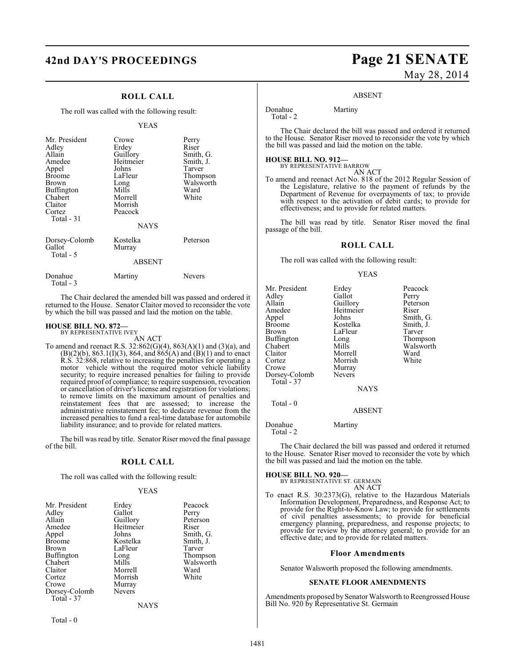## **42nd DAY'S PROCEEDINGS Page 21 SENATE**

#### **ROLL CALL**

The roll was called with the following result:

#### YEAS

| Mr. President<br>Adley<br>Allain<br>Amedee<br>Appel<br><b>Broome</b><br>Brown<br>Buffington<br>Chabert<br>Claitor<br>Cortez<br>Total $-31$ | Crowe<br>Erdey<br>Guillory<br>Heitmeier<br>Johns<br>LaFleur<br>Long<br>Mills<br>Morrell<br>Morrish<br>Peacock<br><b>NAYS</b> | Perry<br>Riser<br>Smith, G.<br>Smith, J.<br>Tarver<br>Thompson<br>Walsworth<br>Ward<br>White |
|--------------------------------------------------------------------------------------------------------------------------------------------|------------------------------------------------------------------------------------------------------------------------------|----------------------------------------------------------------------------------------------|
| Dorsey-Colomb<br>Gallot<br>Total - 5                                                                                                       | Kostelka<br>Murray<br><b>ABSENT</b>                                                                                          | Peterson                                                                                     |
| Donahue<br>Total - 3                                                                                                                       | Martiny                                                                                                                      | <b>Nevers</b>                                                                                |

The Chair declared the amended bill was passed and ordered it returned to the House. Senator Claitor moved to reconsider the vote by which the bill was passed and laid the motion on the table.

## **HOUSE BILL NO. 872—** BY REPRESENTATIVE IVEY

AN ACT

To amend and reenact R.S. 32:862(G)(4), 863(A)(1) and (3)(a), and  $(B)(2)(b)$ , 863.1(I)(3), 864, and 865(A) and (B)(1) and to enact R.S. 32:868, relative to increasing the penalties for operating a motor vehicle without the required motor vehicle liability security; to require increased penalties for failing to provide required proof of compliance; to require suspension, revocation or cancellation of driver's license and registration for violations; to remove limits on the maximum amount of penalties and reinstatement fees that are assessed; to increase the administrative reinstatement fee; to dedicate revenue from the increased penalties to fund a real-time database for automobile liability insurance; and to provide for related matters.

The bill was read by title. Senator Riser moved the final passage of the bill.

#### **ROLL CALL**

The roll was called with the following result:

#### YEAS

| Mr. President<br>Adley<br>Allain<br>Amedee<br>Appel<br><b>Broome</b><br><b>Brown</b><br>Buffington<br>Chabert<br>Claitor<br>Cortez<br>Crowe | Erdey<br>Gallot<br>Guillory<br>Heitmeier<br>Johns<br>Kostelka<br>LaFleur<br>Long<br>Mills<br>Morrell<br>Morrish<br>Murray | Peacock<br>Perry<br>Peterson<br>Riser<br>Smith, G.<br>Smith, J.<br>Tarver<br>Thompson<br>Walsworth<br>Ward<br>White |
|---------------------------------------------------------------------------------------------------------------------------------------------|---------------------------------------------------------------------------------------------------------------------------|---------------------------------------------------------------------------------------------------------------------|
|                                                                                                                                             |                                                                                                                           |                                                                                                                     |
| Dorsey-Colomb<br>Total - 37                                                                                                                 | <b>Nevers</b>                                                                                                             |                                                                                                                     |
|                                                                                                                                             | NAYS                                                                                                                      |                                                                                                                     |

# May 28, 2014

Peacock Perry Peterson Riser Smith, G. Smith, J.<br>Tarver

Thompson Walsworth<br>Ward

#### ABSENT

Donahue Martiny Total - 2

The Chair declared the bill was passed and ordered it returned to the House. Senator Riser moved to reconsider the vote by which the bill was passed and laid the motion on the table.

#### **HOUSE BILL NO. 912—**

BY REPRESENTATIVE BARROW AN ACT

To amend and reenact Act No. 818 of the 2012 Regular Session of the Legislature, relative to the payment of refunds by the Department of Revenue for overpayments of tax; to provide with respect to the activation of debit cards; to provide for effectiveness; and to provide for related matters.

The bill was read by title. Senator Riser moved the final passage of the bill.

#### **ROLL CALL**

The roll was called with the following result:

#### YEAS

| Mr. President | Erdey         | Peacod |
|---------------|---------------|--------|
| Adley         | Gallot        | Perry  |
| Allain        | Guillory      | Peters |
| Amedee        | Heitmeier     | Riser  |
| Appel         | Johns         | Smith, |
| <b>Broome</b> | Kostelka      | Smith. |
| Brown         | LaFleur       | Tarver |
| Buffington    | Long          | Thomp  |
| Chabert       | Mills         | Walsw  |
| Claitor       | Morrell       | Ward   |
| Cortez        | Morrish       | White  |
| Crowe         | Murray        |        |
| Dorsey-Colomb | <b>Nevers</b> |        |
| Total - 37    |               |        |
|               | <b>NAYS</b>   |        |
| Total - 0     |               |        |
|               | <b>ABSENT</b> |        |
|               |               |        |

Donahue Martiny Total - 2

The Chair declared the bill was passed and ordered it returned to the House. Senator Riser moved to reconsider the vote by which the bill was passed and laid the motion on the table.

**HOUSE BILL NO. 920—** BY REPRESENTATIVE ST. GERMAIN AN ACT

- To enact R.S. 30:2373(G), relative to the Hazardous Materials
	- Information Development, Preparedness, and Response Act; to provide for the Right-to-Know Law; to provide for settlements of civil penalties assessments; to provide for beneficial emergency planning, preparedness, and response projects; to provide for review by the attorney general; to provide for an effective date; and to provide for related matters.

#### **Floor Amendments**

Senator Walsworth proposed the following amendments.

#### **SENATE FLOOR AMENDMENTS**

Amendments proposed by Senator Walsworth to Reengrossed House Bill No. 920 by Representative St. Germain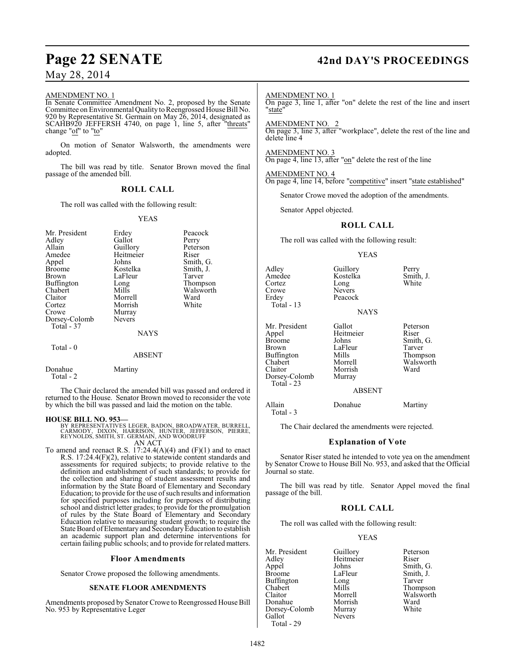#### AMENDMENT NO. 1

In Senate Committee Amendment No. 2, proposed by the Senate Committee on Environmental Quality to Reengrossed House Bill No. 920 by Representative St. Germain on May 26, 2014, designated as SCAHB920 JEFFERSH 4740, on page 1, line 5, after "threats" change "of" to "to"

On motion of Senator Walsworth, the amendments were adopted.

The bill was read by title. Senator Brown moved the final passage of the amended bill.

#### **ROLL CALL**

The roll was called with the following result:

#### YEAS

| Mr. President<br>Adley<br>Allain<br>Amedee<br>Appel<br>Broome<br>Brown<br>Buffington<br>Chabert<br>Claitor<br>Cortez<br>Crowe<br>Dorsey-Colomb<br>Total - 37 | Erdey<br>Gallot<br>Guillory<br>Heitmeier<br>Johns<br>Kostelka<br>LaFleur<br>Long<br>Mills<br>Morrell<br>Morrish<br>Murray<br><b>Nevers</b><br><b>NAYS</b> | Peacock<br>Perry<br>Peterson<br>Riser<br>Smith, G.<br>Smith, J.<br>Tarver<br>Thompson<br>Walsworth<br>Ward<br>White |
|--------------------------------------------------------------------------------------------------------------------------------------------------------------|-----------------------------------------------------------------------------------------------------------------------------------------------------------|---------------------------------------------------------------------------------------------------------------------|
| Total - 0                                                                                                                                                    | ABSENT                                                                                                                                                    |                                                                                                                     |
| Donahue<br>Total - 2                                                                                                                                         | Martiny                                                                                                                                                   |                                                                                                                     |

The Chair declared the amended bill was passed and ordered it returned to the House. Senator Brown moved to reconsider the vote by which the bill was passed and laid the motion on the table.

#### **HOUSE BILL NO. 953—**

BY REPRESENTATIVES LEGER, BADON, BROADWATER, BURRELL,<br>CARMODY, DIXON, HARRISON, HUNTER, JEFFERSON, PIERRE,<br>REYNOLDS, SMITH, ST. GERMAIN, AND WOODRUFF AN ACT

To amend and reenact R.S.  $17:24.4(A)(4)$  and  $(F)(1)$  and to enact R.S. 17:24.4(F)(2), relative to statewide content standards and assessments for required subjects; to provide relative to the definition and establishment of such standards; to provide for the collection and sharing of student assessment results and information by the State Board of Elementary and Secondary Education; to provide for the use of such results and information for specified purposes including for purposes of distributing school and district letter grades; to provide for the promulgation of rules by the State Board of Elementary and Secondary Education relative to measuring student growth; to require the State Board of Elementary and Secondary Education to establish an academic support plan and determine interventions for certain failing public schools; and to provide for related matters.

#### **Floor Amendments**

Senator Crowe proposed the following amendments.

#### **SENATE FLOOR AMENDMENTS**

Amendments proposed by Senator Crowe to Reengrossed House Bill No. 953 by Representative Leger

## **Page 22 SENATE 42nd DAY'S PROCEEDINGS**

AMENDMENT NO. 1 On page 3, line 1, after "on" delete the rest of the line and insert "<sub>state"</sub>

AMENDMENT NO. 2 On page 3, line 3, after "workplace", delete the rest of the line and delete line 4

AMENDMENT NO. 3 On page 4, line 13, after "on" delete the rest of the line

AMENDMENT NO. 4 On page 4, line 14, before "competitive" insert "state established"

Senator Crowe moved the adoption of the amendments.

Senator Appel objected.

#### **ROLL CALL**

The roll was called with the following result:

#### YEAS

| Adlev<br>Amedee<br>Cortez<br>Crowe<br>Erdey<br>Total - 13                                                    | Guillory<br>Kostelka<br>Long<br><b>Nevers</b><br>Peacock<br><b>NAYS</b>                           | Perry<br>Smith, J.<br>White                                               |  |  |
|--------------------------------------------------------------------------------------------------------------|---------------------------------------------------------------------------------------------------|---------------------------------------------------------------------------|--|--|
| Mr. President<br>Appel<br>Broome<br>Brown<br>Buffington<br>Chabert<br>Claitor<br>Dorsey-Colomb<br>Total - 23 | Gallot<br>Heitmeier<br>Johns<br>LaFleur<br>Mills<br>Morrell<br>Morrish<br>Murray<br><b>ABSENT</b> | Peterson<br>Riser<br>Smith, G.<br>Tarver<br>Thompson<br>Walsworth<br>Ward |  |  |
| $\lambda$ llain                                                                                              | Donghua                                                                                           | Mortiny                                                                   |  |  |

Allain Donahue Martiny Total - 3

The Chair declared the amendments were rejected.

#### **Explanation of Vote**

Senator Riser stated he intended to vote yea on the amendment by Senator Crowe to House Bill No. 953, and asked that the Official Journal so state.

The bill was read by title. Senator Appel moved the final passage of the bill.

#### **ROLL CALL**

The roll was called with the following result:

#### YEAS

| Mr. President | Guillory      | Peters |
|---------------|---------------|--------|
| Adley         | Heitmeier     | Riser  |
| Appel         | Johns         | Smith, |
| <b>Broome</b> | LaFleur       | Smith, |
| Buffington    | Long          | Tarver |
| Chabert       | Mills         | Thomp  |
| Claitor       | Morrell       | Walsw  |
| Donahue       | Morrish       | Ward   |
| Dorsey-Colomb | Murray        | White  |
| Gallot        | <b>Nevers</b> |        |
| Total - 29    |               |        |

Peterson<br>Riser Smith, G. Smith, J.<br>Tarver Thompson Walsworth<br>Ward White

1482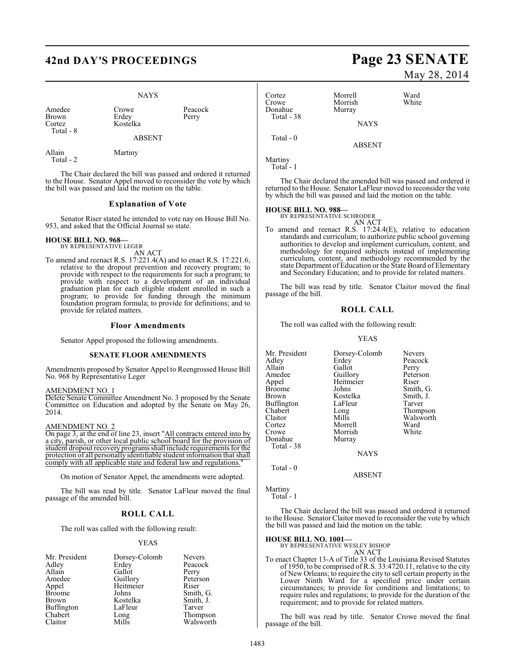## **42nd DAY'S PROCEEDINGS Page 23 SENATE**

#### NAYS

ABSENT

Amedee Crowe Peacock<br>Brown Erdey Perry Brown Erdey<br>Cortez Kostel Total - 8

Total - 2

Allain Martiny

Kostelka

The Chair declared the bill was passed and ordered it returned to the House. Senator Appel moved to reconsider the vote by which the bill was passed and laid the motion on the table.

#### **Explanation of Vote**

Senator Riser stated he intended to vote nay on House Bill No. 953, and asked that the Official Journal so state.

#### **HOUSE BILL NO. 968—** BY REPRESENTATIVE LEGER

AN ACT

To amend and reenact R.S. 17:221.4(A) and to enact R.S. 17:221.6, relative to the dropout prevention and recovery program; to provide with respect to the requirements for such a program; to provide with respect to a development of an individual graduation plan for each eligible student enrolled in such a program; to provide for funding through the minimum foundation program formula; to provide for definitions; and to provide for related matters.

#### **Floor Amendments**

Senator Appel proposed the following amendments.

#### **SENATE FLOOR AMENDMENTS**

Amendments proposed by Senator Appel to Reengrossed House Bill No. 968 by Representative Leger

#### AMENDMENT NO. 1

Delete Senate Committee Amendment No. 3 proposed by the Senate Committee on Education and adopted by the Senate on May 26, 2014.

#### AMENDMENT NO. 2

On page 3, at the end of line 23, insert "All contracts entered into by a city, parish, or other local public school board for the provision of student dropout recovery programs shall include requirements for the protection of all personally identifiable student information that shall comply with all applicable state and federal law and regulations.

On motion of Senator Appel, the amendments were adopted.

The bill was read by title. Senator LaFleur moved the final passage of the amended bill.

#### **ROLL CALL**

The roll was called with the following result:

#### YEAS

| Mr. President     | Dorsey-Colomb | Nevers    |
|-------------------|---------------|-----------|
| Adley             | Erdey         | Peacock   |
| Allain            | Gallot        | Perry     |
| Amedee            | Guillory      | Peterson  |
| Appel             | Heitmeier     | Riser     |
| <b>Broome</b>     | Johns         | Smith, G. |
| Brown             | Kostelka      | Smith, J. |
| <b>Buffington</b> | LaFleur       | Tarver    |
| Chabert           | Long          | Thompson  |
| Claitor           | Mills         | Walsworth |

# May 28, 2014

Cortez Morrell Ward Crowe Morrish<br>
Donahue Murray Murray Total - 38 **NAYS**  Total - 0 ABSENT

Martiny

Total - 1

The Chair declared the amended bill was passed and ordered it returned to the House. Senator LaFleur moved to reconsider the vote by which the bill was passed and laid the motion on the table.

## **HOUSE BILL NO. 988—** BY REPRESENTATIVE SCHRODER

AN ACT To amend and reenact R.S. 17:24.4(E), relative to education standards and curriculum; to authorize public school governing authorities to develop and implement curriculum, content, and methodology for required subjects instead of implementing curriculum, content, and methodology recommended by the state Department of Education or the State Board of Elementary and Secondary Education; and to provide for related matters.

The bill was read by title. Senator Claitor moved the final passage of the bill.

### **ROLL CALL**

The roll was called with the following result:

#### YEAS

| Mr. President<br>Adlev<br>Allain<br>Amedee<br>Appel<br>Broome<br>Brown<br>Buffington<br>Chabert<br>Claitor<br>Cortez | Dorsey-Colomb<br>Erdey<br>Gallot<br>Guillory<br>Heitmeier<br>Johns<br>Kostelka<br>LaFleur<br>Long<br>Mills<br>Morrell | <b>Nevers</b><br>Peacock<br>Perry<br>Peterson<br>Riser<br>Smith, G.<br>Smith, J.<br>Tarver<br>Thompson<br>Walsworth<br>Ward |
|----------------------------------------------------------------------------------------------------------------------|-----------------------------------------------------------------------------------------------------------------------|-----------------------------------------------------------------------------------------------------------------------------|
|                                                                                                                      |                                                                                                                       |                                                                                                                             |
| Crowe<br>Donahue<br>Total - 38                                                                                       | Morrish<br>Murray                                                                                                     | White                                                                                                                       |
|                                                                                                                      | <b>NAYS</b>                                                                                                           |                                                                                                                             |
|                                                                                                                      |                                                                                                                       |                                                                                                                             |

Total - 0

ABSENT

Martiny Total - 1

The Chair declared the bill was passed and ordered it returned to the House. Senator Claitor moved to reconsider the vote by which the bill was passed and laid the motion on the table.

**HOUSE BILL NO. 1001—** BY REPRESENTATIVE WESLEY BISHOP AN ACT

To enact Chapter 13-A of Title 33 of the Louisiana Revised Statutes of 1950, to be comprised of R.S. 33:4720.11, relative to the city of New Orleans; to require the city to sell certain property in the Lower Ninth Ward for a specified price under certain circumstances; to provide for conditions and limitations; to require rules and regulations; to provide for the duration of the requirement; and to provide for related matters.

The bill was read by title. Senator Crowe moved the final passage of the bill.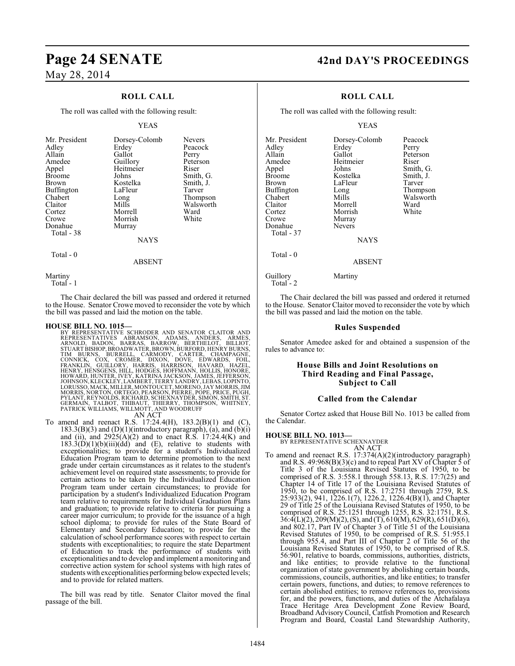### **ROLL CALL**

The roll was called with the following result:

#### YEAS

| Dorsey-Colomb<br>Erdey<br>Gallot<br>Guillory<br>Heitmeier<br>Johns<br>Kostelka<br>LaFleur<br>Long<br>Mills<br>Morrell<br>Morrish<br>Murray | <b>Nevers</b><br>Peacock<br>Perry<br>Peterson<br>Riser<br>Smith, G.<br>Smith, J.<br>Tarver<br>Thompson<br>Walsworth<br>Ward<br>White |
|--------------------------------------------------------------------------------------------------------------------------------------------|--------------------------------------------------------------------------------------------------------------------------------------|
|                                                                                                                                            |                                                                                                                                      |
|                                                                                                                                            | <b>NAYS</b>                                                                                                                          |

Total - 0

Martiny Total - 1

The Chair declared the bill was passed and ordered it returned to the House. Senator Crowe moved to reconsider the vote by which the bill was passed and laid the motion on the table.

ABSENT

#### **HOUSE BILL NO. 1015—**

BY REPRESENTATIVE SCHRODER AND SENATOR CLAITOR AND<br>REPRESENTATIVES ABRAMSON, ADAMS, ANDERS, ARMES,<br>ARNOLD, BADON, BARRAS, BARROW, BERTHELOT, BILLIOT,<br>STUARTBISHOP,BROADWATER,BROWN,BURFORD,HENRYBURNS, TIM BURNS, BURRELL, CARMODY, CARTER, CHAMPAGNE,<br>CONNICK, COX, CROMER, DIXON, DOVE, EDWARDS, FOIL,<br>FRANKLIN, GUILLORY, HARRIS, HARRISON, HAVARDS, FOIL,<br>HENRY,HENSGENS,HILL,HODGES,HOFFMANN,HOLLIS,HONGRE,<br>HOWARD,HUNTER,IVEY,K

### AN ACT

To amend and reenact R.S. 17:24.4(H), 183.2(B)(1) and (C), 183.3(B)(3) and (D)(1)(introductory paragraph), (a), and (b)(i) and (ii), and  $2925(A)(2)$  and to enact R.S. 17:24.4(K) and  $183.3(D)(1)(b)(iii)(dd)$  and (E), relative to students with exceptionalities; to provide for a student's Individualized Education Program team to determine promotion to the next grade under certain circumstances as it relates to the student's achievement level on required state assessments; to provide for certain actions to be taken by the Individualized Education Program team under certain circumstances; to provide for participation by a student's Individualized Education Program team relative to requirements for Individual Graduation Plans and graduation; to provide relative to criteria for pursuing a career major curriculum; to provide for the issuance of a high school diploma; to provide for rules of the State Board of Elementary and Secondary Education; to provide for the calculation of school performance scores with respect to certain students with exceptionalities; to require the state Department of Education to track the performance of students with exceptionalities and to develop and implement a monitoring and corrective action system for school systems with high rates of students with exceptionalities performing below expected levels; and to provide for related matters.

The bill was read by title. Senator Claitor moved the final passage of the bill.

## **Page 24 SENATE 42nd DAY'S PROCEEDINGS**

## **ROLL CALL**

The roll was called with the following result:

#### YEAS

| Mr. President | Dorsey-Colomb | Peacock   |
|---------------|---------------|-----------|
| Adley         | Erdey         | Perry     |
| Allain        | Gallot        | Peterson  |
| Amedee        | Heitmeier     | Riser     |
| Appel         | Johns         | Smith, G. |
| <b>Broome</b> | Kostelka      | Smith, J. |
| Brown         | LaFleur       | Tarver    |
| Buffington    | Long          | Thompson  |
| Chabert       | Mills         | Walsworth |
| Claitor       | Morrell       | Ward      |
| Cortez        | Morrish       | White     |
| Crowe         | Murray        |           |
| Donahue       | <b>Nevers</b> |           |
| Total - 37    |               |           |
|               | <b>NAYS</b>   |           |
| Total - 0     |               |           |
|               | <b>ABSENT</b> |           |
|               |               |           |

Guillory Martiny Total - 2

The Chair declared the bill was passed and ordered it returned to the House. Senator Claitor moved to reconsider the vote by which the bill was passed and laid the motion on the table.

#### **Rules Suspended**

Senator Amedee asked for and obtained a suspension of the rules to advance to:

#### **House Bills and Joint Resolutions on Third Reading and Final Passage, Subject to Call**

#### **Called from the Calendar**

Senator Cortez asked that House Bill No. 1013 be called from the Calendar.

#### **HOUSE BILL NO. 1013—**

BY REPRESENTATIVE SCHEXNAYDER

AN ACT To amend and reenact R.S. 17:374(A)(2)(introductory paragraph) and R.S. 49:968(B)(3)(c) and to repeal Part XV of Chapter 5 of Title 3 of the Louisiana Revised Statutes of 1950, to be comprised of R.S. 3:558.1 through 558.13, R.S. 17:7(25) and Chapter 14 of Title 17 of the Louisiana Revised Statutes of 1950, to be comprised of R.S. 17:2751 through 2759, R.S. 25:933(2), 941, 1226.1(7), 1226.2, 1226.4(B)(1), and Chapter 29 of Title 25 of the Louisiana Revised Statutes of 1950, to be comprised of R.S. 25:1251 through 1255, R.S. 32:1751, R.S. 36:4(L)(2), 209(M)(2), (S), and (T), 610(M), 629(R), 651(D)(6), and 802.17, Part IV of Chapter 3 of Title 51 of the Louisiana Revised Statutes of 1950, to be comprised of R.S. 51:955.1 through 955.4, and Part III of Chapter 2 of Title 56 of the Louisiana Revised Statutes of 1950, to be comprised of R.S. 56:901, relative to boards, commissions, authorities, districts, and like entities; to provide relative to the functional organization of state government by abolishing certain boards, commissions, councils, authorities, and like entities; to transfer certain powers, functions, and duties; to remove references to certain abolished entities; to remove references to, provisions for, and the powers, functions, and duties of the Atchafalaya Trace Heritage Area Development Zone Review Board, Broadband Advisory Council, Catfish Promotion and Research Program and Board, Coastal Land Stewardship Authority,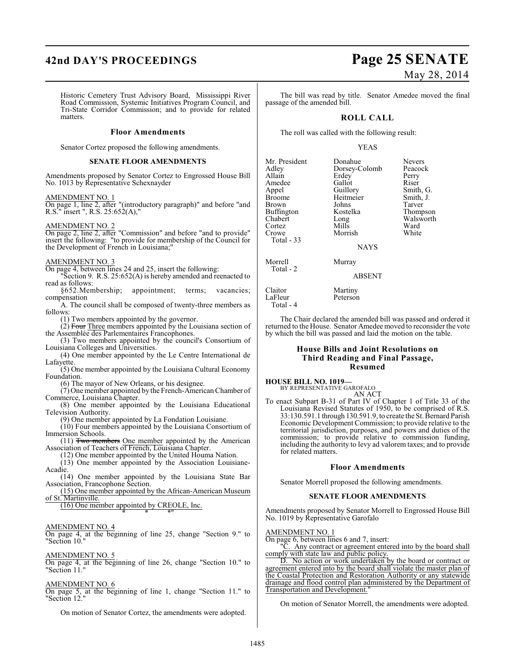## **42nd DAY'S PROCEEDINGS Page 25 SENATE**

Historic Cemetery Trust Advisory Board, Mississippi River Road Commission, Systemic Initiatives Program Council, and Tri-State Corridor Commission; and to provide for related matters.

#### **Floor Amendments**

Senator Cortez proposed the following amendments.

#### **SENATE FLOOR AMENDMENTS**

Amendments proposed by Senator Cortez to Engrossed House Bill No. 1013 by Representative Schexnayder

#### AMENDMENT NO. 1

On page 1, line 2, after "(introductory paragraph)" and before "and R.S." insert ", R.S. 25:652(A),"

#### AMENDMENT NO. 2

On page 2, line 2, after "Commission" and before "and to provide" insert the following: "to provide for membership of the Council for the Development of French in Louisiana;"

#### AMENDMENT NO. 3

On page 4, between lines 24 and 25, insert the following:

"Section 9. R.S. 25:652(A) is hereby amended and reenacted to read as follows:<br>§652.Membership;

appointment; terms; vacancies; compensation

A. The council shall be composed of twenty-three members as follows:

(1) Two members appointed by the governor.

 $(2)$  Four Three members appointed by the Louisiana section of the Assemblée des Parlementaires Francophones.

(3) Two members appointed by the council's Consortium of Louisiana Colleges and Universities.

(4) One member appointed by the Le Centre International de Lafayette.

(5) One member appointed by the Louisiana Cultural Economy Foundation.

(6) The mayor of New Orleans, or his designee.

(7) One member appointed by the French-American Chamber of Commerce, Louisiana Chapter.

(8) One member appointed by the Louisiana Educational Television Authority.

(9) One member appointed by La Fondation Louisiane.

(10) Four members appointed by the Louisiana Consortium of

Immersion Schools. (11) Two members One member appointed by the American Association of Teachers of French, Louisiana Chapter.

(12) One member appointed by the United Houma Nation.

(13) One member appointed by the Association Louisiane-Acadie.

(14) One member appointed by the Louisiana State Bar Association, Francophone Section.

(15) One member appointed by the African-American Museum of St. Martinville.

(16) One member appointed by CREOLE, Inc. \* \* \*"

#### AMENDMENT NO. 4

On page 4, at the beginning of line 25, change "Section 9." to "Section 10." "Section 10.

#### AMENDMENT NO. 5

On page 4, at the beginning of line 26, change "Section 10." to "Section 11."

#### AMENDMENT NO. 6

On page 5, at the beginning of line 1, change "Section 11." to "Section 12."

On motion of Senator Cortez, the amendments were adopted.

# May 28, 2014

The bill was read by title. Senator Amedee moved the final passage of the amended bill.

#### **ROLL CALL**

The roll was called with the following result:

#### YEAS

| Mr. President<br>Adley | Donahue<br>Dorsey-Colomb | <b>Nevers</b><br>Peacock |
|------------------------|--------------------------|--------------------------|
| Allain                 | Erdey                    | Perry                    |
| Amedee                 | Gallot                   | Riser                    |
| Appel                  | Guillory                 | Smith, G.                |
| <b>Broome</b>          | Heitmeier                | Smith, J.                |
| Brown                  | Johns                    | Tarver                   |
| Buffington             | Kostelka                 | Thompson                 |
| Chabert                | Long                     | Walsworth                |
| Cortez                 | Mills                    | Ward                     |
| Crowe                  | Morrish                  | White                    |
| Total - 33             |                          |                          |
|                        | <b>NAYS</b>              |                          |

Morrell Murray

ABSENT

Claitor Martiny<br>LaFleur Petersor Peterson Total - 4

The Chair declared the amended bill was passed and ordered it returned to the House. Senator Amedee moved to reconsider the vote by which the bill was passed and laid the motion on the table.

#### **House Bills and Joint Resolutions on Third Reading and Final Passage, Resumed**

**HOUSE BILL NO. 1019—**

Total - 2

BY REPRESENTATIVE GAROFALO AN ACT

To enact Subpart B-31 of Part IV of Chapter 1 of Title 33 of the Louisiana Revised Statutes of 1950, to be comprised of R.S. 33:130.591.1 through 130.591.9, to create the St. Bernard Parish Economic Development Commission; to provide relative to the territorial jurisdiction, purposes, and powers and duties of the commission; to provide relative to commission funding, including the authority to levy ad valorem taxes; and to provide for related matters.

#### **Floor Amendments**

Senator Morrell proposed the following amendments.

#### **SENATE FLOOR AMENDMENTS**

Amendments proposed by Senator Morrell to Engrossed House Bill No. 1019 by Representative Garofalo

AMENDMENT NO. 1

On page 6, between lines 6 and 7, insert:

Any contract or agreement entered into by the board shall comply with state law and public policy.

D. No action or work undertaken by the board or contract or agreement entered into by the board shall violate the master plan of the Coastal Protection and Restoration Authority or any statewide drainage and flood control plan administered by the Department of Transportation and Development.

On motion of Senator Morrell, the amendments were adopted.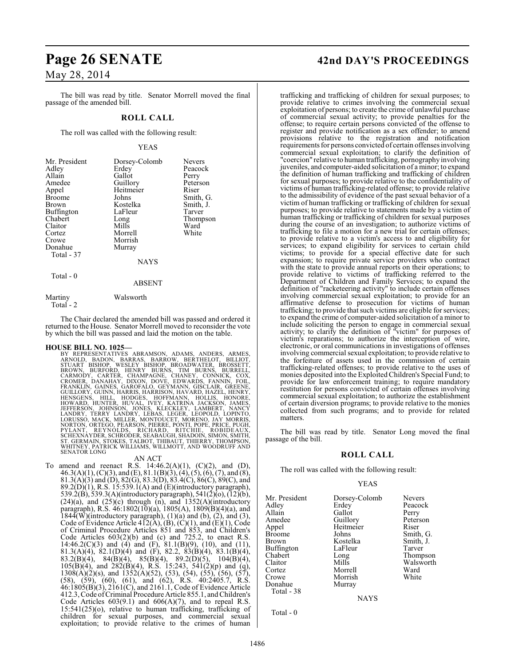The bill was read by title. Senator Morrell moved the final passage of the amended bill.

#### **ROLL CALL**

The roll was called with the following result:

#### YEAS

| Mr. President<br>Adley<br>Allain<br>Amedee<br>Appel<br><b>Broome</b><br>Brown<br>Buffington<br>Chabert<br>Claitor<br>Cortez<br>Crowe | Dorsey-Colomb<br>Erdey<br>Gallot<br>Guillory<br>Heitmeier<br>Johns<br>Kostelka<br>LaFleur<br>Long<br>Mills<br>Morrell<br>Morrish | <b>Nevers</b><br>Peacock<br>Perry<br>Peterson<br>Riser<br>Smith, G.<br>Smith, J.<br>Tarver<br>Thompson<br>Ward<br>White |
|--------------------------------------------------------------------------------------------------------------------------------------|----------------------------------------------------------------------------------------------------------------------------------|-------------------------------------------------------------------------------------------------------------------------|
| Donahue<br>Total - 37                                                                                                                | Murray<br><b>NAYS</b>                                                                                                            |                                                                                                                         |
| Total $-0$                                                                                                                           | <b>ABSENT</b>                                                                                                                    |                                                                                                                         |
| Martiny                                                                                                                              | Walsworth                                                                                                                        |                                                                                                                         |

Total - 2

The Chair declared the amended bill was passed and ordered it returned to the House. Senator Morrell moved to reconsider the vote by which the bill was passed and laid the motion on the table.

HOUSE BILL NO. 1025—<br>
BY REPRESENTATIVES ABRAMSON, ADAMS, ANDERS, ARMES, ARNOLD, BADON, BARRAS, BARROW, BERTHELOT, BILLIOT,<br>
STUART BISHOP, WESLEY BISHOP, BROADWATER, BROSSETT,<br>
BROWN, BURFORD, HENRY BURNS, TIM BURNS, BURR

#### AN ACT

To amend and reenact R.S.  $14:46.2(A)(1)$ ,  $(C)(2)$ , and  $(D)$ , 46.3(A)(1), (C)(3), and (E), 81.1(B)(3), (4), (5), (6), (7), and (8), 81.3(A)(3) and (D), 82(G), 83.3(D), 83.4(C), 86(C), 89(C), and  $89.2(D)(1)$ , R.S. 15:539.1(A) and (E)(introductory paragraph), 539.2(B), 539.3(A)(introductory paragraph), 541(2)(o), (12)(b),  $(24)(a)$ , and  $(25)(c)$  through (n), and  $1352(A)$ (introductory paragraph), R.S. 46:1802(10)(a), 1805(A), 1809(B)(4)(a), and  $1844(W)($ introductory paragraph),  $(1)(a)$  and  $(b)$ ,  $(2)$ , and  $(3)$ , Code of Evidence Article  $4\overline{12}(\overline{A}), (\overline{B}), (\overline{C})(1),$  and  $(\overline{E})(1),$  Code of Criminal Procedure Articles 851 and 853, and Children's Code Articles  $603(2)(b)$  and (c) and 725.2, to enact R.S. 14:46.2(C)(3) and (4) and (F), 81.1(B)(9), (10), and (11), 81.3(A)(4), 82.1(D)(4) and (F), 82.2, 83(B)(4), 83.1(B)(4), 83.2(B)(4), 84(B)(4), 85(B)(4), 89.2(D)(5), 104(B)(4),  $105(B)(4)$ , and  $282(B)(4)$ , R.S. 15:243, 541(2)(p) and (q),  $130\&(\hat{A})(2)(s)$ , and  $1352(\hat{A})(52)$ , (53), (54), (55), (56), (57), (58), (59), (60), (61), and (62), R.S. 40:2405.7, R.S. 46:1805(B)(3), 2161(C), and 2161.1, Code of Evidence Article 412.3, Code of Criminal Procedure Article 855.1, and Children's Code Articles  $603(9.1)$  and  $606(A)(7)$ , and to repeal R.S. 15:541(25)(o), relative to human trafficking, trafficking of children for sexual purposes, and commercial sexual exploitation; to provide relative to the crimes of human

## **Page 26 SENATE 42nd DAY'S PROCEEDINGS**

trafficking and trafficking of children for sexual purposes; to provide relative to crimes involving the commercial sexual exploitation of persons; to create the crime of unlawful purchase of commercial sexual activity; to provide penalties for the offense; to require certain persons convicted of the offense to register and provide notification as a sex offender; to amend provisions relative to the registration and notification requirements for persons convicted of certain offenses involving commercial sexual exploitation; to clarify the definition of "coercion" relative to human trafficking, pornography involving juveniles, and computer-aided solicitation of a minor; to expand the definition of human trafficking and trafficking of children for sexual purposes; to provide relative to the confidentiality of victims of human trafficking-related offense; to provide relative to the admissibility of evidence of the past sexual behavior of a victim of human trafficking or trafficking of children for sexual purposes; to provide relative to statements made by a victim of human trafficking or trafficking of children for sexual purposes during the course of an investigation; to authorize victims of trafficking to file a motion for a new trial for certain offenses; to provide relative to a victim's access to and eligibility for services; to expand eligibility for services to certain child victims; to provide for a special effective date for such expansion; to require private service providers who contract with the state to provide annual reports on their operations; to provide relative to victims of trafficking referred to the Department of Children and Family Services; to expand the definition of "racketeering activity" to include certain offenses involving commercial sexual exploitation; to provide for an affirmative defense to prosecution for victims of human trafficking; to provide that such victims are eligible for services; to expand the crime of computer-aided solicitation of a minor to include soliciting the person to engage in commercial sexual activity; to clarify the definition of "victim" for purposes of victim's reparations; to authorize the interception of wire, electronic, or oral communications in investigations of offenses involving commercial sexual exploitation; to provide relative to the forfeiture of assets used in the commission of certain trafficking-related offenses; to provide relative to the uses of monies deposited into the Exploited Children's Special Fund; to provide for law enforcement training; to require mandatory restitution for persons convicted of certain offenses involving commercial sexual exploitation; to authorize the establishment of certain diversion programs; to provide relative to the monies collected from such programs; and to provide for related matters.

The bill was read by title. Senator Long moved the final passage of the bill.

#### **ROLL CALL**

The roll was called with the following result:

#### YEAS

Mr. President Dorsey-Colomb Nevers<br>Adley Erdey Peacoc Adley Erdey Peacock<br>Allain Gallot Perry Allain Gallot<br>Amedee Guillorv Amedee Guillory Peterson<br>
Appel Heitmeier Riser Appel Heitmeier<br>Broome Johns Broome Johns Smith, G.<br>Brown Kostelka Smith, J. Kostelka Smith,<br>LaFleur Tarver Buffington LaFle<br>Chabert Long Chabert Long Thompson Claitor Mills Walsworth Cortez Morrell Ward Morrish<br>Murray Donahue Total - 38

NAYS

Total - 0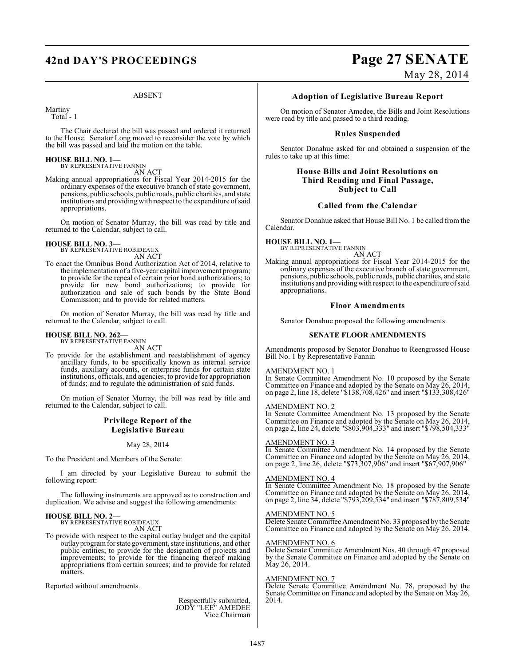## **42nd DAY'S PROCEEDINGS Page 27 SENATE**

#### ABSENT

Martiny

Total - 1

The Chair declared the bill was passed and ordered it returned to the House. Senator Long moved to reconsider the vote by which the bill was passed and laid the motion on the table.

**HOUSE BILL NO. 1—** BY REPRESENTATIVE FANNIN

AN ACT

Making annual appropriations for Fiscal Year 2014-2015 for the ordinary expenses of the executive branch of state government, pensions, public schools, public roads, public charities, and state institutions and providing with respect to the expenditure of said appropriations.

On motion of Senator Murray, the bill was read by title and returned to the Calendar, subject to call.

# **HOUSE BILL NO. 3—** BY REPRESENTATIVE ROBIDEAUX

AN ACT

To enact the Omnibus Bond Authorization Act of 2014, relative to the implementation of a five-year capital improvement program; to provide for the repeal of certain prior bond authorizations; to provide for new bond authorizations; to provide for authorization and sale of such bonds by the State Bond Commission; and to provide for related matters.

On motion of Senator Murray, the bill was read by title and returned to the Calendar, subject to call.

#### **HOUSE BILL NO. 262—** BY REPRESENTATIVE FANNIN

AN ACT

To provide for the establishment and reestablishment of agency ancillary funds, to be specifically known as internal service funds, auxiliary accounts, or enterprise funds for certain state institutions, officials, and agencies; to provide for appropriation of funds; and to regulate the administration of said funds.

On motion of Senator Murray, the bill was read by title and returned to the Calendar, subject to call.

#### **Privilege Report of the Legislative Bureau**

May 28, 2014

To the President and Members of the Senate:

I am directed by your Legislative Bureau to submit the following report:

The following instruments are approved as to construction and duplication. We advise and suggest the following amendments:

#### **HOUSE BILL NO. 2—**

BY REPRESENTATIVE ROBIDEAUX AN ACT

To provide with respect to the capital outlay budget and the capital outlay program for state government, state institutions, and other public entities; to provide for the designation of projects and improvements; to provide for the financing thereof making appropriations from certain sources; and to provide for related matters.

Reported without amendments.

Respectfully submitted, JODY "LEE" AMEDEE Vice Chairman

# May 28, 2014

**Adoption of Legislative Bureau Report**

On motion of Senator Amedee, the Bills and Joint Resolutions were read by title and passed to a third reading.

#### **Rules Suspended**

Senator Donahue asked for and obtained a suspension of the rules to take up at this time:

### **House Bills and Joint Resolutions on Third Reading and Final Passage, Subject to Call**

#### **Called from the Calendar**

Senator Donahue asked that House Bill No. 1 be called from the Calendar.

**HOUSE BILL NO. 1—** BY REPRESENTATIVE FANNIN

AN ACT

Making annual appropriations for Fiscal Year 2014-2015 for the ordinary expenses of the executive branch of state government, pensions, public schools, public roads, public charities, and state institutions and providingwith respect to the expenditure of said appropriations.

#### **Floor Amendments**

Senator Donahue proposed the following amendments.

#### **SENATE FLOOR AMENDMENTS**

Amendments proposed by Senator Donahue to Reengrossed House Bill No. 1 by Representative Fannin

#### AMENDMENT NO. 1

In Senate Committee Amendment No. 10 proposed by the Senate Committee on Finance and adopted by the Senate on May 26, 2014, on page 2, line 18, delete "\$138,708,426" and insert "\$133,308,426"

#### AMENDMENT NO. 2

In Senate Committee Amendment No. 13 proposed by the Senate Committee on Finance and adopted by the Senate on May 26, 2014, on page 2, line 24, delete "\$803,904,333" and insert "\$798,504,333"

#### AMENDMENT NO. 3

In Senate Committee Amendment No. 14 proposed by the Senate Committee on Finance and adopted by the Senate on May 26, 2014, on page 2, line 26, delete "\$73,307,906" and insert "\$67,907,906"

#### AMENDMENT NO. 4

In Senate Committee Amendment No. 18 proposed by the Senate Committee on Finance and adopted by the Senate on May 26, 2014, on page 2, line 34, delete "\$793,209,534" and insert "\$787,809,534"

#### AMENDMENT NO. 5

Delete Senate Committee Amendment No. 33 proposed by the Senate Committee on Finance and adopted by the Senate on May 26, 2014.

#### AMENDMENT NO. 6

Delete Senate Committee Amendment Nos. 40 through 47 proposed by the Senate Committee on Finance and adopted by the Senate on May 26, 2014.

#### AMENDMENT NO. 7

Delete Senate Committee Amendment No. 78, proposed by the Senate Committee on Finance and adopted by the Senate on May 26, 2014.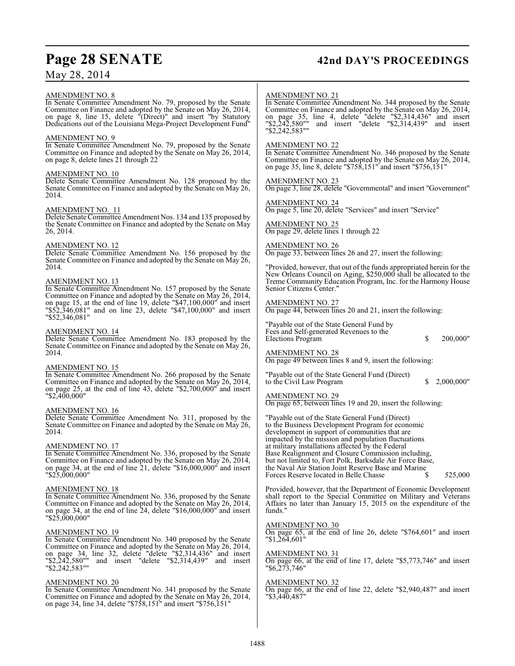AMENDMENT NO. 8

# **Page 28 SENATE 42nd DAY'S PROCEEDINGS**

#### AMENDMENT NO. 21

In Senate Committee Amendment No. 79, proposed by the Senate Committee on Finance and adopted by the Senate on May 26, 2014, on page 8, line 15, delete "(Direct)" and insert "by Statutory Dedications out of the Louisiana Mega-Project Development Fund"

## AMENDMENT NO. 9

In Senate Committee Amendment No. 79, proposed by the Senate Committee on Finance and adopted by the Senate on May 26, 2014, on page 8, delete lines 21 through 22

#### AMENDMENT NO. 10

Delete Senate Committee Amendment No. 128 proposed by the Senate Committee on Finance and adopted by the Senate on May 26, 2014.

#### AMENDMENT NO. 11

Delete Senate Committee Amendment Nos. 134 and 135 proposed by the Senate Committee on Finance and adopted by the Senate on May 26, 2014.

#### AMENDMENT NO. 12

Delete Senate Committee Amendment No. 156 proposed by the Senate Committee on Finance and adopted by the Senate on May 26, 2014.

#### AMENDMENT NO. 13

In Senate Committee Amendment No. 157 proposed by the Senate Committee on Finance and adopted by the Senate on May 26, 2014, on page 15, at the end of line 19, delete "\$47,100,000" and insert "\$52,346,081" and on line 23, delete "\$47,100,000" and insert "\$52,346,081"

#### AMENDMENT NO. 14

Delete Senate Committee Amendment No. 183 proposed by the Senate Committee on Finance and adopted by the Senate on May 26, 2014.

#### AMENDMENT NO. 15

In Senate Committee Amendment No. 266 proposed by the Senate Committee on Finance and adopted by the Senate on May 26, 2014, Committee on Finance and adopted by the Senate on May 26, 2014, on page 25, at the end of line 43, delete "\$2,700,000" and insert "\$2,400,000"

#### AMENDMENT NO. 16

Delete Senate Committee Amendment No. 311, proposed by the Senate Committee on Finance and adopted by the Senate on May 26, 2014.

#### AMENDMENT NO. 17

In Senate Committee Amendment No. 336, proposed by the Senate Committee on Finance and adopted by the Senate on May 26, 2014, on page 34, at the end of line 21, delete "\$16,000,000" and insert "\$25,000,000"

#### AMENDMENT NO. 18

In Senate Committee Amendment No. 336, proposed by the Senate Committee on Finance and adopted by the Senate on May 26, 2014, on page 34, at the end of line 24, delete "\$16,000,000" and insert "\$25,000,000"

#### AMENDMENT NO. 19

In Senate Committee Amendment No. 340 proposed by the Senate Committee on Finance and adopted by the Senate on May 26, 2014, on page 34, line 32, delete "delete "\$2,314,436" and insert "\$2,242,580"" and insert "delete "\$2,314,439" and insert "\$2,242,583""

#### AMENDMENT NO. 20

In Senate Committee Amendment No. 341 proposed by the Senate Committee on Finance and adopted by the Senate on May 26, 2014, on page 34, line 34, delete "\$758,151" and insert "\$756,151"

# In Senate Committee Amendment No. 344 proposed by the Senate

Committee on Finance and adopted by the Senate on May 26, 2014, on page 35, line 4, delete "delete "\$2,314,436" and insert "\$2,242,580"" and insert "delete "\$2,314,439" and insert "\$2,242,583""

### AMENDMENT NO. 22

In Senate Committee Amendment No. 346 proposed by the Senate Committee on Finance and adopted by the Senate on May 26, 2014, on page 35, line 8, delete "\$758,151" and insert "\$756,151"

#### AMENDMENT NO. 23

On page 3, line 28, delete "Governmental" and insert "Government"

AMENDMENT NO. 24 On page 5, line 20, delete "Services" and insert "Service"

AMENDMENT NO. 25 On page 29, delete lines 1 through 22

#### AMENDMENT NO. 26

On page 33, between lines 26 and 27, insert the following:

"Provided, however, that out of the funds appropriated herein for the New Orleans Council on Aging, \$250,000 shall be allocated to the Treme Community Education Program, Inc. for the Harmony House Senior Citizens Center."

#### AMENDMENT NO. 27

On page 44, between lines 20 and 21, insert the following:

"Payable out of the State General Fund by Fees and Self-generated Revenues to the Elections Program  $\qquad \qquad$  \$ 200,000"

#### AMENDMENT NO. 28 On page 49 between lines 8 and 9, insert the following:

"Payable out of the State General Fund (Direct) to the Civil Law Program  $\qquad \qquad$  \$ 2,000,000"

#### AMENDMENT NO. 29

On page 65, between lines 19 and 20, insert the following:

"Payable out of the State General Fund (Direct) to the Business Development Program for economic development in support of communities that are impacted by the mission and population fluctuations at military installations affected by the Federal Base Realignment and Closure Commission including, but not limited to, Fort Polk, Barksdale Air Force Base, the Naval Air Station Joint Reserve Base and Marine Forces Reserve located in Belle Chasse  $$525,000$ 

Provided, however, that the Department of Economic Development shall report to the Special Committee on Military and Veterans Affairs no later than January 15, 2015 on the expenditure of the funds."

#### AMENDMENT NO. 30

On page 65, at the end of line 26, delete "\$764,601" and insert "\$1,264,601"

#### AMENDMENT NO. 31

On page 66, at the end of line 17, delete "\$5,773,746" and insert "\$6,273,746"

#### AMENDMENT NO. 32

On page 66, at the end of line 22, delete "\$2,940,487" and insert "\$3,440,487"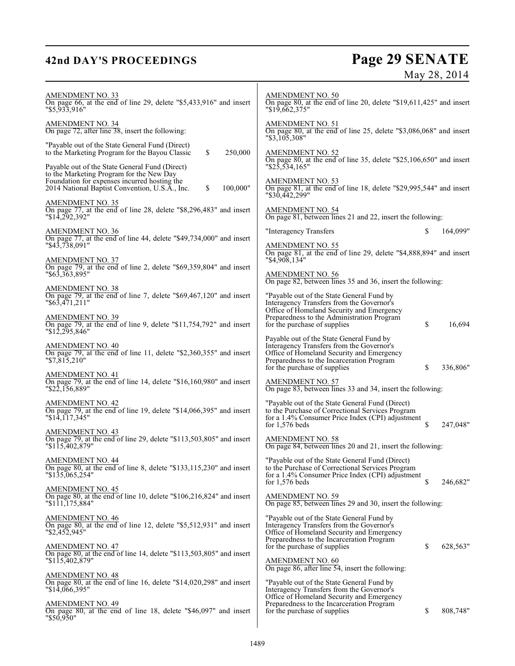## **42nd DAY'S PROCEEDINGS**

# **Page 29 SENATE**<br>May 28, 2014

| On page 66, at the end of line 29, delete "\$5,433,916" and insert<br>"\$5,933,916"<br>"19,662,375"                                                                                                                                                                           | On page 80, at the end of line 20, delete "\$19,611,425" and insert                                                                                                                               |
|-------------------------------------------------------------------------------------------------------------------------------------------------------------------------------------------------------------------------------------------------------------------------------|---------------------------------------------------------------------------------------------------------------------------------------------------------------------------------------------------|
| AMENDMENT NO. 34<br>On page 72, after line 38, insert the following:<br><b>AMENDMENT NO. 51</b><br>"\$3,105,308"                                                                                                                                                              | On page 80, at the end of line 25, delete "\$3,086,068" and insert                                                                                                                                |
| "Payable out of the State General Fund (Direct)<br>\$<br>to the Marketing Program for the Bayou Classic<br>250,000<br><b>AMENDMENT NO. 52</b>                                                                                                                                 | On page 80, at the end of line 35, delete "\$25,106,650" and insert                                                                                                                               |
| Payable out of the State General Fund (Direct)<br>"\$25,534,165"<br>to the Marketing Program for the New Day<br>Foundation for expenses incurred hosting the<br><b>AMENDMENT NO. 53</b><br>\$<br>100,000"<br>2014 National Baptist Convention, U.S.A., Inc.<br>"\$30.442.299" | On page 81, at the end of line 18, delete "\$29,995,544" and insert                                                                                                                               |
| AMENDMENT NO. 35<br>On page 77, at the end of line 28, delete "\$8,296,483" and insert<br><b>AMENDMENT NO. 54</b><br>"\$14,292,392"                                                                                                                                           | On page 81, between lines 21 and 22, insert the following:                                                                                                                                        |
| <b>AMENDMENT NO. 36</b><br>"Interagency Transfers<br>On page 77, at the end of line 44, delete "\$49,734,000" and insert<br>$"\$4\overline{3},7\overline{3}8,091"$<br>AMENDMENT NO. 55                                                                                        | 164,099"                                                                                                                                                                                          |
| "\$4,908,134"<br><b>AMENDMENT NO. 37</b><br>On page 79, at the end of line 2, delete "\$69,359,804" and insert<br>$"\$6\overline{3}.\overline{363}.\overline{895"$<br><b>AMENDMENT NO. 56</b>                                                                                 | On page 81, at the end of line 29, delete "\$4,888,894" and insert                                                                                                                                |
| <b>AMENDMENT NO. 38</b><br>On page 79, at the end of line 7, delete "\$69,467,120" and insert                                                                                                                                                                                 | On page 82, between lines 35 and 36, insert the following:<br>"Payable out of the State General Fund by                                                                                           |
| "\$63,471,211"<br><b>AMENDMENT NO. 39</b><br>On page 79, at the end of line 9, delete "\$11,754,792" and insert<br>for the purchase of supplies<br>"\$12,295,846"                                                                                                             | Interagency Transfers from the Governor's<br>Office of Homeland Security and Emergency<br>Preparedness to the Administration Program<br>\$<br>16,694                                              |
| AMENDMENT NO. 40<br>On page 79, at the end of line 11, delete "\$2,360,355" and insert<br>$"\$7,815,210"$<br>for the purchase of supplies                                                                                                                                     | Payable out of the State General Fund by<br>Interagency Transfers from the Governor's<br>Office of Homeland Security and Emergency<br>Preparedness to the Incarceration Program<br>\$<br>336,806" |
| <b>AMENDMENT NO. 41</b><br>On page 79, at the end of line 14, delete "\$16,160,980" and insert<br><b>AMENDMENT NO. 57</b><br>$"\$22,156,889"$                                                                                                                                 | On page 83, between lines 33 and 34, insert the following:                                                                                                                                        |
| <b>AMENDMENT NO. 42</b><br>On page 79, at the end of line 19, delete "\$14,066,395" and insert<br>$"\$1\overline{4}$ , 117, 345"<br>for $1,576$ beds                                                                                                                          | "Payable out of the State General Fund (Direct)<br>to the Purchase of Correctional Services Program<br>for a 1.4% Consumer Price Index (CPI) adjustment<br>247,048"<br>\$                         |
| <b>AMENDMENT NO. 43</b><br>On page 79, at the end of line 29, delete "\$113,503,805" and insert<br><b>AMENDMENT NO. 58</b><br>"\$115,402,879"                                                                                                                                 | On page 84, between lines 20 and 21, insert the following:                                                                                                                                        |
| <b>AMENDMENT NO. 44</b><br>On page 80, at the end of line 8, delete "\$133,115,230" and insert<br>"\$135,065,254"<br>for $1,576$ beds                                                                                                                                         | "Payable out of the State General Fund (Direct)<br>to the Purchase of Correctional Services Program<br>for a 1.4% Consumer Price Index (CPI) adjustment<br>S<br>246,682"                          |
| AMENDMENT NO. 45<br>On page 80, at the end of line 10, delete " $$106,216,824"$ and insert<br>"\$111,175,884"                                                                                                                                                                 | AMENDMENT NO. 59<br>On page 85, between lines 29 and 30, insert the following:                                                                                                                    |
| <b>AMENDMENT NO. 46</b><br>On page 80, at the end of line 12, delete "\$5,512,931" and insert<br>"\$2,452,945"                                                                                                                                                                | "Payable out of the State General Fund by<br>Interagency Transfers from the Governor's<br>Office of Homeland Security and Emergency<br>Preparedness to the Incarceration Program                  |
| <b>AMENDMENT NO. 47</b><br>for the purchase of supplies<br>On page 80, at the end of line 14, delete "\$113,503,805" and insert<br>"\$115,402,879"<br>AMENDMENT NO. 60                                                                                                        | \$<br>628,563"<br>On page 86, after line 54, insert the following:                                                                                                                                |
| <b>AMENDMENT NO. 48</b><br>On page 80, at the end of line 16, delete " $$14,020,298$ " and insert<br>"\$14,066,395"                                                                                                                                                           | "Payable out of the State General Fund by<br>Interagency Transfers from the Governor's                                                                                                            |
| AMENDMENT NO. 49<br>On page 80, at the end of line 18, delete "\$46,097" and insert<br>for the purchase of supplies<br>"\$50,950"                                                                                                                                             | Office of Homeland Security and Emergency<br>Preparedness to the Incarceration Program<br>\$<br>808,748"                                                                                          |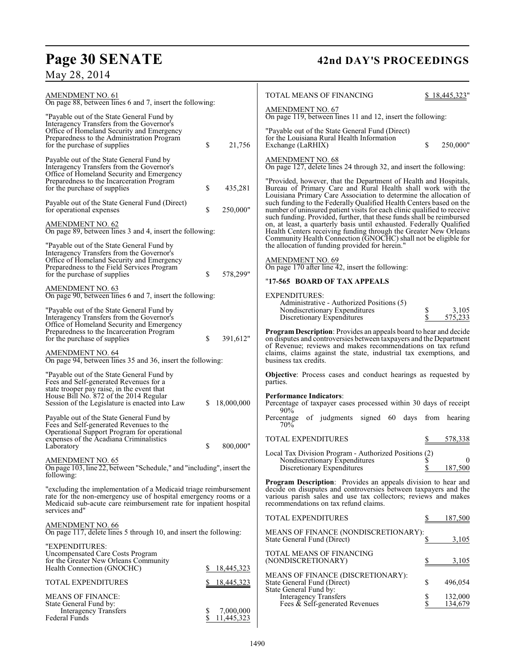# **Page 30 SENATE 42nd DAY'S PROCEEDINGS**

|  |  | May 28, 2014 |
|--|--|--------------|
|--|--|--------------|

| <b>AMENDMENT NO. 61</b><br>On page 88, between lines 6 and 7, insert the following:                                                                                                                      |         |                                 | TOTAL MEANS OF FINANCING                                                                                                                                                                                                                                                   |          | \$18,445,323"      |
|----------------------------------------------------------------------------------------------------------------------------------------------------------------------------------------------------------|---------|---------------------------------|----------------------------------------------------------------------------------------------------------------------------------------------------------------------------------------------------------------------------------------------------------------------------|----------|--------------------|
| "Payable out of the State General Fund by                                                                                                                                                                |         |                                 | <b>AMENDMENT NO. 67</b><br>On page 119, between lines 11 and 12, insert the following:                                                                                                                                                                                     |          |                    |
| Interagency Transfers from the Governor's<br>Office of Homeland Security and Emergency<br>Preparedness to the Administration Program<br>for the purchase of supplies                                     | \$      | 21,756                          | "Payable out of the State General Fund (Direct)<br>for the Louisiana Rural Health Information<br>Exchange (LaRHIX)                                                                                                                                                         | \$       | 250,000"           |
| Payable out of the State General Fund by<br>Interagency Transfers from the Governor's<br>Office of Homeland Security and Emergency                                                                       |         |                                 | <b>AMENDMENT NO. 68</b><br>On page 127, delete lines 24 through 32, and insert the following:                                                                                                                                                                              |          |                    |
| Preparedness to the Incarceration Program<br>for the purchase of supplies                                                                                                                                | \$      | 435,281                         | "Provided, however, that the Department of Health and Hospitals,<br>Bureau of Primary Care and Rural Health shall work with the<br>Louisiana Primary Care Association to determine the allocation of                                                                       |          |                    |
| Payable out of the State General Fund (Direct)<br>for operational expenses                                                                                                                               | \$      | 250,000"                        | such funding to the Federally Qualified Health Centers based on the<br>number of uninsured patient visits for each clinic qualified to receive<br>such funding. Provided, further, that these funds shall be reimbursed                                                    |          |                    |
| <b>AMENDMENT NO. 62</b><br>On page 89, between lines 3 and 4, insert the following:                                                                                                                      |         |                                 | on, at least, a quarterly basis until exhausted. Federally Qualified<br>Health Centers receiving funding through the Greater New Orleans<br>Community Health Connection (GNOCHC) shall not be eligible for                                                                 |          |                    |
| "Payable out of the State General Fund by<br>Interagency Transfers from the Governor's<br>Office of Homeland Security and Emergency                                                                      |         |                                 | the allocation of funding provided for herein."<br><b>AMENDMENT NO. 69</b><br>On page 170 after line 42, insert the following:                                                                                                                                             |          |                    |
| Preparedness to the Field Services Program<br>for the purchase of supplies                                                                                                                               | \$      | 578,299"                        | "17-565 BOARD OF TAX APPEALS                                                                                                                                                                                                                                               |          |                    |
| AMENDMENT NO. 63<br>On page 90, between lines 6 and 7, insert the following:                                                                                                                             |         |                                 | <b>EXPENDITURES:</b><br>Administrative - Authorized Positions (5)                                                                                                                                                                                                          |          |                    |
| "Payable out of the State General Fund by<br>Interagency Transfers from the Governor's<br>Office of Homeland Security and Emergency                                                                      |         |                                 | Nondiscretionary Expenditures<br>Discretionary Expenditures                                                                                                                                                                                                                | \$<br>\$ | 3,105<br>575,233   |
| Preparedness to the Incarceration Program<br>for the purchase of supplies<br><b>AMENDMENT NO. 64</b>                                                                                                     | \$      | 391,612"                        | Program Description: Provides an appeals board to hear and decide<br>on disputes and controversies between taxpayers and the Department<br>of Revenue; reviews and makes recommendations on tax refund<br>claims, claims against the state, industrial tax exemptions, and |          |                    |
| On page 94, between lines 35 and 36, insert the following:                                                                                                                                               |         |                                 | business tax credits.                                                                                                                                                                                                                                                      |          |                    |
| "Payable out of the State General Fund by<br>Fees and Self-generated Revenues for a<br>state trooper pay raise, in the event that                                                                        |         |                                 | <b>Objective:</b> Process cases and conduct hearings as requested by<br>parties.                                                                                                                                                                                           |          |                    |
| House Bill No. 872 of the 2014 Regular<br>Session of the Legislature is enacted into Law                                                                                                                 | S       | 18,000,000                      | <b>Performance Indicators:</b><br>Percentage of taxpayer cases processed within 30 days of receipt<br>$90\%$                                                                                                                                                               |          |                    |
| Payable out of the State General Fund by<br>Fees and Self-generated Revenues to the<br>Operational Support Program for operational                                                                       |         |                                 | Percentage of judgments signed 60 days from hearing<br>70%                                                                                                                                                                                                                 |          |                    |
| expenses of the Acadiana Criminalistics<br>Laboratory                                                                                                                                                    | \$      | 800,000"                        | TOTAL EXPENDITURES                                                                                                                                                                                                                                                         |          | 578,338            |
| AMENDMENT NO. 65<br>On page 103, line 22, between "Schedule," and "including", insert the<br>following:                                                                                                  |         |                                 | Local Tax Division Program - Authorized Positions (2)<br>Nondiscretionary Expenditures<br>Discretionary Expenditures                                                                                                                                                       | Ъ<br>\$  | - U<br>187,500     |
| "excluding the implementation of a Medicaid triage reimbursement<br>rate for the non-emergency use of hospital emergency rooms or a<br>Medicaid sub-acute care reimbursement rate for inpatient hospital |         |                                 | <b>Program Description:</b> Provides an appeals division to hear and<br>decide on disuputes and controversies between taxpayers and the<br>various parish sales and use tax collectors; reviews and makes<br>recommendations on tax refund claims.                         |          |                    |
| services and"                                                                                                                                                                                            |         |                                 | <b>TOTAL EXPENDITURES</b>                                                                                                                                                                                                                                                  | \$       | 187,500            |
| AMENDMENT NO. 66<br>On page 117, delete lines 5 through 10, and insert the following:                                                                                                                    |         |                                 | MEANS OF FINANCE (NONDISCRETIONARY):<br>State General Fund (Direct)                                                                                                                                                                                                        |          | 3,105              |
| "EXPENDITURES:<br>Uncompensated Care Costs Program<br>for the Greater New Orleans Community                                                                                                              |         |                                 | TOTAL MEANS OF FINANCING<br>(NONDISCRETIONARY)                                                                                                                                                                                                                             |          | 3,105              |
| Health Connection (GNOCHC)<br><b>TOTAL EXPENDITURES</b>                                                                                                                                                  | S.      | 18,445,323<br><u>18,445,323</u> | MEANS OF FINANCE (DISCRETIONARY):<br>State General Fund (Direct)                                                                                                                                                                                                           | \$       | 496,054            |
| <b>MEANS OF FINANCE:</b><br>State General Fund by:                                                                                                                                                       |         |                                 | State General Fund by:<br><b>Interagency Transfers</b><br>Fees $\&$ Self-generated Revenues                                                                                                                                                                                | \$       | 132,000<br>134,679 |
| <b>Interagency Transfers</b><br>Federal Funds                                                                                                                                                            | S<br>\$ | 7,000,000<br>11,445,323         |                                                                                                                                                                                                                                                                            |          |                    |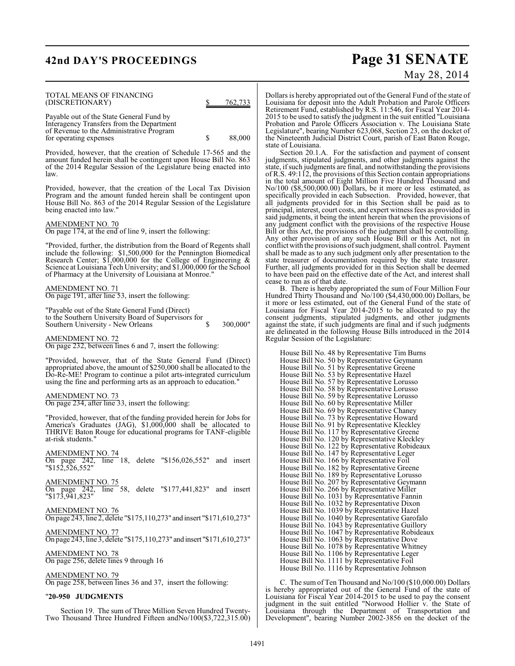## **42nd DAY'S PROCEEDINGS Page 31 SENATE**

# May 28, 2014

| TOTAL MEANS OF FINANCING<br>(DISCRETIONARY)<br>762,733<br>Z.                                                                                                                                                                                                                                                                                 | Dollars is he<br>Louisiana f                                                               |
|----------------------------------------------------------------------------------------------------------------------------------------------------------------------------------------------------------------------------------------------------------------------------------------------------------------------------------------------|--------------------------------------------------------------------------------------------|
| Payable out of the State General Fund by<br>Interagency Transfers from the Department<br>of Revenue to the Administrative Program<br>\$<br>88,000<br>for operating expenses                                                                                                                                                                  | Retirement<br>2015 to be u<br>Probation a<br>Legislature'<br>the Ninetee:<br>state of Lou  |
| Provided, however, that the creation of Schedule 17-565 and the<br>amount funded herein shall be contingent upon House Bill No. 863<br>of the 2014 Regular Session of the Legislature being enacted into<br>law.                                                                                                                             | Section<br>judgments,<br>state, if such<br>of R.S. 49:1<br>in the total                    |
| Provided, however, that the creation of the Local Tax Division<br>Program and the amount funded herein shall be contingent upon<br>House Bill No. 863 of the 2014 Regular Session of the Legislature<br>being enacted into law."                                                                                                             | No/100 (\$8<br>specifically<br>all judgmer<br>principal, in                                |
| <b>AMENDMENT NO. 70</b><br>On page 174, at the end of line 9, insert the following:                                                                                                                                                                                                                                                          | said judgme<br>any judgme<br>Bill or this                                                  |
| "Provided, further, the distribution from the Board of Regents shall<br>include the following: \$1,500,000 for the Pennington Biomedical<br>Research Center; $$1,000,000$ for the College of Engineering &<br>Science at Louisiana Tech University; and \$1,000,000 for the School<br>of Pharmacy at the University of Louisiana at Monroe." | Any other<br>conflict with<br>shall be maq<br>state treasu<br>Further, all<br>to have beer |
| AMENDMENT NO. 71<br>On page 191, after line 53, insert the following:                                                                                                                                                                                                                                                                        | cease to run<br>B. The<br>Hundred Th                                                       |
| "Payable out of the State General Fund (Direct)<br>to the Southern University Board of Supervisors for<br>\$<br>300,000"<br>Southern University - New Orleans                                                                                                                                                                                | it more or 1<br>Louisiana f<br>consent jud<br>against the                                  |
| <u>AMENDMENT NO. 72</u><br>On page 232, between lines 6 and 7, insert the following:                                                                                                                                                                                                                                                         | are delineat<br>Regular Ses                                                                |
| "Provided, however, that of the State General Fund (Direct)<br>appropriated above, the amount of \$250,000 shall be allocated to the<br>Do-Re-ME! Program to continue a pilot arts-integrated curriculum<br>using the fine and performing arts as an approach to education."                                                                 | House<br>House<br>House<br>House<br>House                                                  |
| AMENDMENT NO. 73<br>On page 234, after line 33, insert the following:                                                                                                                                                                                                                                                                        | House<br>House<br>House                                                                    |
| "Provided, however, that of the funding provided herein for Jobs for<br>America's Graduates (JAG), \$1,000,000 shall be allocated to<br>THRIVE Baton Rouge for educational programs for TANF-eligible<br>at-risk students."                                                                                                                  | House<br>House<br>House<br>House<br>House                                                  |
| <b>AMENDMENT NO. 74</b><br>"\$156,026,552" and insert<br>On page 242, line 18, delete<br>"\$152,526,552"                                                                                                                                                                                                                                     | House<br>House<br>House<br>House                                                           |
| <b>AMENDMENT NO. 75</b><br>$\overline{\text{line}}$ 58,<br>delete "\$177,441,823" and insert<br>On page 242,<br>$"\$17\overline{3},9\overline{4}1,823"$                                                                                                                                                                                      | House<br>House<br>House<br>House                                                           |
| AMENDMENT NO. 76<br>On page 243, line 2, delete "\$175, 110, 273" and insert "\$171, 610, 273"                                                                                                                                                                                                                                               | House<br>House<br>House                                                                    |
| AMENDMENT NO. 77<br>On page 243, line 3, delete "\$175, 110, 273" and insert "\$171, 610, 273"                                                                                                                                                                                                                                               | House<br>House<br>House                                                                    |
| AMENDMENT NO. 78<br>On page 256, delete lines 9 through 16                                                                                                                                                                                                                                                                                   | House<br>House<br>House<br>House                                                           |
| <b>AMENDMENT NO. 79</b><br>On page 258, between lines 36 and 37, insert the following:                                                                                                                                                                                                                                                       | C. The<br>is hereby a                                                                      |
|                                                                                                                                                                                                                                                                                                                                              |                                                                                            |

#### "**20-950 JUDGMENTS**

Section 19. The sum of Three Million Seven Hundred Twenty-Two Thousand Three Hundred Fifteen andNo/100(\$3,722,315.00)

ereby appropriated out of the General Fund of the state of or deposit into the Adult Probation and Parole Officers Fund, established by R.S. 11:546, for Fiscal Year 2014sed to satisfy the judgment in the suit entitled "Louisiana" nd Parole Officers Association v. The Louisiana State , bearing Number 623,068, Section 23, on the docket of nth Judicial District Court, parish of East Baton Rouge, isiana.

1 20.1.A. For the satisfaction and payment of consent stipulated judgments, and other judgments against the i judgments are final, and notwithstanding the provisions I2, the provisions of this Section contain appropriations amount of Eight Million Five Hundred Thousand and  $(500,000,00)$  Dollars, be it more or less estimated, as specifically provided in each Subsection. Provided, however, that all judgments provided for in this Section shall be paid as to terest, court costs, and expert witness fees as provided in nts, it being the intent herein that when the provisions of int conflict with the provisions of the respective House Bill or this Act, the provisions of the judgment shall be controlling. Any other provision of any such House Bill or this Act, not in h the provisions of such judgment, shall control. Payment shall be made as to any such judgment only after presentation to the state treasurer of documentation required by the state treasurer. judgments provided for in this Section shall be deemed n paid on the effective date of the Act, and interest shall as of that date.

B. There is hereby appropriated the sum of Four Million Four Hundred Thirty Thousand and No/100 (\$4,430,000.00) Dollars, be less estimated, out of the General Fund of the state of for Fiscal Year 2014-2015 to be allocated to pay the consent judgments, stipulated judgments, and other judgments against the state, if such judgments are final and if such judgments ted in the following House Bills introduced in the 2014 ssion of the Legislature:

Bill No. 48 by Representative Tim Burns Bill No. 50 by Representative Geymann Bill No. 51 by Representative Greene Bill No. 53 by Representative Hazel Bill No. 57 by Representative Lorusso Bill No. 58 by Representative Lorusso Bill No. 59 by Representative Lorusso Bill No. 60 by Representative Miller Bill No. 69 by Representative Chaney Bill No. 73 by Representative Howard Bill No. 91 by Representative Kleckley Bill No. 117 by Representative Greene Bill No. 120 by Representative Kleckley House Bill No. 122 by Representative Robideaux House Bill No. 147 by Representative Leger House Bill No. 166 by Representative Foil Bill No. 182 by Representative Greene Bill No. 189 by Representative Lorusso Bill No. 207 by Representative Geymann Bill No. 266 by Representative Miller Bill No. 1031 by Representative Fannin Bill No. 1032 by Representative Dixon House Bill No. 1039 by Representative Hazel House Bill No. 1040 by Representative Garofalo Bill No. 1043 by Representative Guillory Bill No. 1047 by Representative Robideaux Bill No. 1063 by Representative Dove Bill No. 1078 by Representative Whitney Bill No. 1106 by Representative Leger Bill No. 1111 by Representative Foil Bill No. 1116 by Representative Johnson

e sum of Ten Thousand and No/100 (\$10,000.00) Dollars appropriated out of the General Fund of the state of Louisiana for Fiscal Year 2014-2015 to be used to pay the consent judgment in the suit entitled "Norwood Hollier v. the State of Louisiana through the Department of Transportation and Development", bearing Number 2002-3856 on the docket of the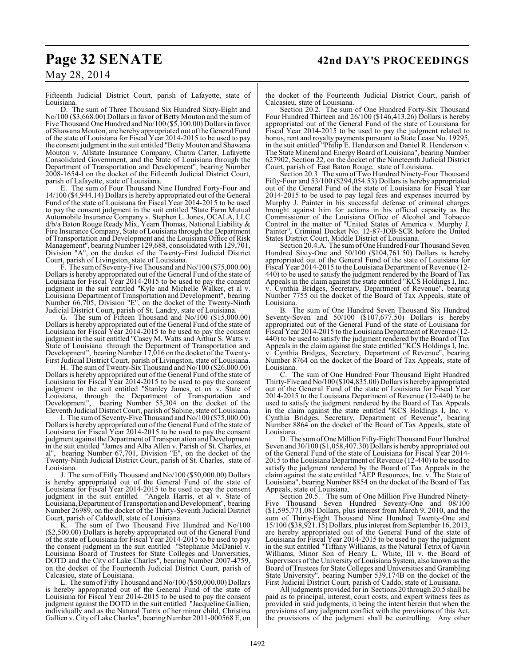# **Page 32 SENATE 42nd DAY'S PROCEEDINGS**

## May 28, 2014

Fifteenth Judicial District Court, parish of Lafayette, state of Louisiana.

D. The sum of Three Thousand Six Hundred Sixty-Eight and No/100 (\$3,668.00) Dollars in favor of Betty Mouton and the sum of Five Thousand One Hundred and No/100 (\$5,100.00) Dollars in favor of Shawana Mouton, are hereby appropriated out of the General Fund of the state of Louisiana for Fiscal Year 2014-2015 to be used to pay the consent judgment in the suit entitled "Betty Mouton and Shawana Mouton v. Allstate Insurance Company, Chatra Carter, Lafayette Consolidated Government, and the State of Louisiana through the Department of Transportation and Development", bearing Number 2008-1654-I on the docket of the Fifteenth Judicial District Court, parish of Lafayette, state of Louisiana.

E. The sum of Four Thousand Nine Hundred Forty-Four and 14/100 (\$4,944.14) Dollars is hereby appropriated out of the General Fund of the state of Louisiana for Fiscal Year 2014-2015 to be used to pay the consent judgment in the suit entitled "State Farm Mutual Automobile Insurance Company v. Stephen L. Jones, OCALA, LLC d/b/a Baton Rouge Ready Mix, Yearn Thomas, National Liability & Fire Insurance Company, State of Louisiana through the Department of Transportation and Development and the Louisiana Office of Risk Management", bearing Number 129,688, consolidated with 129,701, Division "A", on the docket of the Twenty-First Judicial District Court, parish of Livingston, state of Louisiana.

F. The sum of Seventy-Five Thousand and No/100 (\$75,000.00) Dollars is hereby appropriated out of the General Fund of the state of Louisiana for Fiscal Year 2014-2015 to be used to pay the consent judgment in the suit entitled "Kyle and Michelle Walker, et al v. Louisiana Department of Transportation and Development", bearing Number 66,705, Division "E", on the docket of the Twenty-Ninth Judicial District Court, parish of St. Landry, state of Louisiana.

G. The sum of Fifteen Thousand and No/100 (\$15,000.00) Dollars is hereby appropriated out of the General Fund of the state of Louisiana for Fiscal Year 2014-2015 to be used to pay the consent judgment in the suit entitled "Casey M. Watts and Arthur S. Watts v. State of Louisiana through the Department of Transportation and Development", bearing Number  $17,016$  on the docket of the Twenty-First Judicial District Court, parish of Livingston, state of Louisiana.

H. The sum of Twenty-Six Thousand and No/100 (\$26,000.00) Dollars is hereby appropriated out of the General Fund of the state of Louisiana for Fiscal Year 2014-2015 to be used to pay the consent judgment in the suit entitled "Stanley James, et ux v. State of Louisiana, through the Department of Transportation and Development", bearing Number 55,304 on the docket of the Eleventh Judicial District Court, parish of Sabine, state of Louisiana.

I. The sum of Seventy-Five Thousand and No/100 (\$75,000.00) Dollars is hereby appropriated out of the General Fund of the state of Louisiana for Fiscal Year 2014-2015 to be used to pay the consent judgment against the Department of Transportation and Development in the suit entitled "James and Alba Allen v. Parish of St. Charles, et al", bearing Number 67,701, Division "E", on the docket of the Twenty-Ninth Judicial District Court, parish of St. Charles, state of Louisiana.

J. The sum of Fifty Thousand and No/100 (\$50,000.00) Dollars is hereby appropriated out of the General Fund of the state of Louisiana for Fiscal Year 2014-2015 to be used to pay the consent judgment in the suit entitled "Angela Harris, et al v. State of Louisiana, Department of Transportation and Development", bearing Number 26989, on the docket of the Thirty-Seventh Judicial District Court, parish of Caldwell, state of Louisiana.

K. The sum of Two Thousand Five Hundred and No/100 (\$2,500.00) Dollars is hereby appropriated out of the General Fund of the state of Louisiana for Fiscal Year 2014-2015 to be used to pay the consent judgment in the suit entitled "Stephanie McDaniel v. Louisiana Board of Trustees for State Colleges and Universities, DOTD and the City of Lake Charles", bearing Number 2007-4759, on the docket of the Fourteenth Judicial District Court, parish of Calcasieu, state of Louisiana.

L. The sum of Fifty Thousand and No/100 (\$50,000.00) Dollars is hereby appropriated out of the General Fund of the state of Louisiana for Fiscal Year 2014-2015 to be used to pay the consent judgment against the DOTD in the suit entitled "Jacqueline Gallien, individually and as the Natural Tutrix of her minor child, Christina Gallien v. Čity of Lake Charles", bearing Number 2011-000568 E, on

the docket of the Fourteenth Judicial District Court, parish of Calcasieu, state of Louisiana.

Section 20.2. The sum of One Hundred Forty-Six Thousand Four Hundred Thirteen and 26/100 (\$146,413.26) Dollars is hereby appropriated out of the General Fund of the state of Louisiana for Fiscal Year 2014-2015 to be used to pay the judgment related to bonus, rent and royalty payments pursuant to State Lease No. 19295, in the suit entitled "Philip E. Henderson and Daniel R. Henderson v. The State Mineral and Energy Board of Louisiana", bearing Number 627902, Section 22, on the docket of the Nineteenth Judicial District Court, parish of East Baton Rouge, state of Louisiana.

Section 20.3 The sum of Two Hundred Ninety-Four Thousand Fifty-Four and 53/100 (\$294,054.53) Dollars is hereby appropriated out of the General Fund of the state of Louisiana for Fiscal Year 2014-2015 to be used to pay legal fees and expenses incurred by Murphy J. Painter in his successful defense of criminal charges brought against him for actions in his official capacity as the Commissioner of the Louisiana Office of Alcohol and Tobacco Control in the matter of "United States of America v. Murphy J. Painter", Criminal Docket No. 12-87-JOB-SCR before the United States District Court, Middle District of Louisiana.

Section 20.4.A. The sum of One Hundred Four Thousand Seven Hundred Sixty-One and 50/100 (\$104,761.50) Dollars is hereby appropriated out of the General Fund of the state of Louisiana for Fiscal Year 2014-2015 to the Louisiana Department of Revenue (12- 440) to be used to satisfy the judgment rendered by the Board of Tax Appeals in the claim against the state entitled "KCS Holdings I, Inc. v. Cynthia Bridges, Secretary, Department of Revenue", bearing Number 7755 on the docket of the Board of Tax Appeals, state of Louisiana.

B. The sum of One Hundred Seven Thousand Six Hundred Seventy-Seven and 50/100 (\$107,677.50) Dollars is hereby appropriated out of the General Fund of the state of Louisiana for Fiscal Year 2014-2015 to the Louisiana Department of Revenue (12- 440) to be used to satisfy the judgment rendered by the Board of Tax Appeals in the claim against the state entitled "KCS Holdings I, Inc. v. Cynthia Bridges, Secretary, Department of Revenue", bearing Number 8764 on the docket of the Board of Tax Appeals, state of Louisiana.

C. The sum of One Hundred Four Thousand Eight Hundred Thirty-Five and No/100 (\$104,835.00) Dollars is hereby appropriated out of the General Fund of the state of Louisiana for Fiscal Year 2014-2015 to the Louisiana Department of Revenue (12-440) to be used to satisfy the judgment rendered by the Board of Tax Appeals in the claim against the state entitled "KCS Holdings I, Inc. v. Cynthia Bridges, Secretary, Department of Revenue", bearing Number 8864 on the docket of the Board of Tax Appeals, state of Louisiana.

D. The sum of One Million Fifty-Eight Thousand Four Hundred Seven and 30/100 (\$1,058,407.30) Dollars is hereby appropriated out of the General Fund of the state of Louisiana for Fiscal Year 2014- 2015 to the Louisiana Department of Revenue (12-440) to be used to satisfy the judgment rendered by the Board of Tax Appeals in the claim against the state entitled "AEP Resources, Inc. v. The State of Louisiana", bearing Number 8854 on the docket of the Board of Tax Appeals, state of Louisiana.

Section 20.5. The sum of One Million Five Hundred Ninety-Five Thousand Seven Hundred Seventy-One and 08/100 (\$1,595,771.08) Dollars, plus interest from March 9, 2010, and the sum of Thirty-Eight Thousand Nine Hundred Twenty-One and 15/100 (\$38,921.15) Dollars, plus interest from September 16, 2013, are hereby appropriated out of the General Fund of the state of Louisiana for Fiscal Year 2014-2015 to be used to pay the judgment in the suit entitled "Tiffany Williams, as the Natural Tetrix of Gavin Williams, Minor Son of Henry L. White, III v. the Board of Supervisors of the University ofLouisiana System, also known as the Board of Trustees for State Colleges and Universities and Grambling State University", bearing Number 539,174B on the docket of the First Judicial District Court, parish of Caddo, state of Louisiana.

All judgments provided for in Sections 20 through 20.5 shall be paid as to principal, interest, court costs, and expert witness fees as provided in said judgments, it being the intent herein that when the provisions of any judgment conflict with the provisions of this Act, the provisions of the judgment shall be controlling. Any other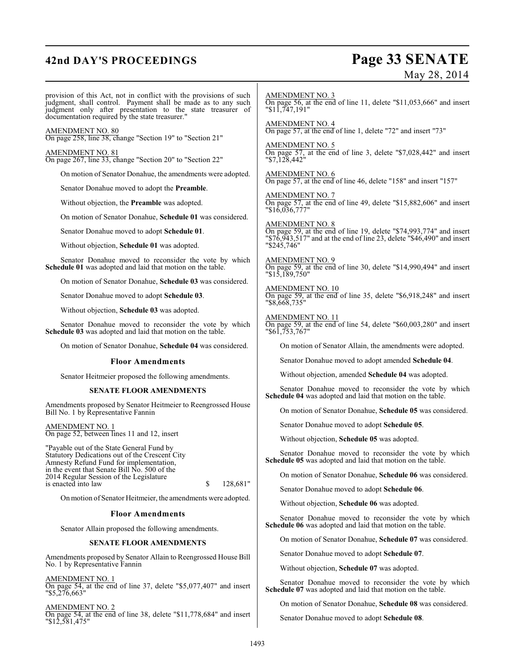# **42nd DAY'S PROCEEDINGS Page 33 SENATE**

# May 28, 2014

provision of this Act, not in conflict with the provisions of such judgment, shall control. Payment shall be made as to any such judgment only after presentation to the state treasurer of documentation required by the state treasurer."

AMENDMENT NO. 80 On page 258, line 38, change "Section 19" to "Section 21"

AMENDMENT NO. 81 On page 267, line 33, change "Section 20" to "Section 22"

On motion of Senator Donahue, the amendments were adopted.

Senator Donahue moved to adopt the **Preamble**.

Without objection, the **Preamble** was adopted.

On motion of Senator Donahue, **Schedule 01** was considered.

Senator Donahue moved to adopt **Schedule 01**.

Without objection, **Schedule 01** was adopted.

Senator Donahue moved to reconsider the vote by which **Schedule 01** was adopted and laid that motion on the table.

On motion of Senator Donahue, **Schedule 03** was considered.

Senator Donahue moved to adopt **Schedule 03**.

Without objection, **Schedule 03** was adopted.

Senator Donahue moved to reconsider the vote by which **Schedule 03** was adopted and laid that motion on the table.

On motion of Senator Donahue, **Schedule 04** was considered.

#### **Floor Amendments**

Senator Heitmeier proposed the following amendments.

#### **SENATE FLOOR AMENDMENTS**

Amendments proposed by Senator Heitmeier to Reengrossed House Bill No. 1 by Representative Fannin

AMENDMENT NO. 1 On page 52, between lines 11 and 12, insert

"Payable out of the State General Fund by Statutory Dedications out of the Crescent City Amnesty Refund Fund for implementation, in the event that Senate Bill No. 500 of the 2014 Regular Session of the Legislature is enacted into law  $\qquad \qquad$  \$ 128,681"

On motion of Senator Heitmeier, the amendments were adopted.

#### **Floor Amendments**

Senator Allain proposed the following amendments.

#### **SENATE FLOOR AMENDMENTS**

Amendments proposed by Senator Allain to Reengrossed House Bill No. 1 by Representative Fannin

AMENDMENT NO. 1

On page 54, at the end of line 37, delete "\$5,077,407" and insert "\$5,276,663"

AMENDMENT NO. 2 On page 54, at the end of line 38, delete "\$11,778,684" and insert "\$12,581,475"

AMENDMENT NO. 3 On page 56, at the end of line 11, delete "\$11,053,666" and insert "\$11,747,191"

AMENDMENT NO. 4 On page 57, at the end of line 1, delete "72" and insert "73"

AMENDMENT NO. 5 On page 57, at the end of line 3, delete "\$7,028,442" and insert "\$7,128,442"

AMENDMENT NO. 6 On page 57, at the end of line 46, delete "158" and insert "157"

AMENDMENT NO. 7 On page 57, at the end of line 49, delete "\$15,882,606" and insert "\$16,036,777"

AMENDMENT NO. 8 On page 59, at the end of line 19, delete "\$74,993,774" and insert "\$76,943,517" and at the end of line 23, delete "\$46,490" and insert "\$245,746"

AMENDMENT NO. 9 On page 59, at the end of line 30, delete "\$14,990,494" and insert "\$15,189,750"

AMENDMENT NO. 10 On page 59, at the end of line 35, delete "\$6,918,248" and insert "\$8,668,735"

AMENDMENT NO. 11 On page 59, at the end of line 54, delete "\$60,003,280" and insert "\$61,753,767"

On motion of Senator Allain, the amendments were adopted.

Senator Donahue moved to adopt amended **Schedule 04**.

Without objection, amended **Schedule 04** was adopted.

Senator Donahue moved to reconsider the vote by which **Schedule 04** was adopted and laid that motion on the table.

On motion of Senator Donahue, **Schedule 05** was considered.

Senator Donahue moved to adopt **Schedule 05**.

Without objection, **Schedule 05** was adopted.

Senator Donahue moved to reconsider the vote by which **Schedule 05** was adopted and laid that motion on the table.

On motion of Senator Donahue, **Schedule 06** was considered.

Senator Donahue moved to adopt **Schedule 06**.

Without objection, **Schedule 06** was adopted.

Senator Donahue moved to reconsider the vote by which **Schedule 06** was adopted and laid that motion on the table.

On motion of Senator Donahue, **Schedule 07** was considered.

Senator Donahue moved to adopt **Schedule 07**.

Without objection, **Schedule 07** was adopted.

Senator Donahue moved to reconsider the vote by which **Schedule 07** was adopted and laid that motion on the table.

On motion of Senator Donahue, **Schedule 08** was considered.

Senator Donahue moved to adopt **Schedule 08**.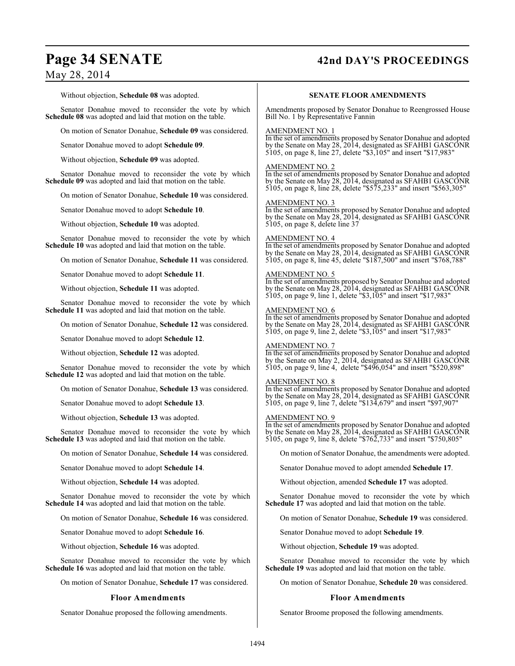## **Page 34 SENATE 42nd DAY'S PROCEEDINGS**

## May 28, 2014

Without objection, **Schedule 08** was adopted.

Senator Donahue moved to reconsider the vote by which **Schedule 08** was adopted and laid that motion on the table.

On motion of Senator Donahue, **Schedule 09** was considered.

Senator Donahue moved to adopt **Schedule 09**.

Without objection, **Schedule 09** was adopted.

Senator Donahue moved to reconsider the vote by which **Schedule 09** was adopted and laid that motion on the table.

On motion of Senator Donahue, **Schedule 10** was considered.

Senator Donahue moved to adopt **Schedule 10**.

Without objection, **Schedule 10** was adopted.

Senator Donahue moved to reconsider the vote by which **Schedule 10** was adopted and laid that motion on the table.

On motion of Senator Donahue, **Schedule 11** was considered.

Senator Donahue moved to adopt **Schedule 11**.

Without objection, **Schedule 11** was adopted.

Senator Donahue moved to reconsider the vote by which **Schedule 11** was adopted and laid that motion on the table.

On motion of Senator Donahue, **Schedule 12** was considered.

Senator Donahue moved to adopt **Schedule 12**.

Without objection, **Schedule 12** was adopted.

Senator Donahue moved to reconsider the vote by which **Schedule 12** was adopted and laid that motion on the table.

On motion of Senator Donahue, **Schedule 13** was considered.

Senator Donahue moved to adopt **Schedule 13**.

Without objection, **Schedule 13** was adopted.

Senator Donahue moved to reconsider the vote by which **Schedule 13** was adopted and laid that motion on the table.

On motion of Senator Donahue, **Schedule 14** was considered.

Senator Donahue moved to adopt **Schedule 14**.

Without objection, **Schedule 14** was adopted.

Senator Donahue moved to reconsider the vote by which **Schedule 14** was adopted and laid that motion on the table.

On motion of Senator Donahue, **Schedule 16** was considered.

Senator Donahue moved to adopt **Schedule 16**.

Without objection, **Schedule 16** was adopted.

Senator Donahue moved to reconsider the vote by which **Schedule 16** was adopted and laid that motion on the table.

On motion of Senator Donahue, **Schedule 17** was considered.

#### **Floor Amendments**

Senator Donahue proposed the following amendments.

#### **SENATE FLOOR AMENDMENTS**

Amendments proposed by Senator Donahue to Reengrossed House Bill No. 1 by Representative Fannin

#### AMENDMENT NO. 1

In the set of amendments proposed by Senator Donahue and adopted by the Senate on May 28, 2014, designated as SFAHB1 GASCONR 5105, on page 8, line 27, delete "\$3,105" and insert "\$17,983"

#### AMENDMENT NO. 2

In the set of amendments proposed by Senator Donahue and adopted by the Senate on May 28, 2014, designated as SFAHB1 GASCONR 5105, on page 8, line 28, delete "\$575,233" and insert "\$563,305"

#### AMENDMENT NO. 3

In the set of amendments proposed by Senator Donahue and adopted by the Senate on May 28, 2014, designated as SFAHB1 GASCONR 5105, on page 8, delete line 37

## AMENDMENT NO. 4

In the set of amendments proposed by Senator Donahue and adopted by the Senate on May 28, 2014, designated as SFAHB1 GASCONR 5105, on page 8, line 45, delete "\$187,500" and insert "\$768,788"

#### AMENDMENT NO. 5

In the set of amendments proposed by Senator Donahue and adopted by the Senate on May 28, 2014, designated as SFAHB1 GASCONR 5105, on page 9, line 1, delete "\$3,105" and insert "\$17,983"

#### AMENDMENT NO. 6

In the set of amendments proposed by Senator Donahue and adopted by the Senate on May 28, 2014, designated as SFAHB1 GASCONR 5105, on page 9, line 2, delete "\$3,105" and insert "\$17,983"

#### AMENDMENT NO. 7

In the set of amendments proposed by Senator Donahue and adopted by the Senate on May 2, 2014, designated as SFAHB1 GASCONR 5105, on page 9, line 4, delete "\$496,054" and insert "\$520,898"

#### AMENDMENT NO. 8

In the set of amendments proposed by Senator Donahue and adopted by the Senate on May 28, 2014, designated as SFAHB1 GASCONR 5105, on page 9, line 7, delete "\$134,679" and insert "\$97,907"

#### AMENDMENT NO. 9

In the set of amendments proposed by Senator Donahue and adopted by the Senate on May 28, 2014, designated as SFAHB1 GASCONR 5105, on page 9, line 8, delete "\$762,733" and insert "\$750,805"

On motion of Senator Donahue, the amendments were adopted.

Senator Donahue moved to adopt amended **Schedule 17**.

Without objection, amended **Schedule 17** was adopted.

Senator Donahue moved to reconsider the vote by which **Schedule 17** was adopted and laid that motion on the table.

On motion of Senator Donahue, **Schedule 19** was considered.

Senator Donahue moved to adopt **Schedule 19**.

Without objection, **Schedule 19** was adopted.

Senator Donahue moved to reconsider the vote by which **Schedule 19** was adopted and laid that motion on the table.

On motion of Senator Donahue, **Schedule 20** was considered.

#### **Floor Amendments**

Senator Broome proposed the following amendments.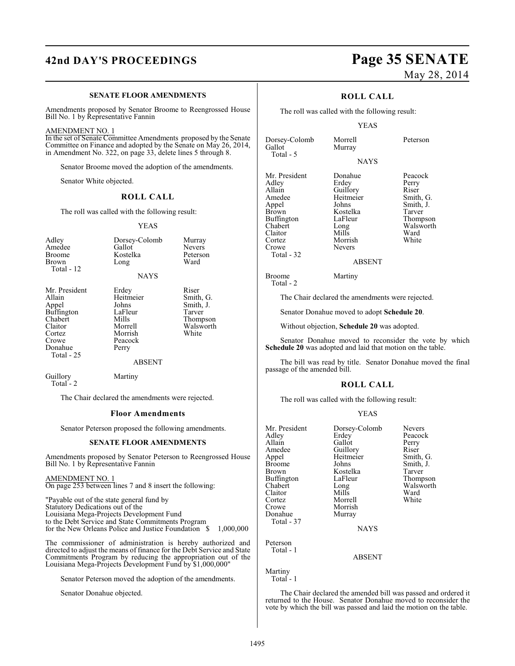# **42nd DAY'S PROCEEDINGS Page 35 SENATE**

#### **SENATE FLOOR AMENDMENTS**

Amendments proposed by Senator Broome to Reengrossed House Bill No. 1 by Representative Fannin

AMENDMENT NO. 1

In the set of Senate Committee Amendments proposed by the Senate Committee on Finance and adopted by the Senate on May 26, 2014, in Amendment No. 322, on page 33, delete lines 5 through 8.

Senator Broome moved the adoption of the amendments.

Senator White objected.

#### **ROLL CALL**

The roll was called with the following result:

#### YEAS

Nevers<br>Peterson

Smith, J.<br>Tarver

Walsworth<br>White

| Adley         |  |
|---------------|--|
| Amedee        |  |
| <b>Broome</b> |  |
| <b>Brown</b>  |  |
| Total - 12    |  |
|               |  |

Dorsey-Colomb Murray<br>
Gallot Nevers Kostelka Peters<br>Long Ward Long

#### **NAYS**

Erdey Riser<br>
Heitmeier Smith, G.

Mills Thompson<br>Morrell Walsworth

| Mr. President |
|---------------|
| Allain        |
| Appel         |
| Buffington    |
| Chabert       |
| Claitor       |
| Cortez        |
| Crowe         |
| Donahue       |
| Total - 25    |

Heitmeier<br>Johns

LaFleur<br>Mills

Morrish Peacock Perry

Guillory Martiny Total - 2

The Chair declared the amendments were rejected.

#### **Floor Amendments**

ABSENT

Senator Peterson proposed the following amendments.

#### **SENATE FLOOR AMENDMENTS**

Amendments proposed by Senator Peterson to Reengrossed House Bill No. 1 by Representative Fannin

AMENDMENT NO. 1 On page 253 between lines 7 and 8 insert the following:

"Payable out of the state general fund by Statutory Dedications out of the Louisiana Mega-Projects Development Fund to the Debt Service and State Commitments Program for the New Orleans Police and Justice Foundation  $\frac{1}{2}$  1,000,000

The commissioner of administration is hereby authorized and directed to adjust the means of finance for the Debt Service and State Commitments Program by reducing the appropriation out of the Louisiana Mega-Projects Development Fund by \$1,000,000"

Senator Peterson moved the adoption of the amendments.

Senator Donahue objected.

# May 28, 2014

## **ROLL CALL**

The roll was called with the following result:

#### YEAS

Dorsey-Colomb Morrell Peterson Total - 5

Murray

Mr. President Donahue Peacock<br>Adley Erdey Perry Adley Erdey Perry Allain Guillory Riser<br>Amedee Heitmeier Smith, G. Amedee Heitmeier<br>
Appel Johns Appel Johns Smith, J.<br>Brown Kostelka Tarver Buffington LaFle<br>Chabert Long Claitor Mills Ward<br>Cortez Morrish White Cortez Morrish<br>Crowe Nevers Total - 32

**Nevers** 

Kostelka Tarver<br>LaFleur Thompson Long Walsworth<br>
Mills Ward

ABSENT

Broome Martiny Total - 2

The Chair declared the amendments were rejected.

Senator Donahue moved to adopt **Schedule 20**.

Without objection, **Schedule 20** was adopted.

Senator Donahue moved to reconsider the vote by which **Schedule 20** was adopted and laid that motion on the table.

The bill was read by title. Senator Donahue moved the final passage of the amended bill.

#### **ROLL CALL**

The roll was called with the following result:

#### YEAS

| Mr. President     | Dorsey-Colomb | <b>Nevers</b> |
|-------------------|---------------|---------------|
| Adley             | Erdey         | Peacock       |
| Allain            | Gallot        | Perry         |
| Amedee            | Guillory      | Riser         |
| Appel             | Heitmeier     | Smith, G.     |
| <b>Broome</b>     | Johns         | Smith, J.     |
| Brown             | Kostelka      | Tarver        |
| <b>Buffington</b> | LaFleur       | Thompson      |
| Chabert           | Long          | Walsworth     |
| Claitor           | Mills         | Ward          |
| Cortez            | Morrell       | White         |
| Crowe             | Morrish       |               |
| Donahue           | Murray        |               |
| Total - 37        |               |               |
|                   | <b>NAYS</b>   |               |
| Peterson          |               |               |

Total - 1

ABSENT

Martiny Total - 1

The Chair declared the amended bill was passed and ordered it returned to the House. Senator Donahue moved to reconsider the vote by which the bill was passed and laid the motion on the table.

# NAYS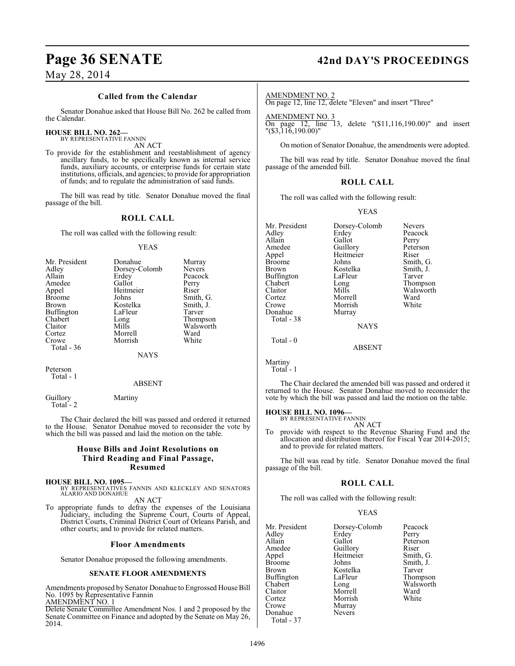## **Page 36 SENATE 42nd DAY'S PROCEEDINGS**

#### **Called from the Calendar**

Senator Donahue asked that House Bill No. 262 be called from the Calendar.

#### **HOUSE BILL NO. 262—** BY REPRESENTATIVE FANNIN

AN ACT

To provide for the establishment and reestablishment of agency ancillary funds, to be specifically known as internal service funds, auxiliary accounts, or enterprise funds for certain state institutions, officials, and agencies; to provide for appropriation of funds; and to regulate the administration of said funds.

The bill was read by title. Senator Donahue moved the final passage of the bill.

## **ROLL CALL**

The roll was called with the following result:

#### YEAS

| Mr. President     | Donahue       | Murray    |
|-------------------|---------------|-----------|
| Adley             | Dorsey-Colomb | Nevers    |
| Allain            | Erdey         | Peacock   |
| Amedee            | Gallot        | Perry     |
| Appel             | Heitmeier     | Riser     |
| <b>Broome</b>     | Johns         | Smith, G. |
| <b>Brown</b>      | Kostelka      | Smith, J. |
| <b>Buffington</b> | LaFleur       | Tarver    |
| Chabert           | Long          | Thompson  |
| Claitor           | Mills         | Walsworth |
| Cortez            | Morrell       | Ward      |
| Crowe             | Morrish       | White     |
| Total - 36        |               |           |
|                   | NAYS          |           |

Peterson Total - 1

### ABSENT

Guillory Martiny Total - 2

The Chair declared the bill was passed and ordered it returned to the House. Senator Donahue moved to reconsider the vote by which the bill was passed and laid the motion on the table.

#### **House Bills and Joint Resolutions on Third Reading and Final Passage, Resumed**

**HOUSE BILL NO. 1095—**

BY REPRESENTATIVES FANNIN AND KLECKLEY AND SENATORS ALARIO AND DONAHUE

AN ACT

To appropriate funds to defray the expenses of the Louisiana Judiciary, including the Supreme Court, Courts of Appeal, District Courts, Criminal District Court of Orleans Parish, and other courts; and to provide for related matters.

#### **Floor Amendments**

Senator Donahue proposed the following amendments.

#### **SENATE FLOOR AMENDMENTS**

Amendments proposed by Senator Donahue to Engrossed House Bill No. 1095 by Representative Fannin AMENDMENT NO. 1

Delete Senate Committee Amendment Nos. 1 and 2 proposed by the Senate Committee on Finance and adopted by the Senate on May 26, 2014.

AMENDMENT NO. 2

On page 12, line 12, delete "Eleven" and insert "Three"

AMENDMENT NO. 3 On page 12, line 13, delete "(\$11,116,190.00)" and insert "(\$3,116,190.00)"

On motion of Senator Donahue, the amendments were adopted.

The bill was read by title. Senator Donahue moved the final passage of the amended bill.

#### **ROLL CALL**

The roll was called with the following result:

#### YEAS

| Mr. President<br>Adlev<br>Allain<br>Amedee<br>Appel<br>Broome<br>Brown<br>Buffington<br>Chabert<br>Claitor<br>Cortez<br>Crowe<br>Donahue<br>Total - 38 | Dorsey-Colomb<br>Erdey<br>Gallot<br>Guillory<br>Heitmeier<br>Johns<br>Kostelka<br>LaFleur<br>Long<br>Mills<br>Morrell<br>Morrish<br>Murray<br><b>NAYS</b> | <b>Nevers</b><br>Peacock<br>Perry<br>Peterson<br>Riser<br>Smith, G.<br>Smith, J.<br>Tarver<br>Thompson<br>Walsworth<br>Ward<br>White |
|--------------------------------------------------------------------------------------------------------------------------------------------------------|-----------------------------------------------------------------------------------------------------------------------------------------------------------|--------------------------------------------------------------------------------------------------------------------------------------|
|                                                                                                                                                        |                                                                                                                                                           |                                                                                                                                      |
| Total $-0$                                                                                                                                             | <b>ABSENT</b>                                                                                                                                             |                                                                                                                                      |

Martiny Total - 1

The Chair declared the amended bill was passed and ordered it returned to the House. Senator Donahue moved to reconsider the vote by which the bill was passed and laid the motion on the table.

#### **HOUSE BILL NO. 1096—**

BY REPRESENTATIVE FANNIN

AN ACT To provide with respect to the Revenue Sharing Fund and the allocation and distribution thereof for Fiscal Year 2014-2015; and to provide for related matters.

The bill was read by title. Senator Donahue moved the final passage of the bill.

### **ROLL CALL**

The roll was called with the following result:

#### YEAS

| Mr. President | Dorsey-Colomb | Peacock   |
|---------------|---------------|-----------|
|               |               |           |
| Adlev         | Erdey         | Perry     |
| Allain        | Gallot        | Peterson  |
| Amedee        | Guillory      | Riser     |
| Appel         | Heitmeier     | Smith, G. |
| Broome        | Johns         | Smith, J. |
| Brown         | Kostelka      | Tarver    |
| Buffington    | LaFleur       | Thompson  |
| Chabert       | Long          | Walsworth |
| Claitor       | Morrell       | Ward      |
| Cortez        | Morrish       | White     |
| Crowe         | Murray        |           |
| Donahue       | <b>Nevers</b> |           |
| Total - 37    |               |           |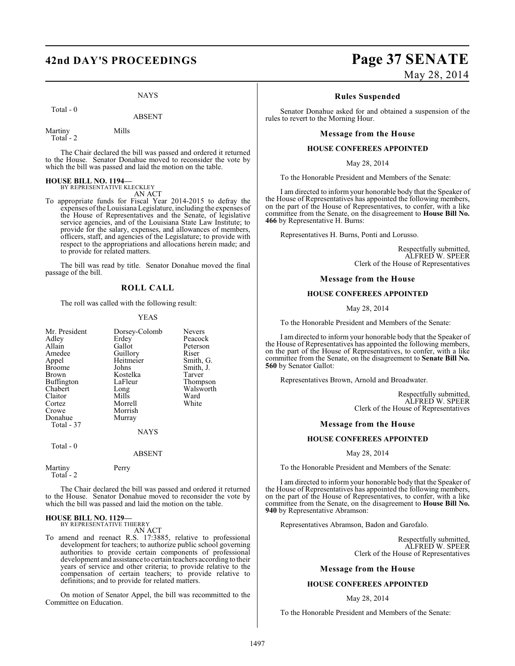# **42nd DAY'S PROCEEDINGS Page 37 SENATE**

#### NAYS

Total - 0

ABSENT

Martiny Mills Total - 2

The Chair declared the bill was passed and ordered it returned to the House. Senator Donahue moved to reconsider the vote by which the bill was passed and laid the motion on the table.

# **HOUSE BILL NO. 1194—** BY REPRESENTATIVE KLECKLEY

AN ACT

- 
- To appropriate funds for Fiscal Year 2014-2015 to defray the expenses of the Louisiana Legislature, including the expenses of the House of Representatives and the Senate, of legislative service agencies, and of the Louisiana State Law Institute; to provide for the salary, expenses, and allowances of members, officers, staff, and agencies of the Legislature; to provide with respect to the appropriations and allocations herein made; and to provide for related matters.

The bill was read by title. Senator Donahue moved the final passage of the bill.

### **ROLL CALL**

The roll was called with the following result:

#### YEAS

| Mr. President        | Dorsey-Colomb | <b>Nevers</b> |
|----------------------|---------------|---------------|
| Adley                | Erdey         | Peacock       |
| Allain               | Gallot        | Peterson      |
| Amedee               | Guillory      | Riser         |
| Appel                | Heitmeier     | Smith, G.     |
| <b>Broome</b>        | Johns         | Smith, J.     |
| Brown                | Kostelka      | Tarver        |
| Buffington           | LaFleur       | Thompson      |
| Chabert              | Long          | Walsworth     |
| Claitor              | Mills         | Ward          |
| Cortez               | Morrell       | White         |
| Crowe                | Morrish       |               |
| Donahue              | Murray        |               |
| Total - 37           |               |               |
|                      | <b>NAYS</b>   |               |
| Total - 0            |               |               |
|                      | <b>ABSENT</b> |               |
| Martiny<br>Total - 2 | Perry         |               |

The Chair declared the bill was passed and ordered it returned to the House. Senator Donahue moved to reconsider the vote by which the bill was passed and laid the motion on the table.

# **HOUSE BILL NO. 1129—** BY REPRESENTATIVE THIERRY

AN ACT

To amend and reenact R.S. 17:3885, relative to professional development for teachers; to authorize public school governing authorities to provide certain components of professional development and assistance to certain teachers according to their years of service and other criteria; to provide relative to the compensation of certain teachers; to provide relative to definitions; and to provide for related matters.

On motion of Senator Appel, the bill was recommitted to the Committee on Education.

# May 28, 2014

#### **Rules Suspended**

Senator Donahue asked for and obtained a suspension of the rules to revert to the Morning Hour.

#### **Message from the House**

#### **HOUSE CONFEREES APPOINTED**

May 28, 2014

To the Honorable President and Members of the Senate:

I am directed to inform your honorable body that the Speaker of the House of Representatives has appointed the following members, on the part of the House of Representatives, to confer, with a like committee from the Senate, on the disagreement to **House Bill No. 466** by Representative H. Burns:

Representatives H. Burns, Ponti and Lorusso.

Respectfully submitted, ALFRED W. SPEER Clerk of the House of Representatives

#### **Message from the House**

#### **HOUSE CONFEREES APPOINTED**

May 28, 2014

To the Honorable President and Members of the Senate:

I am directed to inform your honorable body that the Speaker of the House of Representatives has appointed the following members, on the part of the House of Representatives, to confer, with a like committee from the Senate, on the disagreement to **Senate Bill No. 560** by Senator Gallot:

Representatives Brown, Arnold and Broadwater.

Respectfully submitted, ALFRED W. SPEER Clerk of the House of Representatives

#### **Message from the House**

#### **HOUSE CONFEREES APPOINTED**

May 28, 2014

To the Honorable President and Members of the Senate:

I am directed to inform your honorable body that the Speaker of the House of Representatives has appointed the following members, on the part of the House of Representatives, to confer, with a like committee from the Senate, on the disagreement to **House Bill No. 940** by Representative Abramson:

Representatives Abramson, Badon and Garofalo.

Respectfully submitted, ALFRED W. SPEER Clerk of the House of Representatives

#### **Message from the House**

#### **HOUSE CONFEREES APPOINTED**

#### May 28, 2014

To the Honorable President and Members of the Senate: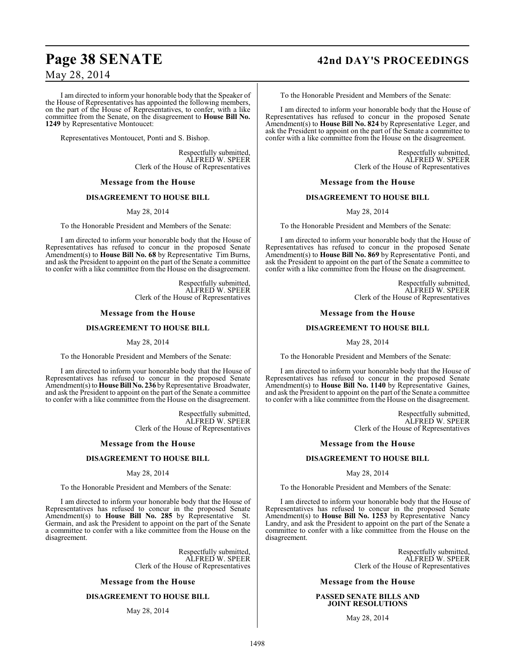# **Page 38 SENATE 42nd DAY'S PROCEEDINGS**

May 28, 2014

I am directed to inform your honorable body that the Speaker of the House of Representatives has appointed the following members, on the part of the House of Representatives, to confer, with a like committee from the Senate, on the disagreement to **House Bill No. 1249** by Representative Montoucet:

Representatives Montoucet, Ponti and S. Bishop.

Respectfully submitted, ALFRED W. SPEER Clerk of the House of Representatives

#### **Message from the House**

#### **DISAGREEMENT TO HOUSE BILL**

May 28, 2014

To the Honorable President and Members of the Senate:

I am directed to inform your honorable body that the House of Representatives has refused to concur in the proposed Senate Amendment(s) to **House Bill No. 68** by Representative Tim Burns, and ask the President to appoint on the part of the Senate a committee to confer with a like committee from the House on the disagreement.

> Respectfully submitted, ALFRED W. SPEER Clerk of the House of Representatives

#### **Message from the House**

#### **DISAGREEMENT TO HOUSE BILL**

#### May 28, 2014

To the Honorable President and Members of the Senate:

I am directed to inform your honorable body that the House of Representatives has refused to concur in the proposed Senate Amendment(s) to **House Bill No. 236** by Representative Broadwater, and ask the President to appoint on the part of the Senate a committee to confer with a like committee from the House on the disagreement.

> Respectfully submitted, ALFRED W. SPEER Clerk of the House of Representatives

#### **Message from the House**

#### **DISAGREEMENT TO HOUSE BILL**

#### May 28, 2014

To the Honorable President and Members of the Senate:

I am directed to inform your honorable body that the House of Representatives has refused to concur in the proposed Senate Amendment(s) to **House Bill No. 285** by Representative St. Germain, and ask the President to appoint on the part of the Senate a committee to confer with a like committee from the House on the disagreement.

> Respectfully submitted, ALFRED W. SPEER Clerk of the House of Representatives

#### **Message from the House**

#### **DISAGREEMENT TO HOUSE BILL**

May 28, 2014

To the Honorable President and Members of the Senate:

I am directed to inform your honorable body that the House of Representatives has refused to concur in the proposed Senate Amendment(s) to **House Bill No. 824** by Representative Leger, and ask the President to appoint on the part of the Senate a committee to confer with a like committee from the House on the disagreement.

> Respectfully submitted, ALFRED W. SPEER Clerk of the House of Representatives

#### **Message from the House**

#### **DISAGREEMENT TO HOUSE BILL**

May 28, 2014

To the Honorable President and Members of the Senate:

I am directed to inform your honorable body that the House of Representatives has refused to concur in the proposed Senate Amendment(s) to **House Bill No. 869** by Representative Ponti, and ask the President to appoint on the part of the Senate a committee to confer with a like committee from the House on the disagreement.

> Respectfully submitted, ALFRED W. SPEER Clerk of the House of Representatives

#### **Message from the House**

#### **DISAGREEMENT TO HOUSE BILL**

May 28, 2014

To the Honorable President and Members of the Senate:

I am directed to inform your honorable body that the House of Representatives has refused to concur in the proposed Senate Amendment(s) to **House Bill No. 1140** by Representative Gaines, and ask the President to appoint on the part of the Senate a committee to confer with a like committee from the House on the disagreement.

> Respectfully submitted, ALFRED W. SPEER Clerk of the House of Representatives

#### **Message from the House**

#### **DISAGREEMENT TO HOUSE BILL**

May 28, 2014

To the Honorable President and Members of the Senate:

I am directed to inform your honorable body that the House of Representatives has refused to concur in the proposed Senate Amendment(s) to **House Bill No. 1253** by Representative Nancy Landry, and ask the President to appoint on the part of the Senate a committee to confer with a like committee from the House on the disagreement.

> Respectfully submitted, ALFRED W. SPEER Clerk of the House of Representatives

#### **Message from the House**

**PASSED SENATE BILLS AND JOINT RESOLUTIONS**

May 28, 2014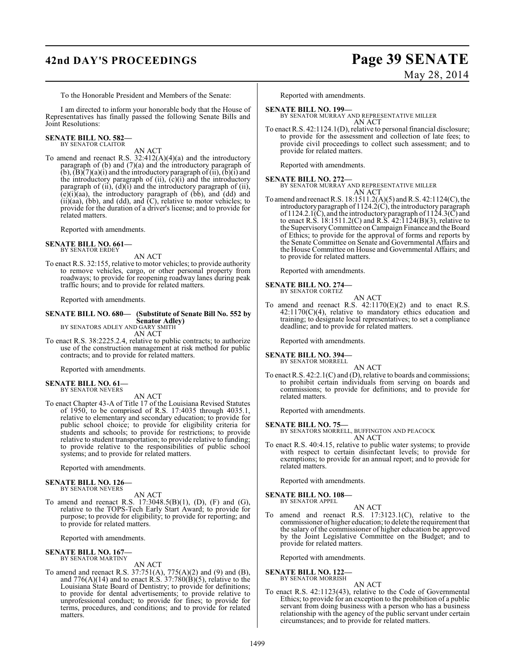# **42nd DAY'S PROCEEDINGS Page 39 SENATE**

# May 28, 2014

To the Honorable President and Members of the Senate:

I am directed to inform your honorable body that the House of Representatives has finally passed the following Senate Bills and Joint Resolutions:

# **SENATE BILL NO. 582—** BY SENATOR CLAITOR

AN ACT

To amend and reenact R.S.  $32:412(A)(4)(a)$  and the introductory paragraph of (b) and (7)(a) and the introductory paragraph of (b),  $\overline{B}$  $\overline{C}$  $\overline{D}$  $\overline{D}$  $\overline{D}$   $\overline{D}$  and the introductory paragraph of (ii),  $\overline{D}$  $\overline{D}$  and the introductory paragraph of  $(ii)$ ,  $(c)(i)$  and the introductory paragraph of  $(ii)$ ,  $(d)(i)$  and the introductory paragraph of  $(ii)$ ,  $(e)(i)(aa)$ , the introductory paragraph of  $(bb)$ , and  $(dd)$  and (ii)(aa), (bb), and (dd), and (C), relative to motor vehicles; to provide for the duration of a driver's license; and to provide for related matters.

Reported with amendments.

### **SENATE BILL NO. 661—**

BY SENATOR ERDEY

AN ACT To enact R.S. 32:155, relative to motor vehicles; to provide authority to remove vehicles, cargo, or other personal property from roadways; to provide for reopening roadway lanes during peak traffic hours; and to provide for related matters.

Reported with amendments.

**SENATE BILL NO. 680— (Substitute of Senate Bill No. 552 by Senator Adley)** BY SENATORS ADLEY AND GARY SMITH

AN ACT

To enact R.S. 38:2225.2.4, relative to public contracts; to authorize use of the construction management at risk method for public contracts; and to provide for related matters.

Reported with amendments.

#### **SENATE BILL NO. 61—** BY SENATOR NEVERS

AN ACT

To enact Chapter 43-A of Title 17 of the Louisiana Revised Statutes of 1950, to be comprised of R.S. 17:4035 through 4035.1, relative to elementary and secondary education; to provide for public school choice; to provide for eligibility criteria for students and schools; to provide for restrictions; to provide relative to student transportation; to provide relative to funding; to provide relative to the responsibilities of public school systems; and to provide for related matters.

Reported with amendments.

#### **SENATE BILL NO. 126—** BY SENATOR NEVERS

AN ACT

To amend and reenact R.S. 17:3048.5(B)(1), (D), (F) and (G), relative to the TOPS-Tech Early Start Award; to provide for purpose; to provide for eligibility; to provide for reporting; and to provide for related matters.

Reported with amendments.

#### **SENATE BILL NO. 167—** BY SENATOR MARTINY

AN ACT

To amend and reenact R.S. 37:751(A), 775(A)(2) and (9) and (B), and  $776(A)(14)$  and to enact R.S.  $37:780(B)(5)$ , relative to the Louisiana State Board of Dentistry; to provide for definitions; to provide for dental advertisements; to provide relative to unprofessional conduct; to provide for fines; to provide for terms, procedures, and conditions; and to provide for related matters.

Reported with amendments.

- **SENATE BILL NO. 199—** BY SENATOR MURRAY AND REPRESENTATIVE MILLER AN ACT
- To enact R.S. 42:1124.1(D), relative to personal financial disclosure; to provide for the assessment and collection of late fees; to provide civil proceedings to collect such assessment; and to provide for related matters.

Reported with amendments.

**SENATE BILL NO. 272—**

BY SENATOR MURRAY AND REPRESENTATIVE MILLER AN ACT

To amend and reenact R.S. 18:1511.2(A)(5) and R.S. 42:1124(C), the introductory paragraph of 1124.2(C), the introductory paragraph of  $1124.2.1(\tilde{C})$ , and the introductory paragraph of  $112\tilde{4}.3(\tilde{C})$  and to enact R.S. 18:1511.2(C) and R.S. 42:1124(B)(3), relative to the Supervisory Committee on Campaign Finance and the Board of Ethics; to provide for the approval of forms and reports by the Senate Committee on Senate and Governmental Affairs and the House Committee on House and Governmental Affairs; and to provide for related matters.

Reported with amendments.

# **SENATE BILL NO. 274—** BY SENATOR CORTEZ

To amend and reenact R.S. 42:1170(E)(2) and to enact R.S.  $42:1170(C)(4)$ , relative to mandatory ethics education and training; to designate local representatives; to set a compliance deadline; and to provide for related matters.

AN ACT

Reported with amendments.

### **SENATE BILL NO. 394**

BY SENATOR MORRELL AN ACT

To enact R.S. 42:2.1(C) and (D), relative to boards and commissions; to prohibit certain individuals from serving on boards and commissions; to provide for definitions; and to provide for related matters.

Reported with amendments.

#### **SENATE BILL NO. 75—**

BY SENATORS MORRELL, BUFFINGTON AND PEACOCK AN ACT

To enact R.S. 40:4.15, relative to public water systems; to provide with respect to certain disinfectant levels; to provide for exemptions; to provide for an annual report; and to provide for related matters.

Reported with amendments.

#### **SENATE BILL NO. 108—** BY SENATOR APPEL

- 
- AN ACT To amend and reenact R.S. 17:3123.1(C), relative to the commissioner of higher education; to delete the requirement that the salary of the commissioner of higher education be approved by the Joint Legislative Committee on the Budget; and to provide for related matters.

Reported with amendments.

**SENATE BILL NO. 122—** BY SENATOR MORRISH

AN ACT

To enact R.S. 42:1123(43), relative to the Code of Governmental Ethics; to provide for an exception to the prohibition of a public servant from doing business with a person who has a business relationship with the agency of the public servant under certain circumstances; and to provide for related matters.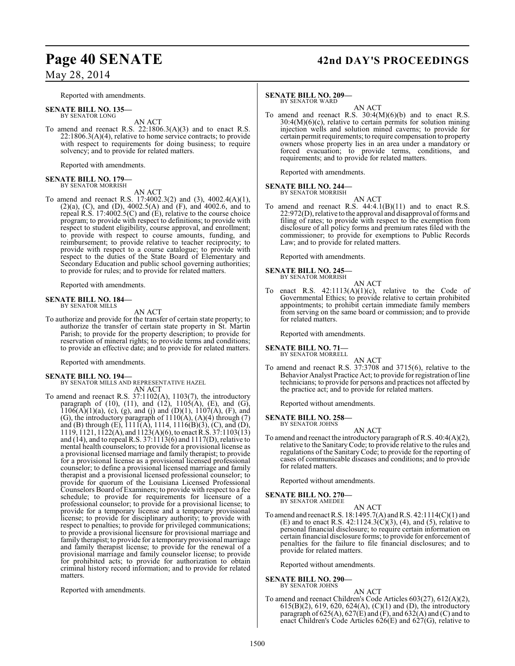# **Page 40 SENATE 42nd DAY'S PROCEEDINGS**

## May 28, 2014

Reported with amendments.

- **SENATE BILL NO. 135—** BY SENATOR LONG
- AN ACT To amend and reenact R.S.  $22:1806.3(A)(3)$  and to enact R.S.  $22:1806.3(A)(4)$ , relative to home service contracts; to provide with respect to requirements for doing business; to require

solvency; and to provide for related matters.

Reported with amendments.

#### **SENATE BILL NO. 179—** BY SENATOR MORRISH

AN ACT

To amend and reenact R.S. 17:4002.3(2) and (3), 4002.4(A)(1), (2)(a), (C), and (D), 4002.5(A) and (F), and 4002.6, and to repeal R.S. 17:4002.5(C) and (E), relative to the course choice program; to provide with respect to definitions; to provide with respect to student eligibility, course approval, and enrollment; to provide with respect to course amounts, funding, and reimbursement; to provide relative to teacher reciprocity; to provide with respect to a course catalogue; to provide with respect to the duties of the State Board of Elementary and Secondary Education and public school governing authorities; to provide for rules; and to provide for related matters.

Reported with amendments.

#### **SENATE BILL NO. 184—** BY SENATOR MILLS

#### AN ACT

To authorize and provide for the transfer of certain state property; to authorize the transfer of certain state property in St. Martin Parish; to provide for the property description; to provide for reservation of mineral rights; to provide terms and conditions; to provide an effective date; and to provide for related matters.

Reported with amendments.

**SENATE BILL NO. 194—** BY SENATOR MILLS AND REPRESENTATIVE HAZEL

AN ACT

To amend and reenact R.S. 37:1102(A), 1103(7), the introductory paragraph of (10), (11), and (12),  $1105(A)$ , (E), and (G),  $1106(A)(1)(a)$ , (c), (g), and (j) and (D)(1),  $1107(A)$ , (F), and (G), the introductory paragraph of  $1110(A)$ ,  $(A)(4)$  through  $(7)$ and (B) through (E), 1111(A), 1114, 1116(B)(3), (C), and (D), 1119, 1121, 1122(A), and 1123(A)(6), to enact R.S. 37:1103(13) and  $(14)$ , and to repeal R.S. 37:1113 $(6)$  and 1117 $(D)$ , relative to mental health counselors; to provide for a provisional license as a provisional licensed marriage and family therapist; to provide for a provisional license as a provisional licensed professional counselor; to define a provisional licensed marriage and family therapist and a provisional licensed professional counselor; to provide for quorum of the Louisiana Licensed Professional Counselors Board of Examiners; to provide with respect to a fee schedule; to provide for requirements for licensure of a professional counselor; to provide for a provisional license; to provide for a temporary license and a temporary provisional license; to provide for disciplinary authority; to provide with respect to penalties; to provide for privileged communications; to provide a provisional licensure for provisional marriage and family therapist; to provide for a temporary provisional marriage and family therapist license; to provide for the renewal of a provisional marriage and family counselor license; to provide for prohibited acts; to provide for authorization to obtain criminal history record information; and to provide for related matters.

Reported with amendments.

#### **SENATE BILL NO. 209—**

BY SENATOR WARD

AN ACT To amend and reenact R.S.  $30:4(M)(6)(b)$  and to enact R.S. 30:4(M)(6)(c), relative to certain permits for solution mining injection wells and solution mined caverns; to provide for certain permit requirements; to require compensation to property owners whose property lies in an area under a mandatory or forced evacuation; to provide terms, conditions, and requirements; and to provide for related matters.

Reported with amendments.

#### **SENATE BILL NO. 244—** BY SENATOR MORRISH

AN ACT

To amend and reenact R.S.  $44:4.1(B)(11)$  and to enact R.S. 22:972(D), relative to the approval and disapproval of forms and filing of rates; to provide with respect to the exemption from disclosure of all policy forms and premium rates filed with the commissioner; to provide for exemptions to Public Records Law; and to provide for related matters.

Reported with amendments.

#### **SENATE BILL NO. 245—**

- BY SENATOR MORRISH AN ACT
- enact R.S.  $42:1113(A)(1)(c)$ , relative to the Code of Governmental Ethics; to provide relative to certain prohibited appointments; to prohibit certain immediate family members from serving on the same board or commission; and to provide for related matters.

Reported with amendments.

**SENATE BILL NO. 71—**

BY SENATOR MORRELL

AN ACT To amend and reenact R.S. 37:3708 and 3715(6), relative to the Behavior Analyst Practice Act; to provide for registration of line technicians; to provide for persons and practices not affected by the practice act; and to provide for related matters.

Reported without amendments.

**SENATE BILL NO. 258—** BY SENATOR JOHNS

AN ACT

To amend and reenact the introductory paragraph of R.S. 40:4(A)(2), relative to the Sanitary Code; to provide relative to the rules and regulations of the Sanitary Code; to provide for the reporting of cases of communicable diseases and conditions; and to provide for related matters.

Reported without amendments.

#### **SENATE BILL NO. 270—** BY SENATOR AMEDEE

AN ACT

To amend and reenact R.S. 18:1495.7(A) and R.S. 42:1114(C)(1) and (E) and to enact R.S.  $42:1124.3(\text{C})(3)$ , (4), and (5), relative to personal financial disclosure; to require certain information on certain financial disclosure forms; to provide for enforcement of penalties for the failure to file financial disclosures; and to provide for related matters.

Reported without amendments.

**SENATE BILL NO. 290—** BY SENATOR JOHNS

- AN ACT
- To amend and reenact Children's Code Articles 603(27), 612(A)(2), 615(B)(2), 619, 620, 624(A), (C)(1) and (D), the introductory paragraph of 625(A), 627(E) and (F), and 632(A) and (C) and to enact Children's Code Articles 626(E) and 627(G), relative to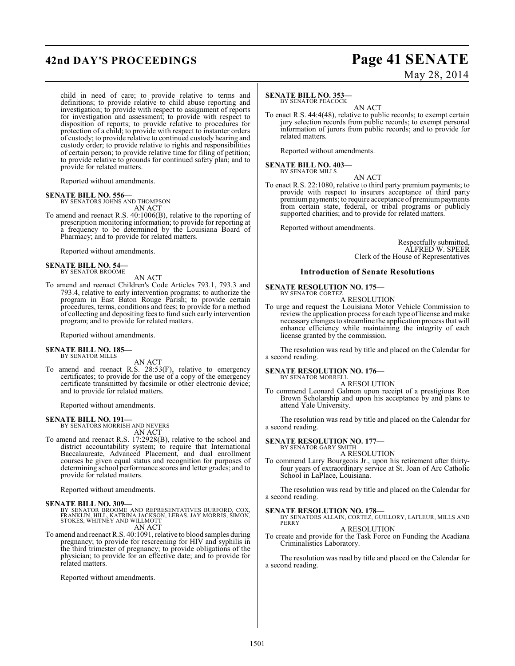# **42nd DAY'S PROCEEDINGS Page 41 SENATE**

#### child in need of care; to provide relative to terms and definitions; to provide relative to child abuse reporting and investigation; to provide with respect to assignment of reports for investigation and assessment; to provide with respect to disposition of reports; to provide relative to procedures for protection of a child; to provide with respect to instanter orders of custody; to provide relative to continued custody hearing and custody order; to provide relative to rights and responsibilities of certain person; to provide relative time for filing of petition; to provide relative to grounds for continued safety plan; and to provide for related matters.

Reported without amendments.

#### **SENATE BILL NO. 556—**

BY SENATORS JOHNS AND THOMPSON

AN ACT To amend and reenact R.S. 40:1006(B), relative to the reporting of prescription monitoring information; to provide for reporting at a frequency to be determined by the Louisiana Board of Pharmacy; and to provide for related matters.

Reported without amendments.

#### **SENATE BILL NO. 54—** BY SENATOR BROOME

AN ACT

To amend and reenact Children's Code Articles 793.1, 793.3 and 793.4, relative to early intervention programs; to authorize the program in East Baton Rouge Parish; to provide certain procedures, terms, conditions and fees; to provide for a method of collecting and depositing fees to fund such early intervention program; and to provide for related matters.

Reported without amendments.

#### **SENATE BILL NO. 185—** BY SENATOR MILLS

AN ACT

To amend and reenact R.S. 28:53(F), relative to emergency certificates; to provide for the use of a copy of the emergency certificate transmitted by facsimile or other electronic device; and to provide for related matters.

Reported without amendments.

#### **SENATE BILL NO. 191—**

BY SENATORS MORRISH AND NEVERS AN ACT

To amend and reenact R.S. 17:2928(B), relative to the school and district accountability system; to require that International Baccalaureate, Advanced Placement, and dual enrollment courses be given equal status and recognition for purposes of determining school performance scores and letter grades; and to provide for related matters.

Reported without amendments.

#### **SENATE BILL NO. 309—**

BY SENATOR BROOME AND REPRESENTATIVES BURFORD, COX,<br>FRANKLIN, HILL, KATRINA JACKSON, LEBAS, JAY MORRIS, SIMON,<br>STOKES, WHITNEY AND WILLMOTT

AN ACT

To amend and reenact R.S. 40:1091, relative to blood samples during pregnancy; to provide for rescreening for HIV and syphilis in the third trimester of pregnancy; to provide obligations of the physician; to provide for an effective date; and to provide for related matters.

Reported without amendments.

# May 28, 2014

#### **SENATE BILL NO. 353** BY SENATOR PEACOCK

AN ACT

To enact R.S. 44:4(48), relative to public records; to exempt certain jury selection records from public records; to exempt personal information of jurors from public records; and to provide for related matters.

Reported without amendments.

#### **SENATE BILL NO. 403—** BY SENATOR MILLS

AN ACT

To enact R.S. 22:1080, relative to third party premium payments; to provide with respect to insurers acceptance of third party premium payments; to require acceptance of premium payments from certain state, federal, or tribal programs or publicly supported charities; and to provide for related matters.

Reported without amendments.

Respectfully submitted, ALFRED W. SPEER Clerk of the House of Representatives

#### **Introduction of Senate Resolutions**

# **SENATE RESOLUTION NO. 175—** BY SENATOR CORTEZ

A RESOLUTION

To urge and request the Louisiana Motor Vehicle Commission to review the application process for each type of license and make necessary changes to streamline the application process that will enhance efficiency while maintaining the integrity of each license granted by the commission.

The resolution was read by title and placed on the Calendar for a second reading.

# **SENATE RESOLUTION NO. 176—** BY SENATOR MORRELL

A RESOLUTION

To commend Leonard Galmon upon receipt of a prestigious Ron Brown Scholarship and upon his acceptance by and plans to attend Yale University.

The resolution was read by title and placed on the Calendar for a second reading.

#### **SENATE RESOLUTION NO. 177—**

BY SENATOR GARY SMITH A RESOLUTION

To commend Larry Bourgeois Jr., upon his retirement after thirtyfour years of extraordinary service at St. Joan of Arc Catholic School in LaPlace, Louisiana.

The resolution was read by title and placed on the Calendar for a second reading.

#### **SENATE RESOLUTION NO. 178—**

BY SENATORS ALLAIN, CORTEZ, GUILLORY, LAFLEUR, MILLS AND PERRY A RESOLUTION

#### To create and provide for the Task Force on Funding the Acadiana Criminalistics Laboratory.

The resolution was read by title and placed on the Calendar for a second reading.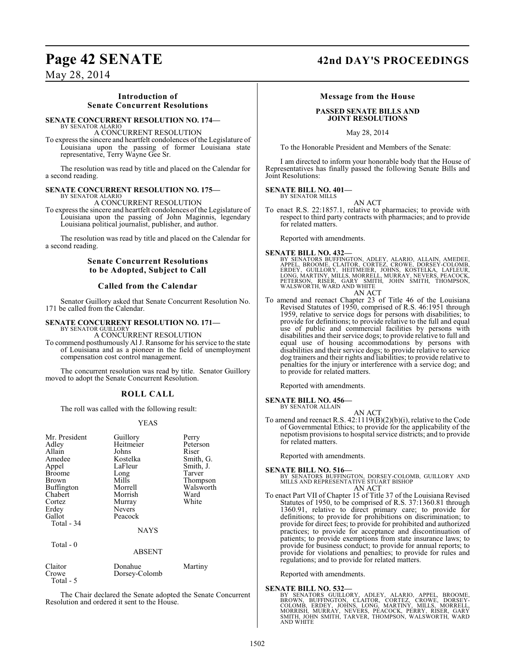## **Introduction of Senate Concurrent Resolutions**

#### **SENATE CONCURRENT RESOLUTION NO. 174—** BY SENATOR ALARIO

A CONCURRENT RESOLUTION

To express the sincere and heartfelt condolences of the Legislature of Louisiana upon the passing of former Louisiana state representative, Terry Wayne Gee Sr.

The resolution was read by title and placed on the Calendar for a second reading.

## **SENATE CONCURRENT RESOLUTION NO. 175—**

BY SENATOR ALARIO A CONCURRENT RESOLUTION

To express the sincere and heartfelt condolences of the Legislature of Louisiana upon the passing of John Maginnis, legendary Louisiana political journalist, publisher, and author.

The resolution was read by title and placed on the Calendar for a second reading.

## **Senate Concurrent Resolutions to be Adopted, Subject to Call**

### **Called from the Calendar**

Senator Guillory asked that Senate Concurrent Resolution No. 171 be called from the Calendar.

### **SENATE CONCURRENT RESOLUTION NO. 171—**

BY SENATOR GUILLORY A CONCURRENT RESOLUTION

To commend posthumously Al J. Ransome for his service to the state of Louisiana and as a pioneer in the field of unemployment compensation cost control management.

The concurrent resolution was read by title. Senator Guillory moved to adopt the Senate Concurrent Resolution.

#### **ROLL CALL**

The roll was called with the following result:

#### YEAS

| Mr. President<br>Adley<br>Allain<br>Amedee<br>Appel<br><b>Broome</b><br>Brown<br><b>Buffington</b><br>Chabert<br>Cortez<br>Erdey<br>Gallot<br>Total - 34<br>Total - 0 | Guillory<br>Heitmeier<br>Johns<br>Kostelka<br>LaFleur<br>Long<br>Mills<br>Morrell<br>Morrish<br>Murray<br><b>Nevers</b><br>Peacock<br><b>NAYS</b><br><b>ABSENT</b> | Perry<br>Peterson<br>Riser<br>Smith, G.<br>Smith, J.<br>Tarver<br>Thompson<br>Walsworth<br>Ward<br>White |
|-----------------------------------------------------------------------------------------------------------------------------------------------------------------------|--------------------------------------------------------------------------------------------------------------------------------------------------------------------|----------------------------------------------------------------------------------------------------------|
| Claitor<br>Crowe<br>Total - 5                                                                                                                                         | Donahue<br>Dorsey-Colomb                                                                                                                                           | Martiny                                                                                                  |

The Chair declared the Senate adopted the Senate Concurrent Resolution and ordered it sent to the House.

# **Page 42 SENATE 42nd DAY'S PROCEEDINGS**

#### **Message from the House**

#### **PASSED SENATE BILLS AND JOINT RESOLUTIONS**

May 28, 2014

To the Honorable President and Members of the Senate:

I am directed to inform your honorable body that the House of Representatives has finally passed the following Senate Bills and Joint Resolutions:

#### **SENATE BILL NO. 401—** BY SENATOR MILLS

AN ACT To enact R.S. 22:1857.1, relative to pharmacies; to provide with respect to third party contracts with pharmacies; and to provide for related matters.

Reported with amendments.

**SENATE BILL NO. 432—**<br>BY SENATORS BUFFINGTON, ADLEY, ALARIO, ALLAIN, AMEDEE,<br>APPEL, BROOME, CLAITOR, CORTEZ, CROWE, DORSEY-COLOMB,<br>ERDEY, GUILLORY, HEITMEIER, JOHNS, KOSTELKA, LAFLEUR,<br>LONG, MARTINY, MILLS, MORRELL, MURRA

AN ACT

To amend and reenact Chapter 23 of Title 46 of the Louisiana Revised Statutes of 1950, comprised of R.S. 46:1951 through 1959, relative to service dogs for persons with disabilities; to provide for definitions; to provide relative to the full and equal use of public and commercial facilities by persons with disabilities and their service dogs; to provide relative to full and equal use of housing accommodations by persons with disabilities and their service dogs; to provide relative to service dog trainers and their rights and liabilities; to provide relative to penalties for the injury or interference with a service dog; and to provide for related matters.

Reported with amendments.

# **SENATE BILL NO. 456—** BY SENATOR ALLAIN

AN ACT

To amend and reenact R.S. 42:1119(B)(2)(b)(i), relative to the Code of Governmental Ethics; to provide for the applicability of the nepotism provisions to hospital service districts; and to provide for related matters.

Reported with amendments.

## **SENATE BILL NO. 516—**

BY SENATORS BUFFINGTON, DORSEY-COLOMB, GUILLORY AND MILLS AND REPRESENTATIVE STUART BISHOP AN ACT

To enact Part VII of Chapter 15 of Title 37 of the Louisiana Revised Statutes of 1950, to be comprised of R.S. 37:1360.81 through 1360.91, relative to direct primary care; to provide for definitions; to provide for prohibitions on discrimination; to provide for direct fees; to provide for prohibited and authorized practices; to provide for acceptance and discontinuation of patients; to provide exemptions from state insurance laws; to provide for business conduct; to provide for annual reports; to provide for violations and penalties; to provide for rules and regulations; and to provide for related matters.

Reported with amendments.

#### **SENATE BILL NO. 532—**

BY SENATORS GUILLORY, ADLEY, ALARIO, APPEL, BROOME,<br>BROWN, BUFFINGTON, CLAITOR, CORTEZ, CROWE, DORSEY-<br>COLOMB, ERDEY, JOHNS, LONG, MARTINY, MILLS, MORRELL,<br>MORRISH, MURRAY, NEVERS, PÉACOCK, PÉRRY, RISER, GARY<br>SMITH, JOHN S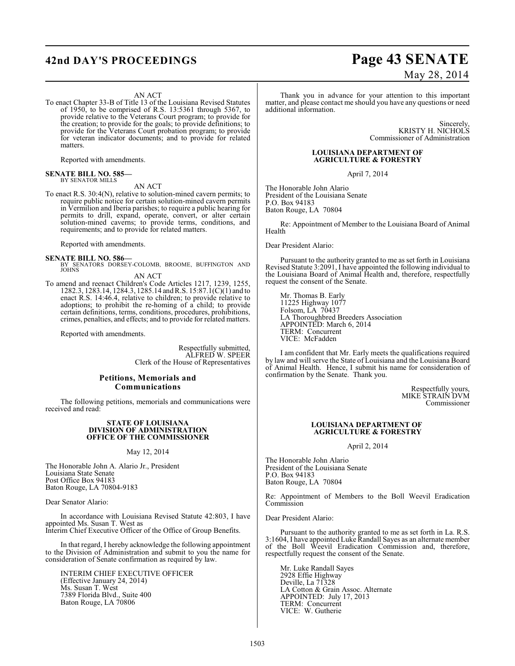# **42nd DAY'S PROCEEDINGS Page 43 SENATE**

#### AN ACT

To enact Chapter 33-B of Title 13 of the Louisiana Revised Statutes of 1950, to be comprised of R.S. 13:5361 through 5367, to provide relative to the Veterans Court program; to provide for the creation; to provide for the goals; to provide definitions; to provide for the Veterans Court probation program; to provide for veteran indicator documents; and to provide for related matters.

Reported with amendments.

# **SENATE BILL NO. 585—** BY SENATOR MILLS

AN ACT

To enact R.S. 30:4(N), relative to solution-mined cavern permits; to require public notice for certain solution-mined cavern permits in Vermilion and Iberia parishes; to require a public hearing for permits to drill, expand, operate, convert, or alter certain solution-mined caverns; to provide terms, conditions, and requirements; and to provide for related matters.

Reported with amendments.

## **SENATE BILL NO. 586—**

BY SENATORS DORSEY-COLOMB, BROOME, BUFFINGTON AND JOHNS

AN ACT

To amend and reenact Children's Code Articles 1217, 1239, 1255, 1282.3, 1283.14, 1284.3, 1285.14 and R.S. 15:87.1(C)(1) and to enact R.S. 14:46.4, relative to children; to provide relative to adoptions; to prohibit the re-homing of a child; to provide certain definitions, terms, conditions, procedures, prohibitions, crimes, penalties, and effects; and to provide for related matters.

Reported with amendments.

Respectfully submitted, ALFRED W. SPEER Clerk of the House of Representatives

#### **Petitions, Memorials and Communications**

The following petitions, memorials and communications were received and read:

#### **STATE OF LOUISIANA DIVISION OF ADMINISTRATION OFFICE OF THE COMMISSIONER**

#### May 12, 2014

The Honorable John A. Alario Jr., President Louisiana State Senate Post Office Box 94183 Baton Rouge, LA 70804-9183

Dear Senator Alario:

In accordance with Louisiana Revised Statute 42:803, I have appointed Ms. Susan T. West as

Interim Chief Executive Officer of the Office of Group Benefits.

In that regard, I hereby acknowledge the following appointment to the Division of Administration and submit to you the name for consideration of Senate confirmation as required by law.

INTERIM CHIEF EXECUTIVE OFFICER (Effective January 24, 2014) Ms. Susan T. West 7389 Florida Blvd., Suite 400 Baton Rouge, LA 70806

# May 28, 2014

Thank you in advance for your attention to this important matter, and please contact me should you have any questions or need additional information.

> Sincerely, KRISTY H. NICHOLS Commissioner of Administration

#### **LOUISIANA DEPARTMENT OF AGRICULTURE & FORESTRY**

April 7, 2014

The Honorable John Alario President of the Louisiana Senate P.O. Box 94183 Baton Rouge, LA 70804

Re: Appointment of Member to the Louisiana Board of Animal Health

Dear President Alario:

Pursuant to the authority granted to me as set forth in Louisiana Revised Statute 3:2091, I have appointed the following individual to the Louisiana Board of Animal Health and, therefore, respectfully request the consent of the Senate.

Mr. Thomas B. Early 11225 Highway 1077 Folsom, LA 70437 LA Thoroughbred Breeders Association APPOINTED: March 6, 2014 TERM: Concurrent VICE: McFadden

I am confident that Mr. Early meets the qualifications required by law and will serve the State of Louisiana and the Louisiana Board of Animal Health. Hence, I submit his name for consideration of confirmation by the Senate. Thank you.

> Respectfully yours, MIKE STRAIN DVM Commissioner

#### **LOUISIANA DEPARTMENT OF AGRICULTURE & FORESTRY**

April 2, 2014

The Honorable John Alario President of the Louisiana Senate P.O. Box 94183 Baton Rouge, LA 70804

Re: Appointment of Members to the Boll Weevil Eradication Commission

Dear President Alario:

Pursuant to the authority granted to me as set forth in La. R.S. 3:1604, I have appointed Luke Randall Sayes as an alternate member of the Boll Weevil Eradication Commission and, therefore, respectfully request the consent of the Senate.

Mr. Luke Randall Sayes 2928 Effie Highway Deville, La 71328 LA Cotton & Grain Assoc. Alternate APPOINTED: July 17, 2013 TERM: Concurrent VICE: W. Gutherie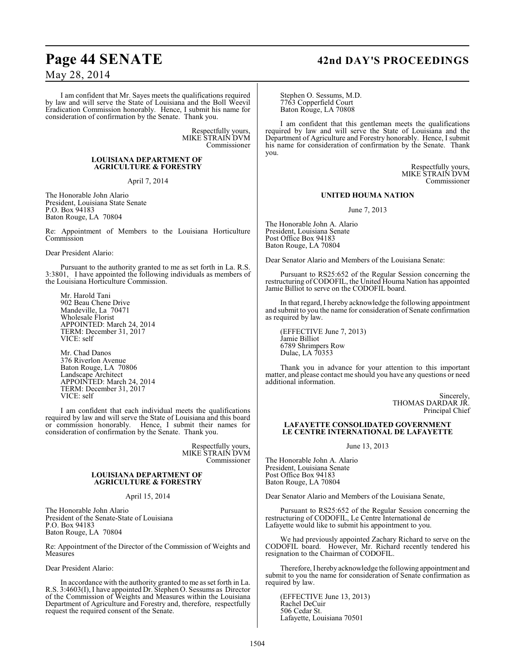# **Page 44 SENATE 42nd DAY'S PROCEEDINGS**

## May 28, 2014

I am confident that Mr. Sayes meets the qualifications required by law and will serve the State of Louisiana and the Boll Weevil Eradication Commission honorably. Hence, I submit his name for consideration of confirmation by the Senate. Thank you.

> Respectfully yours, MIKE STRAIN DVM Commissioner

#### **LOUISIANA DEPARTMENT OF AGRICULTURE & FORESTRY**

April 7, 2014

The Honorable John Alario President, Louisiana State Senate P.O. Box 94183 Baton Rouge, LA 70804

Re: Appointment of Members to the Louisiana Horticulture Commission

Dear President Alario:

Pursuant to the authority granted to me as set forth in La. R.S. 3:3801, I have appointed the following individuals as members of the Louisiana Horticulture Commission.

Mr. Harold Tani 902 Beau Chene Drive Mandeville, La 70471 Wholesale Florist APPOINTED: March 24, 2014 TERM: December 31, 2017 VICE: self

Mr. Chad Danos 376 Riverlon Avenue Baton Rouge, LA 70806 Landscape Architect APPOINTED: March 24, 2014 TERM: December 31, 2017 VICE: self

I am confident that each individual meets the qualifications required by law and will serve the State of Louisiana and this board or commission honorably. Hence, I submit their names for consideration of confirmation by the Senate. Thank you.

> Respectfully yours, MIKE STRAIN DVM Commissioner

#### **LOUISIANA DEPARTMENT OF AGRICULTURE & FORESTRY**

#### April 15, 2014

The Honorable John Alario President of the Senate-State of Louisiana P.O. Box 94183 Baton Rouge, LA 70804

Re: Appointment of the Director of the Commission of Weights and Measures

Dear President Alario:

In accordance with the authority granted to me as set forth in La. R.S. 3:4603(I), I have appointed Dr. Stephen O. Sessums as Director of the Commission of Weights and Measures within the Louisiana Department of Agriculture and Forestry and, therefore, respectfully request the required consent of the Senate.

Stephen O. Sessums, M.D. 7763 Copperfield Court Baton Rouge, LA 70808

I am confident that this gentleman meets the qualifications required by law and will serve the State of Louisiana and the Department of Agriculture and Forestry honorably. Hence, I submit his name for consideration of confirmation by the Senate. Thank you.

> Respectfully yours, MIKE STRAIN DVM Commissioner

#### **UNITED HOUMA NATION**

June 7, 2013

The Honorable John A. Alario President, Louisiana Senate Post Office Box 94183 Baton Rouge, LA 70804

Dear Senator Alario and Members of the Louisiana Senate:

Pursuant to RS25:652 of the Regular Session concerning the restructuring of CODOFIL, the United Houma Nation has appointed Jamie Billiot to serve on the CODOFIL board.

In that regard, I hereby acknowledge the following appointment and submit to you the name for consideration of Senate confirmation as required by law.

(EFFECTIVE June 7, 2013) Jamie Billiot 6789 Shrimpers Row Dulac, LA 70353

Thank you in advance for your attention to this important matter, and please contact me should you have any questions or need additional information.

> Sincerely, THOMAS DARDAR JR. Principal Chief

#### **LAFAYETTE CONSOLIDATED GOVERNMENT LE CENTRE INTERNATIONAL DE LAFAYETTE**

June 13, 2013

The Honorable John A. Alario President, Louisiana Senate Post Office Box 94183 Baton Rouge, LA 70804

Dear Senator Alario and Members of the Louisiana Senate,

Pursuant to RS25:652 of the Regular Session concerning the restructuring of CODOFIL, Le Centre International de Lafayette would like to submit his appointment to you.

We had previously appointed Zachary Richard to serve on the CODOFIL board. However, Mr. Richard recently tendered his resignation to the Chairman of CODOFIL.

Therefore, I hereby acknowledge the following appointment and submit to you the name for consideration of Senate confirmation as required by law.

(EFFECTIVE June 13, 2013) Rachel DeCuir 506 Cedar St. Lafayette, Louisiana 70501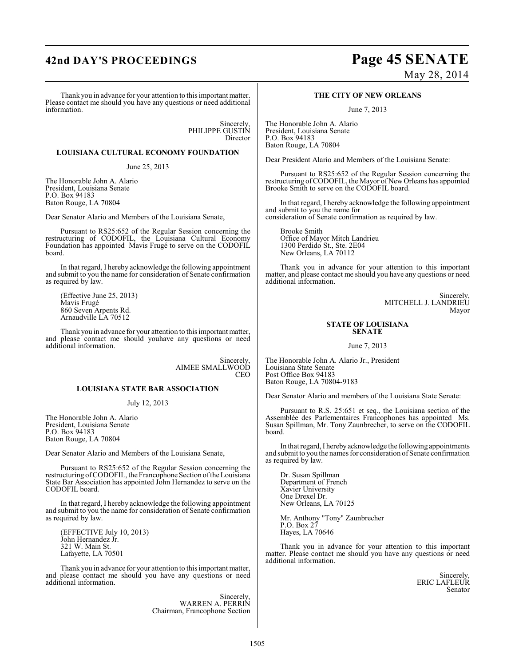# **42nd DAY'S PROCEEDINGS Page 45 SENATE**

# May 28, 2014

Thank you in advance for your attention to this important matter. Please contact me should you have any questions or need additional information.

> Sincerely, PHILIPPE GUSTIN Director

#### **LOUISIANA CULTURAL ECONOMY FOUNDATION**

June 25, 2013

The Honorable John A. Alario President, Louisiana Senate P.O. Box 94183 Baton Rouge, LA 70804

Dear Senator Alario and Members of the Louisiana Senate,

Pursuant to RS25:652 of the Regular Session concerning the restructuring of CODOFIL, the Louisiana Cultural Economy Foundation has appointed Mavis Frugé to serve on the CODOFIL board.

In that regard, I hereby acknowledge the following appointment and submit to you the name for consideration of Senate confirmation as required by law.

(Effective June 25, 2013) Mavis Frugé 860 Seven Arpents Rd. Arnaudville LA 70512

Thank you in advance for your attention to this important matter, and please contact me should youhave any questions or need additional information.

> Sincerely, AIMEE SMALLWOOD CEO

## **LOUISIANA STATE BAR ASSOCIATION**

July 12, 2013

The Honorable John A. Alario President, Louisiana Senate P.O. Box 94183 Baton Rouge, LA 70804

Dear Senator Alario and Members of the Louisiana Senate,

Pursuant to RS25:652 of the Regular Session concerning the restructuring of CODOFIL, the Francophone Section of the Louisiana State Bar Association has appointed John Hernandez to serve on the CODOFIL board.

In that regard, I hereby acknowledge the following appointment and submit to you the name for consideration of Senate confirmation as required by law.

(EFFECTIVE July 10, 2013) John Hernandez Jr. 321 W. Main St. Lafayette, LA 70501

Thank you in advance for your attention to this important matter, and please contact me should you have any questions or need additional information.

> Sincerely, WARREN A. PERRIN Chairman, Francophone Section

#### **THE CITY OF NEW ORLEANS**

June 7, 2013

The Honorable John A. Alario President, Louisiana Senate P.O. Box 94183 Baton Rouge, LA 70804

Dear President Alario and Members of the Louisiana Senate:

Pursuant to RS25:652 of the Regular Session concerning the restructuring of CODOFIL, the Mayor of New Orleans has appointed Brooke Smith to serve on the CODOFIL board.

In that regard, I hereby acknowledge the following appointment and submit to you the name for consideration of Senate confirmation as required by law.

Brooke Smith Office of Mayor Mitch Landrieu 1300 Perdido St., Ste. 2E04 New Orleans, LA 70112

Thank you in advance for your attention to this important matter, and please contact me should you have any questions or need additional information.

> Sincerely, MITCHELL J. LANDRIEU Mayor

#### **STATE OF LOUISIANA SENATE**

June 7, 2013

The Honorable John A. Alario Jr., President Louisiana State Senate Post Office Box 94183 Baton Rouge, LA 70804-9183

Dear Senator Alario and members of the Louisiana State Senate:

Pursuant to R.S. 25:651 et seq., the Louisiana section of the Assemblée des Parlementaires Francophones has appointed Ms. Susan Spillman, Mr. Tony Zaunbrecher, to serve on the CODOFIL board.

In that regard, I hereby acknowledge the following appointments and submit to you the names for consideration of Senate confirmation as required by law.

Dr. Susan Spillman Department of French Xavier University One Drexel Dr. New Orleans, LA 70125

Mr. Anthony "Tony" Zaunbrecher P.O. Box 27 Hayes, LA 70646

Thank you in advance for your attention to this important matter. Please contact me should you have any questions or need additional information.

> Sincerely, ERIC LAFLEUR Senator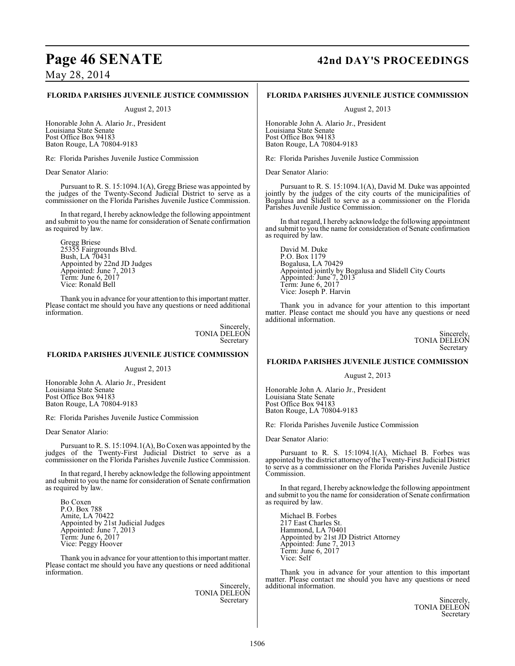# **Page 46 SENATE 42nd DAY'S PROCEEDINGS**

May 28, 2014

#### **FLORIDA PARISHES JUVENILE JUSTICE COMMISSION**

August 2, 2013

Honorable John A. Alario Jr., President Louisiana State Senate Post Office Box 94183 Baton Rouge, LA 70804-9183

Re: Florida Parishes Juvenile Justice Commission

Dear Senator Alario:

Pursuant to R. S. 15:1094.1(A), Gregg Briese was appointed by the judges of the Twenty-Second Judicial District to serve as a commissioner on the Florida Parishes Juvenile Justice Commission.

In that regard, I hereby acknowledge the following appointment and submit to you the name for consideration of Senate confirmation as required by law.

Gregg Briese 25355 Fairgrounds Blvd. Bush, LA 70431 Appointed by 22nd JD Judges Appointed: June 7, 2013 Term: June 6, 2017 Vice: Ronald Bell

Thank you in advance for your attention to this important matter. Please contact me should you have any questions or need additional information.

> Sincerely, TONIA DELEON Secretary

### **FLORIDA PARISHES JUVENILE JUSTICE COMMISSION**

August 2, 2013

Honorable John A. Alario Jr., President Louisiana State Senate Post Office Box 94183 Baton Rouge, LA 70804-9183

Re: Florida Parishes Juvenile Justice Commission

Dear Senator Alario:

Pursuant to R. S. 15:1094.1(A), Bo Coxen was appointed by the judges of the Twenty-First Judicial District to serve as a commissioner on the Florida Parishes Juvenile Justice Commission.

In that regard, I hereby acknowledge the following appointment and submit to you the name for consideration of Senate confirmation as required by law.

Bo Coxen P.O. Box 788 Amite, LA 70422 Appointed by 21st Judicial Judges Appointed: June 7, 2013 Term: June 6, 2017 Vice: Peggy Hoover

Thank you in advance for your attention to this important matter. Please contact me should you have any questions or need additional information.

> Sincerely, TONIA DELEON **Secretary**

#### **FLORIDA PARISHES JUVENILE JUSTICE COMMISSION**

August 2, 2013

Honorable John A. Alario Jr., President Louisiana State Senate Post Office Box 94183 Baton Rouge, LA 70804-9183

Re: Florida Parishes Juvenile Justice Commission

Dear Senator Alario:

Pursuant to R. S. 15:1094.1(A), David M. Duke was appointed jointly by the judges of the city courts of the municipalities of Bogalusa and Slidell to serve as a commissioner on the Florida Parishes Juvenile Justice Commission.

In that regard, I hereby acknowledge the following appointment and submit to you the name for consideration of Senate confirmation as required by law.

David M. Duke P.O. Box 1179 Bogalusa, LA 70429 Appointed jointly by Bogalusa and Slidell City Courts Appointed: June 7, 2013 Term: June 6, 2017 Vice: Joseph P. Harvin

Thank you in advance for your attention to this important matter. Please contact me should you have any questions or need additional information.

> Sincerely, TONIA DELEON Secretary

#### **FLORIDA PARISHES JUVENILE JUSTICE COMMISSION**

August 2, 2013

Honorable John A. Alario Jr., President Louisiana State Senate Post Office Box 94183 Baton Rouge, LA 70804-9183

Re: Florida Parishes Juvenile Justice Commission

Dear Senator Alario:

Pursuant to R. S. 15:1094.1(A), Michael B. Forbes was appointed by the district attorneyof the Twenty-First Judicial District to serve as a commissioner on the Florida Parishes Juvenile Justice Commission.

In that regard, I hereby acknowledge the following appointment and submit to you the name for consideration of Senate confirmation as required by law.

Michael B. Forbes 217 East Charles St. Hammond, LA 70401 Appointed by 21st JD District Attorney Appointed: June 7, 2013 Term: June 6, 2017 Vice: Self

Thank you in advance for your attention to this important matter. Please contact me should you have any questions or need additional information.

> Sincerely, TONIA DELEON Secretary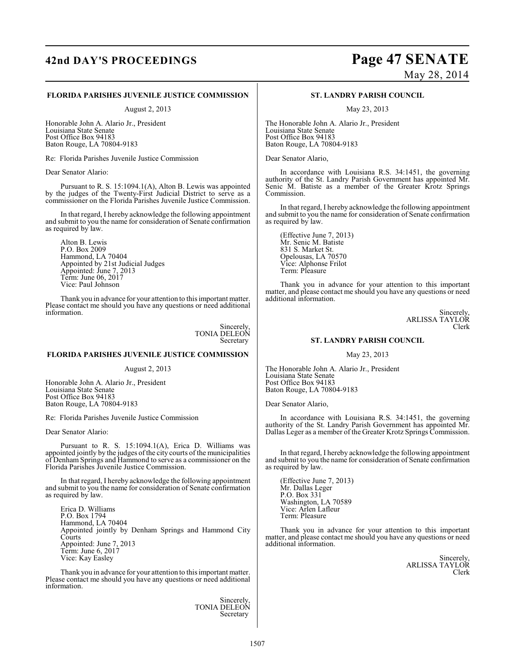# **42nd DAY'S PROCEEDINGS Page 47 SENATE**

# May 28, 2014

#### **FLORIDA PARISHES JUVENILE JUSTICE COMMISSION**

August 2, 2013

Honorable John A. Alario Jr., President Louisiana State Senate Post Office Box 94183 Baton Rouge, LA 70804-9183

Re: Florida Parishes Juvenile Justice Commission

Dear Senator Alario:

Pursuant to R. S. 15:1094.1(A), Alton B. Lewis was appointed by the judges of the Twenty-First Judicial District to serve as a commissioner on the Florida Parishes Juvenile Justice Commission.

In that regard, I hereby acknowledge the following appointment and submit to you the name for consideration of Senate confirmation as required by law.

Alton B. Lewis P.O. Box 2009 Hammond, LA 70404 Appointed by 21st Judicial Judges Appointed: June 7, 2013 Term: June 06, 2017 Vice: Paul Johnson

Thank you in advance for your attention to this important matter. Please contact me should you have any questions or need additional information.

> Sincerely, TONIA DELEON Secretary

#### **FLORIDA PARISHES JUVENILE JUSTICE COMMISSION**

August 2, 2013

Honorable John A. Alario Jr., President Louisiana State Senate Post Office Box 94183 Baton Rouge, LA 70804-9183

Re: Florida Parishes Juvenile Justice Commission

Dear Senator Alario:

Pursuant to R. S. 15:1094.1(A), Erica D. Williams was appointed jointly by the judges of the city courts of the municipalities of Denham Springs and Hammond to serve as a commissioner on the Florida Parishes Juvenile Justice Commission.

In that regard, I hereby acknowledge the following appointment and submit to you the name for consideration of Senate confirmation as required by law.

Erica D. Williams P.O. Box 1794 Hammond, LA 70404 Appointed jointly by Denham Springs and Hammond City **Courts** Appointed: June 7, 2013 Term: June 6, 2017 Vice: Kay Easley

Thank you in advance for your attention to this important matter. Please contact me should you have any questions or need additional information.

> Sincerely, TONIA DELEON Secretary

#### **ST. LANDRY PARISH COUNCIL**

May 23, 2013

The Honorable John A. Alario Jr., President Louisiana State Senate Post Office Box 94183 Baton Rouge, LA 70804-9183

Dear Senator Alario,

In accordance with Louisiana R.S. 34:1451, the governing authority of the St. Landry Parish Government has appointed Mr. Senic M. Batiste as a member of the Greater Krotz Springs Commission.

In that regard, I hereby acknowledge the following appointment and submit to you the name for consideration of Senate confirmation as required by law.

(Effective June 7, 2013) Mr. Senic M. Batiste 831 S. Market St. Opelousas, LA 70570 Vice: Alphonse Frilot Term: Pleasure

Thank you in advance for your attention to this important matter, and please contact me should you have any questions or need additional information.

> Sincerely, ARLISSA TAYLOR Clerk

#### **ST. LANDRY PARISH COUNCIL**

May 23, 2013

The Honorable John A. Alario Jr., President Louisiana State Senate Post Office Box 94183 Baton Rouge, LA 70804-9183

Dear Senator Alario,

In accordance with Louisiana R.S. 34:1451, the governing authority of the St. Landry Parish Government has appointed Mr. Dallas Leger as a member of the Greater Krotz Springs Commission.

In that regard, I hereby acknowledge the following appointment and submit to you the name for consideration of Senate confirmation as required by law.

(Effective June 7, 2013) Mr. Dallas Leger P.O. Box 331 Washington, LA 70589 Vice: Arlen Lafleur Term: Pleasure

Thank you in advance for your attention to this important matter, and please contact me should you have any questions or need additional information.

> Sincerely, ARLISSA TAYLOR Clerk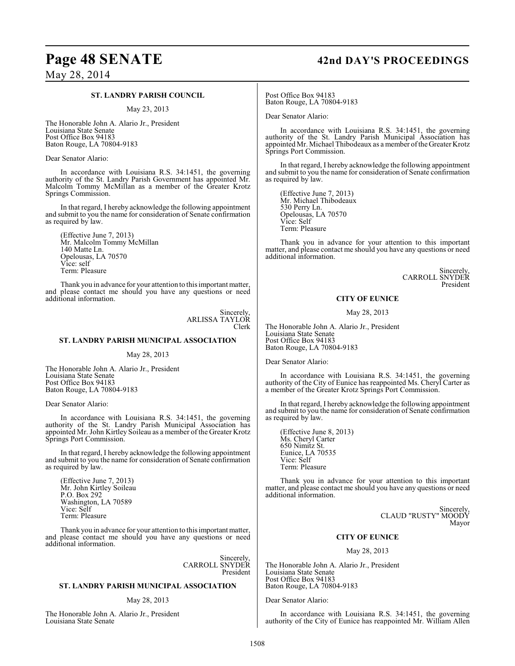## **Page 48 SENATE 42nd DAY'S PROCEEDINGS**

May 28, 2014

#### **ST. LANDRY PARISH COUNCIL**

May 23, 2013

The Honorable John A. Alario Jr., President Louisiana State Senate Post Office Box 94183 Baton Rouge, LA 70804-9183

Dear Senator Alario:

In accordance with Louisiana R.S. 34:1451, the governing authority of the St. Landry Parish Government has appointed Mr. Malcolm Tommy McMillan as a member of the Greater Krotz Springs Commission.

In that regard, I hereby acknowledge the following appointment and submit to you the name for consideration of Senate confirmation as required by law.

(Effective June 7, 2013) Mr. Malcolm Tommy McMillan 140 Matte Ln. Opelousas, LA 70570 Vice: self Term: Pleasure

Thank you in advance for your attention to this important matter, and please contact me should you have any questions or need additional information.

> Sincerely, ARLISSA TAYLOR Clerk

#### **ST. LANDRY PARISH MUNICIPAL ASSOCIATION**

#### May 28, 2013

The Honorable John A. Alario Jr., President Louisiana State Senate Post Office Box 94183 Baton Rouge, LA 70804-9183

Dear Senator Alario:

In accordance with Louisiana R.S. 34:1451, the governing authority of the St. Landry Parish Municipal Association has appointed Mr. John Kirtley Soileau as a member of the Greater Krotz Springs Port Commission.

In that regard, I hereby acknowledge the following appointment and submit to you the name for consideration of Senate confirmation as required by law.

(Effective June 7, 2013) Mr. John Kirtley Soileau P.O. Box 292 Washington, LA 70589 Vice: Self Term: Pleasure

Thank you in advance for your attention to this important matter, and please contact me should you have any questions or need additional information.

> Sincerely, CARROLL SNYDER President

#### **ST. LANDRY PARISH MUNICIPAL ASSOCIATION**

#### May 28, 2013

The Honorable John A. Alario Jr., President Louisiana State Senate

Post Office Box 94183 Baton Rouge, LA 70804-9183

Dear Senator Alario:

In accordance with Louisiana R.S. 34:1451, the governing authority of the St. Landry Parish Municipal Association has appointed Mr. Michael Thibodeaux as a member of the Greater Krotz Springs Port Commission.

In that regard, I hereby acknowledge the following appointment and submit to you the name for consideration of Senate confirmation as required by law.

(Effective June 7, 2013) Mr. Michael Thibodeaux 530 Perry Ln. Opelousas, LA 70570 Vice: Self Term: Pleasure

Thank you in advance for your attention to this important matter, and please contact me should you have any questions or need additional information.

> Sincerely, CARROLL SNYDER President

#### **CITY OF EUNICE**

May 28, 2013

The Honorable John A. Alario Jr., President Louisiana State Senate Post Office Box 94183 Baton Rouge, LA 70804-9183

Dear Senator Alario:

In accordance with Louisiana R.S. 34:1451, the governing authority of the City of Eunice has reappointed Ms. Cheryl Carter as a member of the Greater Krotz Springs Port Commission.

In thatregard, I hereby acknowledge the following appointment and submit to you the name for consideration of Senate confirmation as required by law.

(Effective June 8, 2013) Ms. Cheryl Carter 650 Nimitz St. Eunice, LA 70535 Vice: Self Term: Pleasure

Thank you in advance for your attention to this important matter, and please contact me should you have any questions or need additional information.

> Sincerely, CLAUD "RUSTY" MOODY Mayor

#### **CITY OF EUNICE**

#### May 28, 2013

The Honorable John A. Alario Jr., President Louisiana State Senate Post Office Box 94183 Baton Rouge, LA 70804-9183

Dear Senator Alario:

In accordance with Louisiana R.S. 34:1451, the governing authority of the City of Eunice has reappointed Mr. William Allen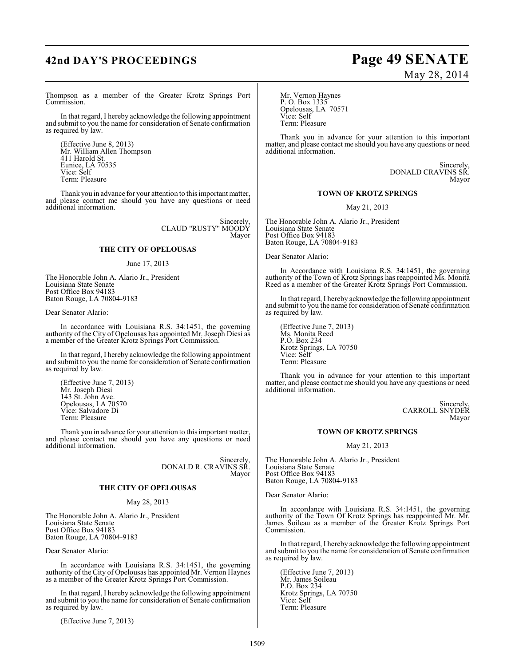# **42nd DAY'S PROCEEDINGS Page 49 SENATE**

# May 28, 2014

Thompson as a member of the Greater Krotz Springs Port Commission.

In that regard, I hereby acknowledge the following appointment and submit to you the name for consideration of Senate confirmation as required by law.

(Effective June 8, 2013) Mr. William Allen Thompson 411 Harold St. Eunice, LA 70535 Vice: Self Term: Pleasure

Thank you in advance for your attention to this important matter, and please contact me should you have any questions or need additional information.

> Sincerely, CLAUD "RUSTY" MOODY Mayor

### **THE CITY OF OPELOUSAS**

#### June 17, 2013

The Honorable John A. Alario Jr., President Louisiana State Senate Post Office Box 94183 Baton Rouge, LA 70804-9183

#### Dear Senator Alario:

In accordance with Louisiana R.S. 34:1451, the governing authority of the City of Opelousas has appointed Mr. Joseph Diesi as a member of the Greater Krotz Springs Port Commission.

In that regard, I hereby acknowledge the following appointment and submit to you the name for consideration of Senate confirmation as required by law.

(Effective June 7, 2013) Mr. Joseph Diesi 143 St. John Ave. Opelousas, LA 70570 Vice: Salvadore Di Term: Pleasure

Thank you in advance for your attention to this important matter, and please contact me should you have any questions or need additional information.

> Sincerely, DONALD R. CRAVINS SR. Mayor

#### **THE CITY OF OPELOUSAS**

#### May 28, 2013

The Honorable John A. Alario Jr., President Louisiana State Senate Post Office Box 94183 Baton Rouge, LA 70804-9183

Dear Senator Alario:

In accordance with Louisiana R.S. 34:1451, the governing authority of the City of Opelousas has appointed Mr. Vernon Haynes as a member of the Greater Krotz Springs Port Commission.

In that regard, I hereby acknowledge the following appointment and submit to you the name for consideration of Senate confirmation as required by law.

(Effective June 7, 2013)

Mr. Vernon Haynes P. O. Box 1335 Opelousas, LA 70571 Vice: Self Term: Pleasure

Thank you in advance for your attention to this important matter, and please contact me should you have any questions or need additional information.

> Sincerely, DONALD CRAVINS SR. Mayor

#### **TOWN OF KROTZ SPRINGS**

May 21, 2013

The Honorable John A. Alario Jr., President Louisiana State Senate Post Office Box 94183 Baton Rouge, LA 70804-9183

Dear Senator Alario:

In Accordance with Louisiana R.S. 34:1451, the governing authority of the Town of Krotz Springs has reappointed Ms. Monita Reed as a member of the Greater Krotz Springs Port Commission.

In that regard, I hereby acknowledge the following appointment and submit to you the name for consideration of Senate confirmation as required by law.

(Effective June 7, 2013) Ms. Monita Reed P.O. Box 234 Krotz Springs, LA 70750 Vice: Self Term: Pleasure

Thank you in advance for your attention to this important matter, and please contact me should you have any questions or need additional information.

> Sincerely, CARROLL SNYDER Mayor

#### **TOWN OF KROTZ SPRINGS**

May 21, 2013

The Honorable John A. Alario Jr., President Louisiana State Senate Post Office Box 94183 Baton Rouge, LA 70804-9183

Dear Senator Alario:

In accordance with Louisiana R.S. 34:1451, the governing authority of the Town Of Krotz Springs has reappointed Mr. Mr. James Soileau as a member of the Greater Krotz Springs Port Commission.

In that regard, I hereby acknowledge the following appointment and submit to you the name for consideration of Senate confirmation as required by law.

(Effective June 7, 2013) Mr. James Soileau P.O. Box 234 Krotz Springs, LA 70750 Vice: Self Term: Pleasure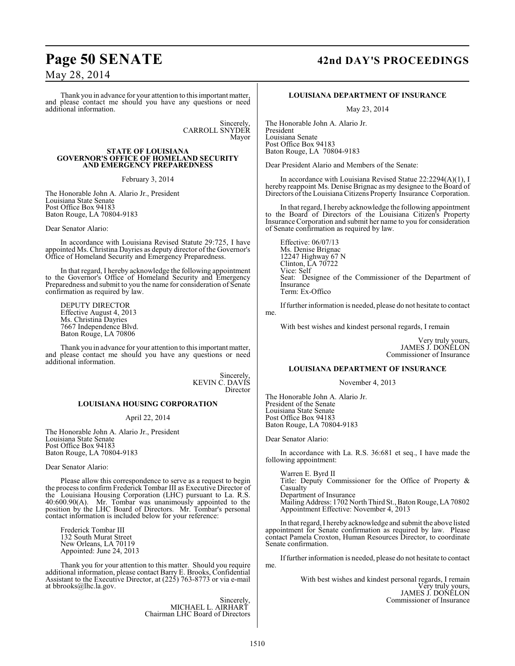Thank you in advance for your attention to this important matter, and please contact me should you have any questions or need additional information.

> Sincerely, CARROLL SNYDER Mayor

#### **STATE OF LOUISIANA GOVERNOR'S OFFICE OF HOMELAND SECURITY AND EMERGENCY PREPAREDNESS**

February 3, 2014

The Honorable John A. Alario Jr., President Louisiana State Senate Post Office Box 94183 Baton Rouge, LA 70804-9183

Dear Senator Alario:

In accordance with Louisiana Revised Statute 29:725, I have appointed Ms. Christina Dayries as deputy director of the Governor's Office of Homeland Security and Emergency Preparedness.

In that regard, I hereby acknowledge the following appointment to the Governor's Office of Homeland Security and Emergency Preparedness and submit to you the name for consideration of Senate confirmation as required by law.

DEPUTY DIRECTOR Effective August 4, 2013 Ms. Christina Dayries 7667 Independence Blvd. Baton Rouge, LA 70806

Thank you in advance for your attention to this important matter, and please contact me should you have any questions or need additional information.

> Sincerely, KEVIN C. DAVIS Director

#### **LOUISIANA HOUSING CORPORATION**

April 22, 2014

The Honorable John A. Alario Jr., President Louisiana State Senate Post Office Box 94183 Baton Rouge, LA 70804-9183

Dear Senator Alario:

Please allow this correspondence to serve as a request to begin the process to confirm Frederick Tombar III as Executive Director of the Louisiana Housing Corporation (LHC) pursuant to La. R.S. 40:600.90(A). Mr. Tombar was unanimously appointed to the position by the LHC Board of Directors. Mr. Tombar's personal contact information is included below for your reference:

Frederick Tombar III 132 South Murat Street New Orleans, LA 70119 Appointed: June 24, 2013

Thank you for your attention to this matter. Should you require additional information, please contact Barry E. Brooks, Confidential Assistant to the Executive Director, at (225) 763-8773 or via e-mail at bbrooks@lhc.la.gov.

> Sincerely, MICHAEL L. AIRHART Chairman LHC Board of Directors

# **Page 50 SENATE 42nd DAY'S PROCEEDINGS**

#### **LOUISIANA DEPARTMENT OF INSURANCE**

May 23, 2014

The Honorable John A. Alario Jr. President Louisiana Senate Post Office Box 94183 Baton Rouge, LA 70804-9183

Dear President Alario and Members of the Senate:

In accordance with Louisiana Revised Statue 22:2294(A)(1), I hereby reappoint Ms. Denise Brignac as my designee to the Board of Directors of the Louisiana Citizens Property Insurance Corporation.

In that regard, I hereby acknowledge the following appointment to the Board of Directors of the Louisiana Citizen's Property Insurance Corporation and submit her name to you for consideration of Senate confirmation as required by law.

Effective: 06/07/13 Ms. Denise Brignac 12247 Highway 67 N Clinton, LA 70722 Vice: Self Seat: Designee of the Commissioner of the Department of Insurance Term: Ex-Offico

If further information is needed, please do not hesitate to contact me.

With best wishes and kindest personal regards, I remain

Very truly yours, JAMES J. DONELON Commissioner of Insurance

#### **LOUISIANA DEPARTMENT OF INSURANCE**

November 4, 2013

The Honorable John A. Alario Jr. President of the Senate Louisiana State Senate Post Office Box 94183 Baton Rouge, LA 70804-9183

Dear Senator Alario:

In accordance with La. R.S. 36:681 et seq., I have made the following appointment:

Warren E. Byrd II Title: Deputy Commissioner for the Office of Property & Casualty Department of Insurance Mailing Address: 1702 North Third St., Baton Rouge, LA 70802 Appointment Effective: November 4, 2013

In that regard, I hereby acknowledge and submit the above listed appointment for Senate confirmation as required by law. Please contact Pamela Croxton, Human Resources Director, to coordinate Senate confirmation.

If further information is needed, please do not hesitate to contact me.

> With best wishes and kindest personal regards, I remain Very truly yours, JAMES J. DONELON Commissioner of Insurance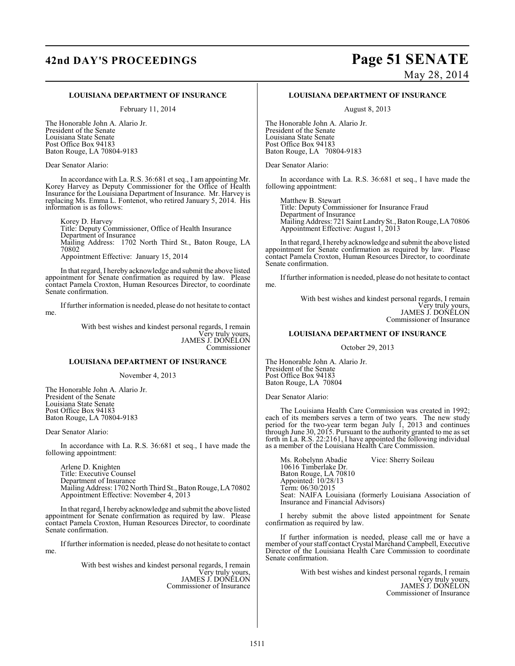# **42nd DAY'S PROCEEDINGS Page 51 SENATE**

# May 28, 2014

#### **LOUISIANA DEPARTMENT OF INSURANCE**

February 11, 2014

The Honorable John A. Alario Jr. President of the Senate Louisiana State Senate Post Office Box 94183 Baton Rouge, LA 70804-9183

Dear Senator Alario:

In accordance with La. R.S. 36:681 et seq., I am appointing Mr. Korey Harvey as Deputy Commissioner for the Office of Health Insurance for the Louisiana Department of Insurance. Mr. Harvey is replacing Ms. Emma L. Fontenot, who retired January 5, 2014. His information is as follows:

Korey D. Harvey Title: Deputy Commissioner, Office of Health Insurance Department of Insurance Mailing Address: 1702 North Third St., Baton Rouge, LA 70802 Appointment Effective: January 15, 2014

In that regard, I hereby acknowledge and submit the above listed appointment for Senate confirmation as required by law. Please contact Pamela Croxton, Human Resources Director, to coordinate Senate confirmation.

If further information is needed, please do not hesitate to contact me.

> With best wishes and kindest personal regards, I remain Very truly yours, JAMES J. DONELON Commissioner

#### **LOUISIANA DEPARTMENT OF INSURANCE**

November 4, 2013

The Honorable John A. Alario Jr. President of the Senate Louisiana State Senate Post Office Box 94183 Baton Rouge, LA 70804-9183

Dear Senator Alario:

In accordance with La. R.S. 36:681 et seq., I have made the following appointment:

Arlene D. Knighten Title: Executive Counsel Department of Insurance Mailing Address: 1702 North Third St., Baton Rouge, LA 70802 Appointment Effective: November 4, 2013

In that regard, I hereby acknowledge and submit the above listed appointment for Senate confirmation as required by law. Please contact Pamela Croxton, Human Resources Director, to coordinate Senate confirmation.

If further information is needed, please do not hesitate to contact me.

> With best wishes and kindest personal regards, I remain Very truly yours, JAMES J. DONELON Commissioner of Insurance

#### **LOUISIANA DEPARTMENT OF INSURANCE**

August 8, 2013

The Honorable John A. Alario Jr. President of the Senate Louisiana State Senate Post Office Box 94183 Baton Rouge, LA 70804-9183

Dear Senator Alario:

In accordance with La. R.S. 36:681 et seq., I have made the following appointment:

Matthew B. Stewart Title: Deputy Commissioner for Insurance Fraud Department of Insurance Mailing Address: 721 Saint Landry St., Baton Rouge, LA 70806 Appointment Effective: August 1, 2013

In that regard, I hereby acknowledge and submit the above listed appointment for Senate confirmation as required by law. Please contact Pamela Croxton, Human Resources Director, to coordinate Senate confirmation.

If further information is needed, please do not hesitate to contact me.

> With best wishes and kindest personal regards, I remain Very truly yours, JAMES J. DONELON Commissioner of Insurance

#### **LOUISIANA DEPARTMENT OF INSURANCE**

October 29, 2013

The Honorable John A. Alario Jr. President of the Senate Post Office Box 94183 Baton Rouge, LA 70804

Dear Senator Alario:

The Louisiana Health Care Commission was created in 1992; each of its members serves a term of two years. The new study period for the two-year term began July 1, 2013 and continues through June 30, 2015. Pursuant to the authority granted to me as set forth in La. R.S. 22:2161, I have appointed the following individual as a member of the Louisiana Health Care Commission.

Ms. Robelynn Abadie Vice: Sherry Soileau 10616 Timberlake Dr. Baton Rouge, LA 70810 Appointed: 10/28/13 Term: 06/30/2015 Seat: NAIFA Louisiana (formerly Louisiana Association of Insurance and Financial Advisors)

I hereby submit the above listed appointment for Senate confirmation as required by law.

If further information is needed, please call me or have a member of your staff contact Crystal Marchand Campbell, Executive Director of the Louisiana Health Care Commission to coordinate Senate confirmation.

> With best wishes and kindest personal regards, I remain Very truly yours, JAMES J. DONELON Commissioner of Insurance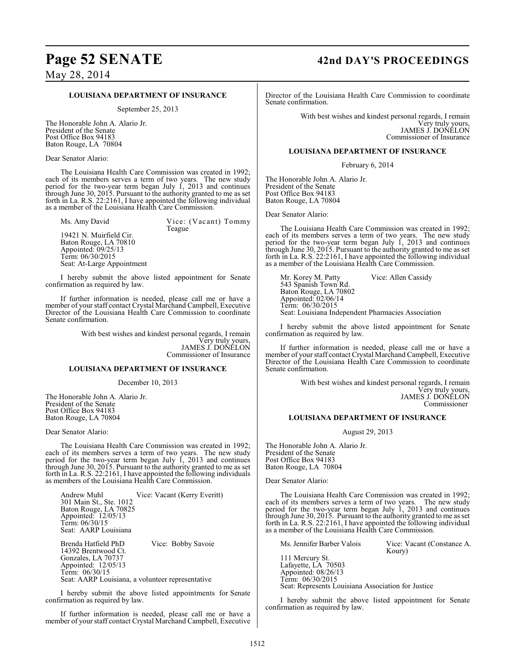#### **LOUISIANA DEPARTMENT OF INSURANCE**

September 25, 2013

The Honorable John A. Alario Jr. President of the Senate Post Office Box 94183 Baton Rouge, LA 70804

Dear Senator Alario:

The Louisiana Health Care Commission was created in 1992; each of its members serves a term of two years. The new study period for the two-year term began July 1, 2013 and continues through June 30, 2015. Pursuant to the authority granted to me as set forth in La. R.S. 22:2161, I have appointed the following individual as a member of the Louisiana Health Care Commission.

| Ms. Amy David              | Vice: (Vacant) Tommy |  |
|----------------------------|----------------------|--|
|                            | Teague               |  |
| 19421 N. Muirfield Cir.    |                      |  |
| Baton Rouge, LA 70810      |                      |  |
| Appointed: 09/25/13        |                      |  |
| Term: 06/30/2015           |                      |  |
| Seat: At-Large Appointment |                      |  |

I hereby submit the above listed appointment for Senate confirmation as required by law.

If further information is needed, please call me or have a member of your staff contact Crystal Marchand Campbell, Executive Director of the Louisiana Health Care Commission to coordinate Senate confirmation.

> With best wishes and kindest personal regards, I remain Very truly yours, JAMES J. DONELON Commissioner of Insurance

#### **LOUISIANA DEPARTMENT OF INSURANCE**

December 10, 2013

The Honorable John A. Alario Jr. President of the Senate Post Office Box 94183 Baton Rouge, LA 70804

#### Dear Senator Alario:

The Louisiana Health Care Commission was created in 1992; each of its members serves a term of two years. The new study period for the two-year term began July 1, 2013 and continues through June 30, 2015. Pursuant to the authority granted to me as set forth in La. R.S. 22:2161, I have appointed the following individuals as members of the Louisiana Health Care Commission.

| Andrew Muhl             | Vice: Vacant (Kerry Everitt)                     |
|-------------------------|--------------------------------------------------|
| 301 Main St., Ste. 1012 |                                                  |
| Baton Rouge, LA 70825   |                                                  |
| Appointed: 12/05/13     |                                                  |
| Term: 06/30/15          |                                                  |
| Seat: AARP Louisiana    |                                                  |
|                         |                                                  |
| Brenda Hatfield PhD     | Vice: Bobby Savoie                               |
| 14392 Brentwood Ct.     |                                                  |
| Gonzales, LA 70737      |                                                  |
| Appointed: 12/05/13     |                                                  |
| Term: 06/30/15          |                                                  |
|                         | Seat: AARP Louisiana, a volunteer representative |
|                         |                                                  |

I hereby submit the above listed appointments for Senate confirmation as required by law.

If further information is needed, please call me or have a member of your staff contact Crystal Marchand Campbell, Executive

# **Page 52 SENATE 42nd DAY'S PROCEEDINGS**

Director of the Louisiana Health Care Commission to coordinate Senate confirmation.

> With best wishes and kindest personal regards, I remain Very truly yours, JAMES J. DONELON Commissioner of Insurance

#### **LOUISIANA DEPARTMENT OF INSURANCE**

February 6, 2014

The Honorable John A. Alario Jr. President of the Senate Post Office Box 94183 Baton Rouge, LA 70804

Dear Senator Alario:

The Louisiana Health Care Commission was created in 1992; each of its members serves a term of two years. The new study period for the two-year term began July 1, 2013 and continues through June 30, 2015. Pursuant to the authority granted to me as set forth in La. R.S. 22:2161, I have appointed the following individual as a member of the Louisiana Health Care Commission.

Mr. Korey M. Patty Vice: Allen Cassidy 543 Spanish Town Rd. Baton Rouge, LA 70802 Appointed: 02/06/14 Term: 06/30/2015 Seat: Louisiana Independent Pharmacies Association

I hereby submit the above listed appointment for Senate confirmation as required by law.

If further information is needed, please call me or have a member of your staff contact Crystal Marchand Campbell, Executive Director of the Louisiana Health Care Commission to coordinate Senate confirmation.

> With best wishes and kindest personal regards, I remain Very truly yours, JAMES J. DONELON Commissioner

#### **LOUISIANA DEPARTMENT OF INSURANCE**

August 29, 2013

The Honorable John A. Alario Jr. President of the Senate Post Office Box 94183 Baton Rouge, LA 70804

Dear Senator Alario:

The Louisiana Health Care Commission was created in 1992; each of its members serves a term of two years. The new study period for the two-year term began July 1, 2013 and continues through June 30, 2015. Pursuant to the authority granted to me as set forth in La. R.S. 22:2161, I have appointed the following individual as a member of the Louisiana Health Care Commission.

Ms. Jennifer Barber Valois Vice: Vacant (Constance A. Koury)

111 Mercury St. Lafayette, LA 70503 Appointed: 08/26/13 Term: 06/30/2015 Seat: Represents Louisiana Association for Justice

I hereby submit the above listed appointment for Senate confirmation as required by law.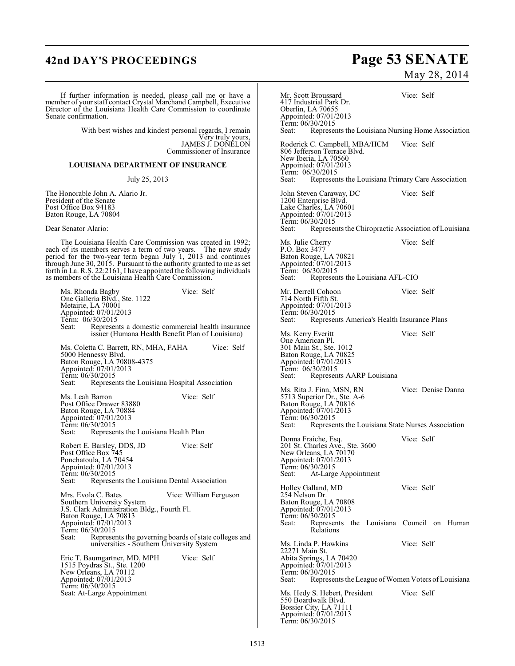# **42nd DAY'S PROCEEDINGS Page 53 SENATE**

If further information is needed, please call me or have a member of your staff contact Crystal Marchand Campbell, Executive Director of the Louisiana Health Care Commission to coordinate Senate confirmation.

> With best wishes and kindest personal regards, I remain Very truly yours, JAMES J. DONELON Commissioner of Insurance

#### **LOUISIANA DEPARTMENT OF INSURANCE**

July 25, 2013

The Honorable John A. Alario Jr. President of the Senate Post Office Box 94183 Baton Rouge, LA 70804

Dear Senator Alario:

The Louisiana Health Care Commission was created in 1992; each of its members serves a term of two years. The new study period for the two-year term began July 1, 2013 and continues through June 30, 2015. Pursuant to the authority granted to me as set forth in La. R.S. 22:2161, I have appointed the following individuals as members of the Louisiana Health Care Commission.

Ms. Rhonda Bagby Vice: Self One Galleria Blvd., Ste. 1122 Metairie, LA 70001 Appointed: 07/01/2013 Term: 06/30/2015<br>Seat: Represen Represents a domestic commercial health insurance issuer (Humana Health Benefit Plan of Louisiana) Ms. Coletta C. Barrett, RN, MHA, FAHA Vice: Self 5000 Hennessy Blvd. Baton Rouge, LA 70808-4375 Appointed: 07/01/2013 Term: 06/30/2015<br>Seat: Represen Represents the Louisiana Hospital Association Ms. Leah Barron Vice: Self Post Office Drawer 83880 Baton Rouge, LA 70884 Appointed: 07/01/2013 Term: 06/30/2015<br>Seat: Represen Represents the Louisiana Health Plan Robert E. Barsley, DDS, JD Vice: Self Post Office Box 745 Ponchatoula, LA 70454 Appointed: 07/01/2013 Term: 06/30/2015 Seat: Represents the Louisiana Dental Association Mrs. Evola C. Bates Vice: William Ferguson Southern University System J.S. Clark Administration Bldg., Fourth Fl. Baton Rouge, LA 70813 Appointed: 07/01/2013 Term: 06/30/2015<br>Seat: Represen Seat: Represents the governing boards of state colleges and universities - Southern University System Eric T. Baumgartner, MD, MPH Vice: Self 1515 Poydras St., Ste. 1200 New Orleans, LA 70112 Appointed: 07/01/2013 Term: 06/30/2015 Seat: At-Large Appointment

May 28, 2014

Mr. Scott Broussard Vice: Self 417 Industrial Park Dr. Oberlin, LA 70655 Appointed: 07/01/2013 Term: 06/30/2015 Seat: Represents the Louisiana Nursing Home Association Roderick C. Campbell, MBA/HCM Vice: Self 806 Jefferson Terrace Blvd. New Iberia, LA 70560 Appointed: 07/01/2013 Term: 06/30/2015<br>Seat: Represen Represents the Louisiana Primary Care Association John Steven Caraway, DC Vice: Self 1200 Enterprise Blvd. Lake Charles, LA 70601 Appointed: 07/01/2013 Term: 06/30/2015<br>Seat: Represer Represents the Chiropractic Association of Louisiana Ms. Julie Cherry Vice: Self P.O. Box 3477 Baton Rouge, LA 70821 Appointed: 07/01/2013 Term: 06/30/2015<br>Seat: Represen Represents the Louisiana AFL-CIO Mr. Derrell Cohoon Vice: Self 714 North Fifth St. Appointed: 07/01/2013 Term: 06/30/2015<br>Seat: Represer Represents America's Health Insurance Plans Ms. Kerry Everitt Vice: Self One American Pl. 301 Main St., Ste. 1012 Baton Rouge, LA 70825 Appointed: 07/01/2013 Term: 06/30/2015 Seat: Represents AARP Louisiana Ms. Rita J. Finn, MSN, RN Vice: Denise Danna 5713 Superior Dr., Ste. A-6 Baton Rouge, LA 70816 Appointed: 07/01/2013 Term: 06/30/2015<br>Seat: Represen Represents the Louisiana State Nurses Association Donna Fraiche, Esq. Vice: Self 201 St. Charles Ave., Ste. 3600 New Orleans, LA 70170 Appointed: 07/01/2013 Term: 06/30/2015<br>Seat: At-Large At-Large Appointment Holley Galland, MD Vice: Self 254 Nelson Dr. Baton Rouge, LA 70808 Appointed: 07/01/2013 Term: 06/30/2015<br>Seat: Represen Represents the Louisiana Council on Human Relations Ms. Linda P. Hawkins Vice: Self 22271 Main St. Abita Springs, LA 70420 Appointed: 07/01/2013 Term: 06/30/2015<br>Seat: Represen Represents the League of Women Voters of Louisiana Ms. Hedy S. Hebert, President Vice: Self 550 Boardwalk Blvd. Bossier City, LA 71111 Appointed: 07/01/2013 Term: 06/30/2015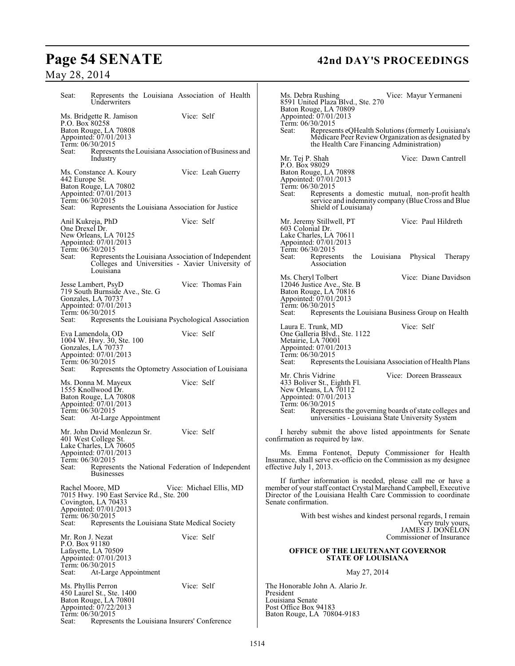# **Page 54 SENATE 42nd DAY'S PROCEEDINGS**

## May 28, 2014

Seat: Represents the Louisiana Association of Health Underwriters Ms. Bridgette R. Jamison Vice: Self P.O. Box 80258 Baton Rouge, LA 70808 Appointed: 07/01/2013 Term: 06/30/2015<br>Seat: Represen Represents the Louisiana Association of Business and Industry Ms. Constance A. Koury Vice: Leah Guerry 442 Europe St. Baton Rouge, LA 70802 Appointed: 07/01/2013 Term: 06/30/2015<br>Seat: Represen Represents the Louisiana Association for Justice Anil Kukreja, PhD Vice: Self One Drexel Dr. New Orleans, LA 70125 Appointed: 07/01/2013 Term: 06/30/2015<br>Seat: Represen Represents the Louisiana Association of Independent Colleges and Universities - Xavier University of Louisiana Jesse Lambert, PsyD Vice: Thomas Fain 719 South Burnside Ave., Ste. G Gonzales, LA 70737 Appointed: 07/01/2013 Term: 06/30/2015<br>Seat: Represer Represents the Louisiana Psychological Association Eva Lamendola, OD Vice: Self 1004 W. Hwy. 30, Ste. 100 Gonzales, LA 70737 Appointed: 07/01/2013 Term: 06/30/2015<br>Seat: Represen Represents the Optometry Association of Louisiana Ms. Donna M. Mayeux Vice: Self 1555 Knollwood Dr. Baton Rouge, LA 70808 Appointed: 07/01/2013 Term: 06/30/2015<br>Seat: At-Large At-Large Appointment Mr. John David Monlezun Sr. Vice: Self 401 West College St. Lake Charles, LA 70605 Appointed: 07/01/2013 Term: 06/30/2015<br>Seat: Represent Represents the National Federation of Independent Businesses Rachel Moore, MD Vice: Michael Ellis, MD 7015 Hwy. 190 East Service Rd., Ste. 200 Covington, LA 70433 Appointed: 07/01/2013 Term: 06/30/2015<br>Seat: Represen Represents the Louisiana State Medical Society Mr. Ron J. Nezat Vice: Self P.O. Box 91180 Lafayette, LA 70509 Appointed: 07/01/2013 Term: 06/30/2015<br>Seat: At-Large At-Large Appointment Ms. Phyllis Perron Vice: Self 450 Laurel St., Ste. 1400 Baton Rouge, LA 70801 Appointed: 07/22/2013 Term: 06/30/2015<br>Seat: Represer Represents the Louisiana Insurers' Conference

Ms. Debra Rushing Vice: Mayur Yermaneni 8591 United Plaza Blvd., Ste. 270 Baton Rouge, LA 70809 Appointed: 07/01/2013 Term: 06/30/2015<br>Seat: Represer Represents eQHealth Solutions (formerly Louisiana's Medicare Peer Review Organization as designated by the Health Care Financing Administration) Mr. Tej P. Shah Vice: Dawn Cantrell P.O. Box 98029 Baton Rouge, LA 70898 Appointed: 07/01/2013 Term: 06/30/2015<br>Seat: Represen Represents a domestic mutual, non-profit health service and indemnity company (Blue Cross and Blue Shield of Louisiana) Mr. Jeremy Stillwell, PT Vice: Paul Hildreth 603 Colonial Dr. Lake Charles, LA 70611 Appointed: 07/01/2013 Term:  $06/30/2015$ <br>Seat: Represents the Louisiana Physical Therapy Association Ms. Cheryl Tolbert Vice: Diane Davidson 12046 Justice Ave., Ste. B Baton Rouge, LA 70816 Appointed: 07/01/2013 Term: 06/30/2015<br>Seat: Represen Represents the Louisiana Business Group on Health Laura E. Trunk, MD Vice: Self One Galleria Blvd., Ste. 1122 Metairie, LA 70001 Appointed: 07/01/2013 Term: 06/30/2015<br>Seat: Represen Represents the Louisiana Association of Health Plans Mr. Chris Vidrine Vice: Doreen Brasseaux 433 Boliver St., Eighth Fl. New Orleans, LA 70112 Appointed: 07/01/2013 Term: 06/30/2015<br>Seat: Represen Represents the governing boards of state colleges and universities - Louisiana State University System I hereby submit the above listed appointments for Senate confirmation as required by law. Ms. Emma Fontenot, Deputy Commissioner for Health Insurance, shall serve ex-officio on the Commission as my designee effective July 1, 2013. If further information is needed, please call me or have a member of your staff contact Crystal Marchand Campbell, Executive Director of the Louisiana Health Care Commission to coordinate Senate confirmation. With best wishes and kindest personal regards, I remain Very truly yours, JAMES J. DONELON Commissioner of Insurance **OFFICE OF THE LIEUTENANT GOVERNOR STATE OF LOUISIANA** May 27, 2014 The Honorable John A. Alario Jr. President Louisiana Senate

Post Office Box 94183 Baton Rouge, LA 70804-9183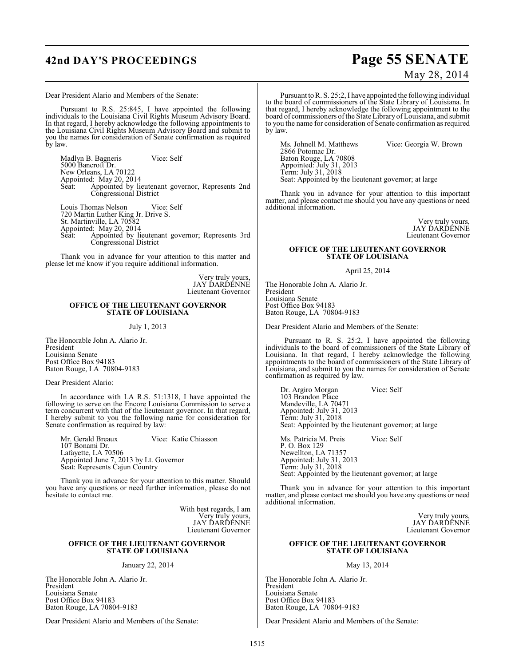# **42nd DAY'S PROCEEDINGS Page 55 SENATE**

Dear President Alario and Members of the Senate:

Pursuant to R.S. 25:845, I have appointed the following individuals to the Louisiana Civil Rights Museum Advisory Board. In that regard, I hereby acknowledge the following appointments to the Louisiana Civil Rights Museum Advisory Board and submit to you the names for consideration of Senate confirmation as required by law.

Madlyn B. Bagneris Vice: Self 5000 Bancroft Dr. New Orleans, LA 70122 Appointed: May 20, 2014<br>Seat: Appointed by lig Seat: Appointed by lieutenant governor, Represents 2nd Congressional District

Louis Thomas Nelson Vice: Self 720 Martin Luther King Jr. Drive S. St. Martinville, LA 70582 Appointed: May 20, 2014<br>Seat: Appointed by li Seat: Appointed by lieutenant governor; Represents 3rd Congressional District

Thank you in advance for your attention to this matter and please let me know if you require additional information.

> Very truly yours, JAY DARDENNE Lieutenant Governor

#### **OFFICE OF THE LIEUTENANT GOVERNOR STATE OF LOUISIANA**

#### July 1, 2013

The Honorable John A. Alario Jr. President Louisiana Senate Post Office Box 94183 Baton Rouge, LA 70804-9183

Dear President Alario:

In accordance with LA R.S. 51:1318, I have appointed the following to serve on the Encore Louisiana Commission to serve a term concurrent with that of the lieutenant governor. In that regard, I hereby submit to you the following name for consideration for Senate confirmation as required by law:

Mr. Gerald Breaux Vice: Katie Chiasson 107 Bonami Dr. Lafayette, LA 70506 Appointed June 7, 2013 by Lt. Governor Seat: Represents Cajun Country

Thank you in advance for your attention to this matter. Should you have any questions or need further information, please do not hesitate to contact me.

> With best regards, I am Very truly yours, JAY DARDENNE Lieutenant Governor

#### **OFFICE OF THE LIEUTENANT GOVERNOR STATE OF LOUISIANA**

January 22, 2014

The Honorable John A. Alario Jr. President Louisiana Senate Post Office Box 94183 Baton Rouge, LA 70804-9183

Dear President Alario and Members of the Senate:

# May 28, 2014

Pursuant to R. S. 25:2, I have appointed the following individual to the board of commissioners of the State Library of Louisiana. In that regard, I hereby acknowledge the following appointment to the board of commissioners of the State Library of Louisiana, and submit to you the name for consideration of Senate confirmation as required by law.

Ms. Johnell M. Matthews Vice: Georgia W. Brown 2866 Potomac Dr. Baton Rouge, LA 70808 Appointed: July 31, 2013 Term: July 31, 2018 Seat: Appointed by the lieutenant governor; at large

Thank you in advance for your attention to this important matter, and please contact me should you have any questions or need additional information.

> Very truly yours, JAY ĎARĎĚNNÉ Lieutenant Governor

#### **OFFICE OF THE LIEUTENANT GOVERNOR STATE OF LOUISIANA**

#### April 25, 2014

The Honorable John A. Alario Jr. President Louisiana Senate Post Office Box 94183 Baton Rouge, LA 70804-9183

Dear President Alario and Members of the Senate:

 Pursuant to R. S. 25:2, I have appointed the following individuals to the board of commissioners of the State Library of Louisiana. In that regard, I hereby acknowledge the following appointments to the board of commissioners of the State Library of Louisiana, and submit to you the names for consideration of Senate confirmation as required by law.

Dr. Argiro Morgan Vice: Self 103 Brandon Place Mandeville, LA 70471 Appointed: July 31, 2013 Term: July 31, 2018 Seat: Appointed by the lieutenant governor; at large

Ms. Patricia M. Preis Vice: Self P. O. Box 129 Newellton, LA 71357 Appointed: July 31, 2013 Term: July 31, 2018 Seat: Appointed by the lieutenant governor; at large

Thank you in advance for your attention to this important matter, and please contact me should you have any questions or need additional information.

> Very truly yours, JAY DARDENNE Lieutenant Governor

#### **OFFICE OF THE LIEUTENANT GOVERNOR STATE OF LOUISIANA**

May 13, 2014

The Honorable John A. Alario Jr. President Louisiana Senate Post Office Box 94183 Baton Rouge, LA 70804-9183

Dear President Alario and Members of the Senate: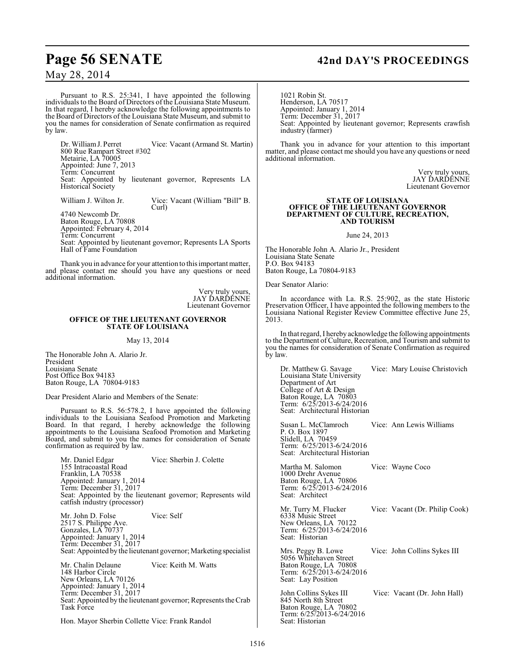Pursuant to R.S. 25:341, I have appointed the following individuals to the Board of Directors of the Louisiana State Museum. In that regard, I hereby acknowledge the following appointments to the Board of Directors of the Louisiana State Museum, and submit to you the names for consideration of Senate confirmation as required by law.

Dr. William J. Perret Vice: Vacant (Armand St. Martin) 800 Rue Rampart Street #302 Metairie, LA 70005 Appointed: June 7, 2013 Term: Concurrent Seat: Appointed by lieutenant governor, Represents LA Historical Society William J. Wilton Jr. Vice: Vacant (William "Bill" B.

Curl) 4740 Newcomb Dr. Baton Rouge, LA 70808 Appointed: February 4, 2014 Term: Concurrent Seat: Appointed by lieutenant governor; Represents LA Sports Hall of Fame Foundation

Thank you in advance for your attention to thisimportant matter, and please contact me should you have any questions or need additional information.

> Very truly yours, JAY DARDENNE Lieutenant Governor

#### **OFFICE OF THE LIEUTENANT GOVERNOR STATE OF LOUISIANA**

#### May 13, 2014

The Honorable John A. Alario Jr. President Louisiana Senate Post Office Box 94183 Baton Rouge, LA 70804-9183

Dear President Alario and Members of the Senate:

Pursuant to R.S. 56:578.2, I have appointed the following individuals to the Louisiana Seafood Promotion and Marketing Board. In that regard, I hereby acknowledge the following appointments to the Louisiana Seafood Promotion and Marketing Board, and submit to you the names for consideration of Senate confirmation as required by law.

Mr. Daniel Edgar Vice: Sherbin J. Colette 155 Intracoastal Road Franklin, LA 70538 Appointed: January 1, 2014 Term: December 31, 2017 Seat: Appointed by the lieutenant governor; Represents wild catfish industry (processor)

Mr. John D. Folse Vice: Self 2517 S. Philippe Ave. Gonzales, LA 70737 Appointed: January 1, 2014 Term: December 31, 2017 Seat: Appointed by the lieutenant governor; Marketing specialist

Mr. Chalin Delaune Vice: Keith M. Watts 148 Harbor Circle New Orleans, LA 70126 Appointed: January 1, 2014 Term: December 31, 2017 Seat: Appointed by the lieutenant governor; Represents the Crab Task Force

Hon. Mayor Sherbin Collette Vice: Frank Randol

# **Page 56 SENATE 42nd DAY'S PROCEEDINGS**

1021 Robin St. Henderson, LA 70517 Appointed: January 1, 2014 Term: December 31, 2017 Seat: Appointed by lieutenant governor; Represents crawfish industry (farmer)

Thank you in advance for your attention to this important matter, and please contact me should you have any questions or need additional information.

> Very truly yours, JAY DARDENNE Lieutenant Governor

#### **STATE OF LOUISIANA OFFICE OF THE LIEUTENANT GOVERNOR DEPARTMENT OF CULTURE, RECREATION, AND TOURISM**

June 24, 2013

The Honorable John A. Alario Jr., President Louisiana State Senate P.O. Box 94183 Baton Rouge, La 70804-9183

Dear Senator Alario:

In accordance with La. R.S. 25:902, as the state Historic Preservation Officer, I have appointed the following members to the Louisiana National Register Review Committee effective June 25, 2013.

In that regard, I hereby acknowledge the following appointments to the Department ofCulture, Recreation, and Tourism and submit to you the names for consideration of Senate Confirmation as required by law.

Dr. Matthew G. Savage Vice: Mary Louise Christovich Louisiana State University Department of Art College of Art & Design Baton Rouge, LA 70803 Term: 6/25/2013-6/24/2016 Seat: Architectural Historian

Susan L. McClamroch Vice: Ann Lewis Williams P. O. Box 1897 Slidell, LA 70459 Term: 6/25/2013-6/24/2016 Seat: Architectural Historian

Martha M. Salomon Vice: Wayne Coco 1000 Drehr Avenue Baton Rouge, LA 70806 Term: 6/25/2013-6/24/2016 Seat: Architect

Mr. Turry M. Flucker Vice: Vacant (Dr. Philip Cook) 6338 Music Street New Orleans, LA 70122 Term: 6/25/2013-6/24/2016 Seat: Historian

Mrs. Peggy B. Lowe<br>5056 Whitehaven Street Baton Rouge, LA 70808 Term: 6/25/2013-6/24/2016 Seat: Lay Position

845 North 8th Street Baton Rouge, LA 70802 Term: 6/25/2013-6/24/2016 Seat: Historian

Vice: John Collins Sykes III

John Collins Sykes III Vice: Vacant (Dr. John Hall)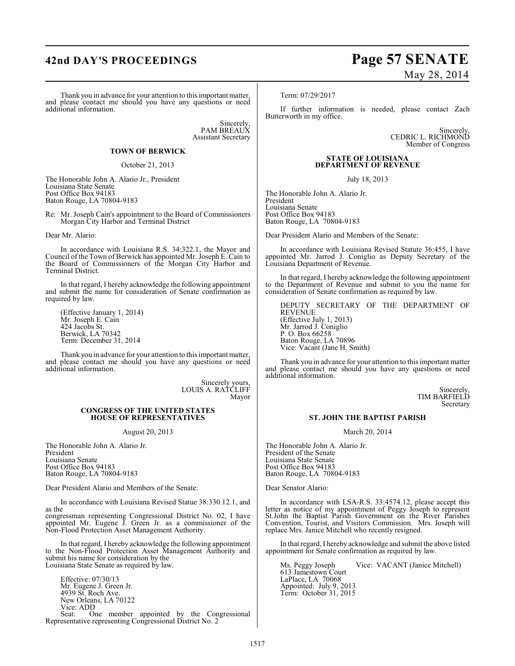# **42nd DAY'S PROCEEDINGS Page 57 SENATE**

Thank you in advance for your attention to this important matter, and please contact me should you have any questions or need additional information.

> Sincerely, PAM BREAUX Assistant Secretary

### **TOWN OF BERWICK**

October 21, 2013

The Honorable John A. Alario Jr., President Louisiana State Senate Post Office Box 94183 Baton Rouge, LA 70804-9183

Re: Mr. Joseph Cain's appointment to the Board of Commissioners Morgan City Harbor and Terminal District

Dear Mr. Alario:

In accordance with Louisiana R.S. 34:322.1, the Mayor and Council of the Town of Berwick has appointed Mr. Joseph E. Cain to the Board of Commissioners of the Morgan City Harbor and Terminal District.

In that regard, I hereby acknowledge the following appointment and submit the name for consideration of Senate confirmation as required by law.

(Effective January 1, 2014) Mr. Joseph E. Cain 424 Jacobs St. Berwick, LA 70342 Term: December 31, 2014

Thank you in advance for your attention to this important matter, and please contact me should you have any questions or need additional information.

> Sincerely yours, LOUIS A. RATCLIFF Mayor

#### **CONGRESS OF THE UNITED STATES HOUSE OF REPRESENTATIVES**

August 20, 2013

The Honorable John A. Alario Jr. President Louisiana Senate Post Office Box 94183 Baton Rouge, LA 70804-9183

Dear President Alario and Members of the Senate:

In accordance with Louisiana Revised Statue 38:330.12.1, and as the

congressman representing Congressional District No. 02, I have appointed Mr. Eugene J. Green Jr. as a commissioner of the Non-Flood Protection Asset Management Authority.

In that regard, I hereby acknowledge the following appointment to the Non-Flood Protection Asset Management Authority and submit his name for consideration by the Louisiana State Senate as required by law.

Effective: 07/30/13 Mr. Eugene J. Green Jr. 4939 St. Roch Ave. New Orleans, LA 70122 Vice: ADD<br>Seat: Or One member appointed by the Congressional

Representative representing Congressional District No. 2

# May 28, 2014

Term: 07/29/2017

If further information is needed, please contact Zach Butterworth in my office.

> Sincerely, CEDRIC L. RICHMOND Member of Congress

#### **STATE OF LOUISIANA DEPARTMENT OF REVENUE**

July 18, 2013

The Honorable John A. Alario Jr. President Louisiana Senate Post Office Box 94183 Baton Rouge, LA 70804-9183

Dear President Alario and Members of the Senate:

In accordance with Louisiana Revised Statute 36:455, I have appointed Mr. Jarrod J. Coniglio as Deputy Secretary of the Louisiana Department of Revenue.

In that regard, I hereby acknowledge the following appointment to the Department of Revenue and submit to you the name for consideration of Senate confirmation as required by law.

DEPUTY SECRETARY OF THE DEPARTMENT OF REVENUE (Effective July 1, 2013) Mr. Jarrod J. Coniglio P. O. Box 66258 Baton Rouge, LA 70896 Vice: Vacant (Jane H. Smith)

Thank you in advance for your attention to this important matter and please contact me should you have any questions or need additional information.

> Sincerely, **TIM BARFIELD** Secretary

#### **ST. JOHN THE BAPTIST PARISH**

March 20, 2014

The Honorable John A. Alario Jr. President of the Senate Louisiana State Senate Post Office Box 94183 Baton Rouge, LA 70804-9183

Dear Senator Alario:

In accordance with LSA-R.S. 33:4574.12, please accept this letter as notice of my appointment of Peggy Joseph to represent St.John the Baptist Parish Government on the River Parishes Convention, Tourist, and Visitors Commission. Mrs. Joseph will replace Mrs. Janice Mitchell who recently resigned.

In that regard, I hereby acknowledge and submit the above listed appointment for Senate confirmation as required by law.

Ms. Peggy Joseph Vice: VACANT (Janice Mitchell) 613 Jamestown Court LaPlace, LA 70068 Appointed: July 9, 2013 Term: October 31, 2015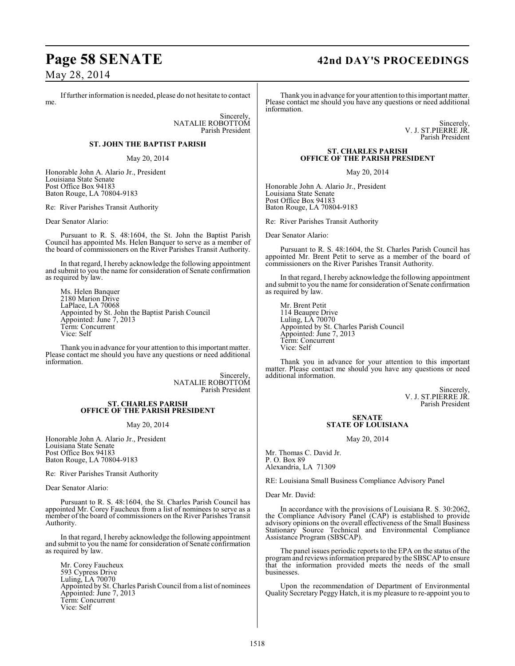If further information is needed, please do not hesitate to contact me.

> Sincerely, NATALIE ROBOTTOM Parish President

## **ST. JOHN THE BAPTIST PARISH**

May 20, 2014

Honorable John A. Alario Jr., President Louisiana State Senate Post Office Box 94183 Baton Rouge, LA 70804-9183

Re: River Parishes Transit Authority

Dear Senator Alario:

Pursuant to R. S. 48:1604, the St. John the Baptist Parish Council has appointed Ms. Helen Banquer to serve as a member of the board of commissioners on the River Parishes Transit Authority.

In that regard, I hereby acknowledge the following appointment and submit to you the name for consideration of Senate confirmation as required by law.

Ms. Helen Banquer 2180 Marion Drive LaPlace, LA 70068 Appointed by St. John the Baptist Parish Council Appointed: June 7, 2013 Term: Concurrent Vice: Self

Thank you in advance for your attention to this important matter. Please contact me should you have any questions or need additional information.

> Sincerely, NATALIE ROBOTTOM Parish President

#### **ST. CHARLES PARISH OFFICE OF THE PARISH PRESIDENT**

#### May 20, 2014

Honorable John A. Alario Jr., President Louisiana State Senate Post Office Box 94183 Baton Rouge, LA 70804-9183

Re: River Parishes Transit Authority

Dear Senator Alario:

Pursuant to R. S. 48:1604, the St. Charles Parish Council has appointed Mr. Corey Faucheux from a list of nominees to serve as a member of the board of commissioners on the River Parishes Transit Authority.

In that regard, I hereby acknowledge the following appointment and submit to you the name for consideration of Senate confirmation as required by law.

Mr. Corey Faucheux 593 Cypress Drive Luling, LA 70070 Appointed by St. Charles Parish Council from a list of nominees Appointed: June 7, 2013 Term: Concurrent Vice: Self

# **Page 58 SENATE 42nd DAY'S PROCEEDINGS**

Thank you in advance for your attention to this important matter. Please contact me should you have any questions or need additional information.

> Sincerely, V. J. ST.PIERRE JR. Parish President

#### **ST. CHARLES PARISH OFFICE OF THE PARISH PRESIDENT**

May 20, 2014

Honorable John A. Alario Jr., President Louisiana State Senate Post Office Box 94183 Baton Rouge, LA 70804-9183

Re: River Parishes Transit Authority

Dear Senator Alario:

Pursuant to R. S. 48:1604, the St. Charles Parish Council has appointed Mr. Brent Petit to serve as a member of the board of commissioners on the River Parishes Transit Authority.

In that regard, I hereby acknowledge the following appointment and submit to you the name for consideration of Senate confirmation as required by law.

Mr. Brent Petit 114 Beaupre Drive Luling, LA 70070 Appointed by St. Charles Parish Council Appointed: June 7, 2013 Term: Concurrent Vice: Self

Thank you in advance for your attention to this important matter. Please contact me should you have any questions or need additional information.

> Sincerely, V. J. ST.PIERRE JR. Parish President

#### **SENATE STATE OF LOUISIANA**

May 20, 2014

Mr. Thomas C. David Jr. P. O. Box 89 Alexandria, LA 71309

RE: Louisiana Small Business Compliance Advisory Panel

Dear Mr. David:

In accordance with the provisions of Louisiana R. S. 30:2062, the Compliance Advisory Panel (CAP) is established to provide advisory opinions on the overall effectiveness of the Small Business Stationary Source Technical and Environmental Compliance Assistance Program (SBSCAP).

The panel issues periodic reports to the EPA on the status of the program and reviews information prepared by the SBSCAP to ensure that the information provided meets the needs of the small businesses.

Upon the recommendation of Department of Environmental Quality Secretary Peggy Hatch, it is my pleasure to re-appoint you to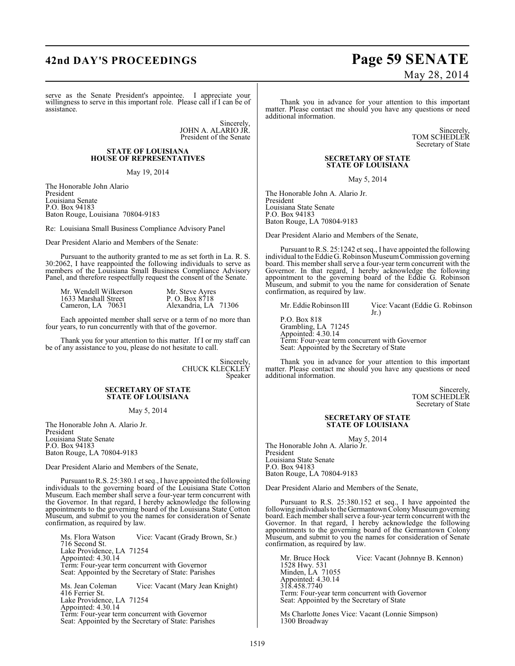# **42nd DAY'S PROCEEDINGS Page 59 SENATE**

serve as the Senate President's appointee. I appreciate your willingness to serve in this important role. Please call if I can be of assistance.

> Sincerely, JOHN A. ALARIO JR. President of the Senate

#### **STATE OF LOUISIANA HOUSE OF REPRESENTATIVES**

May 19, 2014

The Honorable John Alario President Louisiana Senate P.O. Box 94183 Baton Rouge, Louisiana 70804-9183

Re: Louisiana Small Business Compliance Advisory Panel

Dear President Alario and Members of the Senate:

Pursuant to the authority granted to me as set forth in La. R. S. 30:2062, I have reappointed the following individuals to serve as members of the Louisiana Small Business Compliance Advisory Panel, and therefore respectfully request the consent of the Senate.

| Mr. Wendell Wilkerson | Mr. Steve Ayres      |  |
|-----------------------|----------------------|--|
| 1633 Marshall Street  | P. O. Box 8718       |  |
| Cameron, LA 70631     | Alexandria, LA 71306 |  |

Each appointed member shall serve or a term of no more than four years, to run concurrently with that of the governor.

Thank you for your attention to this matter. If I or my staff can be of any assistance to you, please do not hesitate to call.

> Sincerely, CHUCK KLECKLEY Speaker

#### **SECRETARY OF STATE STATE OF LOUISIANA**

#### May 5, 2014

The Honorable John A. Alario Jr. President Louisiana State Senate P.O. Box 94183 Baton Rouge, LA 70804-9183

Dear President Alario and Members of the Senate,

Pursuant to R.S. 25:380.1 et seq., I have appointed the following individuals to the governing board of the Louisiana State Cotton Museum. Each member shall serve a four-year term concurrent with the Governor. In that regard, I hereby acknowledge the following appointments to the governing board of the Louisiana State Cotton Museum, and submit to you the names for consideration of Senate confirmation, as required by law.

Ms. Flora Watson Vice: Vacant (Grady Brown, Sr.) 716 Second St. Lake Providence, LA 71254 Appointed: 4.30.14 Term: Four-year term concurrent with Governor Seat: Appointed by the Secretary of State: Parishes

Ms. Jean Coleman Vice: Vacant (Mary Jean Knight) 416 Ferrier St. Lake Providence, LA 71254 Appointed: 4.30.14 Term: Four-year term concurrent with Governor Seat: Appointed by the Secretary of State: Parishes

# May 28, 2014

Thank you in advance for your attention to this important matter. Please contact me should you have any questions or need additional information.

> Sincerely, TOM SCHEDLER Secretary of State

#### **SECRETARY OF STATE STATE OF LOUISIANA**

May 5, 2014

The Honorable John A. Alario Jr. President Louisiana State Senate P.O. Box 94183 Baton Rouge, LA 70804-9183

Dear President Alario and Members of the Senate,

Pursuant to R.S. 25:1242 et seq., I have appointed the following individual to the Eddie G. Robinson Museum Commission governing board. This member shall serve a four-year term concurrent with the Governor. In that regard, I hereby acknowledge the following appointment to the governing board of the Eddie G. Robinson Museum, and submit to you the name for consideration of Senate confirmation, as required by law.

P.O. Box 818

Mr. Eddie Robinson III Vice: Vacant (Eddie G. Robinson Jr.)

Grambling, LA 71245 Appointed: 4.30.14 Term: Four-year term concurrent with Governor Seat: Appointed by the Secretary of State

Thank you in advance for your attention to this important matter. Please contact me should you have any questions or need additional information.

> Sincerely, TOM SCHEDLER Secretary of State

#### **SECRETARY OF STATE STATE OF LOUISIANA**

May 5, 2014 The Honorable John A. Alario Jr. President Louisiana State Senate P.O. Box 94183 Baton Rouge, LA 70804-9183

Dear President Alario and Members of the Senate,

Pursuant to R.S. 25:380.152 et seq., I have appointed the following individuals to the Germantown Colony Museum governing board. Each member shall serve a four-year term concurrent with the Governor. In that regard, I hereby acknowledge the following appointments to the governing board of the Germantown Colony Museum, and submit to you the names for consideration of Senate confirmation, as required by law.

Mr. Bruce Hock Vice: Vacant (Johnnye B. Kennon) 1528 Hwy. 531 Minden, LA 71055 Appointed: 4.30.14 318.458.7740 Term: Four-year term concurrent with Governor Seat: Appointed by the Secretary of State

Ms Charlotte Jones Vice: Vacant (Lonnie Simpson) 1300 Broadway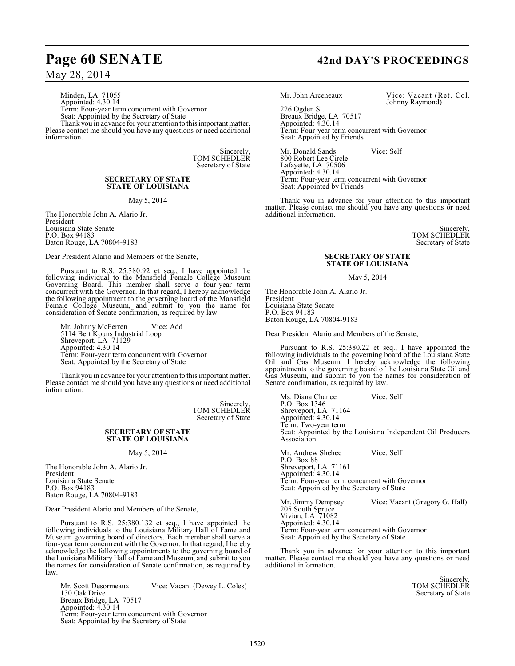Minden, LA 71055 Appointed: 4.30.14 Term: Four-year term concurrent with Governor Seat: Appointed by the Secretary of State Thank you in advance for your attention to this important matter.

Please contact me should you have any questions or need additional information.

> Sincerely, TOM SCHEDLER Secretary of State

#### **SECRETARY OF STATE STATE OF LOUISIANA**

May 5, 2014

The Honorable John A. Alario Jr. President Louisiana State Senate P.O. Box 94183 Baton Rouge, LA 70804-9183

Dear President Alario and Members of the Senate,

Pursuant to R.S. 25.380.92 et seq., I have appointed the following individual to the Mansfield Female College Museum Governing Board. This member shall serve a four-year term concurrent with the Governor. In that regard, I hereby acknowledge the following appointment to the governing board of the Mansfield Female College Museum, and submit to you the name for consideration of Senate confirmation, as required by law.

Mr. Johnny McFerren Vice: Add 5114 Bert Kouns Industrial Loop Shreveport, LA 71129 Appointed: 4.30.14 Term: Four-year term concurrent with Governor Seat: Appointed by the Secretary of State

Thank you in advance for your attention to this important matter. Please contact me should you have any questions or need additional information.

> Sincerely, TOM SCHEDLER Secretary of State

#### **SECRETARY OF STATE STATE OF LOUISIANA**

May 5, 2014

The Honorable John A. Alario Jr. President Louisiana State Senate P.O. Box 94183 Baton Rouge, LA 70804-9183

Dear President Alario and Members of the Senate,

Pursuant to R.S. 25:380.132 et seq., I have appointed the following individuals to the Louisiana Military Hall of Fame and Museum governing board of directors. Each member shall serve a four-year term concurrent with the Governor. In that regard, I hereby acknowledge the following appointments to the governing board of the Louisiana Military Hall of Fame and Museum, and submit to you the names for consideration of Senate confirmation, as required by law.

Mr. Scott Desormeaux Vice: Vacant (Dewey L. Coles) 130 Oak Drive Breaux Bridge, LA 70517 Appointed: 4.30.14 Term: Four-year term concurrent with Governor Seat: Appointed by the Secretary of State

# **Page 60 SENATE 42nd DAY'S PROCEEDINGS**

Mr. John Arceneaux Vice: Vacant (Ret. Col. Johnny Raymond)

226 Ogden St. Breaux Bridge, LA 70517 Appointed: 4.30.14 Term: Four-year term concurrent with Governor Seat: Appointed by Friends

Mr. Donald Sands Vice: Self 800 Robert Lee Circle Lafayette, LA 70506 Appointed: 4.30.14 Term: Four-year term concurrent with Governor Seat: Appointed by Friends

Thank you in advance for your attention to this important matter. Please contact me should you have any questions or need additional information.

> Sincerely, TOM SCHEDLER Secretary of State

#### **SECRETARY OF STATE STATE OF LOUISIANA**

May 5, 2014

The Honorable John A. Alario Jr. President Louisiana State Senate P.O. Box 94183 Baton Rouge, LA 70804-9183

Dear President Alario and Members of the Senate,

Pursuant to R.S. 25:380.22 et seq., I have appointed the following individuals to the governing board of the Louisiana State Oil and Gas Museum. I hereby acknowledge the following appointments to the governing board of the Louisiana State Oil and Gas Museum, and submit to you the names for consideration of Senate confirmation, as required by law.

Ms. Diana Chance Vice: Self P.O. Box 1346 Shreveport, LA 71164 Appointed: 4.30.14 Term: Two-year term Seat: Appointed by the Louisiana Independent Oil Producers Association

Mr. Andrew Shehee Vice: Self P.O. Box 88 Shreveport, LA 71161 Appointed: 4.30.14 Term: Four-year term concurrent with Governor Seat: Appointed by the Secretary of State

Vice: Vacant (Gregory G. Hall) Mr. Jimmy Dempsey<br>205 South Spruce Vivian, LA 71082 Appointed: 4.30.14 Term: Four-year term concurrent with Governor Seat: Appointed by the Secretary of State

Thank you in advance for your attention to this important matter. Please contact me should you have any questions or need additional information.

> Sincerely, TOM SCHEDLER Secretary of State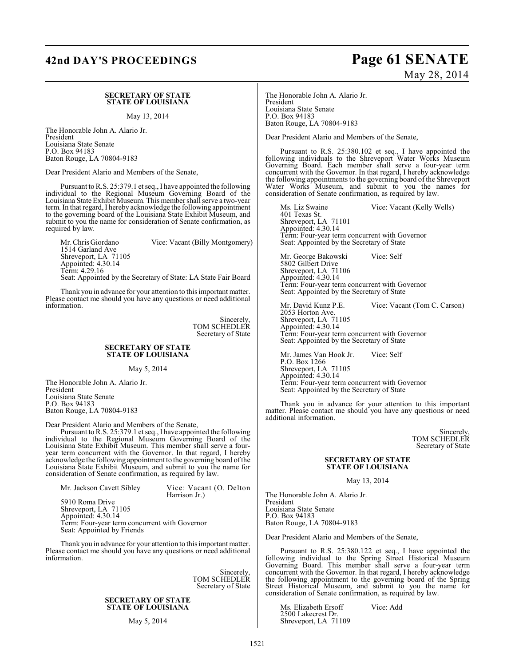# **42nd DAY'S PROCEEDINGS Page 61 SENATE**

#### **SECRETARY OF STATE STATE OF LOUISIANA**

May 13, 2014

The Honorable John A. Alario Jr. President Louisiana State Senate P.O. Box 94183 Baton Rouge, LA 70804-9183

Dear President Alario and Members of the Senate,

Pursuant to R.S. 25:379.1 et seq., I have appointed the following individual to the Regional Museum Governing Board of the Louisiana State Exhibit Museum. This member shall serve a two-year term. In that regard, I hereby acknowledge the following appointment to the governing board of the Louisiana State Exhibit Museum, and submit to you the name for consideration of Senate confirmation, as required by law.

Mr.ChrisGiordano Vice: Vacant (Billy Montgomery) 1514 Garland Ave Shreveport, LA 71105 Appointed: 4.30.14 Term: 4.29.16 Seat: Appointed by the Secretary of State: LA State Fair Board

Thank you in advance for your attention to this important matter. Please contact me should you have any questions or need additional information.

> Sincerely, TOM SCHEDLER Secretary of State

#### **SECRETARY OF STATE STATE OF LOUISIANA**

May 5, 2014

The Honorable John A. Alario Jr. President Louisiana State Senate P.O. Box 94183 Baton Rouge, LA 70804-9183

Dear President Alario and Members of the Senate,

Pursuant to R.S. 25:379.1 et seq., I have appointed the following individual to the Regional Museum Governing Board of the Louisiana State Exhibit Museum. This member shall serve a fouryear term concurrent with the Governor. In that regard, I hereby acknowledge the following appointment to the governing board of the Louisiana State Exhibit Museum, and submit to you the name for consideration of Senate confirmation, as required by law.

Mr. Jackson Cavett Sibley Vice: Vacant (O. Delton

Harrison Jr.)

5910 Roma Drive Shreveport, LA 71105 Appointed: 4.30.14 Term: Four-year term concurrent with Governor Seat: Appointed by Friends

Thank you in advance for your attention to thisimportant matter. Please contact me should you have any questions or need additional information.

> Sincerely, TOM SCHEDLER Secretary of State

#### **SECRETARY OF STATE STATE OF LOUISIANA**

May 5, 2014

# May 28, 2014

The Honorable John A. Alario Jr. President Louisiana State Senate P.O. Box 94183 Baton Rouge, LA 70804-9183

Dear President Alario and Members of the Senate,

Pursuant to R.S. 25:380.102 et seq., I have appointed the following individuals to the Shreveport Water Works Museum Governing Board. Each member shall serve a four-year term concurrent with the Governor. In that regard, I hereby acknowledge the following appointments to the governing board of the Shreveport Water Works Museum, and submit to you the names for consideration of Senate confirmation, as required by law.

Ms. Liz Swaine Vice: Vacant (Kelly Wells) 401 Texas St. Shreveport, LA 71101 Appointed: 4.30.14 Term: Four-year term concurrent with Governor Seat: Appointed by the Secretary of State

Mr. George Bakowski Vice: Self 5802 Gilbert Drive Shreveport, LA 71106 Appointed: 4.30.14 Term: Four-year term concurrent with Governor Seat: Appointed by the Secretary of State

Mr. David Kunz P.E. Vice: Vacant (Tom C. Carson) 2053 Horton Ave. Shreveport, LA 71105 Appointed: 4.30.14 Term: Four-year term concurrent with Governor Seat: Appointed by the Secretary of State

Mr. James Van Hook Jr. Vice: Self P.O. Box 1266 Shreveport, LA 71105 Appointed: 4.30.14 Term: Four-year term concurrent with Governor Seat: Appointed by the Secretary of State

Thank you in advance for your attention to this important matter. Please contact me should you have any questions or need additional information.

> Sincerely, TOM SCHEDLER Secretary of State

#### **SECRETARY OF STATE STATE OF LOUISIANA**

May 13, 2014

The Honorable John A. Alario Jr. President Louisiana State Senate P.O. Box 94183 Baton Rouge, LA 70804-9183

Dear President Alario and Members of the Senate,

Pursuant to R.S. 25:380.122 et seq., I have appointed the following individual to the Spring Street Historical Museum Governing Board. This member shall serve a four-year term concurrent with the Governor. In that regard, I hereby acknowledge the following appointment to the governing board of the Spring Street Historical Museum, and submit to you the name for consideration of Senate confirmation, as required by law.

Ms. Elizabeth Ersoff Vice: Add 2500 Lakecrest Dr. Shreveport, LA 71109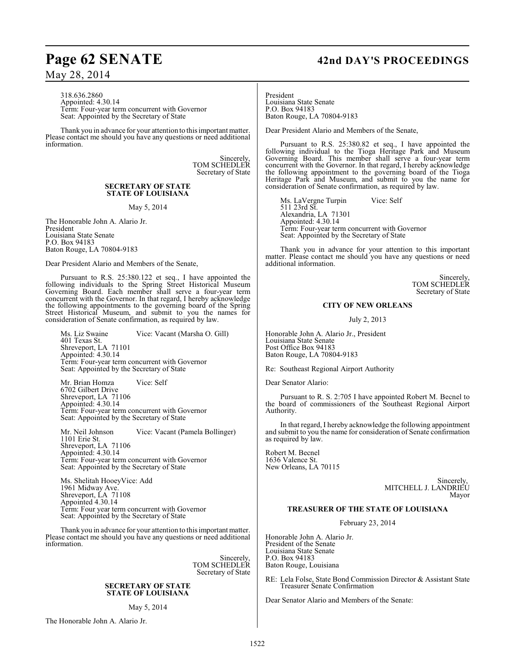318.636.2860 Appointed: 4.30.14 Term: Four-year term concurrent with Governor Seat: Appointed by the Secretary of State

Thank you in advance for your attention to thisimportant matter. Please contact me should you have any questions or need additional information.

> Sincerely, TOM SCHEDLER Secretary of State

#### **SECRETARY OF STATE STATE OF LOUISIANA**

May 5, 2014

The Honorable John A. Alario Jr. President Louisiana State Senate P.O. Box 94183 Baton Rouge, LA 70804-9183

Dear President Alario and Members of the Senate,

Pursuant to R.S. 25:380.122 et seq., I have appointed the following individuals to the Spring Street Historical Museum Governing Board. Each member shall serve a four-year term concurrent with the Governor. In that regard, I hereby acknowledge the following appointments to the governing board of the Spring Street Historical Museum, and submit to you the names for consideration of Senate confirmation, as required by law.

Ms. Liz Swaine Vice: Vacant (Marsha O. Gill) 401 Texas St. Shreveport, LA 71101 Appointed: 4.30.14 Term: Four-year term concurrent with Governor Seat: Appointed by the Secretary of State

Mr. Brian Homza Vice: Self 6702 Gilbert Drive Shreveport, LA 71106 Appointed: 4.30.14 Term: Four-year term concurrent with Governor Seat: Appointed by the Secretary of State

Mr. Neil Johnson Vice: Vacant (Pamela Bollinger) 1101 Erie St. Shreveport, LA 71106 Appointed: 4.30.14 Term: Four-year term concurrent with Governor Seat: Appointed by the Secretary of State

Ms. Shelitah HooeyVice: Add 1961 Midway Ave. Shreveport, LA 71108 Appointed 4.30.14 Term: Four year term concurrent with Governor Seat: Appointed by the Secretary of State

Thank you in advance for your attention to this important matter. Please contact me should you have any questions or need additional information.

> Sincerely, TOM SCHEDLER Secretary of State

#### **SECRETARY OF STATE STATE OF LOUISIANA**

#### May 5, 2014

The Honorable John A. Alario Jr.

# **Page 62 SENATE 42nd DAY'S PROCEEDINGS**

President Louisiana State Senate P.O. Box 94183 Baton Rouge, LA 70804-9183

Dear President Alario and Members of the Senate,

Pursuant to R.S. 25:380.82 et seq., I have appointed the following individual to the Tioga Heritage Park and Museum Governing Board. This member shall serve a four-year term concurrent with the Governor. In that regard, I hereby acknowledge the following appointment to the governing board of the Tioga Heritage Park and Museum, and submit to you the name for consideration of Senate confirmation, as required by law.

Ms. LaVergne Turpin Vice: Self 511 23rd St. Alexandria, LA 71301 Appointed: 4.30.14 Term: Four-year term concurrent with Governor Seat: Appointed by the Secretary of State

Thank you in advance for your attention to this important matter. Please contact me should you have any questions or need additional information.

> Sincerely, TOM SCHEDLER Secretary of State

#### **CITY OF NEW ORLEANS**

July 2, 2013

Honorable John A. Alario Jr., President Louisiana State Senate Post Office Box 94183 Baton Rouge, LA 70804-9183

Re: Southeast Regional Airport Authority

Dear Senator Alario:

Pursuant to R. S. 2:705 I have appointed Robert M. Becnel to the board of commissioners of the Southeast Regional Airport Authority.

In that regard, I hereby acknowledge the following appointment and submit to you the name for consideration of Senate confirmation as required by law.

Robert M. Becnel 1636 Valence St. New Orleans, LA 70115

> Sincerely, MITCHELL J. LANDRIEU Mayor

### **TREASURER OF THE STATE OF LOUISIANA**

February 23, 2014

Honorable John A. Alario Jr. President of the Senate Louisiana State Senate P.O. Box 94183 Baton Rouge, Louisiana

RE: Lela Folse, State Bond Commission Director & Assistant State Treasurer Senate Confirmation

Dear Senator Alario and Members of the Senate: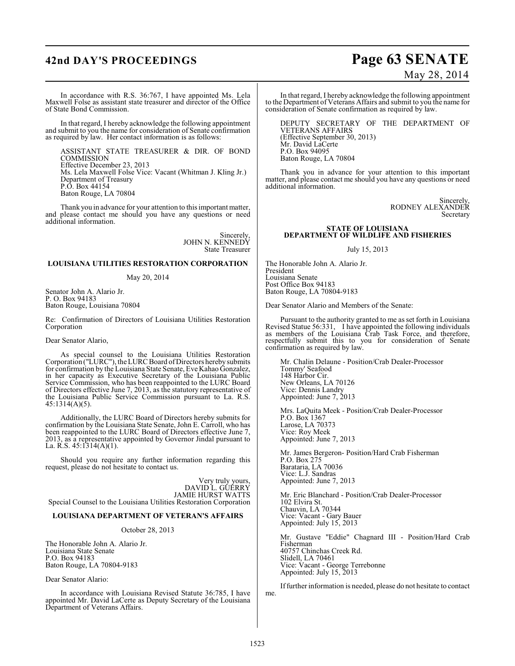# **42nd DAY'S PROCEEDINGS Page 63 SENATE**

# May 28, 2014

In accordance with R.S. 36:767, I have appointed Ms. Lela Maxwell Folse as assistant state treasurer and director of the Office of State Bond Commission.

In that regard, I hereby acknowledge the following appointment and submit to you the name for consideration of Senate confirmation as required by law. Her contact information is as follows:

ASSISTANT STATE TREASURER & DIR. OF BOND COMMISSION Effective December 23, 2013 Ms. Lela Maxwell Folse Vice: Vacant (Whitman J. Kling Jr.) Department of Treasury P.O. Box 44154 Baton Rouge, LA 70804

Thank you in advance for your attention to this important matter, and please contact me should you have any questions or need additional information.

> Sincerely, JOHN N. KENNEDY State Treasurer

### **LOUISIANA UTILITIES RESTORATION CORPORATION**

May 20, 2014

Senator John A. Alario Jr. P. O. Box 94183 Baton Rouge, Louisiana 70804

Re: Confirmation of Directors of Louisiana Utilities Restoration Corporation

Dear Senator Alario,

As special counsel to the Louisiana Utilities Restoration Corporation ("LURC"), the LURC Board of Directors hereby submits for confirmation by the Louisiana State Senate, Eve Kahao Gonzalez, in her capacity as Executive Secretary of the Louisiana Public Service Commission, who has been reappointed to the LURC Board of Directors effective June 7, 2013, as the statutory representative of the Louisiana Public Service Commission pursuant to La. R.S. 45:1314(A)(5).

Additionally, the LURC Board of Directors hereby submits for confirmation by the Louisiana State Senate, John E. Carroll, who has been reappointed to the LURC Board of Directors effective June 7, 2013, as a representative appointed by Governor Jindal pursuant to La. R.S.  $45:1314(A)(1)$ .

Should you require any further information regarding this request, please do not hesitate to contact us.

Very truly yours, DAVID L. GUERRY JAMIE HURST WATTS Special Counsel to the Louisiana Utilities Restoration Corporation

#### **LOUISIANA DEPARTMENT OF VETERAN'S AFFAIRS**

October 28, 2013

The Honorable John A. Alario Jr. Louisiana State Senate P.O. Box 94183 Baton Rouge, LA 70804-9183

Dear Senator Alario:

In accordance with Louisiana Revised Statute 36:785, I have appointed Mr. David LaCerte as Deputy Secretary of the Louisiana Department of Veterans Affairs.

In that regard, I hereby acknowledge the following appointment to the Department of Veterans Affairs and submit to you the name for consideration of Senate confirmation as required by law.

DEPUTY SECRETARY OF THE DEPARTMENT OF VETERANS AFFAIRS (Effective September 30, 2013) Mr. David LaCerte P.O. Box 94095 Baton Rouge, LA 70804

Thank you in advance for your attention to this important matter, and please contact me should you have any questions or need additional information.

> Sincerely, RODNEY ALEXANDER Secretary

#### **STATE OF LOUISIANA DEPARTMENT OF WILDLIFE AND FISHERIES**

July 15, 2013

The Honorable John A. Alario Jr. President Louisiana Senate Post Office Box 94183 Baton Rouge, LA 70804-9183

Dear Senator Alario and Members of the Senate:

Pursuant to the authority granted to me as set forth in Louisiana Revised Statue 56:331, I have appointed the following individuals as members of the Louisiana Crab Task Force, and therefore, respectfully submit this to you for consideration of Senate confirmation as required by law.

Mr. Chalin Delaune - Position/Crab Dealer-Processor Tommy' Seafood 148 Harbor Cir. New Orleans, LA 70126 Vice: Dennis Landry Appointed: June 7, 2013

Mrs. LaQuita Meek - Position/Crab Dealer-Processor P.O. Box 1367 Larose, LA 70373 Vice: Roy Meek Appointed: June 7, 2013

Mr. James Bergeron- Position/Hard Crab Fisherman P.O. Box 275 Barataria, LA 70036 Vice: L.J. Sandras Appointed: June 7, 2013

Mr. Eric Blanchard - Position/Crab Dealer-Processor 102 Elvira St. Chauvin, LA 70344 Vice: Vacant - Gary Bauer Appointed: July 15, 2013

Mr. Gustave "Eddie" Chagnard III - Position/Hard Crab Fisherman 40757 Chinchas Creek Rd. Slidell, LA 70461 Vice: Vacant - George Terrebonne Appointed: July 15, 2013

If further information is needed, please do not hesitate to contact me.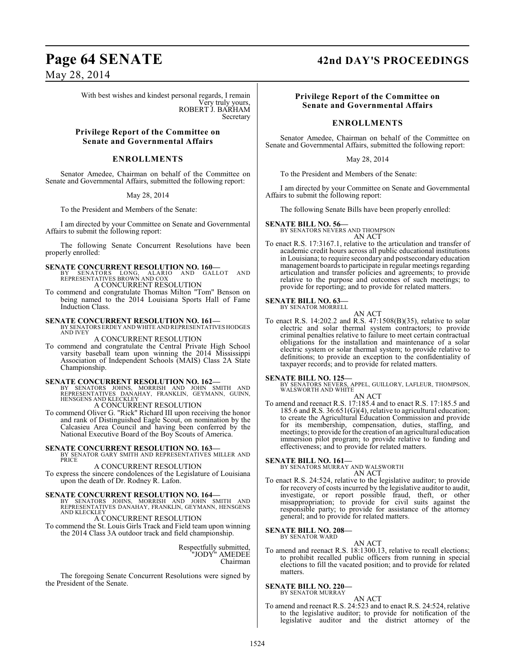With best wishes and kindest personal regards, I remain Very truly yours, ROBERT J. BARHAM Secretary

## **Privilege Report of the Committee on Senate and Governmental Affairs**

### **ENROLLMENTS**

Senator Amedee, Chairman on behalf of the Committee on Senate and Governmental Affairs, submitted the following report:

May 28, 2014

To the President and Members of the Senate:

I am directed by your Committee on Senate and Governmental Affairs to submit the following report:

The following Senate Concurrent Resolutions have been properly enrolled:

- **SENATE CONCURRENT RESOLUTION NO. 160—**<br>BY SENATORS LONG, ALARIO AND GALLOT AND<br>REPRESENTATIVES BROWN AND COX A CONCURRENT RESOLUTION
- To commend and congratulate Thomas Milton "Tom" Benson on being named to the 2014 Louisiana Sports Hall of Fame Induction Class.

#### **SENATE CONCURRENT RESOLUTION NO. 161—**

BY SENATORS ERDEY AND WHITE AND REPRESENTATIVES HODGES AND IVEY

A CONCURRENT RESOLUTION

To commend and congratulate the Central Private High School varsity baseball team upon winning the 2014 Mississippi Association of Independent Schools (MAIS) Class 2A State Championship.

**SENATE CONCURRENT RESOLUTION NO. 162—**<br>BY SENATORS JOHNS, MORRISH AND JOHN SMITH AND<br>REPRESENTATIVES DANAHAY, FRANKLIN, GEYMANN, GUINN, HENSGENS AND KLECKLEY A CONCURRENT RESOLUTION

To commend Oliver G. "Rick" Richard III upon receiving the honor and rank of Distinguished Eagle Scout, on nomination by the Calcasieu Area Council and having been conferred by the National Executive Board of the Boy Scouts of America.

**SENATE CONCURRENT RESOLUTION NO. 163—BY SENATOR GARY SMITH AND REPRESENTATIVES MILLER AND PRICE** 

A CONCURRENT RESOLUTION To express the sincere condolences of the Legislature of Louisiana upon the death of Dr. Rodney R. Lafon.

**SENATE CONCURRENT RESOLUTION NO. 164—**<br>BY SENATORS JOHNS, MORRISH AND JOHN SMITH AND<br>REPRESENTATIVES DANAHAY, FRANKLIN, GEYMANN, HENSGENS AND KLECKLEY

A CONCURRENT RESOLUTION

To commend the St. Louis Girls Track and Field team upon winning the 2014 Class 3A outdoor track and field championship.

> Respectfully submitted, "JODY" AMEDEE Chairman

The foregoing Senate Concurrent Resolutions were signed by the President of the Senate.

# **Page 64 SENATE 42nd DAY'S PROCEEDINGS**

#### **Privilege Report of the Committee on Senate and Governmental Affairs**

## **ENROLLMENTS**

Senator Amedee, Chairman on behalf of the Committee on Senate and Governmental Affairs, submitted the following report:

May 28, 2014

To the President and Members of the Senate:

I am directed by your Committee on Senate and Governmental Affairs to submit the following report:

The following Senate Bills have been properly enrolled:

#### **SENATE BILL NO. 56—**

BY SENATORS NEVERS AND THOMPSON

AN ACT To enact R.S. 17:3167.1, relative to the articulation and transfer of academic credit hours across all public educational institutions in Louisiana; to require secondary and postsecondary education management boards to participate in regular meetings regarding articulation and transfer policies and agreements; to provide relative to the purpose and outcomes of such meetings; to provide for reporting; and to provide for related matters.

## **SENATE BILL NO. 63—**

BY SENATOR MORRELL AN ACT

To enact R.S. 14:202.2 and R.S. 47:1508(B)(35), relative to solar electric and solar thermal system contractors; to provide criminal penalties relative to failure to meet certain contractual obligations for the installation and maintenance of a solar electric system or solar thermal system; to provide relative to definitions; to provide an exception to the confidentiality of taxpayer records; and to provide for related matters.

## **SENATE BILL NO. 125—**

BY SENATORS NEVERS, APPEL, GUILLORY, LAFLEUR, THOMPSON, WALSWORTH AND WHITE

AN ACT To amend and reenact R.S. 17:185.4 and to enact R.S. 17:185.5 and 185.6 and R.S. 36:651(G)(4), relative to agricultural education; to create the Agricultural Education Commission and provide for its membership, compensation, duties, staffing, and meetings; to provide for the creation of an agricultural education immersion pilot program; to provide relative to funding and effectiveness; and to provide for related matters.

**SENATE BILL NO. 161—**

BY SENATORS MURRAY AND WALSWORTH AN ACT

To enact R.S. 24:524, relative to the legislative auditor; to provide for recovery of costs incurred by the legislative auditor to audit, investigate, or report possible fraud, theft, or other misappropriation; to provide for civil suits against the responsible party; to provide for assistance of the attorney general; and to provide for related matters.

**SENATE BILL NO. 208—** BY SENATOR WARD

AN ACT

To amend and reenact R.S. 18:1300.13, relative to recall elections; to prohibit recalled public officers from running in special elections to fill the vacated position; and to provide for related matters.

# **SENATE BILL NO. 220—** BY SENATOR MURRAY

AN ACT To amend and reenact R.S. 24:523 and to enact R.S. 24:524, relative to the legislative auditor; to provide for notification of the legislative auditor and the district attorney of the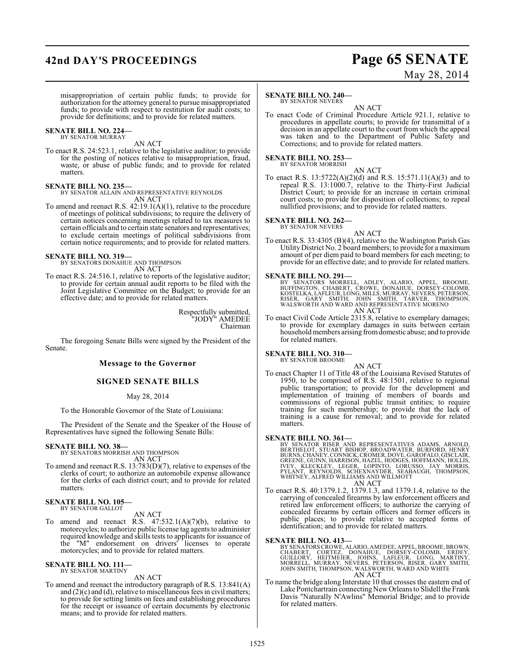# **42nd DAY'S PROCEEDINGS Page 65 SENATE**

# May 28, 2014

misappropriation of certain public funds; to provide for authorization for the attorney general to pursue misappropriated funds; to provide with respect to restitution for audit costs; to provide for definitions; and to provide for related matters.

#### **SENATE BILL NO. 224—** BY SENATOR MURRAY

## AN ACT

To enact R.S. 24:523.1, relative to the legislative auditor; to provide for the posting of notices relative to misappropriation, fraud, waste, or abuse of public funds; and to provide for related matters.

#### **SENATE BILL NO. 235—**

BY SENATOR ALLAIN AND REPRESENTATIVE REYNOLDS AN ACT

To amend and reenact R.S. 42:19.1(A)(1), relative to the procedure of meetings of political subdivisions; to require the delivery of certain notices concerning meetings related to tax measures to certain officials and to certain state senators and representatives; to exclude certain meetings of political subdivisions from certain notice requirements; and to provide for related matters.

**SENATE BILL NO. 319—**<br>BY SENATORS DONAHUE AND THOMPSON<br>AN ACT

To enact R.S. 24:516.1, relative to reports of the legislative auditor; to provide for certain annual audit reports to be filed with the Joint Legislative Committee on the Budget; to provide for an effective date; and to provide for related matters.

> Respectfully submitted, "JODY" AMEDEE Chairman

The foregoing Senate Bills were signed by the President of the Senate.

#### **Message to the Governor**

#### **SIGNED SENATE BILLS**

May 28, 2014

To the Honorable Governor of the State of Louisiana:

The President of the Senate and the Speaker of the House of Representatives have signed the following Senate Bills:

#### **SENATE BILL NO. 38—**

BY SENATORS MORRISH AND THOMPSON AN ACT

To amend and reenact R.S. 13:783(D)(7), relative to expenses of the clerks of court; to authorize an automobile expense allowance for the clerks of each district court; and to provide for related matters.

#### **SENATE BILL NO. 105—** BY SENATOR GALLOT

AN ACT

To amend and reenact R.S.  $47:532.1(A)(7)(b)$ , relative to motorcycles; to authorize public license tag agents to administer required knowledge and skills tests to applicants for issuance of the "M" endorsement on drivers' licenses to operate motorcycles; and to provide for related matters.

#### **SENATE BILL NO. 111—** BY SENATOR MARTINY

AN ACT

To amend and reenact the introductory paragraph of R.S. 13:841(A) and  $(2)(c)$  and  $(d)$ , relative to miscellaneous fees in civil matters; to provide for setting limits on fees and establishing procedures for the receipt or issuance of certain documents by electronic means; and to provide for related matters.

#### **SENATE BILL NO. 240—**

BY SENATOR NEVERS AN ACT

To enact Code of Criminal Procedure Article 921.1, relative to procedures in appellate courts; to provide for transmittal of a decision in an appellate court to the court from which the appeal was taken and to the Department of Public Safety and Corrections; and to provide for related matters.

#### **SENATE BILL NO. 253—** BY SENATOR MORRISH

AN ACT

To enact R.S. 13:5722(A)(2)(d) and R.S. 15:571.11(A)(3) and to repeal R.S. 13:1000.7, relative to the Thirty-First Judicial District Court; to provide for an increase in certain criminal court costs; to provide for disposition of collections; to repeal nullified provisions; and to provide for related matters.

# **SENATE BILL NO. 262—** BY SENATOR NEVERS

AN ACT

To enact R.S. 33:4305 (B)(4), relative to the Washington Parish Gas Utility District No. 2 board members; to provide for a maximum amount of per diem paid to board members for each meeting; to provide for an effective date; and to provide for related matters.

- **SENATE BILL NO. 291—**<br>BY SENATORS MORRELL, ADLEY, ALARIO, APPEL, BROOME,<br>BUFFINGTON, CHABERT, CROWE, DONAHUE, DORSEY-COLOMB,<br>KOSTELKA, LAFLEUR, LONG, MILLS, MURRAY, NEVERS, PETERSON,<br>RISER, GARY SMITH, JOHN SMITH, TARVER, AN ACT
- To enact Civil Code Article 2315.8, relative to exemplary damages; to provide for exemplary damages in suits between certain household members arising from domestic abuse; and to provide for related matters.

#### **SENATE BILL NO. 310—** BY SENATOR BROOME

AN ACT

To enact Chapter 11 of Title 48 of the Louisiana Revised Statutes of 1950, to be comprised of R.S. 48:1501, relative to regional public transportation; to provide for the development and implementation of training of members of boards and commissions of regional public transit entities; to require training for such membership; to provide that the lack of training is a cause for removal; and to provide for related matters.

#### **SENATE BILL NO. 361—**

BY SENATOR RISER AND REPRESENTATIVES ADAMS, ARNOLD,<br>BERTHELOT, STUART BISHOP, BROADWATER, BURFORD, HENRY<br>BURNS,CHANEY,CONNICK,CROMER,DOVE,GAROFALO,GISCLAIR,<br>GREENE,GUINN,HARRISON,HAZEL,HODGES,HOFFMANN,HOLLIS,<br>IVEY, KLECKLE AN ACT

- 
- To enact R.S. 40:1379.1.2, 1379.1.3, and 1379.1.4, relative to the carrying of concealed firearms by law enforcement officers and retired law enforcement officers; to authorize the carrying of concealed firearms by certain officers and former officers in public places; to provide relative to accepted forms of identification; and to provide for related matters.

#### **SENATE BILL NO. 413—**

BY SENATORS CROWE, ALARIO, AMEDEE, APPEL, BROOME, BROWN,<br>CHABERT, CORTEZ, DONAHUE, DORSEY-COLOMB, ERDEY,<br>GUILLORY, HEITMEIER, JOHNS, LAFLEUR, LONG, MARTINY,<br>MORRELL, MURRAY, NEVERS, P AN ACT

To name the bridge along Interstate 10 that crosses the eastern end of Lake Pontchartrain connecting New Orleans to Slidell the Frank Davis "Naturally N'Awlins" Memorial Bridge; and to provide for related matters.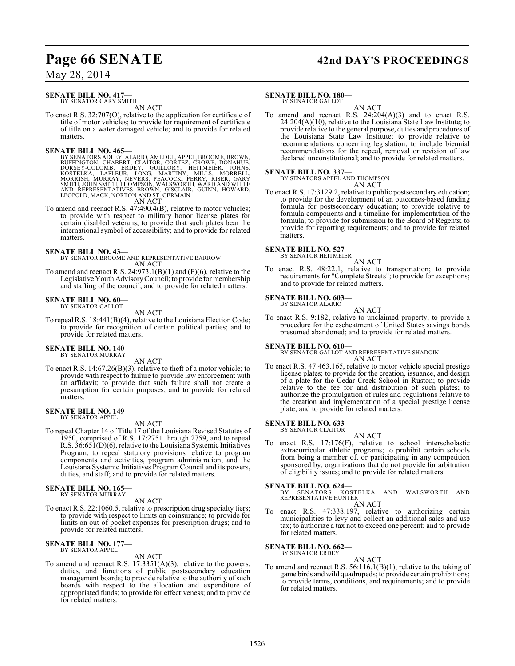# **Page 66 SENATE 42nd DAY'S PROCEEDINGS**

## May 28, 2014

#### **SENATE BILL NO. 417—** BY SENATOR GARY SMITH

AN ACT

To enact R.S. 32:707(O), relative to the application for certificate of title of motor vehicles; to provide for requirement of certificate of title on a water damaged vehicle; and to provide for related matters.

#### **SENATE BILL NO. 465—**

BY SENATORS ADLEY, ALARIO, AMEDEE, APPEL, BROOME, BROWN, CHABERT, CLAITOR, CORTEZ, CROWE, DONAHUE,<br>BUFFINGTON, CHABERT, CLAITOR, CORTEZ, CROWE, DONAHUE,<br>DORSEY-COLOMB, ERDEY, GUILLORY, HEITMEIER, JOHNS,<br>KOSTELKA, LAFLEUR, AN ACT

To amend and reenact R.S. 47:490.4(B), relative to motor vehicles; to provide with respect to military honor license plates for certain disabled veterans; to provide that such plates bear the international symbol of accessibility; and to provide for related

## **SENATE BILL NO. 43—**

matters.

BY SENATOR BROOME AND REPRESENTATIVE BARROW AN ACT

To amend and reenact R.S. 24:973.1(B)(1) and (F)(6), relative to the Legislative Youth Advisory Council; to provide for membership and staffing of the council; and to provide for related matters.

## **SENATE BILL NO. 60—**

BY SENATOR GALLOT

AN ACT

To repeal R.S. 18:441(B)(4), relative to the Louisiana Election Code; to provide for recognition of certain political parties; and to provide for related matters.

#### **SENATE BILL NO. 140—** BY SENATOR MURRAY

AN ACT

To enact R.S. 14:67.26(B)(3), relative to theft of a motor vehicle; to provide with respect to failure to provide law enforcement with an affidavit; to provide that such failure shall not create a presumption for certain purposes; and to provide for related matters.

# **SENATE BILL NO. 149—** BY SENATOR APPEL

AN ACT

To repeal Chapter 14 of Title 17 of the Louisiana Revised Statutes of 1950, comprised of R.S. 17:2751 through 2759, and to repeal R.S. 36:651(D)(6), relative to the Louisiana Systemic Initiatives Program; to repeal statutory provisions relative to program components and activities, program administration, and the Louisiana Systemic Initiatives Program Council and its powers, duties, and staff; and to provide for related matters.

#### **SENATE BILL NO. 165—**

BY SENATOR MURRAY

#### AN ACT

To enact R.S. 22:1060.5, relative to prescription drug specialty tiers; to provide with respect to limits on coinsurance; to provide for limits on out-of-pocket expenses for prescription drugs; and to provide for related matters.

#### **SENATE BILL NO. 177—** BY SENATOR APPEL

#### AN ACT

To amend and reenact R.S. 17:3351(A)(3), relative to the powers, duties, and functions of public postsecondary education management boards; to provide relative to the authority of such boards with respect to the allocation and expenditure of appropriated funds; to provide for effectiveness; and to provide for related matters.

### **SENATE BILL NO. 180—**

BY SENATOR GALLOT AN ACT

To amend and reenact R.S.  $24:204(A)(3)$  and to enact R.S. 24:204(A)(10), relative to the Louisiana State Law Institute; to provide relative to the general purpose, duties and procedures of the Louisiana State Law Institute; to provide relative to recommendations concerning legislation; to include biennial recommendations for the repeal, removal or revision of law declared unconstitutional; and to provide for related matters.

### **SENATE BILL NO. 337—**

BY SENATORS APPEL AND THOMPSON

AN ACT To enact R.S. 17:3129.2, relative to public postsecondary education; to provide for the development of an outcomes-based funding formula for postsecondary education; to provide relative to formula components and a timeline for implementation of the formula; to provide for submission to the Board of Regents; to provide for reporting requirements; and to provide for related matters.

# **SENATE BILL NO. 527—** BY SENATOR HEITMEIER

AN ACT

To enact R.S. 48:22.1, relative to transportation; to provide requirements for "Complete Streets"; to provide for exceptions; and to provide for related matters.

# **SENATE BILL NO. 603—** BY SENATOR ALARIO

AN ACT

To enact R.S. 9:182, relative to unclaimed property; to provide a procedure for the escheatment of United States savings bonds presumed abandoned; and to provide for related matters.

## **SENATE BILL NO. 610—**

BY SENATOR GALLOT AND REPRESENTATIVE SHADOIN AN ACT

To enact R.S. 47:463.165, relative to motor vehicle special prestige license plates; to provide for the creation, issuance, and design of a plate for the Cedar Creek School in Ruston; to provide relative to the fee for and distribution of such plates; to authorize the promulgation of rules and regulations relative to the creation and implementation of a special prestige license plate; and to provide for related matters.

#### **SENATE BILL NO. 633—** BY SENATOR CLAITOR

## AN ACT

To enact R.S. 17:176(F), relative to school interscholastic extracurricular athletic programs; to prohibit certain schools from being a member of, or participating in any competition sponsored by, organizations that do not provide for arbitration of eligibility issues; and to provide for related matters.

## **SENATE BILL NO. 624—**

BY SENATORS KOSTELKA AND WALSWORTH AND REPRESENTATIVE HUNTER

- AN ACT
- To enact R.S. 47:338.197, relative to authorizing certain municipalities to levy and collect an additional sales and use tax; to authorize a tax not to exceed one percent; and to provide for related matters.

#### **SENATE BILL NO. 662—** BY SENATOR ERDEY

- AN ACT
- To amend and reenact R.S. 56:116.1(B)(1), relative to the taking of game birds and wild quadrupeds; to provide certain prohibitions; to provide terms, conditions, and requirements; and to provide for related matters.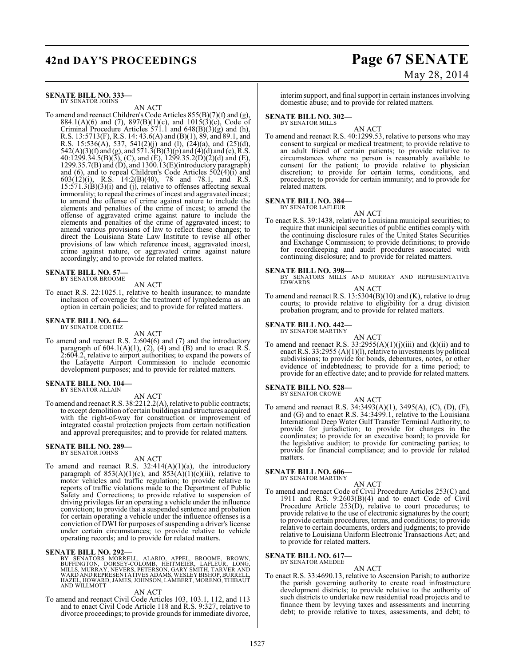# **42nd DAY'S PROCEEDINGS Page 67 SENATE** May 28, 2014

#### **SENATE BILL NO. 333—** BY SENATOR JOHNS

AN ACT To amend and reenact Children's Code Articles 855(B)(7)(f) and (g), 884.1(A)(6) and (7), 897(B)(1)(c), and 1015(3)(c), Code of Criminal Procedure Articles  $571.1$  and  $648(B)(3)(g)$  and (h), R.S. 13:5713(F), R.S. 14: 43.6(A) and (B)(1), 89, and 89.1, and R.S. 15:536(A), 537, 541(2)(j) and (l), (24)(a), and (25)(d),  $542(A)(3)(f)$  and (g), and  $571.3(B)(3)(p)$  and (4)(d) and (e), R.S. 40:1299.34.5(B)(3), (C), and (E), 1299.35.2(D)(2)(d) and (E), 1299.35.7(B) and (D), and 1300.13(E)(introductory paragraph) and (6), and to repeal Children's Code Articles 502(4)(i) and 603(12)(i), R.S.  $14:2(B)(40)$ , 78 and 78.1, and R.S.  $15:571.3(B)(3)(i)$  and (j), relative to offenses affecting sexual immorality; to repeal the crimes of incest and aggravated incest; to amend the offense of crime against nature to include the elements and penalties of the crime of incest; to amend the offense of aggravated crime against nature to include the elements and penalties of the crime of aggravated incest; to amend various provisions of law to reflect these changes; to direct the Louisiana State Law Institute to revise all other provisions of law which reference incest, aggravated incest, crime against nature, or aggravated crime against nature accordingly; and to provide for related matters.

#### **SENATE BILL NO. 57—**

BY SENATOR BROOME

AN ACT

To enact R.S. 22:1025.1, relative to health insurance; to mandate inclusion of coverage for the treatment of lymphedema as an option in certain policies; and to provide for related matters.

# **SENATE BILL NO. 64—** BY SENATOR CORTEZ

AN ACT

To amend and reenact R.S. 2:604(6) and (7) and the introductory paragraph of  $604.1(A)(1)$ ,  $(2)$ ,  $(4)$  and  $(B)$  and to enact R.S. 2:604.2, relative to airport authorities; to expand the powers of the Lafayette Airport Commission to include economic development purposes; and to provide for related matters.

#### **SENATE BILL NO. 104—** BY SENATOR ALLAIN

AN ACT

To amend and reenact R.S. 38:2212.2(A), relative to public contracts; to except demolition of certain buildings and structures acquired with the right-of-way for construction or improvement of integrated coastal protection projects from certain notification and approval prerequisites; and to provide for related matters.

# **SENATE BILL NO. 289—** BY SENATOR JOHNS

AN ACT

To amend and reenact R.S.  $32:414(A)(1)(a)$ , the introductory paragraph of  $853(A)(1)(c)$ , and  $853(A)(1)(c)(iii)$ , relative to motor vehicles and traffic regulation; to provide relative to reports of traffic violations made to the Department of Public Safety and Corrections; to provide relative to suspension of driving privileges for an operating a vehicle under the influence conviction; to provide that a suspended sentence and probation for certain operating a vehicle under the influence offenses is a conviction of DWI for purposes of suspending a driver's license under certain circumstances; to provide relative to vehicle operating records; and to provide for related matters.

#### **SENATE BILL NO. 292—**

BY SENATORS MORRELL, ALARIO, APPEL, BROOME, BROWN,<br>BUFFINGTON, DORSEY-COLOMB, HEITMEIER, LAFLEUR, LONG,<br>MILLS,MURRAY,NEVERS,PETERSON,GARY SMITH,TARVER AND<br>WARDANDREPRESENTATIVESADAMS,WESLEY BISHOP,BURRELL,<br>HAZEL,HOWARD,JAM AND WILLMOTT

#### AN ACT

To amend and reenact Civil Code Articles 103, 103.1, 112, and 113 and to enact Civil Code Article 118 and R.S. 9:327, relative to divorce proceedings; to provide grounds for immediate divorce,

interim support, and final support in certain instances involving domestic abuse; and to provide for related matters.

# **SENATE BILL NO. 302—** BY SENATOR MILLS

AN ACT To amend and reenact R.S. 40:1299.53, relative to persons who may consent to surgical or medical treatment; to provide relative to an adult friend of certain patients; to provide relative to circumstances where no person is reasonably available to consent for the patient; to provide relative to physician discretion; to provide for certain terms, conditions, and procedures; to provide for certain immunity; and to provide for related matters.

#### **SENATE BILL NO. 384—**

BY SENATOR LAFLEUR

AN ACT To enact R.S. 39:1438, relative to Louisiana municipal securities; to require that municipal securities of public entities comply with the continuing disclosure rules of the United States Securities and Exchange Commission; to provide definitions; to provide for recordkeeping and audit procedures associated with continuing disclosure; and to provide for related matters.

#### **SENATE BILL NO. 398—**

BY SENATORS MILLS AND MURRAY AND REPRESENTATIVE EDWARDS AN ACT

To amend and reenact R.S. 13:5304(B)(10) and (K), relative to drug courts; to provide relative to eligibility for a drug division probation program; and to provide for related matters.

# **SENATE BILL NO. 442—** BY SENATOR MARTINY

- 
- AN ACT To amend and reenact R.S.  $33:2955(A)(1)(j)(iii)$  and  $(k)(ii)$  and to enact R.S. 33:2955 (A)(1)(l), relative to investments by political subdivisions; to provide for bonds, debentures, notes, or other evidence of indebtedness; to provide for a time period; to provide for an effective date; and to provide for related matters.

## **SENATE BILL NO. 528—**

BY SENATOR CROWE AN ACT

To amend and reenact R.S. 34:3493(A)(1), 3495(A), (C), (D), (F), and (G) and to enact R.S. 34:3499.1, relative to the Louisiana International Deep Water Gulf Transfer Terminal Authority; to provide for jurisdiction; to provide for changes in the coordinates; to provide for an executive board; to provide for the legislative auditor; to provide for contracting parties; to provide for financial compliance; and to provide for related matters.

#### **SENATE BILL NO. 606—** BY SENATOR MARTINY

AN ACT

To amend and reenact Code of Civil Procedure Articles 253(C) and 1911 and R.S.  $9:2603(B)(4)$  and to enact Code of Civil Procedure Article 253(D), relative to court procedures; to provide relative to the use of electronic signatures by the court; to provide certain procedures, terms, and conditions; to provide relative to certain documents, orders and judgments; to provide relative to Louisiana Uniform Electronic Transactions Act; and to provide for related matters.

#### **SENATE BILL NO. 617—** BY SENATOR AMEDEE

AN ACT

To enact R.S. 33:4690.13, relative to Ascension Parish; to authorize the parish governing authority to create road infrastructure development districts; to provide relative to the authority of such districts to undertake new residential road projects and to finance them by levying taxes and assessments and incurring debt; to provide relative to taxes, assessments, and debt; to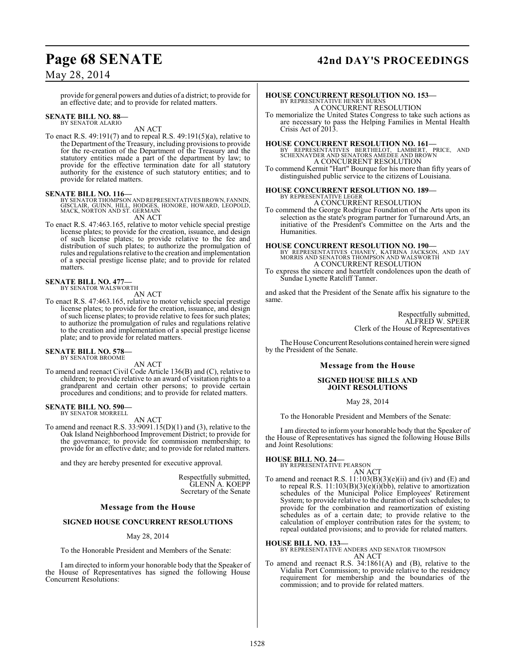# **Page 68 SENATE 42nd DAY'S PROCEEDINGS**

## May 28, 2014

provide for general powers and duties of a district; to provide for an effective date; and to provide for related matters.

# **SENATE BILL NO. 88—** BY SENATOR ALARIO

AN ACT

To enact R.S. 49:191(7) and to repeal R.S. 49:191(5)(a), relative to the Department of the Treasury, including provisions to provide for the re-creation of the Department of the Treasury and the statutory entities made a part of the department by law; to provide for the effective termination date for all statutory authority for the existence of such statutory entities; and to provide for related matters.

**SENATE BILL NO. 116—**<br>BY SENATOR THOMPSON AND REPRESENTATIVES BROWN, FANNIN,<br>GISCLAIR, GUINN, HILL, HODGES, HONORE, HOWARD, LEOPOLD,<br>MACK, NORTON AND ST. GERMAIN AN ACT

To enact R.S. 47:463.165, relative to motor vehicle special prestige license plates; to provide for the creation, issuance, and design of such license plates; to provide relative to the fee and distribution of such plates; to authorize the promulgation of rules and regulations relative to the creation and implementation of a special prestige license plate; and to provide for related matters.

#### **SENATE BILL NO. 477—** BY SENATOR WALSWORTH

AN ACT

To enact R.S. 47:463.165, relative to motor vehicle special prestige license plates; to provide for the creation, issuance, and design of such license plates; to provide relative to fees for such plates; to authorize the promulgation of rules and regulations relative to the creation and implementation of a special prestige license plate; and to provide for related matters.

#### **SENATE BILL NO. 578—** BY SENATOR BROOME

AN ACT

To amend and reenact Civil Code Article 136(B) and (C), relative to children; to provide relative to an award of visitation rights to a grandparent and certain other persons; to provide certain procedures and conditions; and to provide for related matters.

#### **SENATE BILL NO. 590—** BY SENATOR MORRELL

AN ACT

To amend and reenact R.S. 33:9091.15(D)(1) and (3), relative to the Oak Island Neighborhood Improvement District; to provide for the governance; to provide for commission membership; to provide for an effective date; and to provide for related matters.

and they are hereby presented for executive approval.

Respectfully submitted, GLENN A. KOEPP Secretary of the Senate

### **Message from the House**

### **SIGNED HOUSE CONCURRENT RESOLUTIONS**

#### May 28, 2014

To the Honorable President and Members of the Senate:

I am directed to inform your honorable body that the Speaker of the House of Representatives has signed the following House Concurrent Resolutions:

# **HOUSE CONCURRENT RESOLUTION NO. 153—**

BY REPRESENTATIVE HENRY BURNS A CONCURRENT RESOLUTION

To memorialize the United States Congress to take such actions as are necessary to pass the Helping Families in Mental Health Crisis Act of 2013.

**HOUSE CONCURRENT RESOLUTION NO. 161—**<br>BY REPRESENTATIVES BERTHELOT, LAMBERT, PRICE, AND BY REPRESENTATIVES BERTHELOT, LAMBERT, PRICE, AND SCHEXNAYDER AND SENATORS AMEDEE AND BROWN A CONCURRENT RESOLUTION

To commend Kermit "Hart" Bourque for his more than fifty years of distinguished public service to the citizens of Louisiana.

#### **HOUSE CONCURRENT RESOLUTION NO. 189—** BY REPRESENTATIVE LEGER

A CONCURRENT RESOLUTION

To commend the George Rodrigue Foundation of the Arts upon its selection as the state's program partner for Turnaround Arts, an initiative of the President's Committee on the Arts and the Humanities.

#### **HOUSE CONCURRENT RESOLUTION NO. 190—**

BY REPRESENTATIVES CHANEY, KATRINA JACKSON, AND JAY MORRIS AND SENATORS THOMPSON AND WALSWORTH A CONCURRENT RESOLUTION

To express the sincere and heartfelt condolences upon the death of Sundae Lynette Ratcliff Tanner.

and asked that the President of the Senate affix his signature to the same.

> Respectfully submitted, ALFRED W. SPEER Clerk of the House of Representatives

The House Concurrent Resolutions contained herein were signed by the President of the Senate.

#### **Message from the House**

#### **SIGNED HOUSE BILLS AND JOINT RESOLUTIONS**

May 28, 2014

To the Honorable President and Members of the Senate:

I am directed to inform your honorable body that the Speaker of the House of Representatives has signed the following House Bills and Joint Resolutions:

#### **HOUSE BILL NO. 24—**

BY REPRESENTATIVE PEARSON AN ACT

To amend and reenact R.S.  $11:103(B)(3)(e)(ii)$  and (iv) and (E) and to repeal R.S. 11:103(B)(3)(e)(i)(bb), relative to amortization schedules of the Municipal Police Employees' Retirement System; to provide relative to the duration of such schedules; to provide for the combination and reamortization of existing schedules as of a certain date; to provide relative to the calculation of employer contribution rates for the system; to repeal outdated provisions; and to provide for related matters.

#### **HOUSE BILL NO. 133—**

BY REPRESENTATIVE ANDERS AND SENATOR THOMPSON AN ACT

To amend and reenact R.S. 34:1861(A) and (B), relative to the Vidalia Port Commission; to provide relative to the residency requirement for membership and the boundaries of the commission; and to provide for related matters.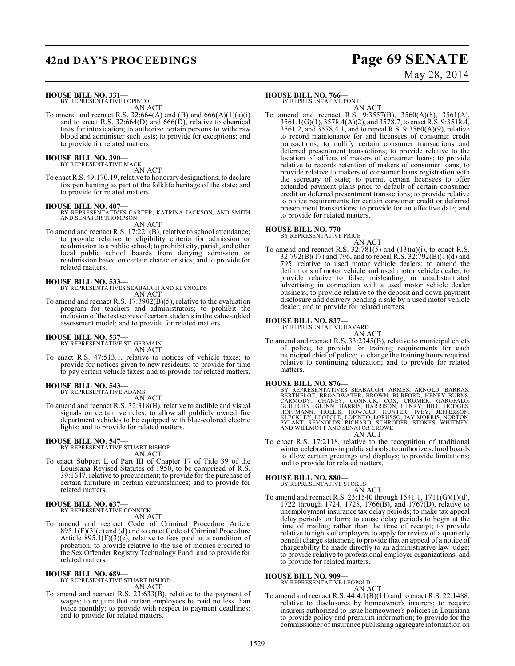# **42nd DAY'S PROCEEDINGS Page 69 SENATE**

# May 28, 2014

## **HOUSE BILL NO. 331—**

BY REPRESENTATIVE LOPINTO AN ACT

To amend and reenact R.S. 32:664(A) and (B) and  $666(A)(1)(a)(i)$ and to enact R.S. 32:664(D) and 666(D), relative to chemical tests for intoxication; to authorize certain persons to withdraw blood and administer such tests; to provide for exceptions; and to provide for related matters.

#### **HOUSE BILL NO. 390—**

BY REPRESENTATIVE MACK AN ACT

To enact R.S. 49:170.19, relative to honorary designations; to declare fox pen hunting as part of the folklife heritage of the state; and to provide for related matters.

**HOUSE BILL NO. 407—** BY REPRESENTATIVES CARTER, KATRINA JACKSON, AND SMITH AND SENATOR THOMPSON

AN ACT

To amend and reenact R.S. 17:221(B), relative to school attendance; to provide relative to eligibility criteria for admission or readmission to a public school; to prohibit city, parish, and other local public school boards from denying admission or readmission based on certain characteristics; and to provide for related matters.

#### **HOUSE BILL NO. 533—**

BY REPRESENTATIVES SEABAUGH AND REYNOLDS AN ACT

To amend and reenact R.S. 17:3902(B)(5), relative to the evaluation program for teachers and administrators; to prohibit the inclusion of the test scores of certain students in the value-added assessment model; and to provide for related matters.

#### **HOUSE BILL NO. 537—**

BY REPRESENTATIVE ST. GERMAIN AN ACT

To enact R.S. 47:513.1, relative to notices of vehicle taxes; to provide for notices given to new residents; to provide for time to pay certain vehicle taxes; and to provide for related matters.

# **HOUSE BILL NO. 543—** BY REPRESENTATIVE ADAMS

AN ACT

To amend and reenact R.S. 32:318(H), relative to audible and visual signals on certain vehicles; to allow all publicly owned fire department vehicles to be equipped with blue-colored electric lights; and to provide for related matters.

#### **HOUSE BILL NO. 547—**

BY REPRESENTATIVE STUART BISHOP AN ACT

To enact Subpart L of Part III of Chapter 17 of Title 39 of the Louisiana Revised Statutes of 1950, to be comprised of R.S. 39:1647, relative to procurement; to provide for the purchase of certain furniture in certain circumstances; and to provide for related matters.

#### **HOUSE BILL NO. 637—** BY REPRESENTATIVE CONNICK

AN ACT

To amend and reenact Code of Criminal Procedure Article 895.1(F)(3)(c) and (d) and to enact Code of Criminal Procedure Article  $895.1(F)(3)(e)$ , relative to fees paid as a condition of probation; to provide relative to the use of monies credited to the Sex Offender Registry Technology Fund; and to provide for related matters.

**HOUSE BILL NO. 689—** BY REPRESENTATIVE STUART BISHOP AN ACT

To amend and reenact R.S. 23:633(B), relative to the payment of wages; to require that certain employees be paid no less than twice monthly; to provide with respect to payment deadlines; and to provide for related matters.

#### **HOUSE BILL NO. 766—**

BY REPRESENTATIVE PONTI

AN ACT To amend and reenact R.S. 9:3557(B), 3560(A)(8), 3561(A), 3561.1(G)(1), 3578.4(A)(2), and 3578.7, to enact R.S. 9:3518.4, 3561.2, and 3578.4.1, and to repeal R.S. 9:3560(A)(9), relative to record maintenance for and licensees of consumer credit transactions; to nullify certain consumer transactions and deferred presentment transactions; to provide relative to the location of offices of makers of consumer loans; to provide relative to records retention of makers of consumer loans; to provide relative to makers of consumer loans registration with the secretary of state; to permit certain licensees to offer extended payment plans prior to default of certain consumer credit or deferred presentment transactions; to provide relative to notice requirements for certain consumer credit or deferred presentment transactions; to provide for an effective date; and to provide for related matters.

# **HOUSE BILL NO. 770—** BY REPRESENTATIVE PRICE

AN ACT

To amend and reenact R.S.  $32:781(5)$  and  $(13)(a)(i)$ , to enact R.S. 32:792(B)(17) and 796, and to repeal R.S. 32:792(B)(1)(d) and 795, relative to used motor vehicle dealers; to amend the definitions of motor vehicle and used motor vehicle dealer; to provide relative to false, misleading, or unsubstantiated advertising in connection with a used motor vehicle dealer business; to provide relative to the deposit and down payment disclosure and delivery pending a sale by a used motor vehicle dealer; and to provide for related matters.

#### **HOUSE BILL NO. 837—**

BY REPRESENTATIVE HAVARD

AN ACT To amend and reenact R.S. 33:2345(B), relative to municipal chiefs of police; to provide for training requirements for each municipal chief of police; to change the training hours required relative to continuing education; and to provide for related matters.

#### **HOUSE BILL NO. 876—**

BY REPRESENTATIVES SEABAUGH, ARMES, ARNOLD, BARRAS,<br>BERTHELOT, BROADWATER, BROWN, BURFÓRD, HENRY BURNS,<br>CARMODY, CHANEY, CONNICK, COX, CROMER, GAROFALO,<br>GUILLORY, GUINN, HARRIS, HARRISON, HENRY, HILL, HODGES,<br>HOFFMANN, HOL

#### AN ACT

To enact R.S. 17:2118, relative to the recognition of traditional winter celebrations in public schools; to authorize school boards to allow certain greetings and displays; to provide limitations; and to provide for related matters.

#### **HOUSE BILL NO. 880—**

BY REPRESENTATIVE STOKES

AN ACT To amend and reenact R.S. 23:1540 through 1541.1, 1711(G)(1)(d), 1722 through 1724, 1728, 1766(B), and 1767(D), relative to unemployment insurance tax delay periods; to make tax appeal delay periods uniform; to cause delay periods to begin at the time of mailing rather than the time of receipt; to provide relative to rights of employers to apply for review of a quarterly benefit charge statement; to provide that an appeal of a notice of chargeability be made directly to an administrative law judge; to provide relative to professional employer organizations; and to provide for related matters.

### **HOUSE BILL NO. 909—**

BY REPRESENTATIVE LEOPOLD AN ACT

To amend and reenact R.S. 44:4.1(B)(11) and to enact R.S. 22:1488, relative to disclosures by homeowner's insurers; to require insurers authorized to issue homeowner's policies in Louisiana to provide policy and premium information; to provide for the commissioner of insurance publishing aggregate information on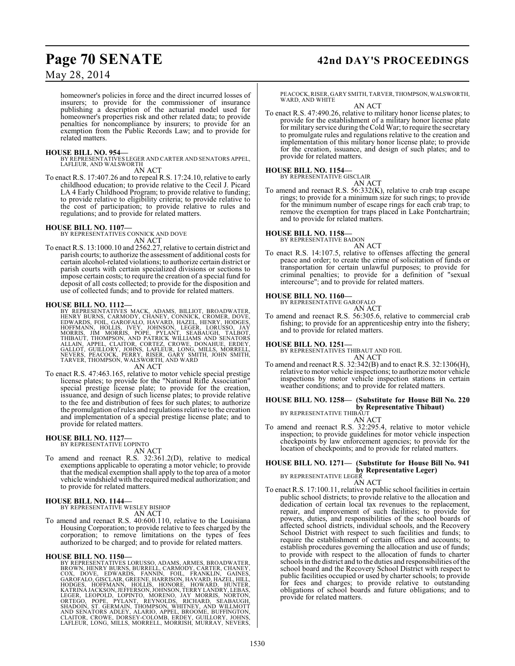# **Page 70 SENATE 42nd DAY'S PROCEEDINGS**

May 28, 2014

homeowner's policies in force and the direct incurred losses of insurers; to provide for the commissioner of insurance publishing a description of the actuarial model used for homeowner's properties risk and other related data; to provide penalties for noncompliance by insurers; to provide for an exemption from the Public Records Law; and to provide for related matters.

**HOUSE BILL NO. 954—** BY REPRESENTATIVES LEGER AND CARTER AND SENATORS APPEL, LAFLEUR, AND WALSWORTH

AN ACT

To enact R.S. 17:407.26 and to repeal R.S. 17:24.10, relative to early childhood education; to provide relative to the Cecil J. Picard LA 4 Early Childhood Program; to provide relative to funding; to provide relative to eligibility criteria; to provide relative to the cost of participation; to provide relative to rules and regulations; and to provide for related matters.

#### **HOUSE BILL NO. 1107—**

BY REPRESENTATIVES CONNICK AND DOVE AN ACT

To enact R.S. 13:1000.10 and 2562.27, relative to certain district and parish courts; to authorize the assessment of additional costs for certain alcohol-related violations; to authorize certain district or parish courts with certain specialized divisions or sections to impose certain costs; to require the creation of a special fund for deposit of all costs collected; to provide for the disposition and use of collected funds; and to provide for related matters.

**HOUSE BILL NO. 1112—**<br>BY REPRESENTATIVES MACK, ADAMS, BILLIOT, BROADWATER,<br>HENRY BURNS, CARMODY, CHANEY, CONNICK, CROMER, DOVE,<br>EDWARDS, FOIL, GAROFALO, HAVARD, HAZEL, HENRY, HODGES,<br>HOFFMANN, HOLLIS, IVEY, JOHNSON, LEGER

AN ACT

To enact R.S. 47:463.165, relative to motor vehicle special prestige license plates; to provide for the "National Rifle Association" special prestige license plate; to provide for the creation, issuance, and design of such license plates; to provide relative to the fee and distribution of fees for such plates; to authorize the promulgation of rules and regulations relative to the creation and implementation of a special prestige license plate; and to provide for related matters.

# **HOUSE BILL NO. 1127—** BY REPRESENTATIVE LOPINTO

AN ACT

To amend and reenact R.S. 32:361.2(D), relative to medical exemptions applicable to operating a motor vehicle; to provide that the medical exemption shall apply to the top area of a motor vehicle windshield with the required medical authorization; and to provide for related matters.

#### **HOUSE BILL NO. 1144—**

BY REPRESENTATIVE WESLEY BISHOP AN ACT

To amend and reenact R.S. 40:600.110, relative to the Louisiana Housing Corporation; to provide relative to fees charged by the corporation; to remove limitations on the types of fees authorized to be charged; and to provide for related matters.

HOUSE BILL NO. 1150—<br>BY REPRESENTATIVES LORUSSO, ADAMS, ARMES, BROADWATER,<br>BROWN, HENRY BURNS, BURRELL, CARMODY, CARTER, CHANEY,<br>COX, DOVE, EDWARDS, FANNIN, FOIL, FRANKLIN, GAINES,<br>GAROFALO, GISCLAIR, GREENE, HARRISON, HAV

PEACOCK, RISER, GARY SMITH, TARVER, THOMPSON, WALSWORTH, WARD, AND WHITE AN ACT

To enact R.S. 47:490.26, relative to military honor license plates; to provide for the establishment of a military honor license plate for military service during the Cold War; to require the secretary to promulgate rules and regulations relative to the creation and implementation of this military honor license plate; to provide for the creation, issuance, and design of such plates; and to provide for related matters.

#### **HOUSE BILL NO. 1154—**

BY REPRESENTATIVE GISCLAIR

- AN ACT
- To amend and reenact R.S. 56:332(K), relative to crab trap escape rings; to provide for a minimum size for such rings; to provide for the minimum number of escape rings for each crab trap; to remove the exemption for traps placed in Lake Pontchartrain; and to provide for related matters.

#### **HOUSE BILL NO. 1158—**

BY REPRESENTATIVE BADON

AN ACT To enact R.S. 14:107.5, relative to offenses affecting the general peace and order; to create the crime of solicitation of funds or transportation for certain unlawful purposes; to provide for criminal penalties; to provide for a definition of "sexual intercourse"; and to provide for related matters.

#### **HOUSE BILL NO. 1160—**

BY REPRESENTATIVE GAROFALO



To amend and reenact R.S. 56:305.6, relative to commercial crab fishing; to provide for an apprenticeship entry into the fishery; and to provide for related matters.

#### **HOUSE BILL NO. 1251—**

BY REPRESENTATIVES THIBAUT AND FOIL AN ACT

To amend and reenact R.S. 32:342(B) and to enact R.S. 32:1306(H), relative to motor vehicle inspections; to authorize motor vehicle inspections by motor vehicle inspection stations in certain weather conditions; and to provide for related matters.

## **HOUSE BILL NO. 1258— (Substitute for House Bill No. 220 by Representative Thibaut)**<br>BY REPRESENTATIVE THIBAUT

AN ACT

To amend and reenact R.S. 32:295.4, relative to motor vehicle inspection; to provide guidelines for motor vehicle inspection checkpoints by law enforcement agencies; to provide for the location of checkpoints; and to provide for related matters.

## **HOUSE BILL NO. 1271— (Substitute for House Bill No. 941 by Representative Leger)**<br>BY REPRESENTATIVE LEGER

AN ACT

To enact R.S. 17:100.11, relative to public school facilities in certain public school districts; to provide relative to the allocation and dedication of certain local tax revenues to the replacement, repair, and improvement of such facilities; to provide for powers, duties, and responsibilities of the school boards of affected school districts, individual schools, and the Recovery School District with respect to such facilities and funds; to require the establishment of certain offices and accounts; to establish procedures governing the allocation and use of funds; to provide with respect to the allocation of funds to charter schools in the district and to the duties and responsibilities of the school board and the Recovery School District with respect to public facilities occupied or used by charter schools; to provide for fees and charges; to provide relative to outstanding obligations of school boards and future obligations; and to provide for related matters.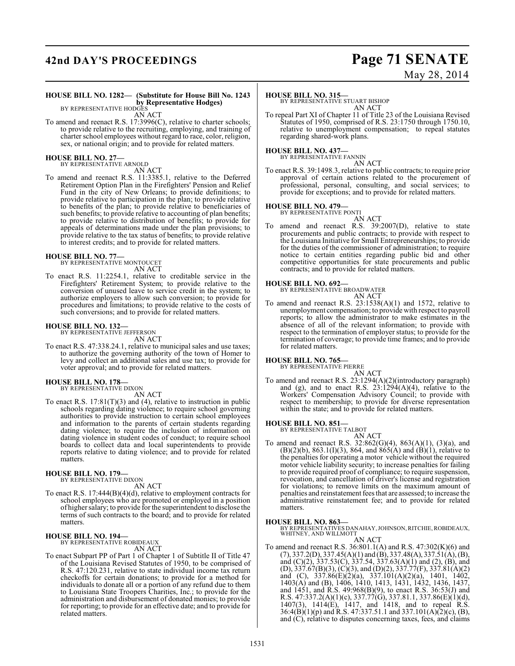# **42nd DAY'S PROCEEDINGS Page 71 SENATE**

# May 28, 2014

#### **HOUSE BILL NO. 1282— (Substitute for House Bill No. 1243 by Representative Hodges)** BY REPRESENTATIVE HODGES

AN ACT

To amend and reenact R.S. 17:3996(C), relative to charter schools; to provide relative to the recruiting, employing, and training of charter school employees without regard to race, color, religion, sex, or national origin; and to provide for related matters.

#### **HOUSE BILL NO. 27—** BY REPRESENTATIVE ARNOLD

AN ACT

To amend and reenact R.S. 11:3385.1, relative to the Deferred Retirement Option Plan in the Firefighters' Pension and Relief Fund in the city of New Orleans; to provide definitions; to provide relative to participation in the plan; to provide relative to benefits of the plan; to provide relative to beneficiaries of such benefits; to provide relative to accounting of plan benefits; to provide relative to distribution of benefits; to provide for appeals of determinations made under the plan provisions; to provide relative to the tax status of benefits; to provide relative to interest credits; and to provide for related matters.

#### **HOUSE BILL NO. 77—**

BY REPRESENTATIVE MONTOUCET AN ACT

To enact R.S. 11:2254.1, relative to creditable service in the Firefighters' Retirement System; to provide relative to the conversion of unused leave to service credit in the system; to authorize employers to allow such conversion; to provide for procedures and limitations; to provide relative to the costs of such conversions; and to provide for related matters.

# **HOUSE BILL NO. 132—** BY REPRESENTATIVE JEFFERSON

AN ACT

To enact R.S. 47:338.24.1, relative to municipal sales and use taxes; to authorize the governing authority of the town of Homer to levy and collect an additional sales and use tax; to provide for voter approval; and to provide for related matters.

#### **HOUSE BILL NO. 178—** BY REPRESENTATIVE DIXON

AN ACT

To enact R.S. 17:81(T)(3) and (4), relative to instruction in public schools regarding dating violence; to require school governing authorities to provide instruction to certain school employees and information to the parents of certain students regarding dating violence; to require the inclusion of information on dating violence in student codes of conduct; to require school boards to collect data and local superintendents to provide reports relative to dating violence; and to provide for related matters.

# **HOUSE BILL NO. 179—** BY REPRESENTATIVE DIXON

AN ACT

To enact R.S. 17:444(B)(4)(d), relative to employment contracts for school employees who are promoted or employed in a position of higher salary; to provide for the superintendent to disclose the terms of such contracts to the board; and to provide for related matters.

# **HOUSE BILL NO. 194—** BY REPRESENTATIVE ROBIDEAUX

AN ACT

To enact Subpart PP of Part 1 of Chapter 1 of Subtitle II of Title 47 of the Louisiana Revised Statutes of 1950, to be comprised of R.S. 47:120.231, relative to state individual income tax return checkoffs for certain donations; to provide for a method for individuals to donate all or a portion of any refund due to them to Louisiana State Troopers Charities, Inc.; to provide for the administration and disbursement of donated monies; to provide for reporting; to provide for an effective date; and to provide for related matters.

#### **HOUSE BILL NO. 315—**

BY REPRESENTATIVE STUART BISHOP AN ACT

To repeal Part XI of Chapter 11 of Title 23 of the Louisiana Revised Statutes of 1950, comprised of R.S. 23:1750 through 1750.10, relative to unemployment compensation; to repeal statutes regarding shared-work plans.

#### **HOUSE BILL NO. 437—**

BY REPRESENTATIVE FANNIN

AN ACT To enact R.S. 39:1498.3, relative to public contracts; to require prior approval of certain actions related to the procurement of professional, personal, consulting, and social services; to provide for exceptions; and to provide for related matters.

#### **HOUSE BILL NO. 479—**

BY REPRESENTATIVE PONTI AN ACT

To amend and reenact R.S. 39:2007(D), relative to state procurements and public contracts; to provide with respect to the Louisiana Initiative for Small Entrepreneurships; to provide for the duties of the commissioner of administration; to require notice to certain entities regarding public bid and other competitive opportunities for state procurements and public contracts; and to provide for related matters.

#### **HOUSE BILL NO. 692—**

BY REPRESENTATIVE BROADWATER AN ACT

To amend and reenact R.S. 23:1538(A)(1) and 1572, relative to unemployment compensation; to provide with respect to payroll reports; to allow the administrator to make estimates in the absence of all of the relevant information; to provide with respect to the termination of employer status; to provide for the termination of coverage; to provide time frames; and to provide for related matters.

**HOUSE BILL NO. 765—** BY REPRESENTATIVE PIERRE

AN ACT To amend and reenact R.S. 23:1294(A)(2)(introductory paragraph) and (g), and to enact R.S.  $23:1294(A)(4)$ , relative to the Workers' Compensation Advisory Council; to provide with respect to membership; to provide for diverse representation

within the state; and to provide for related matters.

#### **HOUSE BILL NO. 851—**

BY REPRESENTATIVE TALBOT

- AN ACT
- To amend and reenact R.S. 32:862(G)(4), 863(A)(1), (3)(a), and  $(B)(2)(b)$ , 863.1(I)(3), 864, and 865(A) and (B)(1), relative to the penalties for operating a motor vehicle without the required motor vehicle liability security; to increase penalties for failing to provide required proof of compliance; to require suspension, revocation, and cancellation of driver's license and registration for violations; to remove limits on the maximum amount of penalties and reinstatement fees that are assessed; to increase the administrative reinstatement fee; and to provide for related matters.

**HOUSE BILL NO. 863—** BY REPRESENTATIVES DANAHAY, JOHNSON, RITCHIE, ROBIDEAUX, WHITNEY, AND WILLMOTT

AN ACT

To amend and reenact R.S. 36:801.1(A) and R.S. 47:302(K)(6) and  $(7), 337.2(D), 337.45(A)(1)$  and  $(B), 337.48(A), 337.51(A), (B),$ and (C)(2), 337.53(C), 337.54, 337.63(A)(1) and (2), (B), and  $(D), 337.67(B)(3), (C)(3), and (D)(2), 337.77(F), 337.81(A)(2)$ and (C), 337.86(E)(2)(a), 337.101(A)(2)(a), 1401, 1402, 1403(A) and (B), 1406, 1410, 1413, 1431, 1432, 1436, 1437, and 1451, and R.S. 49:968(B)(9), to enact R.S. 36:53(J) and R.S. 47:337.2(A)(1)(c), 337.77(G), 337.81.1, 337.86(E)(1)(d), 1407(3), 1414(E), 1417, and 1418, and to repeal R.S. 36:4(B)(1)(p) and R.S. 47:337.51.1 and 337.101(A)(2)(c), (B), and  $(C)$ , relative to disputes concerning taxes, fees, and claims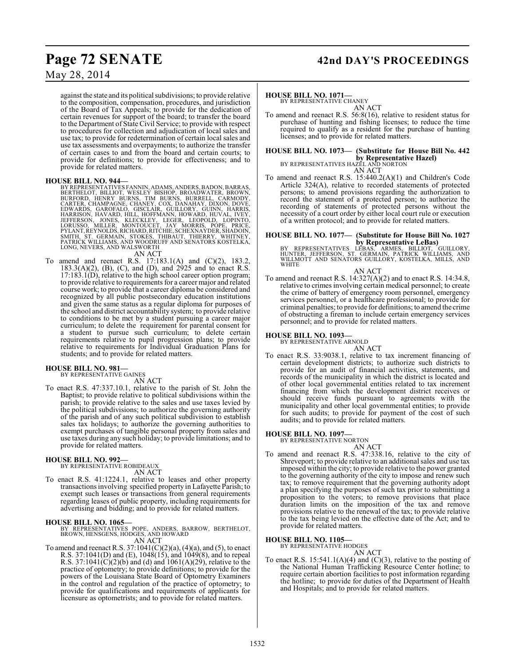against the state and its political subdivisions; to provide relative to the composition, compensation, procedures, and jurisdiction of the Board of Tax Appeals; to provide for the dedication of certain revenues for support of the board; to transfer the board to the Department of State Civil Service; to provide with respect to procedures for collection and adjudication of local sales and use tax; to provide for redetermination of certain local sales and use tax assessments and overpayments; to authorize the transfer of certain cases to and from the board and certain courts; to provide for definitions; to provide for effectiveness; and to provide for related matters.

HOUSE BILL NO. 944—<br>BY REPRESENTATIVES FANNIN, ADAMS, ANDERS, BADON, BARRAS,<br>BERTHELOT, BILLIOT, WESLEY BISHOP, BROADWATER, BROWN,<br>BURFORD, HENRY BURNS, TIM BURNS, BURRELL, CARMODY,<br>CARTER, CHAMPAGNE, CHANEY, COX, DANAHAY,

AN ACT

To amend and reenact R.S. 17:183.1(A) and (C)(2), 183.2, 183.3(A)(2), (B), (C), and (D), and 2925 and to enact R.S.  $17:183.1(D)$ , relative to the high school career option program; to provide relative to requirements for a career major and related course work; to provide that a career diploma be considered and recognized by all public postsecondary education institutions and given the same status as a regular diploma for purposes of the school and district accountability system; to provide relative to conditions to be met by a student pursuing a career major curriculum; to delete the requirement for parental consent for a student to pursue such curriculum; to delete certain requirements relative to pupil progression plans; to provide relative to requirements for Individual Graduation Plans for students; and to provide for related matters.

#### **HOUSE BILL NO. 981—** BY REPRESENTATIVE GAINES

AN ACT

To enact R.S. 47:337.10.1, relative to the parish of St. John the Baptist; to provide relative to political subdivisions within the parish; to provide relative to the sales and use taxes levied by the political subdivisions; to authorize the governing authority of the parish and of any such political subdivision to establish sales tax holidays; to authorize the governing authorities to exempt purchases of tangible personal property from sales and use taxes during any such holiday; to provide limitations; and to provide for related matters.

#### **HOUSE BILL NO. 992—**

BY REPRESENTATIVE ROBIDEAUX AN ACT

To enact R.S. 41:1224.1, relative to leases and other property transactionsinvolving specified property in Lafayette Parish; to exempt such leases or transactions from general requirements regarding leases of public property, including requirements for advertising and bidding; and to provide for related matters.

### **HOUSE BILL NO. 1065—**

BY REPRESENTATIVES POPE, ANDERS, BARROW, BERTHELOT, BROWN, HENSGENS, HODGES, AND HOWARD AN ACT

To amend and reenact R.S.  $37:1041(C)(2)(a)$ ,  $(4)(a)$ , and  $(5)$ , to enact R.S. 37:1041(D) and (E), 1048(15), and 1049(8), and to repeal R.S. 37:1041(C)(2)(b) and (d) and 1061(A)(29), relative to the practice of optometry; to provide definitions; to provide for the powers of the Louisiana State Board of Optometry Examiners in the control and regulation of the practice of optometry; to provide for qualifications and requirements of applicants for licensure as optometrists; and to provide for related matters.

#### **HOUSE BILL NO. 1071—**

BY REPRESENTATIVE CHANEY AN ACT

To amend and reenact R.S. 56:8(16), relative to resident status for purchase of hunting and fishing licenses; to reduce the time required to qualify as a resident for the purchase of hunting licenses; and to provide for related matters.

## **HOUSE BILL NO. 1073— (Substitute for House Bill No. 442 by Representative Hazel)** BY REPRESENTATIVES HAZEL AND NORTON

AN ACT

To amend and reenact R.S. 15:440.2(A)(1) and Children's Code Article 324(A), relative to recorded statements of protected persons; to amend provisions regarding the authorization to record the statement of a protected person; to authorize the recording of statements of protected persons without the necessity of a court order by either local court rule or execution of a written protocol; and to provide for related matters.

## **HOUSE BILL NO. 1077— (Substitute for House Bill No. 1027**

**by Representative LeBas)**<br>BY REPRESENTATIVES LEBAS, ARMES, BILLIOT, GUILLORY,<br>HUNTER, JEFFERSON, ST. GERMAIN, PATRICK WILLIAMS, AND<br>WILLMOTT AND SENATORS GUILLORY, KOSTELKA, MILLS, AND **WHITE** 

AN ACT To amend and reenact R.S. 14:327(A)(2) and to enact R.S. 14:34.8, relative to crimes involving certain medical personnel; to create the crime of battery of emergency room personnel, emergency services personnel, or a healthcare professional; to provide for criminal penalties; to provide for definitions; to amend the crime of obstructing a fireman to include certain emergency services personnel; and to provide for related matters.

#### **HOUSE BILL NO. 1093—**

BY REPRESENTATIVE ARNOLD

- AN ACT
- To enact R.S. 33:9038.1, relative to tax increment financing of certain development districts; to authorize such districts to provide for an audit of financial activities, statements, and records of the municipality in which the district is located and of other local governmental entities related to tax increment financing from which the development district receives or should receive funds pursuant to agreements with the municipality and other local governmental entities; to provide for such audits; to provide for payment of the cost of such audits; and to provide for related matters.

#### **HOUSE BILL NO. 1097—**

BY REPRESENTATIVE NORTON

- AN ACT
- To amend and reenact R.S. 47:338.16, relative to the city of Shreveport; to provide relative to an additional sales and use tax imposed within the city; to provide relative to the power granted to the governing authority of the city to impose and renew such tax; to remove requirement that the governing authority adopt a plan specifying the purposes of such tax prior to submitting a proposition to the voters; to remove provisions that place duration limits on the imposition of the tax and remove provisions relative to the renewal of the tax; to provide relative to the tax being levied on the effective date of the Act; and to provide for related matters.

#### **HOUSE BILL NO. 1105—**

BY REPRESENTATIVE HODGES AN ACT

To enact R.S.  $15:541.1(A)(4)$  and  $(C)(3)$ , relative to the posting of the National Human Trafficking Resource Center hotline; to require certain abortion facilities to post information regarding the hotline; to provide for duties of the Department of Health and Hospitals; and to provide for related matters.